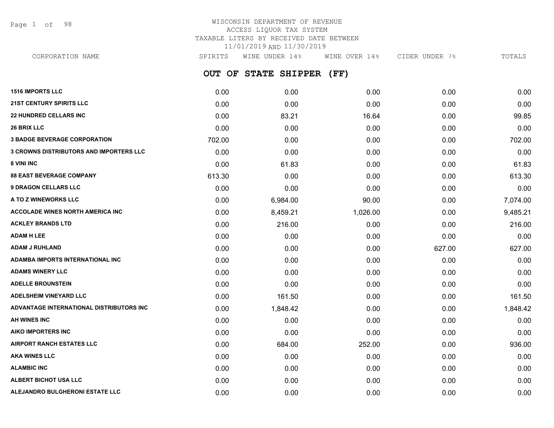Page 1 of 98

## WISCONSIN DEPARTMENT OF REVENUE ACCESS LIQUOR TAX SYSTEM TAXABLE LITERS BY RECEIVED DATE BETWEEN 11/01/2019 AND 11/30/2019

**OUT OF STATE SHIPPER (FF) 1516 IMPORTS LLC** 0.00 0.00 0.00 0.00 0.00 **21ST CENTURY SPIRITS LLC** 0.00 0.00 0.00 0.00 0.00 **22 HUNDRED CELLARS INC** 89.85 **16.64** 0.00 83.21 16.64 0.00 83.21 16.64 0.00 **26 BRIX LLC** 0.00 0.00 0.00 0.00 0.00 **3 BADGE BEVERAGE CORPORATION** 702.00 0.00 0.00 0.00 702.00 **3 CROWNS DISTRIBUTORS AND IMPORTERS LLC** 0.00 0.00 0.00 0.00 0.00 **8 VINI INC** 0.00 61.83 0.00 0.00 61.83 **88 EAST BEVERAGE COMPANY** 613.30 0.00 0.00 0.00 613.30 **9 DRAGON CELLARS LLC** 0.00 0.00 0.00 0.00 0.00 **A TO Z WINEWORKS LLC** 0.00 6,984.00 90.00 0.00 7,074.00 **ACCOLADE WINES NORTH AMERICA INC**  $0.00$   $0.4859.21$   $1.026.00$   $0.00$   $0.00$   $9.485.21$ **ACKLEY BRANDS LTD** 0.00 216.00 0.00 0.00 216.00 **ADAM H LEE** 0.00 0.00 0.00 0.00 0.00 **ADAM J RUHLAND** 0.00 0.00 0.00 627.00 627.00 **ADAMBA IMPORTS INTERNATIONAL INC** 0.00 0.00 0.00 0.00 0.00 **ADAMS WINERY LLC** 0.00 0.00 0.00 0.00 0.00 **ADELLE BROUNSTEIN** 0.00 0.00 0.00 0.00 0.00 **ADELSHEIM VINEYARD LLC** 0.00 161.50 0.00 0.00 161.50 **ADVANTAGE INTERNATIONAL DISTRIBUTORS INC** 0.00 1,848.42 0.00 0.00 1,848.42 **AH WINES INC** 0.00 0.00 0.00 0.00 0.00 **AIKO IMPORTERS INC** 0.00 0.00 0.00 0.00 0.00 **AIRPORT RANCH ESTATES LLC** 0.00 684.00 252.00 0.00 936.00 **AKA WINES LLC** 0.00 0.00 0.00 0.00 0.00 **ALAMBIC INC** 0.00 0.00 0.00 0.00 0.00 CORPORATION NAME SPIRITS WINE UNDER 14% WINE OVER 14% CIDER UNDER 7% TOTALS

**ALBERT BICHOT USA LLC** 0.00 0.00 0.00 0.00 0.00

**ALEJANDRO BULGHERONI ESTATE LLC** 0.00 0.00 0.00 0.00 0.00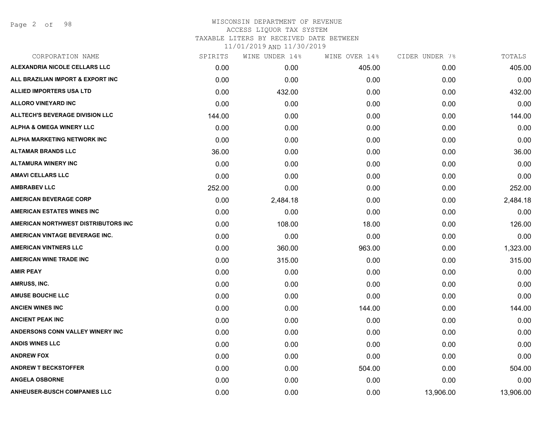| CORPORATION NAME                       | SPIRITS | WINE UNDER 14% | WINE OVER 14% | CIDER UNDER 7% | TOTALS    |
|----------------------------------------|---------|----------------|---------------|----------------|-----------|
| ALEXANDRIA NICOLE CELLARS LLC          | 0.00    | 0.00           | 405.00        | 0.00           | 405.00    |
| ALL BRAZILIAN IMPORT & EXPORT INC      | 0.00    | 0.00           | 0.00          | 0.00           | 0.00      |
| <b>ALLIED IMPORTERS USA LTD</b>        | 0.00    | 432.00         | 0.00          | 0.00           | 432.00    |
| <b>ALLORO VINEYARD INC</b>             | 0.00    | 0.00           | 0.00          | 0.00           | 0.00      |
| <b>ALLTECH'S BEVERAGE DIVISION LLC</b> | 144.00  | 0.00           | 0.00          | 0.00           | 144.00    |
| <b>ALPHA &amp; OMEGA WINERY LLC</b>    | 0.00    | 0.00           | 0.00          | 0.00           | 0.00      |
| ALPHA MARKETING NETWORK INC            | 0.00    | 0.00           | 0.00          | 0.00           | 0.00      |
| <b>ALTAMAR BRANDS LLC</b>              | 36.00   | 0.00           | 0.00          | 0.00           | 36.00     |
| <b>ALTAMURA WINERY INC</b>             | 0.00    | 0.00           | 0.00          | 0.00           | 0.00      |
| <b>AMAVI CELLARS LLC</b>               | 0.00    | 0.00           | 0.00          | 0.00           | 0.00      |
| <b>AMBRABEV LLC</b>                    | 252.00  | 0.00           | 0.00          | 0.00           | 252.00    |
| <b>AMERICAN BEVERAGE CORP</b>          | 0.00    | 2,484.18       | 0.00          | 0.00           | 2,484.18  |
| <b>AMERICAN ESTATES WINES INC</b>      | 0.00    | 0.00           | 0.00          | 0.00           | 0.00      |
| AMERICAN NORTHWEST DISTRIBUTORS INC    | 0.00    | 108.00         | 18.00         | 0.00           | 126.00    |
| AMERICAN VINTAGE BEVERAGE INC.         | 0.00    | 0.00           | 0.00          | 0.00           | 0.00      |
| <b>AMERICAN VINTNERS LLC</b>           | 0.00    | 360.00         | 963.00        | 0.00           | 1,323.00  |
| <b>AMERICAN WINE TRADE INC</b>         | 0.00    | 315.00         | 0.00          | 0.00           | 315.00    |
| <b>AMIR PEAY</b>                       | 0.00    | 0.00           | 0.00          | 0.00           | 0.00      |
| AMRUSS, INC.                           | 0.00    | 0.00           | 0.00          | 0.00           | 0.00      |
| <b>AMUSE BOUCHE LLC</b>                | 0.00    | 0.00           | 0.00          | 0.00           | 0.00      |
| <b>ANCIEN WINES INC</b>                | 0.00    | 0.00           | 144.00        | 0.00           | 144.00    |
| <b>ANCIENT PEAK INC</b>                | 0.00    | 0.00           | 0.00          | 0.00           | 0.00      |
| ANDERSONS CONN VALLEY WINERY INC       | 0.00    | 0.00           | 0.00          | 0.00           | 0.00      |
| <b>ANDIS WINES LLC</b>                 | 0.00    | 0.00           | 0.00          | 0.00           | 0.00      |
| <b>ANDREW FOX</b>                      | 0.00    | 0.00           | 0.00          | 0.00           | 0.00      |
| <b>ANDREW T BECKSTOFFER</b>            | 0.00    | 0.00           | 504.00        | 0.00           | 504.00    |
| <b>ANGELA OSBORNE</b>                  | 0.00    | 0.00           | 0.00          | 0.00           | 0.00      |
| <b>ANHEUSER-BUSCH COMPANIES LLC</b>    | 0.00    | 0.00           | 0.00          | 13,906.00      | 13,906.00 |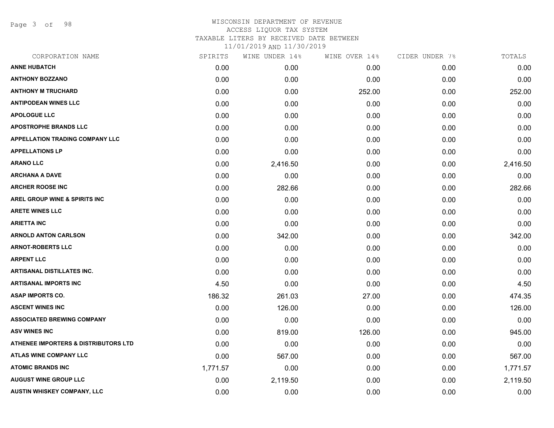Page 3 of 98

## WISCONSIN DEPARTMENT OF REVENUE ACCESS LIQUOR TAX SYSTEM TAXABLE LITERS BY RECEIVED DATE BETWEEN

| CORPORATION NAME                       | SPIRITS  | WINE UNDER 14% | WINE OVER 14% | CIDER UNDER 7% | TOTALS   |
|----------------------------------------|----------|----------------|---------------|----------------|----------|
| <b>ANNE HUBATCH</b>                    | 0.00     | 0.00           | 0.00          | 0.00           | 0.00     |
| <b>ANTHONY BOZZANO</b>                 | 0.00     | 0.00           | 0.00          | 0.00           | 0.00     |
| <b>ANTHONY M TRUCHARD</b>              | 0.00     | 0.00           | 252.00        | 0.00           | 252.00   |
| <b>ANTIPODEAN WINES LLC</b>            | 0.00     | 0.00           | 0.00          | 0.00           | 0.00     |
| <b>APOLOGUE LLC</b>                    | 0.00     | 0.00           | 0.00          | 0.00           | 0.00     |
| <b>APOSTROPHE BRANDS LLC</b>           | 0.00     | 0.00           | 0.00          | 0.00           | 0.00     |
| <b>APPELLATION TRADING COMPANY LLC</b> | 0.00     | 0.00           | 0.00          | 0.00           | 0.00     |
| <b>APPELLATIONS LP</b>                 | 0.00     | 0.00           | 0.00          | 0.00           | 0.00     |
| <b>ARANO LLC</b>                       | 0.00     | 2,416.50       | 0.00          | 0.00           | 2,416.50 |
| <b>ARCHANA A DAVE</b>                  | 0.00     | 0.00           | 0.00          | 0.00           | 0.00     |
| <b>ARCHER ROOSE INC</b>                | 0.00     | 282.66         | 0.00          | 0.00           | 282.66   |
| AREL GROUP WINE & SPIRITS INC          | 0.00     | 0.00           | 0.00          | 0.00           | 0.00     |
| <b>ARETE WINES LLC</b>                 | 0.00     | 0.00           | 0.00          | 0.00           | 0.00     |
| <b>ARIETTA INC</b>                     | 0.00     | 0.00           | 0.00          | 0.00           | 0.00     |
| <b>ARNOLD ANTON CARLSON</b>            | 0.00     | 342.00         | 0.00          | 0.00           | 342.00   |
| <b>ARNOT-ROBERTS LLC</b>               | 0.00     | 0.00           | 0.00          | 0.00           | 0.00     |
| <b>ARPENT LLC</b>                      | 0.00     | 0.00           | 0.00          | 0.00           | 0.00     |
| <b>ARTISANAL DISTILLATES INC.</b>      | 0.00     | 0.00           | 0.00          | 0.00           | 0.00     |
| <b>ARTISANAL IMPORTS INC</b>           | 4.50     | 0.00           | 0.00          | 0.00           | 4.50     |
| <b>ASAP IMPORTS CO.</b>                | 186.32   | 261.03         | 27.00         | 0.00           | 474.35   |
| <b>ASCENT WINES INC</b>                | 0.00     | 126.00         | 0.00          | 0.00           | 126.00   |
| <b>ASSOCIATED BREWING COMPANY</b>      | 0.00     | 0.00           | 0.00          | 0.00           | 0.00     |
| <b>ASV WINES INC</b>                   | 0.00     | 819.00         | 126.00        | 0.00           | 945.00   |
| ATHENEE IMPORTERS & DISTRIBUTORS LTD   | 0.00     | 0.00           | 0.00          | 0.00           | 0.00     |
| ATLAS WINE COMPANY LLC                 | 0.00     | 567.00         | 0.00          | 0.00           | 567.00   |
| <b>ATOMIC BRANDS INC</b>               | 1,771.57 | 0.00           | 0.00          | 0.00           | 1,771.57 |
| <b>AUGUST WINE GROUP LLC</b>           | 0.00     | 2,119.50       | 0.00          | 0.00           | 2,119.50 |
| <b>AUSTIN WHISKEY COMPANY, LLC</b>     | 0.00     | 0.00           | 0.00          | 0.00           | 0.00     |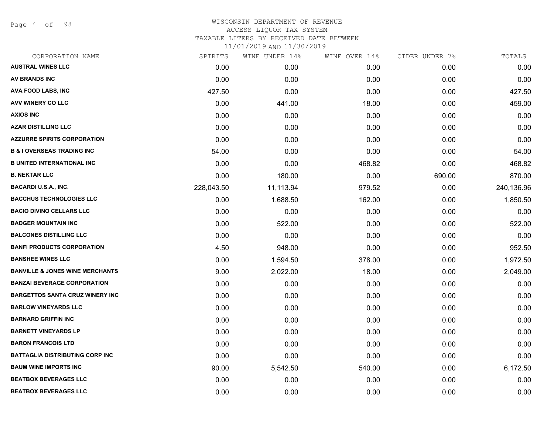Page 4 of 98

#### WISCONSIN DEPARTMENT OF REVENUE ACCESS LIQUOR TAX SYSTEM TAXABLE LITERS BY RECEIVED DATE BETWEEN

| CORPORATION NAME                           | SPIRITS    | WINE UNDER 14% | WINE OVER 14% | CIDER UNDER 7% | TOTALS     |
|--------------------------------------------|------------|----------------|---------------|----------------|------------|
| <b>AUSTRAL WINES LLC</b>                   | 0.00       | 0.00           | 0.00          | 0.00           | 0.00       |
| AV BRANDS INC                              | 0.00       | 0.00           | 0.00          | 0.00           | 0.00       |
| AVA FOOD LABS, INC                         | 427.50     | 0.00           | 0.00          | 0.00           | 427.50     |
| AVV WINERY CO LLC                          | 0.00       | 441.00         | 18.00         | 0.00           | 459.00     |
| <b>AXIOS INC</b>                           | 0.00       | 0.00           | 0.00          | 0.00           | 0.00       |
| <b>AZAR DISTILLING LLC</b>                 | 0.00       | 0.00           | 0.00          | 0.00           | 0.00       |
| <b>AZZURRE SPIRITS CORPORATION</b>         | 0.00       | 0.00           | 0.00          | 0.00           | 0.00       |
| <b>B &amp; I OVERSEAS TRADING INC</b>      | 54.00      | 0.00           | 0.00          | 0.00           | 54.00      |
| <b>B UNITED INTERNATIONAL INC</b>          | 0.00       | 0.00           | 468.82        | 0.00           | 468.82     |
| <b>B. NEKTAR LLC</b>                       | 0.00       | 180.00         | 0.00          | 690.00         | 870.00     |
| <b>BACARDI U.S.A., INC.</b>                | 228,043.50 | 11,113.94      | 979.52        | 0.00           | 240,136.96 |
| <b>BACCHUS TECHNOLOGIES LLC</b>            | 0.00       | 1,688.50       | 162.00        | 0.00           | 1,850.50   |
| <b>BACIO DIVINO CELLARS LLC</b>            | 0.00       | 0.00           | 0.00          | 0.00           | 0.00       |
| <b>BADGER MOUNTAIN INC</b>                 | 0.00       | 522.00         | 0.00          | 0.00           | 522.00     |
| <b>BALCONES DISTILLING LLC</b>             | 0.00       | 0.00           | 0.00          | 0.00           | 0.00       |
| <b>BANFI PRODUCTS CORPORATION</b>          | 4.50       | 948.00         | 0.00          | 0.00           | 952.50     |
| <b>BANSHEE WINES LLC</b>                   | 0.00       | 1,594.50       | 378.00        | 0.00           | 1,972.50   |
| <b>BANVILLE &amp; JONES WINE MERCHANTS</b> | 9.00       | 2,022.00       | 18.00         | 0.00           | 2,049.00   |
| <b>BANZAI BEVERAGE CORPORATION</b>         | 0.00       | 0.00           | 0.00          | 0.00           | 0.00       |
| <b>BARGETTOS SANTA CRUZ WINERY INC</b>     | 0.00       | 0.00           | 0.00          | 0.00           | 0.00       |
| <b>BARLOW VINEYARDS LLC</b>                | 0.00       | 0.00           | 0.00          | 0.00           | 0.00       |
| <b>BARNARD GRIFFIN INC</b>                 | 0.00       | 0.00           | 0.00          | 0.00           | 0.00       |
| <b>BARNETT VINEYARDS LP</b>                | 0.00       | 0.00           | 0.00          | 0.00           | 0.00       |
| <b>BARON FRANCOIS LTD</b>                  | 0.00       | 0.00           | 0.00          | 0.00           | 0.00       |
| BATTAGLIA DISTRIBUTING CORP INC            | 0.00       | 0.00           | 0.00          | 0.00           | 0.00       |
| <b>BAUM WINE IMPORTS INC</b>               | 90.00      | 5,542.50       | 540.00        | 0.00           | 6,172.50   |
| <b>BEATBOX BEVERAGES LLC</b>               | 0.00       | 0.00           | 0.00          | 0.00           | 0.00       |
| <b>BEATBOX BEVERAGES LLC</b>               | 0.00       | 0.00           | 0.00          | 0.00           | 0.00       |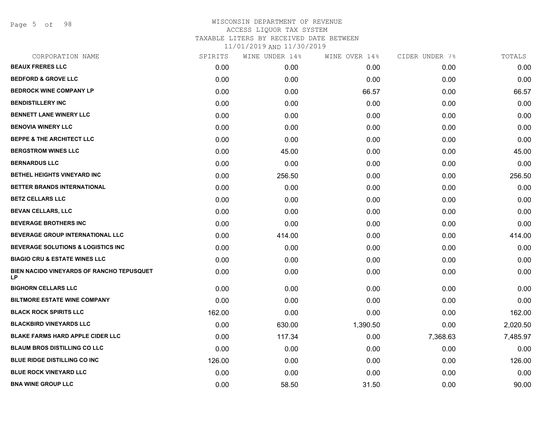Page 5 of 98

| CORPORATION NAME                                       | SPIRITS | WINE UNDER 14% | WINE OVER 14% | CIDER UNDER 7% | TOTALS   |
|--------------------------------------------------------|---------|----------------|---------------|----------------|----------|
| <b>BEAUX FRERES LLC</b>                                | 0.00    | 0.00           | 0.00          | 0.00           | 0.00     |
| <b>BEDFORD &amp; GROVE LLC</b>                         | 0.00    | 0.00           | 0.00          | 0.00           | 0.00     |
| <b>BEDROCK WINE COMPANY LP</b>                         | 0.00    | 0.00           | 66.57         | 0.00           | 66.57    |
| <b>BENDISTILLERY INC</b>                               | 0.00    | 0.00           | 0.00          | 0.00           | 0.00     |
| <b>BENNETT LANE WINERY LLC</b>                         | 0.00    | 0.00           | 0.00          | 0.00           | 0.00     |
| <b>BENOVIA WINERY LLC</b>                              | 0.00    | 0.00           | 0.00          | 0.00           | 0.00     |
| <b>BEPPE &amp; THE ARCHITECT LLC</b>                   | 0.00    | 0.00           | 0.00          | 0.00           | 0.00     |
| <b>BERGSTROM WINES LLC</b>                             | 0.00    | 45.00          | 0.00          | 0.00           | 45.00    |
| <b>BERNARDUS LLC</b>                                   | 0.00    | 0.00           | 0.00          | 0.00           | 0.00     |
| <b>BETHEL HEIGHTS VINEYARD INC</b>                     | 0.00    | 256.50         | 0.00          | 0.00           | 256.50   |
| BETTER BRANDS INTERNATIONAL                            | 0.00    | 0.00           | 0.00          | 0.00           | 0.00     |
| <b>BETZ CELLARS LLC</b>                                | 0.00    | 0.00           | 0.00          | 0.00           | 0.00     |
| <b>BEVAN CELLARS, LLC</b>                              | 0.00    | 0.00           | 0.00          | 0.00           | 0.00     |
| <b>BEVERAGE BROTHERS INC</b>                           | 0.00    | 0.00           | 0.00          | 0.00           | 0.00     |
| BEVERAGE GROUP INTERNATIONAL LLC                       | 0.00    | 414.00         | 0.00          | 0.00           | 414.00   |
| <b>BEVERAGE SOLUTIONS &amp; LOGISTICS INC</b>          | 0.00    | 0.00           | 0.00          | 0.00           | 0.00     |
| <b>BIAGIO CRU &amp; ESTATE WINES LLC</b>               | 0.00    | 0.00           | 0.00          | 0.00           | 0.00     |
| BIEN NACIDO VINEYARDS OF RANCHO TEPUSQUET<br><b>LP</b> | 0.00    | 0.00           | 0.00          | 0.00           | 0.00     |
| <b>BIGHORN CELLARS LLC</b>                             | 0.00    | 0.00           | 0.00          | 0.00           | 0.00     |
| <b>BILTMORE ESTATE WINE COMPANY</b>                    | 0.00    | 0.00           | 0.00          | 0.00           | 0.00     |
| <b>BLACK ROCK SPIRITS LLC</b>                          | 162.00  | 0.00           | 0.00          | 0.00           | 162.00   |
| <b>BLACKBIRD VINEYARDS LLC</b>                         | 0.00    | 630.00         | 1,390.50      | 0.00           | 2,020.50 |
| <b>BLAKE FARMS HARD APPLE CIDER LLC</b>                | 0.00    | 117.34         | 0.00          | 7,368.63       | 7,485.97 |
| <b>BLAUM BROS DISTILLING CO LLC</b>                    | 0.00    | 0.00           | 0.00          | 0.00           | 0.00     |
| <b>BLUE RIDGE DISTILLING CO INC</b>                    | 126.00  | 0.00           | 0.00          | 0.00           | 126.00   |
| <b>BLUE ROCK VINEYARD LLC</b>                          | 0.00    | 0.00           | 0.00          | 0.00           | 0.00     |
| <b>BNA WINE GROUP LLC</b>                              | 0.00    | 58.50          | 31.50         | 0.00           | 90.00    |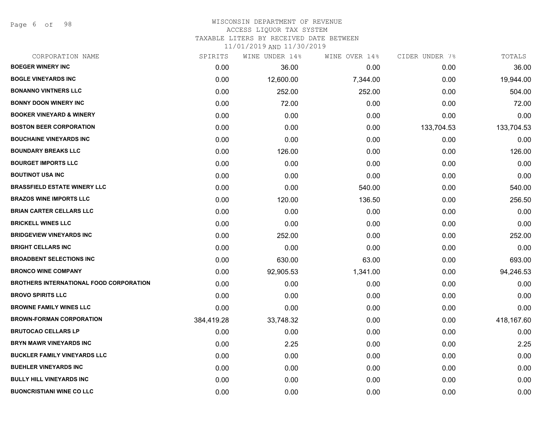Page 6 of 98

| CORPORATION NAME                        | SPIRITS    | WINE UNDER 14% | WINE OVER 14% | CIDER UNDER 7% | TOTALS     |
|-----------------------------------------|------------|----------------|---------------|----------------|------------|
| <b>BOEGER WINERY INC</b>                | 0.00       | 36.00          | 0.00          | 0.00           | 36.00      |
| <b>BOGLE VINEYARDS INC</b>              | 0.00       | 12,600.00      | 7,344.00      | 0.00           | 19,944.00  |
| <b>BONANNO VINTNERS LLC</b>             | 0.00       | 252.00         | 252.00        | 0.00           | 504.00     |
| <b>BONNY DOON WINERY INC</b>            | 0.00       | 72.00          | 0.00          | 0.00           | 72.00      |
| <b>BOOKER VINEYARD &amp; WINERY</b>     | 0.00       | 0.00           | 0.00          | 0.00           | 0.00       |
| <b>BOSTON BEER CORPORATION</b>          | 0.00       | 0.00           | 0.00          | 133,704.53     | 133,704.53 |
| <b>BOUCHAINE VINEYARDS INC</b>          | 0.00       | 0.00           | 0.00          | 0.00           | 0.00       |
| <b>BOUNDARY BREAKS LLC</b>              | 0.00       | 126.00         | 0.00          | 0.00           | 126.00     |
| <b>BOURGET IMPORTS LLC</b>              | 0.00       | 0.00           | 0.00          | 0.00           | 0.00       |
| <b>BOUTINOT USA INC</b>                 | 0.00       | 0.00           | 0.00          | 0.00           | 0.00       |
| <b>BRASSFIELD ESTATE WINERY LLC</b>     | 0.00       | 0.00           | 540.00        | 0.00           | 540.00     |
| <b>BRAZOS WINE IMPORTS LLC</b>          | 0.00       | 120.00         | 136.50        | 0.00           | 256.50     |
| <b>BRIAN CARTER CELLARS LLC</b>         | 0.00       | 0.00           | 0.00          | 0.00           | 0.00       |
| <b>BRICKELL WINES LLC</b>               | 0.00       | 0.00           | 0.00          | 0.00           | 0.00       |
| <b>BRIDGEVIEW VINEYARDS INC</b>         | 0.00       | 252.00         | 0.00          | 0.00           | 252.00     |
| <b>BRIGHT CELLARS INC</b>               | 0.00       | 0.00           | 0.00          | 0.00           | 0.00       |
| <b>BROADBENT SELECTIONS INC</b>         | 0.00       | 630.00         | 63.00         | 0.00           | 693.00     |
| <b>BRONCO WINE COMPANY</b>              | 0.00       | 92,905.53      | 1,341.00      | 0.00           | 94,246.53  |
| BROTHERS INTERNATIONAL FOOD CORPORATION | 0.00       | 0.00           | 0.00          | 0.00           | 0.00       |
| <b>BROVO SPIRITS LLC</b>                | 0.00       | 0.00           | 0.00          | 0.00           | 0.00       |
| <b>BROWNE FAMILY WINES LLC</b>          | 0.00       | 0.00           | 0.00          | 0.00           | 0.00       |
| <b>BROWN-FORMAN CORPORATION</b>         | 384,419.28 | 33,748.32      | 0.00          | 0.00           | 418,167.60 |
| <b>BRUTOCAO CELLARS LP</b>              | 0.00       | 0.00           | 0.00          | 0.00           | 0.00       |
| <b>BRYN MAWR VINEYARDS INC</b>          | 0.00       | 2.25           | 0.00          | 0.00           | 2.25       |
| <b>BUCKLER FAMILY VINEYARDS LLC</b>     | 0.00       | 0.00           | 0.00          | 0.00           | 0.00       |
| <b>BUEHLER VINEYARDS INC</b>            | 0.00       | 0.00           | 0.00          | 0.00           | 0.00       |
| <b>BULLY HILL VINEYARDS INC</b>         | 0.00       | 0.00           | 0.00          | 0.00           | 0.00       |
| <b>BUONCRISTIANI WINE CO LLC</b>        | 0.00       | 0.00           | 0.00          | 0.00           | 0.00       |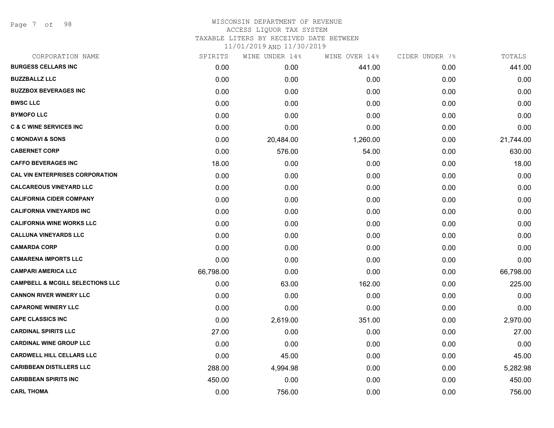Page 7 of 98

## WISCONSIN DEPARTMENT OF REVENUE ACCESS LIQUOR TAX SYSTEM TAXABLE LITERS BY RECEIVED DATE BETWEEN

| CORPORATION NAME                            | SPIRITS   | WINE UNDER 14% | WINE OVER 14% | CIDER UNDER 7% | TOTALS    |
|---------------------------------------------|-----------|----------------|---------------|----------------|-----------|
| <b>BURGESS CELLARS INC</b>                  | 0.00      | 0.00           | 441.00        | 0.00           | 441.00    |
| <b>BUZZBALLZ LLC</b>                        | 0.00      | 0.00           | 0.00          | 0.00           | 0.00      |
| <b>BUZZBOX BEVERAGES INC</b>                | 0.00      | 0.00           | 0.00          | 0.00           | 0.00      |
| <b>BWSC LLC</b>                             | 0.00      | 0.00           | 0.00          | 0.00           | 0.00      |
| <b>BYMOFO LLC</b>                           | 0.00      | 0.00           | 0.00          | 0.00           | 0.00      |
| <b>C &amp; C WINE SERVICES INC</b>          | 0.00      | 0.00           | 0.00          | 0.00           | 0.00      |
| <b>C MONDAVI &amp; SONS</b>                 | 0.00      | 20,484.00      | 1,260.00      | 0.00           | 21,744.00 |
| <b>CABERNET CORP</b>                        | 0.00      | 576.00         | 54.00         | 0.00           | 630.00    |
| <b>CAFFO BEVERAGES INC</b>                  | 18.00     | 0.00           | 0.00          | 0.00           | 18.00     |
| <b>CAL VIN ENTERPRISES CORPORATION</b>      | 0.00      | 0.00           | 0.00          | 0.00           | 0.00      |
| <b>CALCAREOUS VINEYARD LLC</b>              | 0.00      | 0.00           | 0.00          | 0.00           | 0.00      |
| <b>CALIFORNIA CIDER COMPANY</b>             | 0.00      | 0.00           | 0.00          | 0.00           | 0.00      |
| <b>CALIFORNIA VINEYARDS INC</b>             | 0.00      | 0.00           | 0.00          | 0.00           | 0.00      |
| <b>CALIFORNIA WINE WORKS LLC</b>            | 0.00      | 0.00           | 0.00          | 0.00           | 0.00      |
| <b>CALLUNA VINEYARDS LLC</b>                | 0.00      | 0.00           | 0.00          | 0.00           | 0.00      |
| <b>CAMARDA CORP</b>                         | 0.00      | 0.00           | 0.00          | 0.00           | 0.00      |
| <b>CAMARENA IMPORTS LLC</b>                 | 0.00      | 0.00           | 0.00          | 0.00           | 0.00      |
| <b>CAMPARI AMERICA LLC</b>                  | 66,798.00 | 0.00           | 0.00          | 0.00           | 66,798.00 |
| <b>CAMPBELL &amp; MCGILL SELECTIONS LLC</b> | 0.00      | 63.00          | 162.00        | 0.00           | 225.00    |
| <b>CANNON RIVER WINERY LLC</b>              | 0.00      | 0.00           | 0.00          | 0.00           | 0.00      |
| <b>CAPARONE WINERY LLC</b>                  | 0.00      | 0.00           | 0.00          | 0.00           | 0.00      |
| <b>CAPE CLASSICS INC</b>                    | 0.00      | 2,619.00       | 351.00        | 0.00           | 2,970.00  |
| <b>CARDINAL SPIRITS LLC</b>                 | 27.00     | 0.00           | 0.00          | 0.00           | 27.00     |
| <b>CARDINAL WINE GROUP LLC</b>              | 0.00      | 0.00           | 0.00          | 0.00           | 0.00      |
| <b>CARDWELL HILL CELLARS LLC</b>            | 0.00      | 45.00          | 0.00          | 0.00           | 45.00     |
| <b>CARIBBEAN DISTILLERS LLC</b>             | 288.00    | 4,994.98       | 0.00          | 0.00           | 5,282.98  |
| <b>CARIBBEAN SPIRITS INC</b>                | 450.00    | 0.00           | 0.00          | 0.00           | 450.00    |
| <b>CARL THOMA</b>                           | 0.00      | 756.00         | 0.00          | 0.00           | 756.00    |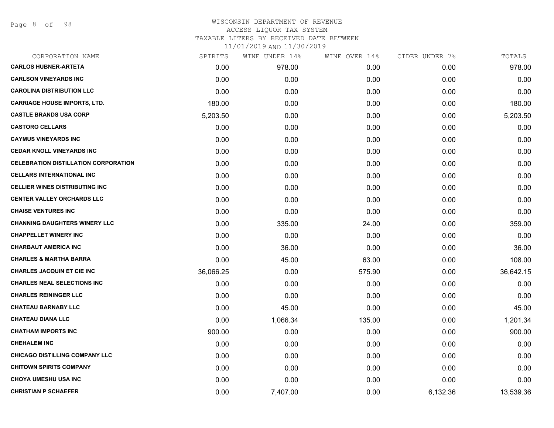| CORPORATION NAME                            | SPIRITS   | WINE UNDER 14% | WINE OVER 14% | CIDER UNDER 7% | TOTALS    |
|---------------------------------------------|-----------|----------------|---------------|----------------|-----------|
| <b>CARLOS HUBNER-ARTETA</b>                 | 0.00      | 978.00         | 0.00          | 0.00           | 978.00    |
| <b>CARLSON VINEYARDS INC</b>                | 0.00      | 0.00           | 0.00          | 0.00           | 0.00      |
| <b>CAROLINA DISTRIBUTION LLC</b>            | 0.00      | 0.00           | 0.00          | 0.00           | 0.00      |
| <b>CARRIAGE HOUSE IMPORTS, LTD.</b>         | 180.00    | 0.00           | 0.00          | 0.00           | 180.00    |
| <b>CASTLE BRANDS USA CORP</b>               | 5,203.50  | 0.00           | 0.00          | 0.00           | 5,203.50  |
| <b>CASTORO CELLARS</b>                      | 0.00      | 0.00           | 0.00          | 0.00           | 0.00      |
| <b>CAYMUS VINEYARDS INC</b>                 | 0.00      | 0.00           | 0.00          | 0.00           | 0.00      |
| <b>CEDAR KNOLL VINEYARDS INC</b>            | 0.00      | 0.00           | 0.00          | 0.00           | 0.00      |
| <b>CELEBRATION DISTILLATION CORPORATION</b> | 0.00      | 0.00           | 0.00          | 0.00           | 0.00      |
| <b>CELLARS INTERNATIONAL INC</b>            | 0.00      | 0.00           | 0.00          | 0.00           | 0.00      |
| <b>CELLIER WINES DISTRIBUTING INC</b>       | 0.00      | 0.00           | 0.00          | 0.00           | 0.00      |
| <b>CENTER VALLEY ORCHARDS LLC</b>           | 0.00      | 0.00           | 0.00          | 0.00           | 0.00      |
| <b>CHAISE VENTURES INC</b>                  | 0.00      | 0.00           | 0.00          | 0.00           | 0.00      |
| <b>CHANNING DAUGHTERS WINERY LLC</b>        | 0.00      | 335.00         | 24.00         | 0.00           | 359.00    |
| <b>CHAPPELLET WINERY INC</b>                | 0.00      | 0.00           | 0.00          | 0.00           | 0.00      |
| <b>CHARBAUT AMERICA INC</b>                 | 0.00      | 36.00          | 0.00          | 0.00           | 36.00     |
| <b>CHARLES &amp; MARTHA BARRA</b>           | 0.00      | 45.00          | 63.00         | 0.00           | 108.00    |
| <b>CHARLES JACQUIN ET CIE INC</b>           | 36,066.25 | 0.00           | 575.90        | 0.00           | 36,642.15 |
| <b>CHARLES NEAL SELECTIONS INC</b>          | 0.00      | 0.00           | 0.00          | 0.00           | 0.00      |
| <b>CHARLES REININGER LLC</b>                | 0.00      | 0.00           | 0.00          | 0.00           | 0.00      |
| <b>CHATEAU BARNABY LLC</b>                  | 0.00      | 45.00          | 0.00          | 0.00           | 45.00     |
| <b>CHATEAU DIANA LLC</b>                    | 0.00      | 1,066.34       | 135.00        | 0.00           | 1,201.34  |
| <b>CHATHAM IMPORTS INC</b>                  | 900.00    | 0.00           | 0.00          | 0.00           | 900.00    |
| <b>CHEHALEM INC</b>                         | 0.00      | 0.00           | 0.00          | 0.00           | 0.00      |
| <b>CHICAGO DISTILLING COMPANY LLC</b>       | 0.00      | 0.00           | 0.00          | 0.00           | 0.00      |
| <b>CHITOWN SPIRITS COMPANY</b>              | 0.00      | 0.00           | 0.00          | 0.00           | 0.00      |
| <b>CHOYA UMESHU USA INC</b>                 | 0.00      | 0.00           | 0.00          | 0.00           | 0.00      |
| <b>CHRISTIAN P SCHAEFER</b>                 | 0.00      | 7,407.00       | 0.00          | 6,132.36       | 13,539.36 |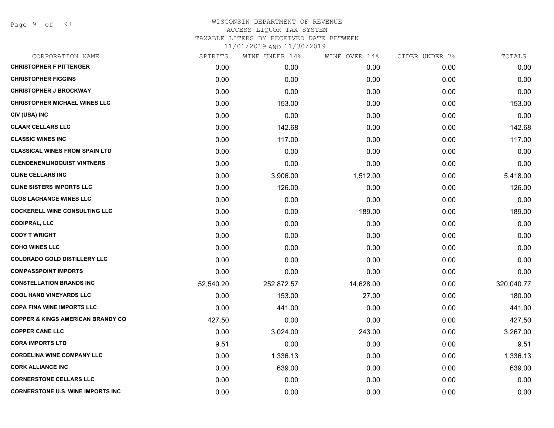| CORPORATION NAME                             | SPIRITS   | WINE UNDER 14% | WINE OVER 14% | CIDER UNDER 7% | TOTALS     |
|----------------------------------------------|-----------|----------------|---------------|----------------|------------|
| <b>CHRISTOPHER F PITTENGER</b>               | 0.00      | 0.00           | 0.00          | 0.00           | 0.00       |
| <b>CHRISTOPHER FIGGINS</b>                   | 0.00      | 0.00           | 0.00          | 0.00           | 0.00       |
| <b>CHRISTOPHER J BROCKWAY</b>                | 0.00      | 0.00           | 0.00          | 0.00           | 0.00       |
| <b>CHRISTOPHER MICHAEL WINES LLC</b>         | 0.00      | 153.00         | 0.00          | 0.00           | 153.00     |
| CIV (USA) INC                                | 0.00      | 0.00           | 0.00          | 0.00           | 0.00       |
| <b>CLAAR CELLARS LLC</b>                     | 0.00      | 142.68         | 0.00          | 0.00           | 142.68     |
| <b>CLASSIC WINES INC</b>                     | 0.00      | 117.00         | 0.00          | 0.00           | 117.00     |
| <b>CLASSICAL WINES FROM SPAIN LTD</b>        | 0.00      | 0.00           | 0.00          | 0.00           | 0.00       |
| <b>CLENDENENLINDQUIST VINTNERS</b>           | 0.00      | 0.00           | 0.00          | 0.00           | 0.00       |
| <b>CLINE CELLARS INC</b>                     | 0.00      | 3,906.00       | 1,512.00      | 0.00           | 5,418.00   |
| <b>CLINE SISTERS IMPORTS LLC</b>             | 0.00      | 126.00         | 0.00          | 0.00           | 126.00     |
| <b>CLOS LACHANCE WINES LLC</b>               | 0.00      | 0.00           | 0.00          | 0.00           | 0.00       |
| <b>COCKERELL WINE CONSULTING LLC</b>         | 0.00      | 0.00           | 189.00        | 0.00           | 189.00     |
| <b>CODIPRAL, LLC</b>                         | 0.00      | 0.00           | 0.00          | 0.00           | 0.00       |
| <b>CODY T WRIGHT</b>                         | 0.00      | 0.00           | 0.00          | 0.00           | 0.00       |
| <b>COHO WINES LLC</b>                        | 0.00      | 0.00           | 0.00          | 0.00           | 0.00       |
| <b>COLORADO GOLD DISTILLERY LLC</b>          | 0.00      | 0.00           | 0.00          | 0.00           | 0.00       |
| <b>COMPASSPOINT IMPORTS</b>                  | 0.00      | 0.00           | 0.00          | 0.00           | 0.00       |
| <b>CONSTELLATION BRANDS INC</b>              | 52,540.20 | 252,872.57     | 14,628.00     | 0.00           | 320,040.77 |
| <b>COOL HAND VINEYARDS LLC</b>               | 0.00      | 153.00         | 27.00         | 0.00           | 180.00     |
| <b>COPA FINA WINE IMPORTS LLC</b>            | 0.00      | 441.00         | 0.00          | 0.00           | 441.00     |
| <b>COPPER &amp; KINGS AMERICAN BRANDY CO</b> | 427.50    | 0.00           | 0.00          | 0.00           | 427.50     |
| <b>COPPER CANE LLC</b>                       | 0.00      | 3,024.00       | 243.00        | 0.00           | 3,267.00   |
| <b>CORA IMPORTS LTD</b>                      | 9.51      | 0.00           | 0.00          | 0.00           | 9.51       |
| <b>CORDELINA WINE COMPANY LLC</b>            | 0.00      | 1,336.13       | 0.00          | 0.00           | 1,336.13   |
| <b>CORK ALLIANCE INC</b>                     | 0.00      | 639.00         | 0.00          | 0.00           | 639.00     |
| <b>CORNERSTONE CELLARS LLC</b>               | 0.00      | 0.00           | 0.00          | 0.00           | 0.00       |
| <b>CORNERSTONE U.S. WINE IMPORTS INC.</b>    | 0.00      | 0.00           | 0.00          | 0.00           | 0.00       |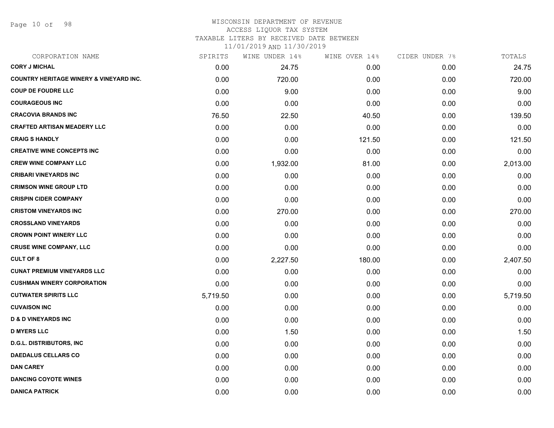Page 10 of 98

#### WISCONSIN DEPARTMENT OF REVENUE ACCESS LIQUOR TAX SYSTEM

TAXABLE LITERS BY RECEIVED DATE BETWEEN

| CORPORATION NAME                                   | SPIRITS  | WINE UNDER 14% | WINE OVER 14% | CIDER UNDER 7% | TOTALS   |
|----------------------------------------------------|----------|----------------|---------------|----------------|----------|
| <b>CORY J MICHAL</b>                               | 0.00     | 24.75          | 0.00          | 0.00           | 24.75    |
| <b>COUNTRY HERITAGE WINERY &amp; VINEYARD INC.</b> | 0.00     | 720.00         | 0.00          | 0.00           | 720.00   |
| <b>COUP DE FOUDRE LLC</b>                          | 0.00     | 9.00           | 0.00          | 0.00           | 9.00     |
| <b>COURAGEOUS INC</b>                              | 0.00     | 0.00           | 0.00          | 0.00           | 0.00     |
| <b>CRACOVIA BRANDS INC</b>                         | 76.50    | 22.50          | 40.50         | 0.00           | 139.50   |
| <b>CRAFTED ARTISAN MEADERY LLC</b>                 | 0.00     | 0.00           | 0.00          | 0.00           | 0.00     |
| <b>CRAIG S HANDLY</b>                              | 0.00     | 0.00           | 121.50        | 0.00           | 121.50   |
| <b>CREATIVE WINE CONCEPTS INC</b>                  | 0.00     | 0.00           | 0.00          | 0.00           | 0.00     |
| <b>CREW WINE COMPANY LLC</b>                       | 0.00     | 1,932.00       | 81.00         | 0.00           | 2,013.00 |
| <b>CRIBARI VINEYARDS INC</b>                       | 0.00     | 0.00           | 0.00          | 0.00           | 0.00     |
| <b>CRIMSON WINE GROUP LTD</b>                      | 0.00     | 0.00           | 0.00          | 0.00           | 0.00     |
| <b>CRISPIN CIDER COMPANY</b>                       | 0.00     | 0.00           | 0.00          | 0.00           | 0.00     |
| <b>CRISTOM VINEYARDS INC</b>                       | 0.00     | 270.00         | 0.00          | 0.00           | 270.00   |
| <b>CROSSLAND VINEYARDS</b>                         | 0.00     | 0.00           | 0.00          | 0.00           | 0.00     |
| <b>CROWN POINT WINERY LLC</b>                      | 0.00     | 0.00           | 0.00          | 0.00           | 0.00     |
| <b>CRUSE WINE COMPANY, LLC</b>                     | 0.00     | 0.00           | 0.00          | 0.00           | 0.00     |
| <b>CULT OF 8</b>                                   | 0.00     | 2,227.50       | 180.00        | 0.00           | 2,407.50 |
| <b>CUNAT PREMIUM VINEYARDS LLC</b>                 | 0.00     | 0.00           | 0.00          | 0.00           | 0.00     |
| <b>CUSHMAN WINERY CORPORATION</b>                  | 0.00     | 0.00           | 0.00          | 0.00           | 0.00     |
| <b>CUTWATER SPIRITS LLC</b>                        | 5,719.50 | 0.00           | 0.00          | 0.00           | 5,719.50 |
| <b>CUVAISON INC</b>                                | 0.00     | 0.00           | 0.00          | 0.00           | 0.00     |
| <b>D &amp; D VINEYARDS INC</b>                     | 0.00     | 0.00           | 0.00          | 0.00           | 0.00     |
| <b>D MYERS LLC</b>                                 | 0.00     | 1.50           | 0.00          | 0.00           | 1.50     |
| <b>D.G.L. DISTRIBUTORS, INC</b>                    | 0.00     | 0.00           | 0.00          | 0.00           | 0.00     |
| <b>DAEDALUS CELLARS CO</b>                         | 0.00     | 0.00           | 0.00          | 0.00           | 0.00     |
| <b>DAN CAREY</b>                                   | 0.00     | 0.00           | 0.00          | 0.00           | 0.00     |
| <b>DANCING COYOTE WINES</b>                        | 0.00     | 0.00           | 0.00          | 0.00           | 0.00     |
| <b>DANICA PATRICK</b>                              | 0.00     | 0.00           | 0.00          | 0.00           | 0.00     |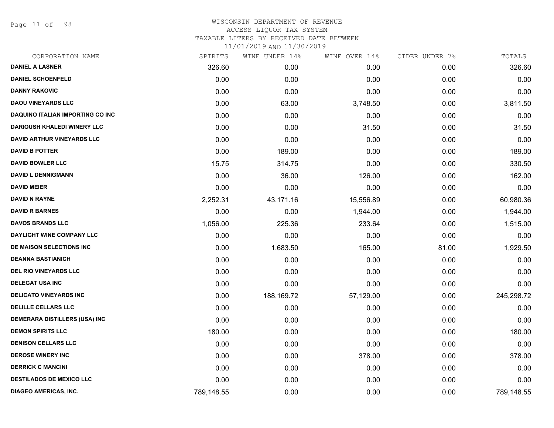Page 11 of 98

## WISCONSIN DEPARTMENT OF REVENUE ACCESS LIQUOR TAX SYSTEM TAXABLE LITERS BY RECEIVED DATE BETWEEN

| CORPORATION NAME                   | SPIRITS    | WINE UNDER 14% | WINE OVER 14% | CIDER UNDER 7% | TOTALS     |
|------------------------------------|------------|----------------|---------------|----------------|------------|
| <b>DANIEL A LASNER</b>             | 326.60     | 0.00           | 0.00          | 0.00           | 326.60     |
| <b>DANIEL SCHOENFELD</b>           | 0.00       | 0.00           | 0.00          | 0.00           | 0.00       |
| <b>DANNY RAKOVIC</b>               | 0.00       | 0.00           | 0.00          | 0.00           | 0.00       |
| <b>DAOU VINEYARDS LLC</b>          | 0.00       | 63.00          | 3,748.50      | 0.00           | 3,811.50   |
| DAQUINO ITALIAN IMPORTING CO INC   | 0.00       | 0.00           | 0.00          | 0.00           | 0.00       |
| <b>DARIOUSH KHALEDI WINERY LLC</b> | 0.00       | 0.00           | 31.50         | 0.00           | 31.50      |
| <b>DAVID ARTHUR VINEYARDS LLC</b>  | 0.00       | 0.00           | 0.00          | 0.00           | 0.00       |
| <b>DAVID B POTTER</b>              | 0.00       | 189.00         | 0.00          | 0.00           | 189.00     |
| <b>DAVID BOWLER LLC</b>            | 15.75      | 314.75         | 0.00          | 0.00           | 330.50     |
| <b>DAVID L DENNIGMANN</b>          | 0.00       | 36.00          | 126.00        | 0.00           | 162.00     |
| <b>DAVID MEIER</b>                 | 0.00       | 0.00           | 0.00          | 0.00           | 0.00       |
| <b>DAVID N RAYNE</b>               | 2,252.31   | 43,171.16      | 15,556.89     | 0.00           | 60,980.36  |
| <b>DAVID R BARNES</b>              | 0.00       | 0.00           | 1,944.00      | 0.00           | 1,944.00   |
| <b>DAVOS BRANDS LLC</b>            | 1,056.00   | 225.36         | 233.64        | 0.00           | 1,515.00   |
| DAYLIGHT WINE COMPANY LLC          | 0.00       | 0.00           | 0.00          | 0.00           | 0.00       |
| DE MAISON SELECTIONS INC           | 0.00       | 1,683.50       | 165.00        | 81.00          | 1,929.50   |
| <b>DEANNA BASTIANICH</b>           | 0.00       | 0.00           | 0.00          | 0.00           | 0.00       |
| DEL RIO VINEYARDS LLC              | 0.00       | 0.00           | 0.00          | 0.00           | 0.00       |
| <b>DELEGAT USA INC</b>             | 0.00       | 0.00           | 0.00          | 0.00           | 0.00       |
| <b>DELICATO VINEYARDS INC</b>      | 0.00       | 188,169.72     | 57,129.00     | 0.00           | 245,298.72 |
| <b>DELILLE CELLARS LLC</b>         | 0.00       | 0.00           | 0.00          | 0.00           | 0.00       |
| DEMERARA DISTILLERS (USA) INC      | 0.00       | 0.00           | 0.00          | 0.00           | 0.00       |
| <b>DEMON SPIRITS LLC</b>           | 180.00     | 0.00           | 0.00          | 0.00           | 180.00     |
| <b>DENISON CELLARS LLC</b>         | 0.00       | 0.00           | 0.00          | 0.00           | 0.00       |
| <b>DEROSE WINERY INC</b>           | 0.00       | 0.00           | 378.00        | 0.00           | 378.00     |
| <b>DERRICK C MANCINI</b>           | 0.00       | 0.00           | 0.00          | 0.00           | 0.00       |
| <b>DESTILADOS DE MEXICO LLC</b>    | 0.00       | 0.00           | 0.00          | 0.00           | 0.00       |
| <b>DIAGEO AMERICAS, INC.</b>       | 789,148.55 | 0.00           | 0.00          | 0.00           | 789,148.55 |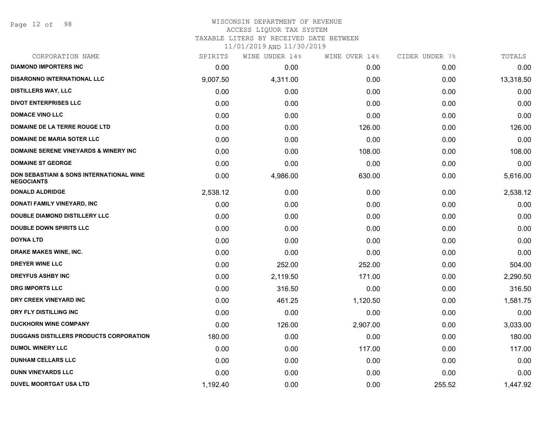Page 12 of 98

# WISCONSIN DEPARTMENT OF REVENUE

ACCESS LIQUOR TAX SYSTEM

TAXABLE LITERS BY RECEIVED DATE BETWEEN

| CORPORATION NAME                                              | SPIRITS  | WINE UNDER 14% | WINE OVER 14% | CIDER UNDER 7% | TOTALS    |
|---------------------------------------------------------------|----------|----------------|---------------|----------------|-----------|
| <b>DIAMOND IMPORTERS INC</b>                                  | 0.00     | 0.00           | 0.00          | 0.00           | 0.00      |
| <b>DISARONNO INTERNATIONAL LLC</b>                            | 9,007.50 | 4,311.00       | 0.00          | 0.00           | 13,318.50 |
| <b>DISTILLERS WAY, LLC</b>                                    | 0.00     | 0.00           | 0.00          | 0.00           | 0.00      |
| <b>DIVOT ENTERPRISES LLC</b>                                  | 0.00     | 0.00           | 0.00          | 0.00           | 0.00      |
| <b>DOMACE VINO LLC</b>                                        | 0.00     | 0.00           | 0.00          | 0.00           | 0.00      |
| DOMAINE DE LA TERRE ROUGE LTD                                 | 0.00     | 0.00           | 126.00        | 0.00           | 126.00    |
| <b>DOMAINE DE MARIA SOTER LLC</b>                             | 0.00     | 0.00           | 0.00          | 0.00           | 0.00      |
| <b>DOMAINE SERENE VINEYARDS &amp; WINERY INC</b>              | 0.00     | 0.00           | 108.00        | 0.00           | 108.00    |
| <b>DOMAINE ST GEORGE</b>                                      | 0.00     | 0.00           | 0.00          | 0.00           | 0.00      |
| DON SEBASTIANI & SONS INTERNATIONAL WINE<br><b>NEGOCIANTS</b> | 0.00     | 4,986.00       | 630.00        | 0.00           | 5,616.00  |
| <b>DONALD ALDRIDGE</b>                                        | 2,538.12 | 0.00           | 0.00          | 0.00           | 2,538.12  |
| <b>DONATI FAMILY VINEYARD, INC</b>                            | 0.00     | 0.00           | 0.00          | 0.00           | 0.00      |
| <b>DOUBLE DIAMOND DISTILLERY LLC</b>                          | 0.00     | 0.00           | 0.00          | 0.00           | 0.00      |
| <b>DOUBLE DOWN SPIRITS LLC</b>                                | 0.00     | 0.00           | 0.00          | 0.00           | 0.00      |
| <b>DOYNA LTD</b>                                              | 0.00     | 0.00           | 0.00          | 0.00           | 0.00      |
| DRAKE MAKES WINE, INC.                                        | 0.00     | 0.00           | 0.00          | 0.00           | 0.00      |
| <b>DREYER WINE LLC</b>                                        | 0.00     | 252.00         | 252.00        | 0.00           | 504.00    |
| <b>DREYFUS ASHBY INC</b>                                      | 0.00     | 2,119.50       | 171.00        | 0.00           | 2,290.50  |
| <b>DRG IMPORTS LLC</b>                                        | 0.00     | 316.50         | 0.00          | 0.00           | 316.50    |
| DRY CREEK VINEYARD INC                                        | 0.00     | 461.25         | 1,120.50      | 0.00           | 1,581.75  |
| DRY FLY DISTILLING INC                                        | 0.00     | 0.00           | 0.00          | 0.00           | 0.00      |
| <b>DUCKHORN WINE COMPANY</b>                                  | 0.00     | 126.00         | 2,907.00      | 0.00           | 3,033.00  |
| <b>DUGGANS DISTILLERS PRODUCTS CORPORATION</b>                | 180.00   | 0.00           | 0.00          | 0.00           | 180.00    |
| <b>DUMOL WINERY LLC</b>                                       | 0.00     | 0.00           | 117.00        | 0.00           | 117.00    |
| <b>DUNHAM CELLARS LLC</b>                                     | 0.00     | 0.00           | 0.00          | 0.00           | 0.00      |
| <b>DUNN VINEYARDS LLC</b>                                     | 0.00     | 0.00           | 0.00          | 0.00           | 0.00      |
| <b>DUVEL MOORTGAT USA LTD</b>                                 | 1,192.40 | 0.00           | 0.00          | 255.52         | 1,447.92  |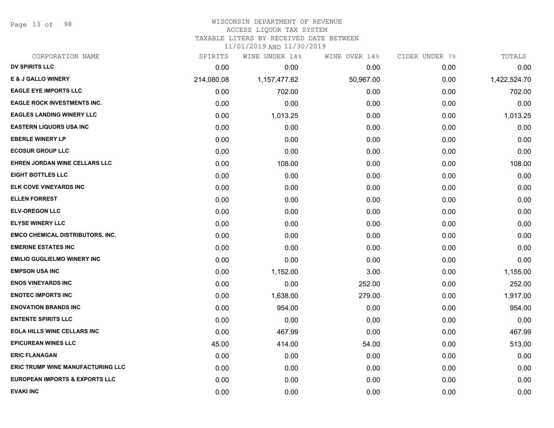Page 13 of 98

## WISCONSIN DEPARTMENT OF REVENUE

#### ACCESS LIQUOR TAX SYSTEM

TAXABLE LITERS BY RECEIVED DATE BETWEEN

| CORPORATION NAME                          | SPIRITS    | WINE UNDER 14% | WINE OVER 14% | CIDER UNDER 7% | TOTALS       |
|-------------------------------------------|------------|----------------|---------------|----------------|--------------|
| DV SPIRITS LLC                            | 0.00       | 0.00           | 0.00          | 0.00           | 0.00         |
| <b>E &amp; J GALLO WINERY</b>             | 214,080.08 | 1,157,477.62   | 50,967.00     | 0.00           | 1,422,524.70 |
| <b>EAGLE EYE IMPORTS LLC</b>              | 0.00       | 702.00         | 0.00          | 0.00           | 702.00       |
| <b>EAGLE ROCK INVESTMENTS INC.</b>        | 0.00       | 0.00           | 0.00          | 0.00           | 0.00         |
| <b>EAGLES LANDING WINERY LLC</b>          | 0.00       | 1,013.25       | 0.00          | 0.00           | 1,013.25     |
| <b>EASTERN LIQUORS USA INC</b>            | 0.00       | 0.00           | 0.00          | 0.00           | 0.00         |
| <b>EBERLE WINERY LP</b>                   | 0.00       | 0.00           | 0.00          | 0.00           | 0.00         |
| <b>ECOSUR GROUP LLC</b>                   | 0.00       | 0.00           | 0.00          | 0.00           | 0.00         |
| EHREN JORDAN WINE CELLARS LLC             | 0.00       | 108.00         | 0.00          | 0.00           | 108.00       |
| <b>EIGHT BOTTLES LLC</b>                  | 0.00       | 0.00           | 0.00          | 0.00           | 0.00         |
| <b>ELK COVE VINEYARDS INC</b>             | 0.00       | 0.00           | 0.00          | 0.00           | 0.00         |
| <b>ELLEN FORREST</b>                      | 0.00       | 0.00           | 0.00          | 0.00           | 0.00         |
| <b>ELV-OREGON LLC</b>                     | 0.00       | 0.00           | 0.00          | 0.00           | 0.00         |
| <b>ELYSE WINERY LLC</b>                   | 0.00       | 0.00           | 0.00          | 0.00           | 0.00         |
| <b>EMCO CHEMICAL DISTRIBUTORS, INC.</b>   | 0.00       | 0.00           | 0.00          | 0.00           | 0.00         |
| <b>EMERINE ESTATES INC</b>                | 0.00       | 0.00           | 0.00          | 0.00           | 0.00         |
| <b>EMILIO GUGLIELMO WINERY INC</b>        | 0.00       | 0.00           | 0.00          | 0.00           | 0.00         |
| <b>EMPSON USA INC</b>                     | 0.00       | 1,152.00       | 3.00          | 0.00           | 1,155.00     |
| <b>ENOS VINEYARDS INC</b>                 | 0.00       | 0.00           | 252.00        | 0.00           | 252.00       |
| <b>ENOTEC IMPORTS INC</b>                 | 0.00       | 1,638.00       | 279.00        | 0.00           | 1,917.00     |
| <b>ENOVATION BRANDS INC</b>               | 0.00       | 954.00         | 0.00          | 0.00           | 954.00       |
| <b>ENTENTE SPIRITS LLC</b>                | 0.00       | 0.00           | 0.00          | 0.00           | 0.00         |
| <b>EOLA HILLS WINE CELLARS INC</b>        | 0.00       | 467.99         | 0.00          | 0.00           | 467.99       |
| <b>EPICUREAN WINES LLC</b>                | 45.00      | 414.00         | 54.00         | 0.00           | 513.00       |
| <b>ERIC FLANAGAN</b>                      | 0.00       | 0.00           | 0.00          | 0.00           | 0.00         |
| <b>ERIC TRUMP WINE MANUFACTURING LLC</b>  | 0.00       | 0.00           | 0.00          | 0.00           | 0.00         |
| <b>EUROPEAN IMPORTS &amp; EXPORTS LLC</b> | 0.00       | 0.00           | 0.00          | 0.00           | 0.00         |
| <b>EVAKI INC</b>                          | 0.00       | 0.00           | 0.00          | 0.00           | 0.00         |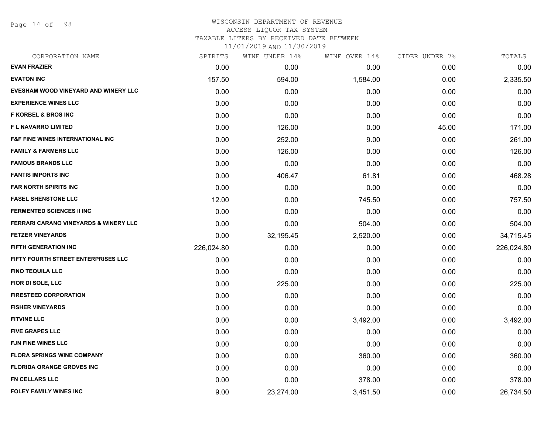Page 14 of 98

#### WISCONSIN DEPARTMENT OF REVENUE ACCESS LIQUOR TAX SYSTEM TAXABLE LITERS BY RECEIVED DATE BETWEEN

| CORPORATION NAME                                 | SPIRITS    | WINE UNDER 14% | WINE OVER 14% | CIDER UNDER 7% | TOTALS     |
|--------------------------------------------------|------------|----------------|---------------|----------------|------------|
| <b>EVAN FRAZIER</b>                              | 0.00       | 0.00           | 0.00          | 0.00           | 0.00       |
| <b>EVATON INC</b>                                | 157.50     | 594.00         | 1,584.00      | 0.00           | 2,335.50   |
| EVESHAM WOOD VINEYARD AND WINERY LLC             | 0.00       | 0.00           | 0.00          | 0.00           | 0.00       |
| <b>EXPERIENCE WINES LLC</b>                      | 0.00       | 0.00           | 0.00          | 0.00           | 0.00       |
| <b>F KORBEL &amp; BROS INC</b>                   | 0.00       | 0.00           | 0.00          | 0.00           | 0.00       |
| <b>FL NAVARRO LIMITED</b>                        | 0.00       | 126.00         | 0.00          | 45.00          | 171.00     |
| <b>F&amp;F FINE WINES INTERNATIONAL INC</b>      | 0.00       | 252.00         | 9.00          | 0.00           | 261.00     |
| <b>FAMILY &amp; FARMERS LLC</b>                  | 0.00       | 126.00         | 0.00          | 0.00           | 126.00     |
| <b>FAMOUS BRANDS LLC</b>                         | 0.00       | 0.00           | 0.00          | 0.00           | 0.00       |
| <b>FANTIS IMPORTS INC</b>                        | 0.00       | 406.47         | 61.81         | 0.00           | 468.28     |
| <b>FAR NORTH SPIRITS INC</b>                     | 0.00       | 0.00           | 0.00          | 0.00           | 0.00       |
| <b>FASEL SHENSTONE LLC</b>                       | 12.00      | 0.00           | 745.50        | 0.00           | 757.50     |
| <b>FERMENTED SCIENCES II INC</b>                 | 0.00       | 0.00           | 0.00          | 0.00           | 0.00       |
| <b>FERRARI CARANO VINEYARDS &amp; WINERY LLC</b> | 0.00       | 0.00           | 504.00        | 0.00           | 504.00     |
| <b>FETZER VINEYARDS</b>                          | 0.00       | 32,195.45      | 2,520.00      | 0.00           | 34,715.45  |
| <b>FIFTH GENERATION INC</b>                      | 226,024.80 | 0.00           | 0.00          | 0.00           | 226,024.80 |
| FIFTY FOURTH STREET ENTERPRISES LLC              | 0.00       | 0.00           | 0.00          | 0.00           | 0.00       |
| <b>FINO TEQUILA LLC</b>                          | 0.00       | 0.00           | 0.00          | 0.00           | 0.00       |
| FIOR DI SOLE, LLC                                | 0.00       | 225.00         | 0.00          | 0.00           | 225.00     |
| <b>FIRESTEED CORPORATION</b>                     | 0.00       | 0.00           | 0.00          | 0.00           | 0.00       |
| <b>FISHER VINEYARDS</b>                          | 0.00       | 0.00           | 0.00          | 0.00           | 0.00       |
| <b>FITVINE LLC</b>                               | 0.00       | 0.00           | 3,492.00      | 0.00           | 3,492.00   |
| <b>FIVE GRAPES LLC</b>                           | 0.00       | 0.00           | 0.00          | 0.00           | 0.00       |
| <b>FJN FINE WINES LLC</b>                        | 0.00       | 0.00           | 0.00          | 0.00           | 0.00       |
| <b>FLORA SPRINGS WINE COMPANY</b>                | 0.00       | 0.00           | 360.00        | 0.00           | 360.00     |
| <b>FLORIDA ORANGE GROVES INC</b>                 | 0.00       | 0.00           | 0.00          | 0.00           | 0.00       |
| FN CELLARS LLC                                   | 0.00       | 0.00           | 378.00        | 0.00           | 378.00     |
| <b>FOLEY FAMILY WINES INC</b>                    | 9.00       | 23,274.00      | 3,451.50      | 0.00           | 26,734.50  |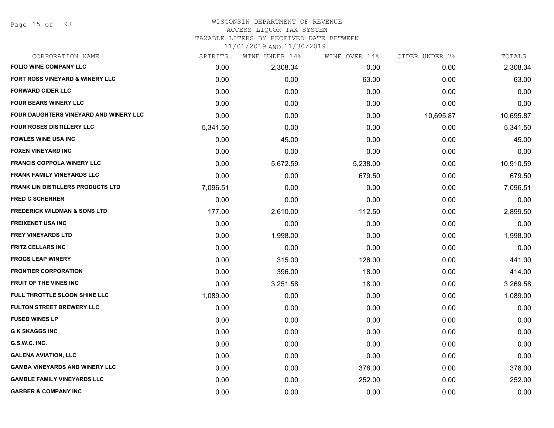## WISCONSIN DEPARTMENT OF REVENUE

#### ACCESS LIQUOR TAX SYSTEM

TAXABLE LITERS BY RECEIVED DATE BETWEEN

| CORPORATION NAME                         | SPIRITS  | WINE UNDER 14% | WINE OVER 14% | CIDER UNDER 7% | TOTALS    |
|------------------------------------------|----------|----------------|---------------|----------------|-----------|
| <b>FOLIO WINE COMPANY LLC</b>            | 0.00     | 2,308.34       | 0.00          | 0.00           | 2,308.34  |
| FORT ROSS VINEYARD & WINERY LLC          | 0.00     | 0.00           | 63.00         | 0.00           | 63.00     |
| <b>FORWARD CIDER LLC</b>                 | 0.00     | 0.00           | 0.00          | 0.00           | 0.00      |
| <b>FOUR BEARS WINERY LLC</b>             | 0.00     | 0.00           | 0.00          | 0.00           | 0.00      |
| FOUR DAUGHTERS VINEYARD AND WINERY LLC   | 0.00     | 0.00           | 0.00          | 10,695.87      | 10,695.87 |
| FOUR ROSES DISTILLERY LLC                | 5,341.50 | 0.00           | 0.00          | 0.00           | 5,341.50  |
| <b>FOWLES WINE USA INC</b>               | 0.00     | 45.00          | 0.00          | 0.00           | 45.00     |
| <b>FOXEN VINEYARD INC</b>                | 0.00     | 0.00           | 0.00          | 0.00           | 0.00      |
| <b>FRANCIS COPPOLA WINERY LLC</b>        | 0.00     | 5,672.59       | 5,238.00      | 0.00           | 10,910.59 |
| <b>FRANK FAMILY VINEYARDS LLC</b>        | 0.00     | 0.00           | 679.50        | 0.00           | 679.50    |
| <b>FRANK LIN DISTILLERS PRODUCTS LTD</b> | 7,096.51 | 0.00           | 0.00          | 0.00           | 7,096.51  |
| <b>FRED C SCHERRER</b>                   | 0.00     | 0.00           | 0.00          | 0.00           | 0.00      |
| <b>FREDERICK WILDMAN &amp; SONS LTD</b>  | 177.00   | 2,610.00       | 112.50        | 0.00           | 2,899.50  |
| <b>FREIXENET USA INC</b>                 | 0.00     | 0.00           | 0.00          | 0.00           | 0.00      |
| <b>FREY VINEYARDS LTD</b>                | 0.00     | 1,998.00       | 0.00          | 0.00           | 1,998.00  |
| <b>FRITZ CELLARS INC</b>                 | 0.00     | 0.00           | 0.00          | 0.00           | 0.00      |
| <b>FROGS LEAP WINERY</b>                 | 0.00     | 315.00         | 126.00        | 0.00           | 441.00    |
| <b>FRONTIER CORPORATION</b>              | 0.00     | 396.00         | 18.00         | 0.00           | 414.00    |
| <b>FRUIT OF THE VINES INC</b>            | 0.00     | 3,251.58       | 18.00         | 0.00           | 3,269.58  |
| FULL THROTTLE SLOON SHINE LLC            | 1,089.00 | 0.00           | 0.00          | 0.00           | 1,089.00  |
| <b>FULTON STREET BREWERY LLC</b>         | 0.00     | 0.00           | 0.00          | 0.00           | 0.00      |
| <b>FUSED WINES LP</b>                    | 0.00     | 0.00           | 0.00          | 0.00           | 0.00      |
| <b>G K SKAGGS INC</b>                    | 0.00     | 0.00           | 0.00          | 0.00           | 0.00      |
| G.S.W.C. INC.                            | 0.00     | 0.00           | 0.00          | 0.00           | 0.00      |
| <b>GALENA AVIATION, LLC</b>              | 0.00     | 0.00           | 0.00          | 0.00           | 0.00      |
| <b>GAMBA VINEYARDS AND WINERY LLC</b>    | 0.00     | 0.00           | 378.00        | 0.00           | 378.00    |
| <b>GAMBLE FAMILY VINEYARDS LLC</b>       | 0.00     | 0.00           | 252.00        | 0.00           | 252.00    |
| <b>GARBER &amp; COMPANY INC</b>          | 0.00     | 0.00           | 0.00          | 0.00           | 0.00      |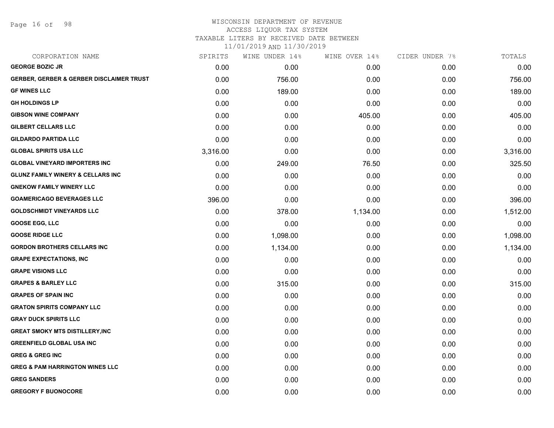Page 16 of 98

#### WISCONSIN DEPARTMENT OF REVENUE ACCESS LIQUOR TAX SYSTEM

TAXABLE LITERS BY RECEIVED DATE BETWEEN

| CORPORATION NAME                                    | SPIRITS  | WINE UNDER 14% | WINE OVER 14% | CIDER UNDER 7% | TOTALS   |
|-----------------------------------------------------|----------|----------------|---------------|----------------|----------|
| <b>GEORGE BOZIC JR</b>                              | 0.00     | 0.00           | 0.00          | 0.00           | 0.00     |
| <b>GERBER, GERBER &amp; GERBER DISCLAIMER TRUST</b> | 0.00     | 756.00         | 0.00          | 0.00           | 756.00   |
| <b>GF WINES LLC</b>                                 | 0.00     | 189.00         | 0.00          | 0.00           | 189.00   |
| <b>GH HOLDINGS LP</b>                               | 0.00     | 0.00           | 0.00          | 0.00           | 0.00     |
| <b>GIBSON WINE COMPANY</b>                          | 0.00     | 0.00           | 405.00        | 0.00           | 405.00   |
| <b>GILBERT CELLARS LLC</b>                          | 0.00     | 0.00           | 0.00          | 0.00           | 0.00     |
| <b>GILDARDO PARTIDA LLC</b>                         | 0.00     | 0.00           | 0.00          | 0.00           | 0.00     |
| <b>GLOBAL SPIRITS USA LLC</b>                       | 3,316.00 | 0.00           | 0.00          | 0.00           | 3,316.00 |
| <b>GLOBAL VINEYARD IMPORTERS INC</b>                | 0.00     | 249.00         | 76.50         | 0.00           | 325.50   |
| <b>GLUNZ FAMILY WINERY &amp; CELLARS INC</b>        | 0.00     | 0.00           | 0.00          | 0.00           | 0.00     |
| <b>GNEKOW FAMILY WINERY LLC</b>                     | 0.00     | 0.00           | 0.00          | 0.00           | 0.00     |
| <b>GOAMERICAGO BEVERAGES LLC</b>                    | 396.00   | 0.00           | 0.00          | 0.00           | 396.00   |
| <b>GOLDSCHMIDT VINEYARDS LLC</b>                    | 0.00     | 378.00         | 1,134.00      | 0.00           | 1,512.00 |
| <b>GOOSE EGG, LLC</b>                               | 0.00     | 0.00           | 0.00          | 0.00           | 0.00     |
| <b>GOOSE RIDGE LLC</b>                              | 0.00     | 1,098.00       | 0.00          | 0.00           | 1,098.00 |
| <b>GORDON BROTHERS CELLARS INC</b>                  | 0.00     | 1,134.00       | 0.00          | 0.00           | 1,134.00 |
| <b>GRAPE EXPECTATIONS, INC</b>                      | 0.00     | 0.00           | 0.00          | 0.00           | 0.00     |
| <b>GRAPE VISIONS LLC</b>                            | 0.00     | 0.00           | 0.00          | 0.00           | 0.00     |
| <b>GRAPES &amp; BARLEY LLC</b>                      | 0.00     | 315.00         | 0.00          | 0.00           | 315.00   |
| <b>GRAPES OF SPAIN INC</b>                          | 0.00     | 0.00           | 0.00          | 0.00           | 0.00     |
| <b>GRATON SPIRITS COMPANY LLC</b>                   | 0.00     | 0.00           | 0.00          | 0.00           | 0.00     |
| <b>GRAY DUCK SPIRITS LLC</b>                        | 0.00     | 0.00           | 0.00          | 0.00           | 0.00     |
| <b>GREAT SMOKY MTS DISTILLERY, INC</b>              | 0.00     | 0.00           | 0.00          | 0.00           | 0.00     |
| <b>GREENFIELD GLOBAL USA INC</b>                    | 0.00     | 0.00           | 0.00          | 0.00           | 0.00     |
| <b>GREG &amp; GREG INC</b>                          | 0.00     | 0.00           | 0.00          | 0.00           | 0.00     |
| <b>GREG &amp; PAM HARRINGTON WINES LLC</b>          | 0.00     | 0.00           | 0.00          | 0.00           | 0.00     |
| <b>GREG SANDERS</b>                                 | 0.00     | 0.00           | 0.00          | 0.00           | 0.00     |
| <b>GREGORY F BUONOCORE</b>                          | 0.00     | 0.00           | 0.00          | 0.00           | 0.00     |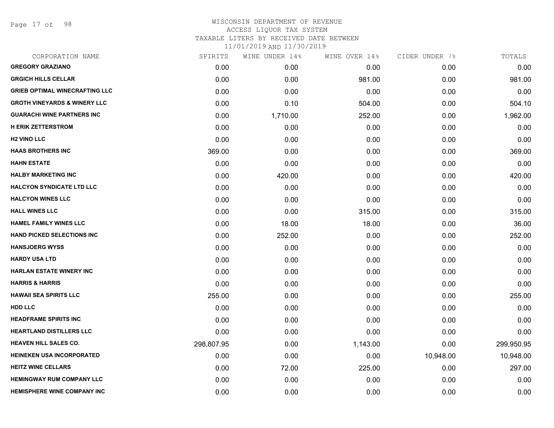Page 17 of 98

| CORPORATION NAME                        | SPIRITS    | WINE UNDER 14% | WINE OVER 14% | CIDER UNDER 7% | TOTALS     |
|-----------------------------------------|------------|----------------|---------------|----------------|------------|
| <b>GREGORY GRAZIANO</b>                 | 0.00       | 0.00           | 0.00          | 0.00           | 0.00       |
| <b>GRGICH HILLS CELLAR</b>              | 0.00       | 0.00           | 981.00        | 0.00           | 981.00     |
| <b>GRIEB OPTIMAL WINECRAFTING LLC</b>   | 0.00       | 0.00           | 0.00          | 0.00           | 0.00       |
| <b>GROTH VINEYARDS &amp; WINERY LLC</b> | 0.00       | 0.10           | 504.00        | 0.00           | 504.10     |
| <b>GUARACHI WINE PARTNERS INC</b>       | 0.00       | 1,710.00       | 252.00        | 0.00           | 1,962.00   |
| <b>H ERIK ZETTERSTROM</b>               | 0.00       | 0.00           | 0.00          | 0.00           | 0.00       |
| <b>H2 VINO LLC</b>                      | 0.00       | 0.00           | 0.00          | 0.00           | 0.00       |
| <b>HAAS BROTHERS INC</b>                | 369.00     | 0.00           | 0.00          | 0.00           | 369.00     |
| <b>HAHN ESTATE</b>                      | 0.00       | 0.00           | 0.00          | 0.00           | 0.00       |
| <b>HALBY MARKETING INC</b>              | 0.00       | 420.00         | 0.00          | 0.00           | 420.00     |
| <b>HALCYON SYNDICATE LTD LLC</b>        | 0.00       | 0.00           | 0.00          | 0.00           | 0.00       |
| <b>HALCYON WINES LLC</b>                | 0.00       | 0.00           | 0.00          | 0.00           | 0.00       |
| <b>HALL WINES LLC</b>                   | 0.00       | 0.00           | 315.00        | 0.00           | 315.00     |
| <b>HAMEL FAMILY WINES LLC</b>           | 0.00       | 18.00          | 18.00         | 0.00           | 36.00      |
| <b>HAND PICKED SELECTIONS INC</b>       | 0.00       | 252.00         | 0.00          | 0.00           | 252.00     |
| <b>HANSJOERG WYSS</b>                   | 0.00       | 0.00           | 0.00          | 0.00           | 0.00       |
| <b>HARDY USA LTD</b>                    | 0.00       | 0.00           | 0.00          | 0.00           | 0.00       |
| <b>HARLAN ESTATE WINERY INC</b>         | 0.00       | 0.00           | 0.00          | 0.00           | 0.00       |
| <b>HARRIS &amp; HARRIS</b>              | 0.00       | 0.00           | 0.00          | 0.00           | 0.00       |
| <b>HAWAII SEA SPIRITS LLC</b>           | 255.00     | 0.00           | 0.00          | 0.00           | 255.00     |
| <b>HDD LLC</b>                          | 0.00       | 0.00           | 0.00          | 0.00           | 0.00       |
| <b>HEADFRAME SPIRITS INC</b>            | 0.00       | 0.00           | 0.00          | 0.00           | 0.00       |
| <b>HEARTLAND DISTILLERS LLC</b>         | 0.00       | 0.00           | 0.00          | 0.00           | 0.00       |
| <b>HEAVEN HILL SALES CO.</b>            | 298,807.95 | 0.00           | 1,143.00      | 0.00           | 299,950.95 |
| <b>HEINEKEN USA INCORPORATED</b>        | 0.00       | 0.00           | 0.00          | 10,948.00      | 10,948.00  |
| <b>HEITZ WINE CELLARS</b>               | 0.00       | 72.00          | 225.00        | 0.00           | 297.00     |
| <b>HEMINGWAY RUM COMPANY LLC</b>        | 0.00       | 0.00           | 0.00          | 0.00           | 0.00       |
| <b>HEMISPHERE WINE COMPANY INC</b>      | 0.00       | 0.00           | 0.00          | 0.00           | 0.00       |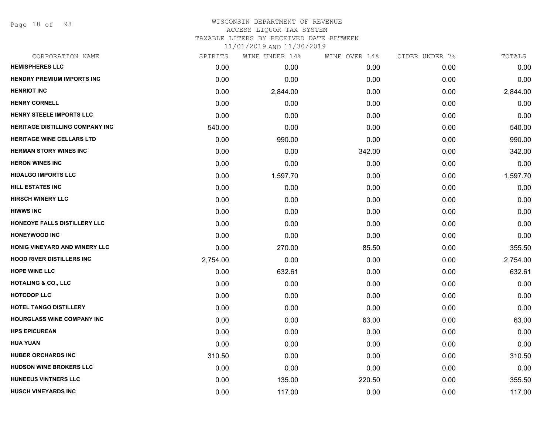Page 18 of 98

#### WISCONSIN DEPARTMENT OF REVENUE ACCESS LIQUOR TAX SYSTEM

TAXABLE LITERS BY RECEIVED DATE BETWEEN

| CORPORATION NAME                       | SPIRITS  | WINE UNDER 14% | WINE OVER 14% | CIDER UNDER 7% | TOTALS   |
|----------------------------------------|----------|----------------|---------------|----------------|----------|
| <b>HEMISPHERES LLC</b>                 | 0.00     | 0.00           | 0.00          | 0.00           | 0.00     |
| <b>HENDRY PREMIUM IMPORTS INC</b>      | 0.00     | 0.00           | 0.00          | 0.00           | 0.00     |
| <b>HENRIOT INC</b>                     | 0.00     | 2,844.00       | 0.00          | 0.00           | 2,844.00 |
| <b>HENRY CORNELL</b>                   | 0.00     | 0.00           | 0.00          | 0.00           | 0.00     |
| HENRY STEELE IMPORTS LLC               | 0.00     | 0.00           | 0.00          | 0.00           | 0.00     |
| <b>HERITAGE DISTILLING COMPANY INC</b> | 540.00   | 0.00           | 0.00          | 0.00           | 540.00   |
| <b>HERITAGE WINE CELLARS LTD</b>       | 0.00     | 990.00         | 0.00          | 0.00           | 990.00   |
| <b>HERMAN STORY WINES INC</b>          | 0.00     | 0.00           | 342.00        | 0.00           | 342.00   |
| <b>HERON WINES INC</b>                 | 0.00     | 0.00           | 0.00          | 0.00           | 0.00     |
| <b>HIDALGO IMPORTS LLC</b>             | 0.00     | 1,597.70       | 0.00          | 0.00           | 1,597.70 |
| <b>HILL ESTATES INC</b>                | 0.00     | 0.00           | 0.00          | 0.00           | 0.00     |
| <b>HIRSCH WINERY LLC</b>               | 0.00     | 0.00           | 0.00          | 0.00           | 0.00     |
| <b>HIWWS INC</b>                       | 0.00     | 0.00           | 0.00          | 0.00           | 0.00     |
| HONEOYE FALLS DISTILLERY LLC           | 0.00     | 0.00           | 0.00          | 0.00           | 0.00     |
| <b>HONEYWOOD INC</b>                   | 0.00     | 0.00           | 0.00          | 0.00           | 0.00     |
| HONIG VINEYARD AND WINERY LLC          | 0.00     | 270.00         | 85.50         | 0.00           | 355.50   |
| <b>HOOD RIVER DISTILLERS INC</b>       | 2,754.00 | 0.00           | 0.00          | 0.00           | 2,754.00 |
| <b>HOPE WINE LLC</b>                   | 0.00     | 632.61         | 0.00          | 0.00           | 632.61   |
| <b>HOTALING &amp; CO., LLC</b>         | 0.00     | 0.00           | 0.00          | 0.00           | 0.00     |
| <b>HOTCOOP LLC</b>                     | 0.00     | 0.00           | 0.00          | 0.00           | 0.00     |
| HOTEL TANGO DISTILLERY                 | 0.00     | 0.00           | 0.00          | 0.00           | 0.00     |
| <b>HOURGLASS WINE COMPANY INC</b>      | 0.00     | 0.00           | 63.00         | 0.00           | 63.00    |
| <b>HPS EPICUREAN</b>                   | 0.00     | 0.00           | 0.00          | 0.00           | 0.00     |
| <b>HUA YUAN</b>                        | 0.00     | 0.00           | 0.00          | 0.00           | 0.00     |
| <b>HUBER ORCHARDS INC</b>              | 310.50   | 0.00           | 0.00          | 0.00           | 310.50   |
| <b>HUDSON WINE BROKERS LLC</b>         | 0.00     | 0.00           | 0.00          | 0.00           | 0.00     |
| <b>HUNEEUS VINTNERS LLC</b>            | 0.00     | 135.00         | 220.50        | 0.00           | 355.50   |
| <b>HUSCH VINEYARDS INC</b>             | 0.00     | 117.00         | 0.00          | 0.00           | 117.00   |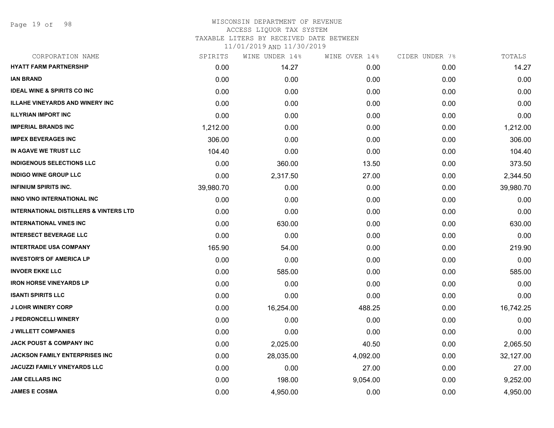Page 19 of 98

| CORPORATION NAME                                  | SPIRITS   | WINE UNDER 14% | WINE OVER 14% | CIDER UNDER 7% | TOTALS    |
|---------------------------------------------------|-----------|----------------|---------------|----------------|-----------|
| <b>HYATT FARM PARTNERSHIP</b>                     | 0.00      | 14.27          | 0.00          | 0.00           | 14.27     |
| <b>IAN BRAND</b>                                  | 0.00      | 0.00           | 0.00          | 0.00           | 0.00      |
| <b>IDEAL WINE &amp; SPIRITS CO INC</b>            | 0.00      | 0.00           | 0.00          | 0.00           | 0.00      |
| <b>ILLAHE VINEYARDS AND WINERY INC</b>            | 0.00      | 0.00           | 0.00          | 0.00           | 0.00      |
| <b>ILLYRIAN IMPORT INC</b>                        | 0.00      | 0.00           | 0.00          | 0.00           | 0.00      |
| <b>IMPERIAL BRANDS INC</b>                        | 1,212.00  | 0.00           | 0.00          | 0.00           | 1,212.00  |
| <b>IMPEX BEVERAGES INC</b>                        | 306.00    | 0.00           | 0.00          | 0.00           | 306.00    |
| IN AGAVE WE TRUST LLC                             | 104.40    | 0.00           | 0.00          | 0.00           | 104.40    |
| <b>INDIGENOUS SELECTIONS LLC</b>                  | 0.00      | 360.00         | 13.50         | 0.00           | 373.50    |
| <b>INDIGO WINE GROUP LLC</b>                      | 0.00      | 2,317.50       | 27.00         | 0.00           | 2,344.50  |
| <b>INFINIUM SPIRITS INC.</b>                      | 39,980.70 | 0.00           | 0.00          | 0.00           | 39,980.70 |
| INNO VINO INTERNATIONAL INC                       | 0.00      | 0.00           | 0.00          | 0.00           | 0.00      |
| <b>INTERNATIONAL DISTILLERS &amp; VINTERS LTD</b> | 0.00      | 0.00           | 0.00          | 0.00           | 0.00      |
| <b>INTERNATIONAL VINES INC</b>                    | 0.00      | 630.00         | 0.00          | 0.00           | 630.00    |
| <b>INTERSECT BEVERAGE LLC</b>                     | 0.00      | 0.00           | 0.00          | 0.00           | 0.00      |
| <b>INTERTRADE USA COMPANY</b>                     | 165.90    | 54.00          | 0.00          | 0.00           | 219.90    |
| <b>INVESTOR'S OF AMERICA LP</b>                   | 0.00      | 0.00           | 0.00          | 0.00           | 0.00      |
| <b>INVOER EKKE LLC</b>                            | 0.00      | 585.00         | 0.00          | 0.00           | 585.00    |
| <b>IRON HORSE VINEYARDS LP</b>                    | 0.00      | 0.00           | 0.00          | 0.00           | 0.00      |
| <b>ISANTI SPIRITS LLC</b>                         | 0.00      | 0.00           | 0.00          | 0.00           | 0.00      |
| <b>J LOHR WINERY CORP</b>                         | 0.00      | 16,254.00      | 488.25        | 0.00           | 16,742.25 |
| <b>J PEDRONCELLI WINERY</b>                       | 0.00      | 0.00           | 0.00          | 0.00           | 0.00      |
| <b>J WILLETT COMPANIES</b>                        | 0.00      | 0.00           | 0.00          | 0.00           | 0.00      |
| <b>JACK POUST &amp; COMPANY INC</b>               | 0.00      | 2,025.00       | 40.50         | 0.00           | 2,065.50  |
| <b>JACKSON FAMILY ENTERPRISES INC</b>             | 0.00      | 28,035.00      | 4,092.00      | 0.00           | 32,127.00 |
| <b>JACUZZI FAMILY VINEYARDS LLC</b>               | 0.00      | 0.00           | 27.00         | 0.00           | 27.00     |
| <b>JAM CELLARS INC</b>                            | 0.00      | 198.00         | 9,054.00      | 0.00           | 9,252.00  |
| <b>JAMES E COSMA</b>                              | 0.00      | 4,950.00       | 0.00          | 0.00           | 4,950.00  |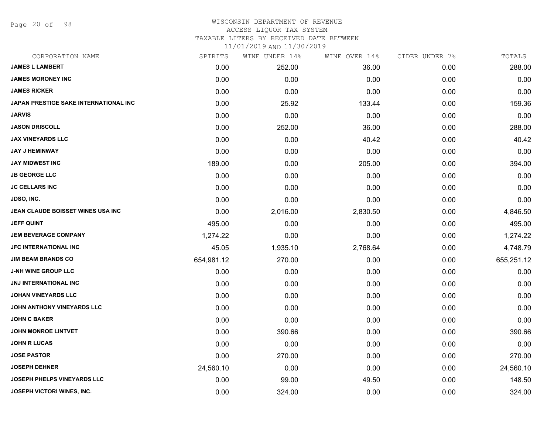Page 20 of 98

#### WISCONSIN DEPARTMENT OF REVENUE ACCESS LIQUOR TAX SYSTEM

TAXABLE LITERS BY RECEIVED DATE BETWEEN

| CORPORATION NAME                             | SPIRITS    | WINE UNDER 14% | WINE OVER 14% | CIDER UNDER 7% | TOTALS     |
|----------------------------------------------|------------|----------------|---------------|----------------|------------|
| <b>JAMES L LAMBERT</b>                       | 0.00       | 252.00         | 36.00         | 0.00           | 288.00     |
| <b>JAMES MORONEY INC</b>                     | 0.00       | 0.00           | 0.00          | 0.00           | 0.00       |
| <b>JAMES RICKER</b>                          | 0.00       | 0.00           | 0.00          | 0.00           | 0.00       |
| <b>JAPAN PRESTIGE SAKE INTERNATIONAL INC</b> | 0.00       | 25.92          | 133.44        | 0.00           | 159.36     |
| <b>JARVIS</b>                                | 0.00       | 0.00           | 0.00          | 0.00           | 0.00       |
| <b>JASON DRISCOLL</b>                        | 0.00       | 252.00         | 36.00         | 0.00           | 288.00     |
| <b>JAX VINEYARDS LLC</b>                     | 0.00       | 0.00           | 40.42         | 0.00           | 40.42      |
| <b>JAY J HEMINWAY</b>                        | 0.00       | 0.00           | 0.00          | 0.00           | 0.00       |
| <b>JAY MIDWEST INC</b>                       | 189.00     | 0.00           | 205.00        | 0.00           | 394.00     |
| <b>JB GEORGE LLC</b>                         | 0.00       | 0.00           | 0.00          | 0.00           | 0.00       |
| <b>JC CELLARS INC</b>                        | 0.00       | 0.00           | 0.00          | 0.00           | 0.00       |
| JDSO, INC.                                   | 0.00       | 0.00           | 0.00          | 0.00           | 0.00       |
| JEAN CLAUDE BOISSET WINES USA INC            | 0.00       | 2,016.00       | 2,830.50      | 0.00           | 4,846.50   |
| <b>JEFF QUINT</b>                            | 495.00     | 0.00           | 0.00          | 0.00           | 495.00     |
| <b>JEM BEVERAGE COMPANY</b>                  | 1,274.22   | 0.00           | 0.00          | 0.00           | 1,274.22   |
| JFC INTERNATIONAL INC                        | 45.05      | 1,935.10       | 2,768.64      | 0.00           | 4,748.79   |
| <b>JIM BEAM BRANDS CO</b>                    | 654,981.12 | 270.00         | 0.00          | 0.00           | 655,251.12 |
| <b>J-NH WINE GROUP LLC</b>                   | 0.00       | 0.00           | 0.00          | 0.00           | 0.00       |
| <b>JNJ INTERNATIONAL INC</b>                 | 0.00       | 0.00           | 0.00          | 0.00           | 0.00       |
| <b>JOHAN VINEYARDS LLC</b>                   | 0.00       | 0.00           | 0.00          | 0.00           | 0.00       |
| JOHN ANTHONY VINEYARDS LLC                   | 0.00       | 0.00           | 0.00          | 0.00           | 0.00       |
| <b>JOHN C BAKER</b>                          | 0.00       | 0.00           | 0.00          | 0.00           | 0.00       |
| <b>JOHN MONROE LINTVET</b>                   | 0.00       | 390.66         | 0.00          | 0.00           | 390.66     |
| <b>JOHN R LUCAS</b>                          | 0.00       | 0.00           | 0.00          | 0.00           | 0.00       |
| <b>JOSE PASTOR</b>                           | 0.00       | 270.00         | 0.00          | 0.00           | 270.00     |
| <b>JOSEPH DEHNER</b>                         | 24,560.10  | 0.00           | 0.00          | 0.00           | 24,560.10  |
| JOSEPH PHELPS VINEYARDS LLC                  | 0.00       | 99.00          | 49.50         | 0.00           | 148.50     |
| <b>JOSEPH VICTORI WINES, INC.</b>            | 0.00       | 324.00         | 0.00          | 0.00           | 324.00     |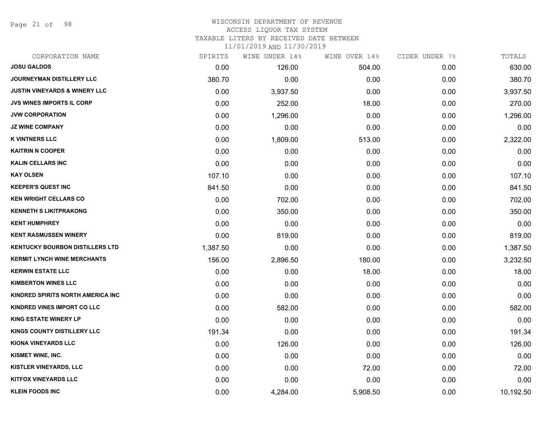Page 21 of 98

## WISCONSIN DEPARTMENT OF REVENUE ACCESS LIQUOR TAX SYSTEM TAXABLE LITERS BY RECEIVED DATE BETWEEN

| CORPORATION NAME                         | SPIRITS  | WINE UNDER 14% | WINE OVER 14% | CIDER UNDER 7% | TOTALS    |
|------------------------------------------|----------|----------------|---------------|----------------|-----------|
| <b>JOSU GALDOS</b>                       | 0.00     | 126.00         | 504.00        | 0.00           | 630.00    |
| <b>JOURNEYMAN DISTILLERY LLC</b>         | 380.70   | 0.00           | 0.00          | 0.00           | 380.70    |
| <b>JUSTIN VINEYARDS &amp; WINERY LLC</b> | 0.00     | 3,937.50       | 0.00          | 0.00           | 3,937.50  |
| <b>JVS WINES IMPORTS IL CORP</b>         | 0.00     | 252.00         | 18.00         | 0.00           | 270.00    |
| <b>JVW CORPORATION</b>                   | 0.00     | 1,296.00       | 0.00          | 0.00           | 1,296.00  |
| <b>JZ WINE COMPANY</b>                   | 0.00     | 0.00           | 0.00          | 0.00           | 0.00      |
| <b>K VINTNERS LLC</b>                    | 0.00     | 1,809.00       | 513.00        | 0.00           | 2,322.00  |
| <b>KAITRIN N COOPER</b>                  | 0.00     | 0.00           | 0.00          | 0.00           | 0.00      |
| <b>KALIN CELLARS INC</b>                 | 0.00     | 0.00           | 0.00          | 0.00           | 0.00      |
| <b>KAY OLSEN</b>                         | 107.10   | 0.00           | 0.00          | 0.00           | 107.10    |
| <b>KEEPER'S QUEST INC</b>                | 841.50   | 0.00           | 0.00          | 0.00           | 841.50    |
| <b>KEN WRIGHT CELLARS CO</b>             | 0.00     | 702.00         | 0.00          | 0.00           | 702.00    |
| <b>KENNETH S LIKITPRAKONG</b>            | 0.00     | 350.00         | 0.00          | 0.00           | 350.00    |
| <b>KENT HUMPHREY</b>                     | 0.00     | 0.00           | 0.00          | 0.00           | 0.00      |
| <b>KENT RASMUSSEN WINERY</b>             | 0.00     | 819.00         | 0.00          | 0.00           | 819.00    |
| <b>KENTUCKY BOURBON DISTILLERS LTD</b>   | 1,387.50 | 0.00           | 0.00          | 0.00           | 1,387.50  |
| <b>KERMIT LYNCH WINE MERCHANTS</b>       | 156.00   | 2,896.50       | 180.00        | 0.00           | 3,232.50  |
| <b>KERWIN ESTATE LLC</b>                 | 0.00     | 0.00           | 18.00         | 0.00           | 18.00     |
| <b>KIMBERTON WINES LLC</b>               | 0.00     | 0.00           | 0.00          | 0.00           | 0.00      |
| KINDRED SPIRITS NORTH AMERICA INC        | 0.00     | 0.00           | 0.00          | 0.00           | 0.00      |
| KINDRED VINES IMPORT CO LLC              | 0.00     | 582.00         | 0.00          | 0.00           | 582.00    |
| <b>KING ESTATE WINERY LP</b>             | 0.00     | 0.00           | 0.00          | 0.00           | 0.00      |
| KINGS COUNTY DISTILLERY LLC              | 191.34   | 0.00           | 0.00          | 0.00           | 191.34    |
| KIONA VINEYARDS LLC                      | 0.00     | 126.00         | 0.00          | 0.00           | 126.00    |
| KISMET WINE, INC.                        | 0.00     | 0.00           | 0.00          | 0.00           | 0.00      |
| <b>KISTLER VINEYARDS, LLC</b>            | 0.00     | 0.00           | 72.00         | 0.00           | 72.00     |
| <b>KITFOX VINEYARDS LLC</b>              | 0.00     | 0.00           | 0.00          | 0.00           | 0.00      |
| <b>KLEIN FOODS INC</b>                   | 0.00     | 4,284.00       | 5,908.50      | 0.00           | 10,192.50 |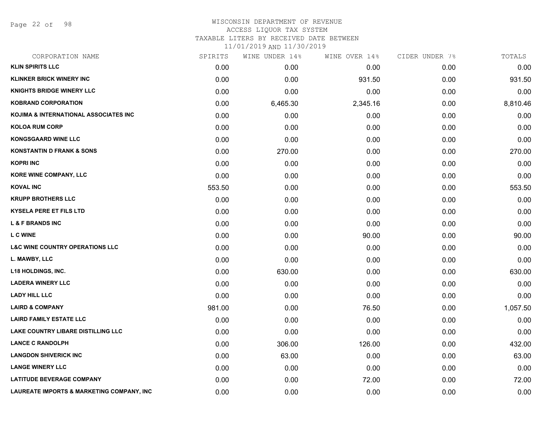Page 22 of 98

#### WISCONSIN DEPARTMENT OF REVENUE ACCESS LIQUOR TAX SYSTEM

TAXABLE LITERS BY RECEIVED DATE BETWEEN

| CORPORATION NAME                                     | SPIRITS | WINE UNDER 14% | WINE OVER 14% | CIDER UNDER 7% | TOTALS   |
|------------------------------------------------------|---------|----------------|---------------|----------------|----------|
| <b>KLIN SPIRITS LLC</b>                              | 0.00    | 0.00           | 0.00          | 0.00           | 0.00     |
| <b>KLINKER BRICK WINERY INC</b>                      | 0.00    | 0.00           | 931.50        | 0.00           | 931.50   |
| <b>KNIGHTS BRIDGE WINERY LLC</b>                     | 0.00    | 0.00           | 0.00          | 0.00           | 0.00     |
| <b>KOBRAND CORPORATION</b>                           | 0.00    | 6,465.30       | 2,345.16      | 0.00           | 8,810.46 |
| KOJIMA & INTERNATIONAL ASSOCIATES INC                | 0.00    | 0.00           | 0.00          | 0.00           | 0.00     |
| <b>KOLOA RUM CORP</b>                                | 0.00    | 0.00           | 0.00          | 0.00           | 0.00     |
| <b>KONGSGAARD WINE LLC</b>                           | 0.00    | 0.00           | 0.00          | 0.00           | 0.00     |
| <b>KONSTANTIN D FRANK &amp; SONS</b>                 | 0.00    | 270.00         | 0.00          | 0.00           | 270.00   |
| <b>KOPRI INC</b>                                     | 0.00    | 0.00           | 0.00          | 0.00           | 0.00     |
| <b>KORE WINE COMPANY, LLC</b>                        | 0.00    | 0.00           | 0.00          | 0.00           | 0.00     |
| <b>KOVAL INC</b>                                     | 553.50  | 0.00           | 0.00          | 0.00           | 553.50   |
| <b>KRUPP BROTHERS LLC</b>                            | 0.00    | 0.00           | 0.00          | 0.00           | 0.00     |
| <b>KYSELA PERE ET FILS LTD</b>                       | 0.00    | 0.00           | 0.00          | 0.00           | 0.00     |
| <b>L &amp; F BRANDS INC</b>                          | 0.00    | 0.00           | 0.00          | 0.00           | 0.00     |
| <b>L C WINE</b>                                      | 0.00    | 0.00           | 90.00         | 0.00           | 90.00    |
| <b>L&amp;C WINE COUNTRY OPERATIONS LLC</b>           | 0.00    | 0.00           | 0.00          | 0.00           | 0.00     |
| L. MAWBY, LLC                                        | 0.00    | 0.00           | 0.00          | 0.00           | 0.00     |
| <b>L18 HOLDINGS, INC.</b>                            | 0.00    | 630.00         | 0.00          | 0.00           | 630.00   |
| <b>LADERA WINERY LLC</b>                             | 0.00    | 0.00           | 0.00          | 0.00           | 0.00     |
| <b>LADY HILL LLC</b>                                 | 0.00    | 0.00           | 0.00          | 0.00           | 0.00     |
| <b>LAIRD &amp; COMPANY</b>                           | 981.00  | 0.00           | 76.50         | 0.00           | 1,057.50 |
| <b>LAIRD FAMILY ESTATE LLC</b>                       | 0.00    | 0.00           | 0.00          | 0.00           | 0.00     |
| LAKE COUNTRY LIBARE DISTILLING LLC                   | 0.00    | 0.00           | 0.00          | 0.00           | 0.00     |
| <b>LANCE C RANDOLPH</b>                              | 0.00    | 306.00         | 126.00        | 0.00           | 432.00   |
| <b>LANGDON SHIVERICK INC</b>                         | 0.00    | 63.00          | 0.00          | 0.00           | 63.00    |
| <b>LANGE WINERY LLC</b>                              | 0.00    | 0.00           | 0.00          | 0.00           | 0.00     |
| <b>LATITUDE BEVERAGE COMPANY</b>                     | 0.00    | 0.00           | 72.00         | 0.00           | 72.00    |
| <b>LAUREATE IMPORTS &amp; MARKETING COMPANY, INC</b> | 0.00    | 0.00           | 0.00          | 0.00           | 0.00     |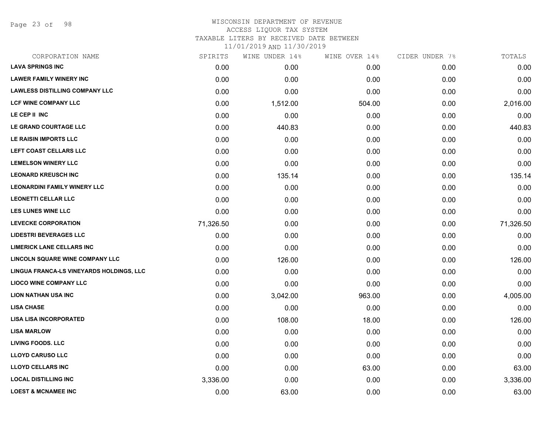Page 23 of 98

## WISCONSIN DEPARTMENT OF REVENUE ACCESS LIQUOR TAX SYSTEM TAXABLE LITERS BY RECEIVED DATE BETWEEN

| CORPORATION NAME                         | SPIRITS   | WINE UNDER 14% | WINE OVER 14% | CIDER UNDER 7% | TOTALS    |
|------------------------------------------|-----------|----------------|---------------|----------------|-----------|
| <b>LAVA SPRINGS INC</b>                  | 0.00      | 0.00           | 0.00          | 0.00           | 0.00      |
| <b>LAWER FAMILY WINERY INC</b>           | 0.00      | 0.00           | 0.00          | 0.00           | 0.00      |
| <b>LAWLESS DISTILLING COMPANY LLC</b>    | 0.00      | 0.00           | 0.00          | 0.00           | 0.00      |
| <b>LCF WINE COMPANY LLC</b>              | 0.00      | 1,512.00       | 504.00        | 0.00           | 2,016.00  |
| LE CEP II INC                            | 0.00      | 0.00           | 0.00          | 0.00           | 0.00      |
| LE GRAND COURTAGE LLC                    | 0.00      | 440.83         | 0.00          | 0.00           | 440.83    |
| LE RAISIN IMPORTS LLC                    | 0.00      | 0.00           | 0.00          | 0.00           | 0.00      |
| LEFT COAST CELLARS LLC                   | 0.00      | 0.00           | 0.00          | 0.00           | 0.00      |
| <b>LEMELSON WINERY LLC</b>               | 0.00      | 0.00           | 0.00          | 0.00           | 0.00      |
| <b>LEONARD KREUSCH INC</b>               | 0.00      | 135.14         | 0.00          | 0.00           | 135.14    |
| <b>LEONARDINI FAMILY WINERY LLC</b>      | 0.00      | 0.00           | 0.00          | 0.00           | 0.00      |
| <b>LEONETTI CELLAR LLC</b>               | 0.00      | 0.00           | 0.00          | 0.00           | 0.00      |
| <b>LES LUNES WINE LLC</b>                | 0.00      | 0.00           | 0.00          | 0.00           | 0.00      |
| <b>LEVECKE CORPORATION</b>               | 71,326.50 | 0.00           | 0.00          | 0.00           | 71,326.50 |
| <b>LIDESTRI BEVERAGES LLC</b>            | 0.00      | 0.00           | 0.00          | 0.00           | 0.00      |
| <b>LIMERICK LANE CELLARS INC</b>         | 0.00      | 0.00           | 0.00          | 0.00           | 0.00      |
| LINCOLN SQUARE WINE COMPANY LLC          | 0.00      | 126.00         | 0.00          | 0.00           | 126.00    |
| LINGUA FRANCA-LS VINEYARDS HOLDINGS, LLC | 0.00      | 0.00           | 0.00          | 0.00           | 0.00      |
| <b>LIOCO WINE COMPANY LLC</b>            | 0.00      | 0.00           | 0.00          | 0.00           | 0.00      |
| <b>LION NATHAN USA INC</b>               | 0.00      | 3,042.00       | 963.00        | 0.00           | 4,005.00  |
| <b>LISA CHASE</b>                        | 0.00      | 0.00           | 0.00          | 0.00           | 0.00      |
| <b>LISA LISA INCORPORATED</b>            | 0.00      | 108.00         | 18.00         | 0.00           | 126.00    |
| <b>LISA MARLOW</b>                       | 0.00      | 0.00           | 0.00          | 0.00           | 0.00      |
| <b>LIVING FOODS. LLC</b>                 | 0.00      | 0.00           | 0.00          | 0.00           | 0.00      |
| <b>LLOYD CARUSO LLC</b>                  | 0.00      | 0.00           | 0.00          | 0.00           | 0.00      |
| <b>LLOYD CELLARS INC</b>                 | 0.00      | 0.00           | 63.00         | 0.00           | 63.00     |
| <b>LOCAL DISTILLING INC</b>              | 3,336.00  | 0.00           | 0.00          | 0.00           | 3,336.00  |
| <b>LOEST &amp; MCNAMEE INC</b>           | 0.00      | 63.00          | 0.00          | 0.00           | 63.00     |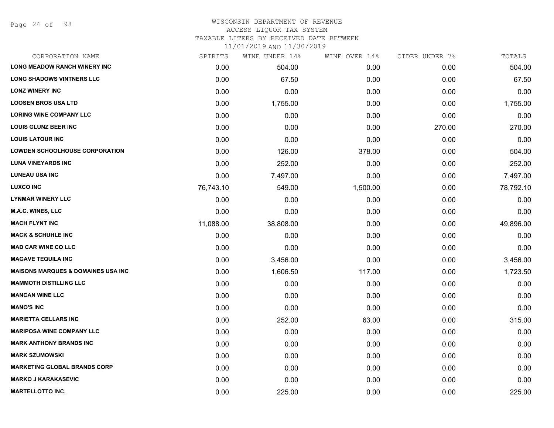Page 24 of 98

#### WISCONSIN DEPARTMENT OF REVENUE ACCESS LIQUOR TAX SYSTEM

TAXABLE LITERS BY RECEIVED DATE BETWEEN

| CORPORATION NAME                              | SPIRITS   | WINE UNDER 14% | WINE OVER 14% | CIDER UNDER 7% | TOTALS    |
|-----------------------------------------------|-----------|----------------|---------------|----------------|-----------|
| <b>LONG MEADOW RANCH WINERY INC</b>           | 0.00      | 504.00         | 0.00          | 0.00           | 504.00    |
| <b>LONG SHADOWS VINTNERS LLC</b>              | 0.00      | 67.50          | 0.00          | 0.00           | 67.50     |
| <b>LONZ WINERY INC</b>                        | 0.00      | 0.00           | 0.00          | 0.00           | 0.00      |
| <b>LOOSEN BROS USA LTD</b>                    | 0.00      | 1,755.00       | 0.00          | 0.00           | 1,755.00  |
| <b>LORING WINE COMPANY LLC</b>                | 0.00      | 0.00           | 0.00          | 0.00           | 0.00      |
| <b>LOUIS GLUNZ BEER INC</b>                   | 0.00      | 0.00           | 0.00          | 270.00         | 270.00    |
| <b>LOUIS LATOUR INC</b>                       | 0.00      | 0.00           | 0.00          | 0.00           | 0.00      |
| <b>LOWDEN SCHOOLHOUSE CORPORATION</b>         | 0.00      | 126.00         | 378.00        | 0.00           | 504.00    |
| <b>LUNA VINEYARDS INC</b>                     | 0.00      | 252.00         | 0.00          | 0.00           | 252.00    |
| <b>LUNEAU USA INC</b>                         | 0.00      | 7,497.00       | 0.00          | 0.00           | 7,497.00  |
| <b>LUXCO INC</b>                              | 76,743.10 | 549.00         | 1,500.00      | 0.00           | 78,792.10 |
| <b>LYNMAR WINERY LLC</b>                      | 0.00      | 0.00           | 0.00          | 0.00           | 0.00      |
| M.A.C. WINES, LLC                             | 0.00      | 0.00           | 0.00          | 0.00           | 0.00      |
| <b>MACH FLYNT INC</b>                         | 11,088.00 | 38,808.00      | 0.00          | 0.00           | 49,896.00 |
| <b>MACK &amp; SCHUHLE INC</b>                 | 0.00      | 0.00           | 0.00          | 0.00           | 0.00      |
| <b>MAD CAR WINE CO LLC</b>                    | 0.00      | 0.00           | 0.00          | 0.00           | 0.00      |
| <b>MAGAVE TEQUILA INC</b>                     | 0.00      | 3,456.00       | 0.00          | 0.00           | 3,456.00  |
| <b>MAISONS MARQUES &amp; DOMAINES USA INC</b> | 0.00      | 1,606.50       | 117.00        | 0.00           | 1,723.50  |
| <b>MAMMOTH DISTILLING LLC</b>                 | 0.00      | 0.00           | 0.00          | 0.00           | 0.00      |
| <b>MANCAN WINE LLC</b>                        | 0.00      | 0.00           | 0.00          | 0.00           | 0.00      |
| <b>MANO'S INC</b>                             | 0.00      | 0.00           | 0.00          | 0.00           | 0.00      |
| <b>MARIETTA CELLARS INC</b>                   | 0.00      | 252.00         | 63.00         | 0.00           | 315.00    |
| <b>MARIPOSA WINE COMPANY LLC</b>              | 0.00      | 0.00           | 0.00          | 0.00           | 0.00      |
| <b>MARK ANTHONY BRANDS INC</b>                | 0.00      | 0.00           | 0.00          | 0.00           | 0.00      |
| <b>MARK SZUMOWSKI</b>                         | 0.00      | 0.00           | 0.00          | 0.00           | 0.00      |
| <b>MARKETING GLOBAL BRANDS CORP</b>           | 0.00      | 0.00           | 0.00          | 0.00           | 0.00      |
| <b>MARKO J KARAKASEVIC</b>                    | 0.00      | 0.00           | 0.00          | 0.00           | 0.00      |
| <b>MARTELLOTTO INC.</b>                       | 0.00      | 225.00         | 0.00          | 0.00           | 225.00    |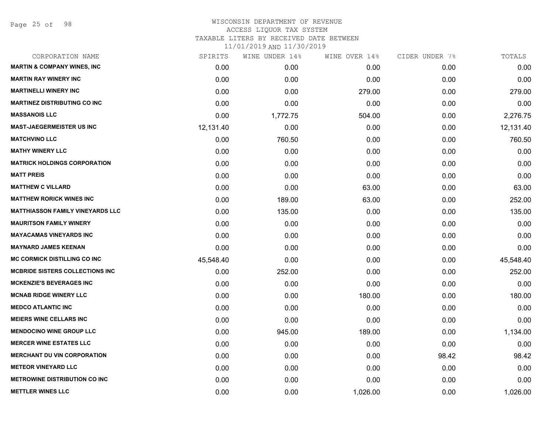## WISCONSIN DEPARTMENT OF REVENUE ACCESS LIQUOR TAX SYSTEM TAXABLE LITERS BY RECEIVED DATE BETWEEN

| CORPORATION NAME                        | SPIRITS   | WINE UNDER 14% | WINE OVER 14% | CIDER UNDER 7% | TOTALS    |
|-----------------------------------------|-----------|----------------|---------------|----------------|-----------|
| <b>MARTIN &amp; COMPANY WINES, INC</b>  | 0.00      | 0.00           | 0.00          | 0.00           | 0.00      |
| <b>MARTIN RAY WINERY INC</b>            | 0.00      | 0.00           | 0.00          | 0.00           | 0.00      |
| <b>MARTINELLI WINERY INC</b>            | 0.00      | 0.00           | 279.00        | 0.00           | 279.00    |
| <b>MARTINEZ DISTRIBUTING CO INC</b>     | 0.00      | 0.00           | 0.00          | 0.00           | 0.00      |
| <b>MASSANOIS LLC</b>                    | 0.00      | 1,772.75       | 504.00        | 0.00           | 2,276.75  |
| <b>MAST-JAEGERMEISTER US INC</b>        | 12,131.40 | 0.00           | 0.00          | 0.00           | 12,131.40 |
| <b>MATCHVINO LLC</b>                    | 0.00      | 760.50         | 0.00          | 0.00           | 760.50    |
| <b>MATHY WINERY LLC</b>                 | 0.00      | 0.00           | 0.00          | 0.00           | 0.00      |
| <b>MATRICK HOLDINGS CORPORATION</b>     | 0.00      | 0.00           | 0.00          | 0.00           | 0.00      |
| <b>MATT PREIS</b>                       | 0.00      | 0.00           | 0.00          | 0.00           | 0.00      |
| <b>MATTHEW C VILLARD</b>                | 0.00      | 0.00           | 63.00         | 0.00           | 63.00     |
| <b>MATTHEW RORICK WINES INC</b>         | 0.00      | 189.00         | 63.00         | 0.00           | 252.00    |
| <b>MATTHIASSON FAMILY VINEYARDS LLC</b> | 0.00      | 135.00         | 0.00          | 0.00           | 135.00    |
| <b>MAURITSON FAMILY WINERY</b>          | 0.00      | 0.00           | 0.00          | 0.00           | 0.00      |
| <b>MAYACAMAS VINEYARDS INC</b>          | 0.00      | 0.00           | 0.00          | 0.00           | 0.00      |
| <b>MAYNARD JAMES KEENAN</b>             | 0.00      | 0.00           | 0.00          | 0.00           | 0.00      |
| <b>MC CORMICK DISTILLING CO INC</b>     | 45,548.40 | 0.00           | 0.00          | 0.00           | 45,548.40 |
| <b>MCBRIDE SISTERS COLLECTIONS INC</b>  | 0.00      | 252.00         | 0.00          | 0.00           | 252.00    |
| <b>MCKENZIE'S BEVERAGES INC</b>         | 0.00      | 0.00           | 0.00          | 0.00           | 0.00      |
| <b>MCNAB RIDGE WINERY LLC</b>           | 0.00      | 0.00           | 180.00        | 0.00           | 180.00    |
| <b>MEDCO ATLANTIC INC</b>               | 0.00      | 0.00           | 0.00          | 0.00           | 0.00      |
| <b>MEIERS WINE CELLARS INC</b>          | 0.00      | 0.00           | 0.00          | 0.00           | 0.00      |
| <b>MENDOCINO WINE GROUP LLC</b>         | 0.00      | 945.00         | 189.00        | 0.00           | 1,134.00  |
| <b>MERCER WINE ESTATES LLC</b>          | 0.00      | 0.00           | 0.00          | 0.00           | 0.00      |
| <b>MERCHANT DU VIN CORPORATION</b>      | 0.00      | 0.00           | 0.00          | 98.42          | 98.42     |
| <b>METEOR VINEYARD LLC</b>              | 0.00      | 0.00           | 0.00          | 0.00           | 0.00      |
| <b>METROWINE DISTRIBUTION CO INC</b>    | 0.00      | 0.00           | 0.00          | 0.00           | 0.00      |
| <b>METTLER WINES LLC</b>                | 0.00      | 0.00           | 1,026.00      | 0.00           | 1,026.00  |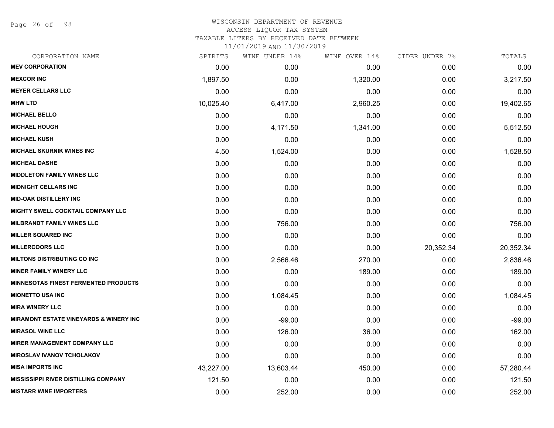Page 26 of 98

#### WISCONSIN DEPARTMENT OF REVENUE ACCESS LIQUOR TAX SYSTEM

TAXABLE LITERS BY RECEIVED DATE BETWEEN

| CORPORATION NAME                                  | SPIRITS   | WINE UNDER 14% | WINE OVER 14% | CIDER UNDER 7% | TOTALS    |
|---------------------------------------------------|-----------|----------------|---------------|----------------|-----------|
| <b>MEV CORPORATION</b>                            | 0.00      | 0.00           | 0.00          | 0.00           | 0.00      |
| <b>MEXCOR INC</b>                                 | 1,897.50  | 0.00           | 1,320.00      | 0.00           | 3,217.50  |
| <b>MEYER CELLARS LLC</b>                          | 0.00      | 0.00           | 0.00          | 0.00           | 0.00      |
| <b>MHW LTD</b>                                    | 10,025.40 | 6,417.00       | 2,960.25      | 0.00           | 19,402.65 |
| <b>MICHAEL BELLO</b>                              | 0.00      | 0.00           | 0.00          | 0.00           | 0.00      |
| <b>MICHAEL HOUGH</b>                              | 0.00      | 4,171.50       | 1,341.00      | 0.00           | 5,512.50  |
| <b>MICHAEL KUSH</b>                               | 0.00      | 0.00           | 0.00          | 0.00           | 0.00      |
| <b>MICHAEL SKURNIK WINES INC</b>                  | 4.50      | 1,524.00       | 0.00          | 0.00           | 1,528.50  |
| <b>MICHEAL DASHE</b>                              | 0.00      | 0.00           | 0.00          | 0.00           | 0.00      |
| <b>MIDDLETON FAMILY WINES LLC</b>                 | 0.00      | 0.00           | 0.00          | 0.00           | 0.00      |
| <b>MIDNIGHT CELLARS INC</b>                       | 0.00      | 0.00           | 0.00          | 0.00           | 0.00      |
| <b>MID-OAK DISTILLERY INC</b>                     | 0.00      | 0.00           | 0.00          | 0.00           | 0.00      |
| MIGHTY SWELL COCKTAIL COMPANY LLC                 | 0.00      | 0.00           | 0.00          | 0.00           | 0.00      |
| <b>MILBRANDT FAMILY WINES LLC</b>                 | 0.00      | 756.00         | 0.00          | 0.00           | 756.00    |
| <b>MILLER SQUARED INC</b>                         | 0.00      | 0.00           | 0.00          | 0.00           | 0.00      |
| <b>MILLERCOORS LLC</b>                            | 0.00      | 0.00           | 0.00          | 20,352.34      | 20,352.34 |
| <b>MILTONS DISTRIBUTING CO INC</b>                | 0.00      | 2,566.46       | 270.00        | 0.00           | 2,836.46  |
| <b>MINER FAMILY WINERY LLC</b>                    | 0.00      | 0.00           | 189.00        | 0.00           | 189.00    |
| <b>MINNESOTAS FINEST FERMENTED PRODUCTS</b>       | 0.00      | 0.00           | 0.00          | 0.00           | 0.00      |
| <b>MIONETTO USA INC</b>                           | 0.00      | 1,084.45       | 0.00          | 0.00           | 1,084.45  |
| <b>MIRA WINERY LLC</b>                            | 0.00      | 0.00           | 0.00          | 0.00           | 0.00      |
| <b>MIRAMONT ESTATE VINEYARDS &amp; WINERY INC</b> | 0.00      | $-99.00$       | 0.00          | 0.00           | $-99.00$  |
| <b>MIRASOL WINE LLC</b>                           | 0.00      | 126.00         | 36.00         | 0.00           | 162.00    |
| MIRER MANAGEMENT COMPANY LLC                      | 0.00      | 0.00           | 0.00          | 0.00           | 0.00      |
| <b>MIROSLAV IVANOV TCHOLAKOV</b>                  | 0.00      | 0.00           | 0.00          | 0.00           | 0.00      |
| <b>MISA IMPORTS INC</b>                           | 43,227.00 | 13,603.44      | 450.00        | 0.00           | 57,280.44 |
| <b>MISSISSIPPI RIVER DISTILLING COMPANY</b>       | 121.50    | 0.00           | 0.00          | 0.00           | 121.50    |
| <b>MISTARR WINE IMPORTERS</b>                     | 0.00      | 252.00         | 0.00          | 0.00           | 252.00    |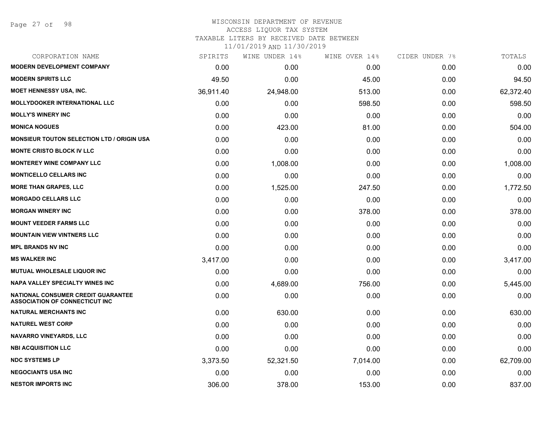#### WISCONSIN DEPARTMENT OF REVENUE ACCESS LIQUOR TAX SYSTEM

TAXABLE LITERS BY RECEIVED DATE BETWEEN

| CORPORATION NAME                                                                   | SPIRITS   | WINE UNDER 14% | WINE OVER 14% | CIDER UNDER 7% | TOTALS    |
|------------------------------------------------------------------------------------|-----------|----------------|---------------|----------------|-----------|
| <b>MODERN DEVELOPMENT COMPANY</b>                                                  | 0.00      | 0.00           | 0.00          | 0.00           | 0.00      |
| <b>MODERN SPIRITS LLC</b>                                                          | 49.50     | 0.00           | 45.00         | 0.00           | 94.50     |
| MOET HENNESSY USA, INC.                                                            | 36,911.40 | 24,948.00      | 513.00        | 0.00           | 62,372.40 |
| <b>MOLLYDOOKER INTERNATIONAL LLC</b>                                               | 0.00      | 0.00           | 598.50        | 0.00           | 598.50    |
| <b>MOLLY'S WINERY INC</b>                                                          | 0.00      | 0.00           | 0.00          | 0.00           | 0.00      |
| <b>MONICA NOGUES</b>                                                               | 0.00      | 423.00         | 81.00         | 0.00           | 504.00    |
| <b>MONSIEUR TOUTON SELECTION LTD / ORIGIN USA</b>                                  | 0.00      | 0.00           | 0.00          | 0.00           | 0.00      |
| <b>MONTE CRISTO BLOCK IV LLC</b>                                                   | 0.00      | 0.00           | 0.00          | 0.00           | 0.00      |
| <b>MONTEREY WINE COMPANY LLC</b>                                                   | 0.00      | 1,008.00       | 0.00          | 0.00           | 1,008.00  |
| <b>MONTICELLO CELLARS INC</b>                                                      | 0.00      | 0.00           | 0.00          | 0.00           | 0.00      |
| <b>MORE THAN GRAPES, LLC</b>                                                       | 0.00      | 1,525.00       | 247.50        | 0.00           | 1,772.50  |
| <b>MORGADO CELLARS LLC</b>                                                         | 0.00      | 0.00           | 0.00          | 0.00           | 0.00      |
| <b>MORGAN WINERY INC</b>                                                           | 0.00      | 0.00           | 378.00        | 0.00           | 378.00    |
| <b>MOUNT VEEDER FARMS LLC</b>                                                      | 0.00      | 0.00           | 0.00          | 0.00           | 0.00      |
| <b>MOUNTAIN VIEW VINTNERS LLC</b>                                                  | 0.00      | 0.00           | 0.00          | 0.00           | 0.00      |
| <b>MPL BRANDS NV INC</b>                                                           | 0.00      | 0.00           | 0.00          | 0.00           | 0.00      |
| <b>MS WALKER INC</b>                                                               | 3,417.00  | 0.00           | 0.00          | 0.00           | 3,417.00  |
| <b>MUTUAL WHOLESALE LIQUOR INC</b>                                                 | 0.00      | 0.00           | 0.00          | 0.00           | 0.00      |
| <b>NAPA VALLEY SPECIALTY WINES INC</b>                                             | 0.00      | 4,689.00       | 756.00        | 0.00           | 5,445.00  |
| <b>NATIONAL CONSUMER CREDIT GUARANTEE</b><br><b>ASSOCIATION OF CONNECTICUT INC</b> | 0.00      | 0.00           | 0.00          | 0.00           | 0.00      |
| <b>NATURAL MERCHANTS INC</b>                                                       | 0.00      | 630.00         | 0.00          | 0.00           | 630.00    |
| <b>NATUREL WEST CORP</b>                                                           | 0.00      | 0.00           | 0.00          | 0.00           | 0.00      |
| <b>NAVARRO VINEYARDS, LLC</b>                                                      | 0.00      | 0.00           | 0.00          | 0.00           | 0.00      |
| <b>NBI ACQUISITION LLC</b>                                                         | 0.00      | 0.00           | 0.00          | 0.00           | 0.00      |
| <b>NDC SYSTEMS LP</b>                                                              | 3,373.50  | 52,321.50      | 7,014.00      | 0.00           | 62,709.00 |
| <b>NEGOCIANTS USA INC</b>                                                          | 0.00      | 0.00           | 0.00          | 0.00           | 0.00      |
| <b>NESTOR IMPORTS INC</b>                                                          | 306.00    | 378.00         | 153.00        | 0.00           | 837.00    |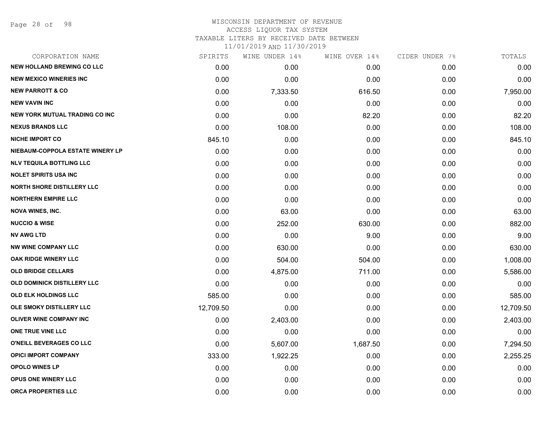Page 28 of 98

# WISCONSIN DEPARTMENT OF REVENUE ACCESS LIQUOR TAX SYSTEM

TAXABLE LITERS BY RECEIVED DATE BETWEEN

| CORPORATION NAME                      | SPIRITS   | WINE UNDER 14% | WINE OVER 14% | CIDER UNDER 7% | TOTALS    |
|---------------------------------------|-----------|----------------|---------------|----------------|-----------|
| <b>NEW HOLLAND BREWING CO LLC</b>     | 0.00      | 0.00           | 0.00          | 0.00           | 0.00      |
| <b>NEW MEXICO WINERIES INC.</b>       | 0.00      | 0.00           | 0.00          | 0.00           | 0.00      |
| <b>NEW PARROTT &amp; CO</b>           | 0.00      | 7,333.50       | 616.50        | 0.00           | 7,950.00  |
| <b>NEW VAVIN INC</b>                  | 0.00      | 0.00           | 0.00          | 0.00           | 0.00      |
| <b>NEW YORK MUTUAL TRADING CO INC</b> | 0.00      | 0.00           | 82.20         | 0.00           | 82.20     |
| <b>NEXUS BRANDS LLC</b>               | 0.00      | 108.00         | 0.00          | 0.00           | 108.00    |
| <b>NICHE IMPORT CO</b>                | 845.10    | 0.00           | 0.00          | 0.00           | 845.10    |
| NIEBAUM-COPPOLA ESTATE WINERY LP      | 0.00      | 0.00           | 0.00          | 0.00           | 0.00      |
| <b>NLV TEQUILA BOTTLING LLC</b>       | 0.00      | 0.00           | 0.00          | 0.00           | 0.00      |
| <b>NOLET SPIRITS USA INC</b>          | 0.00      | 0.00           | 0.00          | 0.00           | 0.00      |
| <b>NORTH SHORE DISTILLERY LLC</b>     | 0.00      | 0.00           | 0.00          | 0.00           | 0.00      |
| <b>NORTHERN EMPIRE LLC</b>            | 0.00      | 0.00           | 0.00          | 0.00           | 0.00      |
| <b>NOVA WINES, INC.</b>               | 0.00      | 63.00          | 0.00          | 0.00           | 63.00     |
| <b>NUCCIO &amp; WISE</b>              | 0.00      | 252.00         | 630.00        | 0.00           | 882.00    |
| <b>NV AWG LTD</b>                     | 0.00      | 0.00           | 9.00          | 0.00           | 9.00      |
| <b>NW WINE COMPANY LLC</b>            | 0.00      | 630.00         | 0.00          | 0.00           | 630.00    |
| OAK RIDGE WINERY LLC                  | 0.00      | 504.00         | 504.00        | 0.00           | 1,008.00  |
| <b>OLD BRIDGE CELLARS</b>             | 0.00      | 4,875.00       | 711.00        | 0.00           | 5,586.00  |
| OLD DOMINICK DISTILLERY LLC           | 0.00      | 0.00           | 0.00          | 0.00           | 0.00      |
| <b>OLD ELK HOLDINGS LLC</b>           | 585.00    | 0.00           | 0.00          | 0.00           | 585.00    |
| OLE SMOKY DISTILLERY LLC              | 12,709.50 | 0.00           | 0.00          | 0.00           | 12,709.50 |
| OLIVER WINE COMPANY INC               | 0.00      | 2,403.00       | 0.00          | 0.00           | 2,403.00  |
| ONE TRUE VINE LLC                     | 0.00      | 0.00           | 0.00          | 0.00           | 0.00      |
| <b>O'NEILL BEVERAGES CO LLC</b>       | 0.00      | 5,607.00       | 1,687.50      | 0.00           | 7,294.50  |
| <b>OPICI IMPORT COMPANY</b>           | 333.00    | 1,922.25       | 0.00          | 0.00           | 2,255.25  |
| <b>OPOLO WINES LP</b>                 | 0.00      | 0.00           | 0.00          | 0.00           | 0.00      |
| OPUS ONE WINERY LLC                   | 0.00      | 0.00           | 0.00          | 0.00           | 0.00      |
| <b>ORCA PROPERTIES LLC</b>            | 0.00      | 0.00           | 0.00          | 0.00           | 0.00      |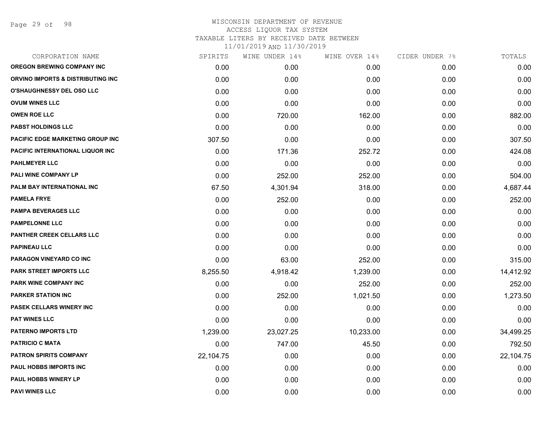Page 29 of 98

| SPIRITS   | WINE UNDER 14% | WINE OVER 14% | CIDER UNDER 7% | TOTALS    |
|-----------|----------------|---------------|----------------|-----------|
| 0.00      | 0.00           | 0.00          | 0.00           | 0.00      |
| 0.00      | 0.00           | 0.00          | 0.00           | 0.00      |
| 0.00      | 0.00           | 0.00          | 0.00           | 0.00      |
| 0.00      | 0.00           | 0.00          | 0.00           | 0.00      |
| 0.00      | 720.00         | 162.00        | 0.00           | 882.00    |
| 0.00      | 0.00           | 0.00          | 0.00           | 0.00      |
| 307.50    | 0.00           | 0.00          | 0.00           | 307.50    |
| 0.00      | 171.36         | 252.72        | 0.00           | 424.08    |
| 0.00      | 0.00           | 0.00          | 0.00           | 0.00      |
| 0.00      | 252.00         | 252.00        | 0.00           | 504.00    |
| 67.50     | 4,301.94       | 318.00        | 0.00           | 4,687.44  |
| 0.00      | 252.00         | 0.00          | 0.00           | 252.00    |
| 0.00      | 0.00           | 0.00          | 0.00           | 0.00      |
| 0.00      | 0.00           | 0.00          | 0.00           | 0.00      |
| 0.00      | 0.00           | 0.00          | 0.00           | 0.00      |
| 0.00      | 0.00           | 0.00          | 0.00           | 0.00      |
| 0.00      | 63.00          | 252.00        | 0.00           | 315.00    |
| 8,255.50  | 4,918.42       | 1,239.00      | 0.00           | 14,412.92 |
| 0.00      | 0.00           | 252.00        | 0.00           | 252.00    |
| 0.00      | 252.00         | 1,021.50      | 0.00           | 1,273.50  |
| 0.00      | 0.00           | 0.00          | 0.00           | 0.00      |
| 0.00      | 0.00           | 0.00          | 0.00           | 0.00      |
| 1,239.00  | 23,027.25      | 10,233.00     | 0.00           | 34,499.25 |
| 0.00      | 747.00         | 45.50         | 0.00           | 792.50    |
| 22,104.75 | 0.00           | 0.00          | 0.00           | 22,104.75 |
| 0.00      | 0.00           | 0.00          | 0.00           | 0.00      |
| 0.00      | 0.00           | 0.00          | 0.00           | 0.00      |
| 0.00      | 0.00           | 0.00          | 0.00           | 0.00      |
|           |                |               |                |           |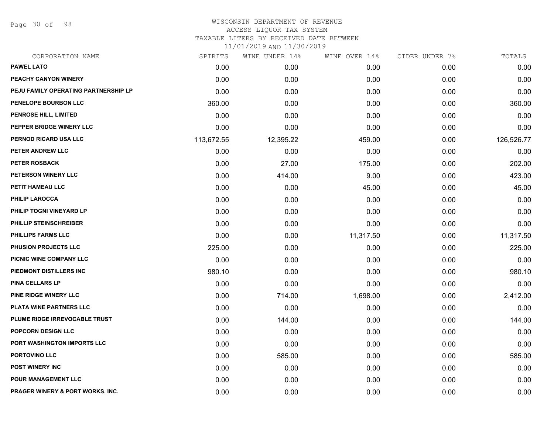Page 30 of 98

| CORPORATION NAME                     | SPIRITS    | WINE UNDER 14% | WINE OVER 14% | CIDER UNDER 7% | TOTALS     |
|--------------------------------------|------------|----------------|---------------|----------------|------------|
| <b>PAWEL LATO</b>                    | 0.00       | 0.00           | 0.00          | 0.00           | 0.00       |
| PEACHY CANYON WINERY                 | 0.00       | 0.00           | 0.00          | 0.00           | 0.00       |
| PEJU FAMILY OPERATING PARTNERSHIP LP | 0.00       | 0.00           | 0.00          | 0.00           | 0.00       |
| PENELOPE BOURBON LLC                 | 360.00     | 0.00           | 0.00          | 0.00           | 360.00     |
| <b>PENROSE HILL, LIMITED</b>         | 0.00       | 0.00           | 0.00          | 0.00           | 0.00       |
| PEPPER BRIDGE WINERY LLC             | 0.00       | 0.00           | 0.00          | 0.00           | 0.00       |
| PERNOD RICARD USA LLC                | 113,672.55 | 12,395.22      | 459.00        | 0.00           | 126,526.77 |
| PETER ANDREW LLC                     | 0.00       | 0.00           | 0.00          | 0.00           | 0.00       |
| <b>PETER ROSBACK</b>                 | 0.00       | 27.00          | 175.00        | 0.00           | 202.00     |
| PETERSON WINERY LLC                  | 0.00       | 414.00         | 9.00          | 0.00           | 423.00     |
| PETIT HAMEAU LLC                     | 0.00       | 0.00           | 45.00         | 0.00           | 45.00      |
| <b>PHILIP LAROCCA</b>                | 0.00       | 0.00           | 0.00          | 0.00           | 0.00       |
| PHILIP TOGNI VINEYARD LP             | 0.00       | 0.00           | 0.00          | 0.00           | 0.00       |
| <b>PHILLIP STEINSCHREIBER</b>        | 0.00       | 0.00           | 0.00          | 0.00           | 0.00       |
| PHILLIPS FARMS LLC                   | 0.00       | 0.00           | 11,317.50     | 0.00           | 11,317.50  |
| <b>PHUSION PROJECTS LLC</b>          | 225.00     | 0.00           | 0.00          | 0.00           | 225.00     |
| PICNIC WINE COMPANY LLC              | 0.00       | 0.00           | 0.00          | 0.00           | 0.00       |
| PIEDMONT DISTILLERS INC              | 980.10     | 0.00           | 0.00          | 0.00           | 980.10     |
| <b>PINA CELLARS LP</b>               | 0.00       | 0.00           | 0.00          | 0.00           | 0.00       |
| PINE RIDGE WINERY LLC                | 0.00       | 714.00         | 1,698.00      | 0.00           | 2,412.00   |
| PLATA WINE PARTNERS LLC              | 0.00       | 0.00           | 0.00          | 0.00           | 0.00       |
| PLUME RIDGE IRREVOCABLE TRUST        | 0.00       | 144.00         | 0.00          | 0.00           | 144.00     |
| POPCORN DESIGN LLC                   | 0.00       | 0.00           | 0.00          | 0.00           | 0.00       |
| PORT WASHINGTON IMPORTS LLC          | 0.00       | 0.00           | 0.00          | 0.00           | 0.00       |
| PORTOVINO LLC                        | 0.00       | 585.00         | 0.00          | 0.00           | 585.00     |
| <b>POST WINERY INC</b>               | 0.00       | 0.00           | 0.00          | 0.00           | 0.00       |
| <b>POUR MANAGEMENT LLC</b>           | 0.00       | 0.00           | 0.00          | 0.00           | 0.00       |
| PRAGER WINERY & PORT WORKS, INC.     | 0.00       | 0.00           | 0.00          | 0.00           | 0.00       |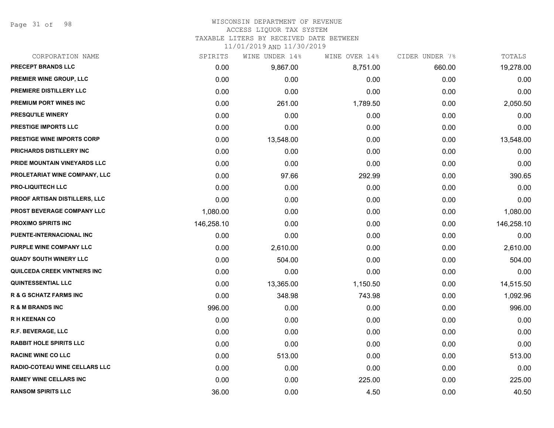Page 31 of 98

#### WISCONSIN DEPARTMENT OF REVENUE ACCESS LIQUOR TAX SYSTEM

TAXABLE LITERS BY RECEIVED DATE BETWEEN

| CORPORATION NAME                     | SPIRITS    | WINE UNDER 14% | WINE OVER 14% | CIDER UNDER 7% | TOTALS     |
|--------------------------------------|------------|----------------|---------------|----------------|------------|
| PRECEPT BRANDS LLC                   | 0.00       | 9,867.00       | 8,751.00      | 660.00         | 19,278.00  |
| PREMIER WINE GROUP, LLC              | 0.00       | 0.00           | 0.00          | 0.00           | 0.00       |
| PREMIERE DISTILLERY LLC              | 0.00       | 0.00           | 0.00          | 0.00           | 0.00       |
| PREMIUM PORT WINES INC               | 0.00       | 261.00         | 1,789.50      | 0.00           | 2,050.50   |
| PRESQU'ILE WINERY                    | 0.00       | 0.00           | 0.00          | 0.00           | 0.00       |
| PRESTIGE IMPORTS LLC                 | 0.00       | 0.00           | 0.00          | 0.00           | 0.00       |
| <b>PRESTIGE WINE IMPORTS CORP</b>    | 0.00       | 13,548.00      | 0.00          | 0.00           | 13,548.00  |
| PRICHARDS DISTILLERY INC             | 0.00       | 0.00           | 0.00          | 0.00           | 0.00       |
| PRIDE MOUNTAIN VINEYARDS LLC         | 0.00       | 0.00           | 0.00          | 0.00           | 0.00       |
| PROLETARIAT WINE COMPANY, LLC        | 0.00       | 97.66          | 292.99        | 0.00           | 390.65     |
| <b>PRO-LIQUITECH LLC</b>             | 0.00       | 0.00           | 0.00          | 0.00           | 0.00       |
| PROOF ARTISAN DISTILLERS, LLC        | 0.00       | 0.00           | 0.00          | 0.00           | 0.00       |
| PROST BEVERAGE COMPANY LLC           | 1,080.00   | 0.00           | 0.00          | 0.00           | 1,080.00   |
| <b>PROXIMO SPIRITS INC</b>           | 146,258.10 | 0.00           | 0.00          | 0.00           | 146,258.10 |
| PUENTE-INTERNACIONAL INC             | 0.00       | 0.00           | 0.00          | 0.00           | 0.00       |
| PURPLE WINE COMPANY LLC              | 0.00       | 2,610.00       | 0.00          | 0.00           | 2,610.00   |
| <b>QUADY SOUTH WINERY LLC</b>        | 0.00       | 504.00         | 0.00          | 0.00           | 504.00     |
| QUILCEDA CREEK VINTNERS INC          | 0.00       | 0.00           | 0.00          | 0.00           | 0.00       |
| <b>QUINTESSENTIAL LLC</b>            | 0.00       | 13,365.00      | 1,150.50      | 0.00           | 14,515.50  |
| <b>R &amp; G SCHATZ FARMS INC</b>    | 0.00       | 348.98         | 743.98        | 0.00           | 1,092.96   |
| <b>R &amp; M BRANDS INC</b>          | 996.00     | 0.00           | 0.00          | 0.00           | 996.00     |
| <b>RH KEENAN CO</b>                  | 0.00       | 0.00           | 0.00          | 0.00           | 0.00       |
| R.F. BEVERAGE, LLC                   | 0.00       | 0.00           | 0.00          | 0.00           | 0.00       |
| <b>RABBIT HOLE SPIRITS LLC</b>       | 0.00       | 0.00           | 0.00          | 0.00           | 0.00       |
| <b>RACINE WINE CO LLC</b>            | 0.00       | 513.00         | 0.00          | 0.00           | 513.00     |
| <b>RADIO-COTEAU WINE CELLARS LLC</b> | 0.00       | 0.00           | 0.00          | 0.00           | 0.00       |
| <b>RAMEY WINE CELLARS INC</b>        | 0.00       | 0.00           | 225.00        | 0.00           | 225.00     |
| <b>RANSOM SPIRITS LLC</b>            | 36.00      | 0.00           | 4.50          | 0.00           | 40.50      |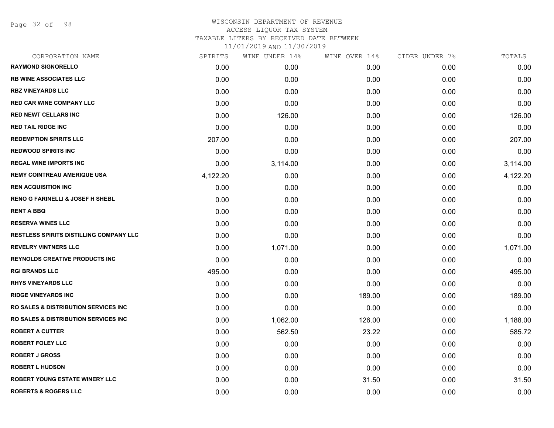Page 32 of 98

# WISCONSIN DEPARTMENT OF REVENUE ACCESS LIQUOR TAX SYSTEM TAXABLE LITERS BY RECEIVED DATE BETWEEN

| CORPORATION NAME                                 | SPIRITS  | WINE UNDER 14% | WINE OVER 14% | CIDER UNDER 7% | TOTALS   |
|--------------------------------------------------|----------|----------------|---------------|----------------|----------|
| <b>RAYMOND SIGNORELLO</b>                        | 0.00     | 0.00           | 0.00          | 0.00           | 0.00     |
| <b>RB WINE ASSOCIATES LLC</b>                    | 0.00     | 0.00           | 0.00          | 0.00           | 0.00     |
| <b>RBZ VINEYARDS LLC</b>                         | 0.00     | 0.00           | 0.00          | 0.00           | 0.00     |
| <b>RED CAR WINE COMPANY LLC</b>                  | 0.00     | 0.00           | 0.00          | 0.00           | 0.00     |
| <b>RED NEWT CELLARS INC</b>                      | 0.00     | 126.00         | 0.00          | 0.00           | 126.00   |
| <b>RED TAIL RIDGE INC</b>                        | 0.00     | 0.00           | 0.00          | 0.00           | 0.00     |
| <b>REDEMPTION SPIRITS LLC</b>                    | 207.00   | 0.00           | 0.00          | 0.00           | 207.00   |
| <b>REDWOOD SPIRITS INC</b>                       | 0.00     | 0.00           | 0.00          | 0.00           | 0.00     |
| <b>REGAL WINE IMPORTS INC</b>                    | 0.00     | 3,114.00       | 0.00          | 0.00           | 3,114.00 |
| <b>REMY COINTREAU AMERIQUE USA</b>               | 4,122.20 | 0.00           | 0.00          | 0.00           | 4,122.20 |
| <b>REN ACQUISITION INC</b>                       | 0.00     | 0.00           | 0.00          | 0.00           | 0.00     |
| <b>RENO G FARINELLI &amp; JOSEF H SHEBL</b>      | 0.00     | 0.00           | 0.00          | 0.00           | 0.00     |
| <b>RENT A BBQ</b>                                | 0.00     | 0.00           | 0.00          | 0.00           | 0.00     |
| <b>RESERVA WINES LLC</b>                         | 0.00     | 0.00           | 0.00          | 0.00           | 0.00     |
| <b>RESTLESS SPIRITS DISTILLING COMPANY LLC</b>   | 0.00     | 0.00           | 0.00          | 0.00           | 0.00     |
| <b>REVELRY VINTNERS LLC</b>                      | 0.00     | 1,071.00       | 0.00          | 0.00           | 1,071.00 |
| <b>REYNOLDS CREATIVE PRODUCTS INC</b>            | 0.00     | 0.00           | 0.00          | 0.00           | 0.00     |
| <b>RGI BRANDS LLC</b>                            | 495.00   | 0.00           | 0.00          | 0.00           | 495.00   |
| <b>RHYS VINEYARDS LLC</b>                        | 0.00     | 0.00           | 0.00          | 0.00           | 0.00     |
| <b>RIDGE VINEYARDS INC</b>                       | 0.00     | 0.00           | 189.00        | 0.00           | 189.00   |
| <b>RO SALES &amp; DISTRIBUTION SERVICES INC</b>  | 0.00     | 0.00           | 0.00          | 0.00           | 0.00     |
| <b>RO SALES &amp; DISTRIBUTION SERVICES INC.</b> | 0.00     | 1,062.00       | 126.00        | 0.00           | 1,188.00 |
| <b>ROBERT A CUTTER</b>                           | 0.00     | 562.50         | 23.22         | 0.00           | 585.72   |
| <b>ROBERT FOLEY LLC</b>                          | 0.00     | 0.00           | 0.00          | 0.00           | 0.00     |
| <b>ROBERT J GROSS</b>                            | 0.00     | 0.00           | 0.00          | 0.00           | 0.00     |
| <b>ROBERT L HUDSON</b>                           | 0.00     | 0.00           | 0.00          | 0.00           | 0.00     |
| <b>ROBERT YOUNG ESTATE WINERY LLC</b>            | 0.00     | 0.00           | 31.50         | 0.00           | 31.50    |
| <b>ROBERTS &amp; ROGERS LLC</b>                  | 0.00     | 0.00           | 0.00          | 0.00           | 0.00     |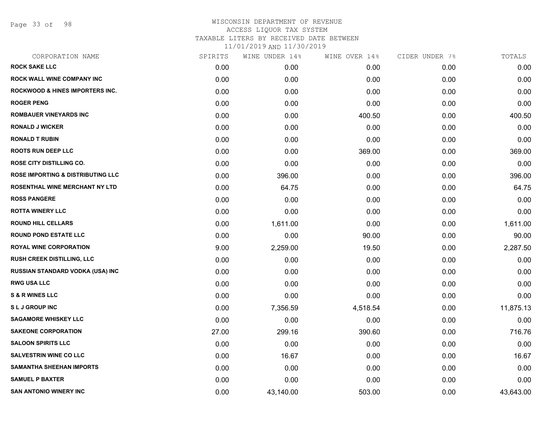Page 33 of 98

| CORPORATION NAME                             | SPIRITS | WINE UNDER 14% | WINE OVER 14% | CIDER UNDER 7% | TOTALS    |
|----------------------------------------------|---------|----------------|---------------|----------------|-----------|
| <b>ROCK SAKE LLC</b>                         | 0.00    | 0.00           | 0.00          | 0.00           | 0.00      |
| ROCK WALL WINE COMPANY INC                   | 0.00    | 0.00           | 0.00          | 0.00           | 0.00      |
| <b>ROCKWOOD &amp; HINES IMPORTERS INC.</b>   | 0.00    | 0.00           | 0.00          | 0.00           | 0.00      |
| <b>ROGER PENG</b>                            | 0.00    | 0.00           | 0.00          | 0.00           | 0.00      |
| <b>ROMBAUER VINEYARDS INC</b>                | 0.00    | 0.00           | 400.50        | 0.00           | 400.50    |
| <b>RONALD J WICKER</b>                       | 0.00    | 0.00           | 0.00          | 0.00           | 0.00      |
| <b>RONALD T RUBIN</b>                        | 0.00    | 0.00           | 0.00          | 0.00           | 0.00      |
| <b>ROOTS RUN DEEP LLC</b>                    | 0.00    | 0.00           | 369.00        | 0.00           | 369.00    |
| ROSE CITY DISTILLING CO.                     | 0.00    | 0.00           | 0.00          | 0.00           | 0.00      |
| <b>ROSE IMPORTING &amp; DISTRIBUTING LLC</b> | 0.00    | 396.00         | 0.00          | 0.00           | 396.00    |
| ROSENTHAL WINE MERCHANT NY LTD               | 0.00    | 64.75          | 0.00          | 0.00           | 64.75     |
| <b>ROSS PANGERE</b>                          | 0.00    | 0.00           | 0.00          | 0.00           | 0.00      |
| <b>ROTTA WINERY LLC</b>                      | 0.00    | 0.00           | 0.00          | 0.00           | 0.00      |
| <b>ROUND HILL CELLARS</b>                    | 0.00    | 1,611.00       | 0.00          | 0.00           | 1,611.00  |
| <b>ROUND POND ESTATE LLC</b>                 | 0.00    | 0.00           | 90.00         | 0.00           | 90.00     |
| ROYAL WINE CORPORATION                       | 9.00    | 2,259.00       | 19.50         | 0.00           | 2,287.50  |
| <b>RUSH CREEK DISTILLING, LLC</b>            | 0.00    | 0.00           | 0.00          | 0.00           | 0.00      |
| RUSSIAN STANDARD VODKA (USA) INC             | 0.00    | 0.00           | 0.00          | 0.00           | 0.00      |
| <b>RWG USA LLC</b>                           | 0.00    | 0.00           | 0.00          | 0.00           | 0.00      |
| <b>S &amp; R WINES LLC</b>                   | 0.00    | 0.00           | 0.00          | 0.00           | 0.00      |
| <b>SLJ GROUP INC</b>                         | 0.00    | 7,356.59       | 4,518.54      | 0.00           | 11,875.13 |
| <b>SAGAMORE WHISKEY LLC</b>                  | 0.00    | 0.00           | 0.00          | 0.00           | 0.00      |
| <b>SAKEONE CORPORATION</b>                   | 27.00   | 299.16         | 390.60        | 0.00           | 716.76    |
| <b>SALOON SPIRITS LLC</b>                    | 0.00    | 0.00           | 0.00          | 0.00           | 0.00      |
| <b>SALVESTRIN WINE CO LLC</b>                | 0.00    | 16.67          | 0.00          | 0.00           | 16.67     |
| <b>SAMANTHA SHEEHAN IMPORTS</b>              | 0.00    | 0.00           | 0.00          | 0.00           | 0.00      |
| <b>SAMUEL P BAXTER</b>                       | 0.00    | 0.00           | 0.00          | 0.00           | 0.00      |
| <b>SAN ANTONIO WINERY INC</b>                | 0.00    | 43,140.00      | 503.00        | 0.00           | 43,643.00 |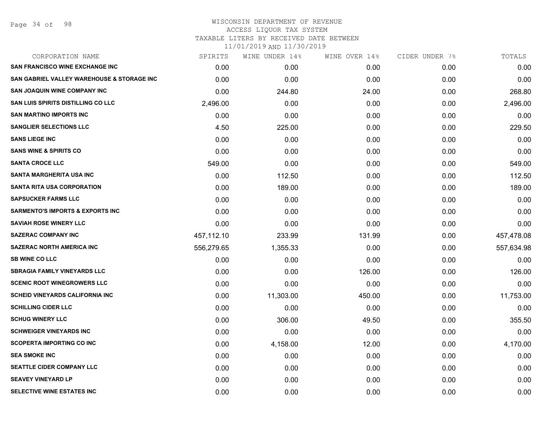## WISCONSIN DEPARTMENT OF REVENUE ACCESS LIQUOR TAX SYSTEM TAXABLE LITERS BY RECEIVED DATE BETWEEN

| CORPORATION NAME                                      | SPIRITS    | WINE UNDER 14% | WINE OVER 14% | CIDER UNDER 7% | TOTALS     |
|-------------------------------------------------------|------------|----------------|---------------|----------------|------------|
| <b>SAN FRANCISCO WINE EXCHANGE INC</b>                | 0.00       | 0.00           | 0.00          | 0.00           | 0.00       |
| <b>SAN GABRIEL VALLEY WAREHOUSE &amp; STORAGE INC</b> | 0.00       | 0.00           | 0.00          | 0.00           | 0.00       |
| <b>SAN JOAQUIN WINE COMPANY INC</b>                   | 0.00       | 244.80         | 24.00         | 0.00           | 268.80     |
| <b>SAN LUIS SPIRITS DISTILLING CO LLC</b>             | 2,496.00   | 0.00           | 0.00          | 0.00           | 2,496.00   |
| <b>SAN MARTINO IMPORTS INC</b>                        | 0.00       | 0.00           | 0.00          | 0.00           | 0.00       |
| <b>SANGLIER SELECTIONS LLC</b>                        | 4.50       | 225.00         | 0.00          | 0.00           | 229.50     |
| <b>SANS LIEGE INC</b>                                 | 0.00       | 0.00           | 0.00          | 0.00           | 0.00       |
| <b>SANS WINE &amp; SPIRITS CO</b>                     | 0.00       | 0.00           | 0.00          | 0.00           | 0.00       |
| <b>SANTA CROCE LLC</b>                                | 549.00     | 0.00           | 0.00          | 0.00           | 549.00     |
| <b>SANTA MARGHERITA USA INC</b>                       | 0.00       | 112.50         | 0.00          | 0.00           | 112.50     |
| <b>SANTA RITA USA CORPORATION</b>                     | 0.00       | 189.00         | 0.00          | 0.00           | 189.00     |
| <b>SAPSUCKER FARMS LLC</b>                            | 0.00       | 0.00           | 0.00          | 0.00           | 0.00       |
| <b>SARMENTO'S IMPORTS &amp; EXPORTS INC</b>           | 0.00       | 0.00           | 0.00          | 0.00           | 0.00       |
| <b>SAVIAH ROSE WINERY LLC</b>                         | 0.00       | 0.00           | 0.00          | 0.00           | 0.00       |
| <b>SAZERAC COMPANY INC</b>                            | 457,112.10 | 233.99         | 131.99        | 0.00           | 457,478.08 |
| <b>SAZERAC NORTH AMERICA INC</b>                      | 556,279.65 | 1,355.33       | 0.00          | 0.00           | 557,634.98 |
| <b>SB WINE CO LLC</b>                                 | 0.00       | 0.00           | 0.00          | 0.00           | 0.00       |
| <b>SBRAGIA FAMILY VINEYARDS LLC</b>                   | 0.00       | 0.00           | 126.00        | 0.00           | 126.00     |
| <b>SCENIC ROOT WINEGROWERS LLC</b>                    | 0.00       | 0.00           | 0.00          | 0.00           | 0.00       |
| <b>SCHEID VINEYARDS CALIFORNIA INC.</b>               | 0.00       | 11,303.00      | 450.00        | 0.00           | 11,753.00  |
| <b>SCHILLING CIDER LLC</b>                            | 0.00       | 0.00           | 0.00          | 0.00           | 0.00       |
| <b>SCHUG WINERY LLC</b>                               | 0.00       | 306.00         | 49.50         | 0.00           | 355.50     |
| <b>SCHWEIGER VINEYARDS INC</b>                        | 0.00       | 0.00           | 0.00          | 0.00           | 0.00       |
| <b>SCOPERTA IMPORTING CO INC</b>                      | 0.00       | 4,158.00       | 12.00         | 0.00           | 4,170.00   |
| <b>SEA SMOKE INC</b>                                  | 0.00       | 0.00           | 0.00          | 0.00           | 0.00       |
| SEATTLE CIDER COMPANY LLC                             | 0.00       | 0.00           | 0.00          | 0.00           | 0.00       |
| <b>SEAVEY VINEYARD LP</b>                             | 0.00       | 0.00           | 0.00          | 0.00           | 0.00       |
| SELECTIVE WINE ESTATES INC                            | 0.00       | 0.00           | 0.00          | 0.00           | 0.00       |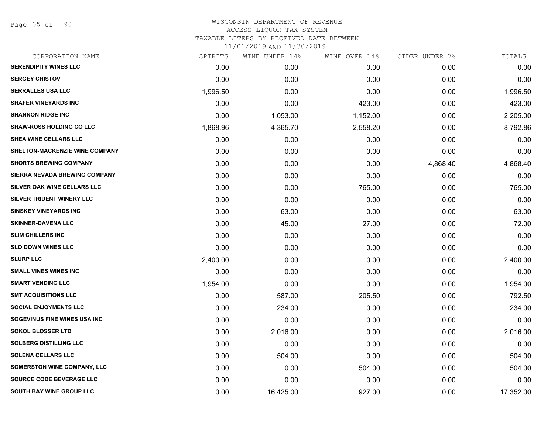Page 35 of 98

# WISCONSIN DEPARTMENT OF REVENUE ACCESS LIQUOR TAX SYSTEM TAXABLE LITERS BY RECEIVED DATE BETWEEN

| CORPORATION NAME                      | SPIRITS  | WINE UNDER 14% | WINE OVER 14% | CIDER UNDER 7% | TOTALS    |
|---------------------------------------|----------|----------------|---------------|----------------|-----------|
| <b>SERENDIPITY WINES LLC</b>          | 0.00     | 0.00           | 0.00          | 0.00           | 0.00      |
| <b>SERGEY CHISTOV</b>                 | 0.00     | 0.00           | 0.00          | 0.00           | 0.00      |
| <b>SERRALLES USA LLC</b>              | 1,996.50 | 0.00           | 0.00          | 0.00           | 1,996.50  |
| <b>SHAFER VINEYARDS INC</b>           | 0.00     | 0.00           | 423.00        | 0.00           | 423.00    |
| <b>SHANNON RIDGE INC</b>              | 0.00     | 1,053.00       | 1,152.00      | 0.00           | 2,205.00  |
| <b>SHAW-ROSS HOLDING CO LLC</b>       | 1,868.96 | 4,365.70       | 2,558.20      | 0.00           | 8,792.86  |
| SHEA WINE CELLARS LLC                 | 0.00     | 0.00           | 0.00          | 0.00           | 0.00      |
| <b>SHELTON-MACKENZIE WINE COMPANY</b> | 0.00     | 0.00           | 0.00          | 0.00           | 0.00      |
| <b>SHORTS BREWING COMPANY</b>         | 0.00     | 0.00           | 0.00          | 4,868.40       | 4,868.40  |
| SIERRA NEVADA BREWING COMPANY         | 0.00     | 0.00           | 0.00          | 0.00           | 0.00      |
| SILVER OAK WINE CELLARS LLC           | 0.00     | 0.00           | 765.00        | 0.00           | 765.00    |
| SILVER TRIDENT WINERY LLC             | 0.00     | 0.00           | 0.00          | 0.00           | 0.00      |
| <b>SINSKEY VINEYARDS INC</b>          | 0.00     | 63.00          | 0.00          | 0.00           | 63.00     |
| <b>SKINNER-DAVENA LLC</b>             | 0.00     | 45.00          | 27.00         | 0.00           | 72.00     |
| <b>SLIM CHILLERS INC</b>              | 0.00     | 0.00           | 0.00          | 0.00           | 0.00      |
| <b>SLO DOWN WINES LLC</b>             | 0.00     | 0.00           | 0.00          | 0.00           | 0.00      |
| <b>SLURP LLC</b>                      | 2,400.00 | 0.00           | 0.00          | 0.00           | 2,400.00  |
| <b>SMALL VINES WINES INC</b>          | 0.00     | 0.00           | 0.00          | 0.00           | 0.00      |
| <b>SMART VENDING LLC</b>              | 1,954.00 | 0.00           | 0.00          | 0.00           | 1,954.00  |
| <b>SMT ACQUISITIONS LLC</b>           | 0.00     | 587.00         | 205.50        | 0.00           | 792.50    |
| <b>SOCIAL ENJOYMENTS LLC</b>          | 0.00     | 234.00         | 0.00          | 0.00           | 234.00    |
| SOGEVINUS FINE WINES USA INC          | 0.00     | 0.00           | 0.00          | 0.00           | 0.00      |
| <b>SOKOL BLOSSER LTD</b>              | 0.00     | 2,016.00       | 0.00          | 0.00           | 2,016.00  |
| <b>SOLBERG DISTILLING LLC</b>         | 0.00     | 0.00           | 0.00          | 0.00           | 0.00      |
| <b>SOLENA CELLARS LLC</b>             | 0.00     | 504.00         | 0.00          | 0.00           | 504.00    |
| <b>SOMERSTON WINE COMPANY, LLC</b>    | 0.00     | 0.00           | 504.00        | 0.00           | 504.00    |
| SOURCE CODE BEVERAGE LLC              | 0.00     | 0.00           | 0.00          | 0.00           | 0.00      |
| <b>SOUTH BAY WINE GROUP LLC</b>       | 0.00     | 16,425.00      | 927.00        | 0.00           | 17,352.00 |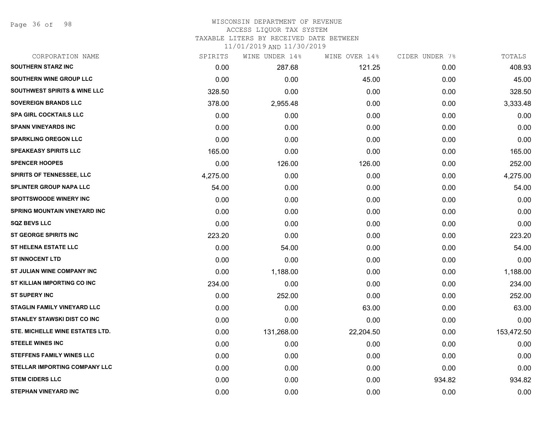Page 36 of 98

## WISCONSIN DEPARTMENT OF REVENUE ACCESS LIQUOR TAX SYSTEM TAXABLE LITERS BY RECEIVED DATE BETWEEN

| CORPORATION NAME                        | SPIRITS  | WINE UNDER 14% | WINE OVER 14% | CIDER UNDER 7% | TOTALS     |
|-----------------------------------------|----------|----------------|---------------|----------------|------------|
| <b>SOUTHERN STARZ INC</b>               | 0.00     | 287.68         | 121.25        | 0.00           | 408.93     |
| <b>SOUTHERN WINE GROUP LLC</b>          | 0.00     | 0.00           | 45.00         | 0.00           | 45.00      |
| <b>SOUTHWEST SPIRITS &amp; WINE LLC</b> | 328.50   | 0.00           | 0.00          | 0.00           | 328.50     |
| <b>SOVEREIGN BRANDS LLC</b>             | 378.00   | 2,955.48       | 0.00          | 0.00           | 3,333.48   |
| <b>SPA GIRL COCKTAILS LLC</b>           | 0.00     | 0.00           | 0.00          | 0.00           | 0.00       |
| <b>SPANN VINEYARDS INC</b>              | 0.00     | 0.00           | 0.00          | 0.00           | 0.00       |
| <b>SPARKLING OREGON LLC</b>             | 0.00     | 0.00           | 0.00          | 0.00           | 0.00       |
| <b>SPEAKEASY SPIRITS LLC</b>            | 165.00   | 0.00           | 0.00          | 0.00           | 165.00     |
| <b>SPENCER HOOPES</b>                   | 0.00     | 126.00         | 126.00        | 0.00           | 252.00     |
| SPIRITS OF TENNESSEE, LLC               | 4,275.00 | 0.00           | 0.00          | 0.00           | 4,275.00   |
| <b>SPLINTER GROUP NAPA LLC</b>          | 54.00    | 0.00           | 0.00          | 0.00           | 54.00      |
| <b>SPOTTSWOODE WINERY INC</b>           | 0.00     | 0.00           | 0.00          | 0.00           | 0.00       |
| <b>SPRING MOUNTAIN VINEYARD INC</b>     | 0.00     | 0.00           | 0.00          | 0.00           | 0.00       |
| <b>SQZ BEVS LLC</b>                     | 0.00     | 0.00           | 0.00          | 0.00           | 0.00       |
| <b>ST GEORGE SPIRITS INC</b>            | 223.20   | 0.00           | 0.00          | 0.00           | 223.20     |
| <b>ST HELENA ESTATE LLC</b>             | 0.00     | 54.00          | 0.00          | 0.00           | 54.00      |
| <b>ST INNOCENT LTD</b>                  | 0.00     | 0.00           | 0.00          | 0.00           | 0.00       |
| ST JULIAN WINE COMPANY INC              | 0.00     | 1,188.00       | 0.00          | 0.00           | 1,188.00   |
| ST KILLIAN IMPORTING CO INC             | 234.00   | 0.00           | 0.00          | 0.00           | 234.00     |
| <b>ST SUPERY INC</b>                    | 0.00     | 252.00         | 0.00          | 0.00           | 252.00     |
| <b>STAGLIN FAMILY VINEYARD LLC</b>      | 0.00     | 0.00           | 63.00         | 0.00           | 63.00      |
| <b>STANLEY STAWSKI DIST CO INC</b>      | 0.00     | 0.00           | 0.00          | 0.00           | 0.00       |
| STE. MICHELLE WINE ESTATES LTD.         | 0.00     | 131,268.00     | 22,204.50     | 0.00           | 153,472.50 |
| <b>STEELE WINES INC</b>                 | 0.00     | 0.00           | 0.00          | 0.00           | 0.00       |
| <b>STEFFENS FAMILY WINES LLC</b>        | 0.00     | 0.00           | 0.00          | 0.00           | 0.00       |
| <b>STELLAR IMPORTING COMPANY LLC</b>    | 0.00     | 0.00           | 0.00          | 0.00           | 0.00       |
| <b>STEM CIDERS LLC</b>                  | 0.00     | 0.00           | 0.00          | 934.82         | 934.82     |
| <b>STEPHAN VINEYARD INC</b>             | 0.00     | 0.00           | 0.00          | 0.00           | 0.00       |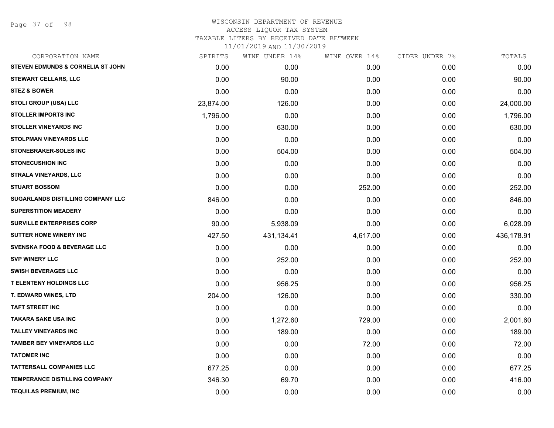Page 37 of 98

| CORPORATION NAME                             | SPIRITS   | WINE UNDER 14% | WINE OVER 14% | CIDER UNDER 7% | TOTALS     |
|----------------------------------------------|-----------|----------------|---------------|----------------|------------|
| <b>STEVEN EDMUNDS &amp; CORNELIA ST JOHN</b> | 0.00      | 0.00           | 0.00          | 0.00           | 0.00       |
| <b>STEWART CELLARS, LLC</b>                  | 0.00      | 90.00          | 0.00          | 0.00           | 90.00      |
| <b>STEZ &amp; BOWER</b>                      | 0.00      | 0.00           | 0.00          | 0.00           | 0.00       |
| <b>STOLI GROUP (USA) LLC</b>                 | 23,874.00 | 126.00         | 0.00          | 0.00           | 24,000.00  |
| <b>STOLLER IMPORTS INC</b>                   | 1,796.00  | 0.00           | 0.00          | 0.00           | 1,796.00   |
| <b>STOLLER VINEYARDS INC</b>                 | 0.00      | 630.00         | 0.00          | 0.00           | 630.00     |
| <b>STOLPMAN VINEYARDS LLC</b>                | 0.00      | 0.00           | 0.00          | 0.00           | 0.00       |
| <b>STONEBRAKER-SOLES INC</b>                 | 0.00      | 504.00         | 0.00          | 0.00           | 504.00     |
| <b>STONECUSHION INC</b>                      | 0.00      | 0.00           | 0.00          | 0.00           | 0.00       |
| STRALA VINEYARDS, LLC                        | 0.00      | 0.00           | 0.00          | 0.00           | 0.00       |
| <b>STUART BOSSOM</b>                         | 0.00      | 0.00           | 252.00        | 0.00           | 252.00     |
| SUGARLANDS DISTILLING COMPANY LLC            | 846.00    | 0.00           | 0.00          | 0.00           | 846.00     |
| <b>SUPERSTITION MEADERY</b>                  | 0.00      | 0.00           | 0.00          | 0.00           | 0.00       |
| <b>SURVILLE ENTERPRISES CORP</b>             | 90.00     | 5,938.09       | 0.00          | 0.00           | 6,028.09   |
| <b>SUTTER HOME WINERY INC</b>                | 427.50    | 431,134.41     | 4,617.00      | 0.00           | 436,178.91 |
| <b>SVENSKA FOOD &amp; BEVERAGE LLC</b>       | 0.00      | 0.00           | 0.00          | 0.00           | 0.00       |
| <b>SVP WINERY LLC</b>                        | 0.00      | 252.00         | 0.00          | 0.00           | 252.00     |
| <b>SWISH BEVERAGES LLC</b>                   | 0.00      | 0.00           | 0.00          | 0.00           | 0.00       |
| <b>T ELENTENY HOLDINGS LLC</b>               | 0.00      | 956.25         | 0.00          | 0.00           | 956.25     |
| T. EDWARD WINES, LTD                         | 204.00    | 126.00         | 0.00          | 0.00           | 330.00     |
| <b>TAFT STREET INC</b>                       | 0.00      | 0.00           | 0.00          | 0.00           | 0.00       |
| <b>TAKARA SAKE USA INC</b>                   | 0.00      | 1,272.60       | 729.00        | 0.00           | 2,001.60   |
| <b>TALLEY VINEYARDS INC</b>                  | 0.00      | 189.00         | 0.00          | 0.00           | 189.00     |
| <b>TAMBER BEY VINEYARDS LLC</b>              | 0.00      | 0.00           | 72.00         | 0.00           | 72.00      |
| <b>TATOMER INC</b>                           | 0.00      | 0.00           | 0.00          | 0.00           | 0.00       |
| <b>TATTERSALL COMPANIES LLC</b>              | 677.25    | 0.00           | 0.00          | 0.00           | 677.25     |
| <b>TEMPERANCE DISTILLING COMPANY</b>         | 346.30    | 69.70          | 0.00          | 0.00           | 416.00     |
| <b>TEQUILAS PREMIUM, INC</b>                 | 0.00      | 0.00           | 0.00          | 0.00           | 0.00       |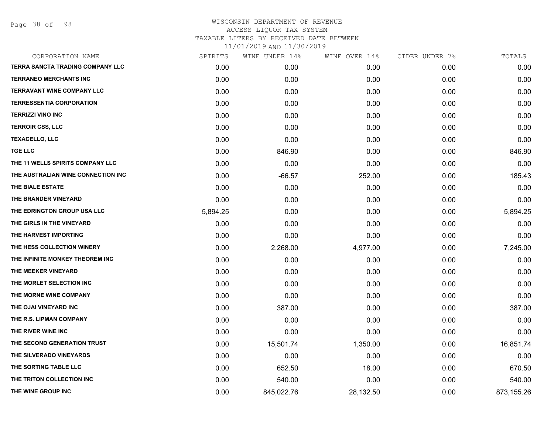Page 38 of 98

| CORPORATION NAME                        | SPIRITS  | WINE UNDER 14% | WINE OVER 14% | CIDER UNDER 7% | TOTALS     |
|-----------------------------------------|----------|----------------|---------------|----------------|------------|
| <b>TERRA SANCTA TRADING COMPANY LLC</b> | 0.00     | 0.00           | 0.00          | 0.00           | 0.00       |
| <b>TERRANEO MERCHANTS INC</b>           | 0.00     | 0.00           | 0.00          | 0.00           | 0.00       |
| <b>TERRAVANT WINE COMPANY LLC</b>       | 0.00     | 0.00           | 0.00          | 0.00           | 0.00       |
| <b>TERRESSENTIA CORPORATION</b>         | 0.00     | 0.00           | 0.00          | 0.00           | 0.00       |
| <b>TERRIZZI VINO INC</b>                | 0.00     | 0.00           | 0.00          | 0.00           | 0.00       |
| <b>TERROIR CSS, LLC</b>                 | 0.00     | 0.00           | 0.00          | 0.00           | 0.00       |
| <b>TEXACELLO, LLC</b>                   | 0.00     | 0.00           | 0.00          | 0.00           | 0.00       |
| <b>TGE LLC</b>                          | 0.00     | 846.90         | 0.00          | 0.00           | 846.90     |
| THE 11 WELLS SPIRITS COMPANY LLC        | 0.00     | 0.00           | 0.00          | 0.00           | 0.00       |
| THE AUSTRALIAN WINE CONNECTION INC      | 0.00     | $-66.57$       | 252.00        | 0.00           | 185.43     |
| THE BIALE ESTATE                        | 0.00     | 0.00           | 0.00          | 0.00           | 0.00       |
| THE BRANDER VINEYARD                    | 0.00     | 0.00           | 0.00          | 0.00           | 0.00       |
| THE EDRINGTON GROUP USA LLC             | 5,894.25 | 0.00           | 0.00          | 0.00           | 5,894.25   |
| THE GIRLS IN THE VINEYARD               | 0.00     | 0.00           | 0.00          | 0.00           | 0.00       |
| THE HARVEST IMPORTING                   | 0.00     | 0.00           | 0.00          | 0.00           | 0.00       |
| THE HESS COLLECTION WINERY              | 0.00     | 2,268.00       | 4,977.00      | 0.00           | 7,245.00   |
| THE INFINITE MONKEY THEOREM INC         | 0.00     | 0.00           | 0.00          | 0.00           | 0.00       |
| THE MEEKER VINEYARD                     | 0.00     | 0.00           | 0.00          | 0.00           | 0.00       |
| THE MORLET SELECTION INC                | 0.00     | 0.00           | 0.00          | 0.00           | 0.00       |
| THE MORNE WINE COMPANY                  | 0.00     | 0.00           | 0.00          | 0.00           | 0.00       |
| THE OJAI VINEYARD INC                   | 0.00     | 387.00         | 0.00          | 0.00           | 387.00     |
| THE R.S. LIPMAN COMPANY                 | 0.00     | 0.00           | 0.00          | 0.00           | 0.00       |
| THE RIVER WINE INC                      | 0.00     | 0.00           | 0.00          | 0.00           | 0.00       |
| THE SECOND GENERATION TRUST             | 0.00     | 15,501.74      | 1,350.00      | 0.00           | 16,851.74  |
| THE SILVERADO VINEYARDS                 | 0.00     | 0.00           | 0.00          | 0.00           | 0.00       |
| THE SORTING TABLE LLC                   | 0.00     | 652.50         | 18.00         | 0.00           | 670.50     |
| THE TRITON COLLECTION INC               | 0.00     | 540.00         | 0.00          | 0.00           | 540.00     |
| THE WINE GROUP INC                      | 0.00     | 845,022.76     | 28,132.50     | 0.00           | 873,155.26 |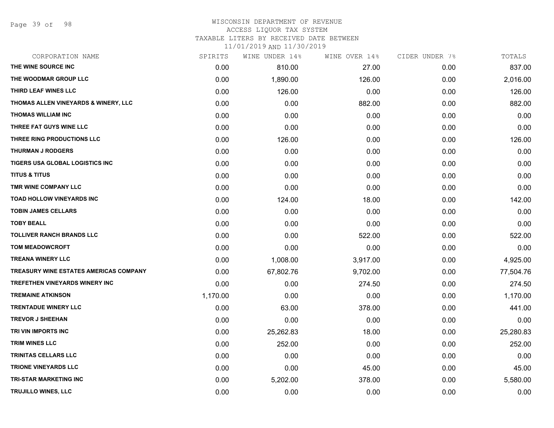Page 39 of 98

#### WISCONSIN DEPARTMENT OF REVENUE ACCESS LIQUOR TAX SYSTEM TAXABLE LITERS BY RECEIVED DATE BETWEEN

| CORPORATION NAME                              | SPIRITS  | WINE UNDER 14% | WINE OVER 14% | CIDER UNDER 7% | TOTALS    |
|-----------------------------------------------|----------|----------------|---------------|----------------|-----------|
| THE WINE SOURCE INC                           | 0.00     | 810.00         | 27.00         | 0.00           | 837.00    |
| THE WOODMAR GROUP LLC                         | 0.00     | 1,890.00       | 126.00        | 0.00           | 2,016.00  |
| THIRD LEAF WINES LLC                          | 0.00     | 126.00         | 0.00          | 0.00           | 126.00    |
| THOMAS ALLEN VINEYARDS & WINERY, LLC          | 0.00     | 0.00           | 882.00        | 0.00           | 882.00    |
| <b>THOMAS WILLIAM INC</b>                     | 0.00     | 0.00           | 0.00          | 0.00           | 0.00      |
| THREE FAT GUYS WINE LLC                       | 0.00     | 0.00           | 0.00          | 0.00           | 0.00      |
| THREE RING PRODUCTIONS LLC                    | 0.00     | 126.00         | 0.00          | 0.00           | 126.00    |
| <b>THURMAN J RODGERS</b>                      | 0.00     | 0.00           | 0.00          | 0.00           | 0.00      |
| TIGERS USA GLOBAL LOGISTICS INC               | 0.00     | 0.00           | 0.00          | 0.00           | 0.00      |
| <b>TITUS &amp; TITUS</b>                      | 0.00     | 0.00           | 0.00          | 0.00           | 0.00      |
| TMR WINE COMPANY LLC                          | 0.00     | 0.00           | 0.00          | 0.00           | 0.00      |
| TOAD HOLLOW VINEYARDS INC                     | 0.00     | 124.00         | 18.00         | 0.00           | 142.00    |
| <b>TOBIN JAMES CELLARS</b>                    | 0.00     | 0.00           | 0.00          | 0.00           | 0.00      |
| <b>TOBY BEALL</b>                             | 0.00     | 0.00           | 0.00          | 0.00           | 0.00      |
| <b>TOLLIVER RANCH BRANDS LLC</b>              | 0.00     | 0.00           | 522.00        | 0.00           | 522.00    |
| <b>TOM MEADOWCROFT</b>                        | 0.00     | 0.00           | 0.00          | 0.00           | 0.00      |
| <b>TREANA WINERY LLC</b>                      | 0.00     | 1,008.00       | 3,917.00      | 0.00           | 4,925.00  |
| <b>TREASURY WINE ESTATES AMERICAS COMPANY</b> | 0.00     | 67,802.76      | 9,702.00      | 0.00           | 77,504.76 |
| TREFETHEN VINEYARDS WINERY INC                | 0.00     | 0.00           | 274.50        | 0.00           | 274.50    |
| <b>TREMAINE ATKINSON</b>                      | 1,170.00 | 0.00           | 0.00          | 0.00           | 1,170.00  |
| <b>TRENTADUE WINERY LLC</b>                   | 0.00     | 63.00          | 378.00        | 0.00           | 441.00    |
| <b>TREVOR J SHEEHAN</b>                       | 0.00     | 0.00           | 0.00          | 0.00           | 0.00      |
| TRI VIN IMPORTS INC                           | 0.00     | 25,262.83      | 18.00         | 0.00           | 25,280.83 |
| <b>TRIM WINES LLC</b>                         | 0.00     | 252.00         | 0.00          | 0.00           | 252.00    |
| <b>TRINITAS CELLARS LLC</b>                   | 0.00     | 0.00           | 0.00          | 0.00           | 0.00      |
| <b>TRIONE VINEYARDS LLC</b>                   | 0.00     | 0.00           | 45.00         | 0.00           | 45.00     |
| <b>TRI-STAR MARKETING INC</b>                 | 0.00     | 5,202.00       | 378.00        | 0.00           | 5,580.00  |
| TRUJILLO WINES, LLC                           | 0.00     | 0.00           | 0.00          | 0.00           | 0.00      |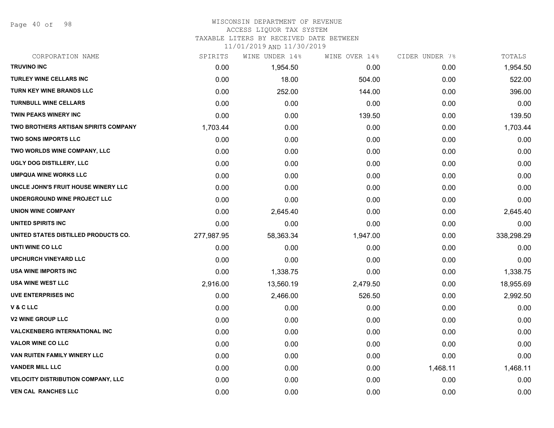Page 40 of 98

#### WISCONSIN DEPARTMENT OF REVENUE ACCESS LIQUOR TAX SYSTEM

TAXABLE LITERS BY RECEIVED DATE BETWEEN

| CORPORATION NAME                            | SPIRITS    | WINE UNDER 14% | WINE OVER 14% | CIDER UNDER 7% | TOTALS     |
|---------------------------------------------|------------|----------------|---------------|----------------|------------|
| <b>TRUVINO INC</b>                          | 0.00       | 1,954.50       | 0.00          | 0.00           | 1,954.50   |
| TURLEY WINE CELLARS INC                     | 0.00       | 18.00          | 504.00        | 0.00           | 522.00     |
| TURN KEY WINE BRANDS LLC                    | 0.00       | 252.00         | 144.00        | 0.00           | 396.00     |
| <b>TURNBULL WINE CELLARS</b>                | 0.00       | 0.00           | 0.00          | 0.00           | 0.00       |
| TWIN PEAKS WINERY INC                       | 0.00       | 0.00           | 139.50        | 0.00           | 139.50     |
| <b>TWO BROTHERS ARTISAN SPIRITS COMPANY</b> | 1,703.44   | 0.00           | 0.00          | 0.00           | 1,703.44   |
| <b>TWO SONS IMPORTS LLC</b>                 | 0.00       | 0.00           | 0.00          | 0.00           | 0.00       |
| TWO WORLDS WINE COMPANY, LLC                | 0.00       | 0.00           | 0.00          | 0.00           | 0.00       |
| UGLY DOG DISTILLERY, LLC                    | 0.00       | 0.00           | 0.00          | 0.00           | 0.00       |
| <b>UMPQUA WINE WORKS LLC</b>                | 0.00       | 0.00           | 0.00          | 0.00           | 0.00       |
| UNCLE JOHN'S FRUIT HOUSE WINERY LLC         | 0.00       | 0.00           | 0.00          | 0.00           | 0.00       |
| UNDERGROUND WINE PROJECT LLC                | 0.00       | 0.00           | 0.00          | 0.00           | 0.00       |
| <b>UNION WINE COMPANY</b>                   | 0.00       | 2,645.40       | 0.00          | 0.00           | 2,645.40   |
| <b>UNITED SPIRITS INC</b>                   | 0.00       | 0.00           | 0.00          | 0.00           | 0.00       |
| UNITED STATES DISTILLED PRODUCTS CO.        | 277,987.95 | 58,363.34      | 1,947.00      | 0.00           | 338,298.29 |
| UNTI WINE CO LLC                            | 0.00       | 0.00           | 0.00          | 0.00           | 0.00       |
| UPCHURCH VINEYARD LLC                       | 0.00       | 0.00           | 0.00          | 0.00           | 0.00       |
| <b>USA WINE IMPORTS INC</b>                 | 0.00       | 1,338.75       | 0.00          | 0.00           | 1,338.75   |
| <b>USA WINE WEST LLC</b>                    | 2,916.00   | 13,560.19      | 2,479.50      | 0.00           | 18,955.69  |
| <b>UVE ENTERPRISES INC</b>                  | 0.00       | 2,466.00       | 526.50        | 0.00           | 2,992.50   |
| V & C LLC                                   | 0.00       | 0.00           | 0.00          | 0.00           | 0.00       |
| <b>V2 WINE GROUP LLC</b>                    | 0.00       | 0.00           | 0.00          | 0.00           | 0.00       |
| <b>VALCKENBERG INTERNATIONAL INC</b>        | 0.00       | 0.00           | 0.00          | 0.00           | 0.00       |
| <b>VALOR WINE CO LLC</b>                    | 0.00       | 0.00           | 0.00          | 0.00           | 0.00       |
| VAN RUITEN FAMILY WINERY LLC                | 0.00       | 0.00           | 0.00          | 0.00           | 0.00       |
| <b>VANDER MILL LLC</b>                      | 0.00       | 0.00           | 0.00          | 1,468.11       | 1,468.11   |
| <b>VELOCITY DISTRIBUTION COMPANY, LLC</b>   | 0.00       | 0.00           | 0.00          | 0.00           | 0.00       |
| <b>VEN CAL RANCHES LLC</b>                  | 0.00       | 0.00           | 0.00          | 0.00           | 0.00       |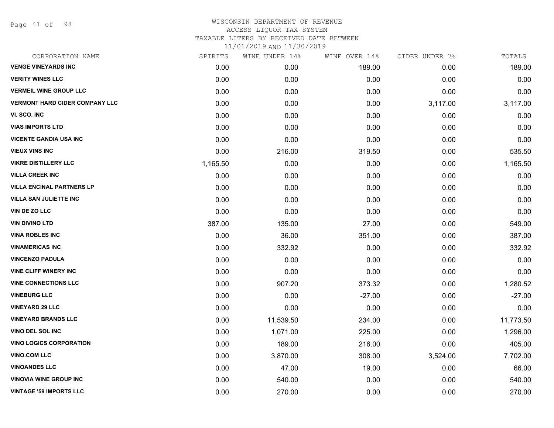Page 41 of 98

### WISCONSIN DEPARTMENT OF REVENUE ACCESS LIQUOR TAX SYSTEM TAXABLE LITERS BY RECEIVED DATE BETWEEN

| CORPORATION NAME                      | SPIRITS  | WINE UNDER 14% | WINE OVER 14% | CIDER UNDER 7% | TOTALS    |
|---------------------------------------|----------|----------------|---------------|----------------|-----------|
| <b>VENGE VINEYARDS INC</b>            | 0.00     | 0.00           | 189.00        | 0.00           | 189.00    |
| <b>VERITY WINES LLC</b>               | 0.00     | 0.00           | 0.00          | 0.00           | 0.00      |
| <b>VERMEIL WINE GROUP LLC</b>         | 0.00     | 0.00           | 0.00          | 0.00           | 0.00      |
| <b>VERMONT HARD CIDER COMPANY LLC</b> | 0.00     | 0.00           | 0.00          | 3,117.00       | 3,117.00  |
| VI. SCO. INC                          | 0.00     | 0.00           | 0.00          | 0.00           | 0.00      |
| <b>VIAS IMPORTS LTD</b>               | 0.00     | 0.00           | 0.00          | 0.00           | 0.00      |
| <b>VICENTE GANDIA USA INC</b>         | 0.00     | 0.00           | 0.00          | 0.00           | 0.00      |
| <b>VIEUX VINS INC</b>                 | 0.00     | 216.00         | 319.50        | 0.00           | 535.50    |
| <b>VIKRE DISTILLERY LLC</b>           | 1,165.50 | 0.00           | 0.00          | 0.00           | 1,165.50  |
| <b>VILLA CREEK INC</b>                | 0.00     | 0.00           | 0.00          | 0.00           | 0.00      |
| <b>VILLA ENCINAL PARTNERS LP</b>      | 0.00     | 0.00           | 0.00          | 0.00           | 0.00      |
| <b>VILLA SAN JULIETTE INC</b>         | 0.00     | 0.00           | 0.00          | 0.00           | 0.00      |
| VIN DE ZO LLC                         | 0.00     | 0.00           | 0.00          | 0.00           | 0.00      |
| <b>VIN DIVINO LTD</b>                 | 387.00   | 135.00         | 27.00         | 0.00           | 549.00    |
| <b>VINA ROBLES INC</b>                | 0.00     | 36.00          | 351.00        | 0.00           | 387.00    |
| <b>VINAMERICAS INC</b>                | 0.00     | 332.92         | 0.00          | 0.00           | 332.92    |
| <b>VINCENZO PADULA</b>                | 0.00     | 0.00           | 0.00          | 0.00           | 0.00      |
| <b>VINE CLIFF WINERY INC</b>          | 0.00     | 0.00           | 0.00          | 0.00           | 0.00      |
| <b>VINE CONNECTIONS LLC</b>           | 0.00     | 907.20         | 373.32        | 0.00           | 1,280.52  |
| <b>VINEBURG LLC</b>                   | 0.00     | 0.00           | $-27.00$      | 0.00           | $-27.00$  |
| <b>VINEYARD 29 LLC</b>                | 0.00     | 0.00           | 0.00          | 0.00           | 0.00      |
| <b>VINEYARD BRANDS LLC</b>            | 0.00     | 11,539.50      | 234.00        | 0.00           | 11,773.50 |
| VINO DEL SOL INC                      | 0.00     | 1,071.00       | 225.00        | 0.00           | 1,296.00  |
| <b>VINO LOGICS CORPORATION</b>        | 0.00     | 189.00         | 216.00        | 0.00           | 405.00    |
| <b>VINO.COM LLC</b>                   | 0.00     | 3,870.00       | 308.00        | 3,524.00       | 7,702.00  |
| <b>VINOANDES LLC</b>                  | 0.00     | 47.00          | 19.00         | 0.00           | 66.00     |
| <b>VINOVIA WINE GROUP INC</b>         | 0.00     | 540.00         | 0.00          | 0.00           | 540.00    |
| <b>VINTAGE '59 IMPORTS LLC</b>        | 0.00     | 270.00         | 0.00          | 0.00           | 270.00    |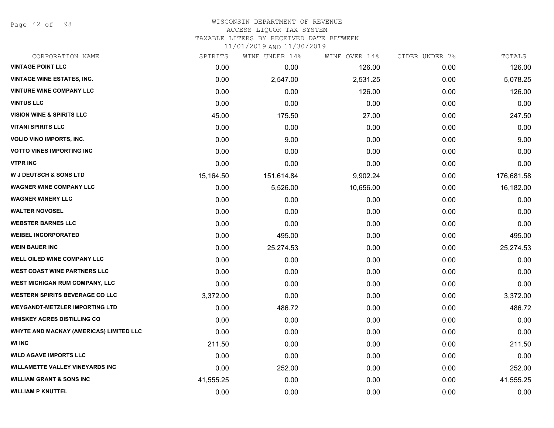Page 42 of 98

#### WISCONSIN DEPARTMENT OF REVENUE ACCESS LIQUOR TAX SYSTEM TAXABLE LITERS BY RECEIVED DATE BETWEEN

| CORPORATION NAME                        | SPIRITS   | WINE UNDER 14% | WINE OVER 14% | CIDER UNDER 7% | TOTALS     |
|-----------------------------------------|-----------|----------------|---------------|----------------|------------|
| <b>VINTAGE POINT LLC</b>                | 0.00      | 0.00           | 126.00        | 0.00           | 126.00     |
| <b>VINTAGE WINE ESTATES, INC.</b>       | 0.00      | 2,547.00       | 2,531.25      | 0.00           | 5,078.25   |
| <b>VINTURE WINE COMPANY LLC</b>         | 0.00      | 0.00           | 126.00        | 0.00           | 126.00     |
| <b>VINTUS LLC</b>                       | 0.00      | 0.00           | 0.00          | 0.00           | 0.00       |
| <b>VISION WINE &amp; SPIRITS LLC</b>    | 45.00     | 175.50         | 27.00         | 0.00           | 247.50     |
| <b>VITANI SPIRITS LLC</b>               | 0.00      | 0.00           | 0.00          | 0.00           | 0.00       |
| <b>VOLIO VINO IMPORTS, INC.</b>         | 0.00      | 9.00           | 0.00          | 0.00           | 9.00       |
| <b>VOTTO VINES IMPORTING INC</b>        | 0.00      | 0.00           | 0.00          | 0.00           | 0.00       |
| <b>VTPR INC</b>                         | 0.00      | 0.00           | 0.00          | 0.00           | 0.00       |
| <b>W J DEUTSCH &amp; SONS LTD</b>       | 15,164.50 | 151,614.84     | 9,902.24      | 0.00           | 176,681.58 |
| <b>WAGNER WINE COMPANY LLC</b>          | 0.00      | 5,526.00       | 10,656.00     | 0.00           | 16,182.00  |
| <b>WAGNER WINERY LLC</b>                | 0.00      | 0.00           | 0.00          | 0.00           | 0.00       |
| <b>WALTER NOVOSEL</b>                   | 0.00      | 0.00           | 0.00          | 0.00           | 0.00       |
| <b>WEBSTER BARNES LLC</b>               | 0.00      | 0.00           | 0.00          | 0.00           | 0.00       |
| <b>WEIBEL INCORPORATED</b>              | 0.00      | 495.00         | 0.00          | 0.00           | 495.00     |
| <b>WEIN BAUER INC</b>                   | 0.00      | 25,274.53      | 0.00          | 0.00           | 25,274.53  |
| <b>WELL OILED WINE COMPANY LLC</b>      | 0.00      | 0.00           | 0.00          | 0.00           | 0.00       |
| <b>WEST COAST WINE PARTNERS LLC</b>     | 0.00      | 0.00           | 0.00          | 0.00           | 0.00       |
| WEST MICHIGAN RUM COMPANY, LLC          | 0.00      | 0.00           | 0.00          | 0.00           | 0.00       |
| <b>WESTERN SPIRITS BEVERAGE CO LLC</b>  | 3,372.00  | 0.00           | 0.00          | 0.00           | 3,372.00   |
| <b>WEYGANDT-METZLER IMPORTING LTD</b>   | 0.00      | 486.72         | 0.00          | 0.00           | 486.72     |
| <b>WHISKEY ACRES DISTILLING CO</b>      | 0.00      | 0.00           | 0.00          | 0.00           | 0.00       |
| WHYTE AND MACKAY (AMERICAS) LIMITED LLC | 0.00      | 0.00           | 0.00          | 0.00           | 0.00       |
| <b>WI INC</b>                           | 211.50    | 0.00           | 0.00          | 0.00           | 211.50     |
| <b>WILD AGAVE IMPORTS LLC</b>           | 0.00      | 0.00           | 0.00          | 0.00           | 0.00       |
| <b>WILLAMETTE VALLEY VINEYARDS INC</b>  | 0.00      | 252.00         | 0.00          | 0.00           | 252.00     |
| <b>WILLIAM GRANT &amp; SONS INC</b>     | 41,555.25 | 0.00           | 0.00          | 0.00           | 41,555.25  |
| <b>WILLIAM P KNUTTEL</b>                | 0.00      | 0.00           | 0.00          | 0.00           | 0.00       |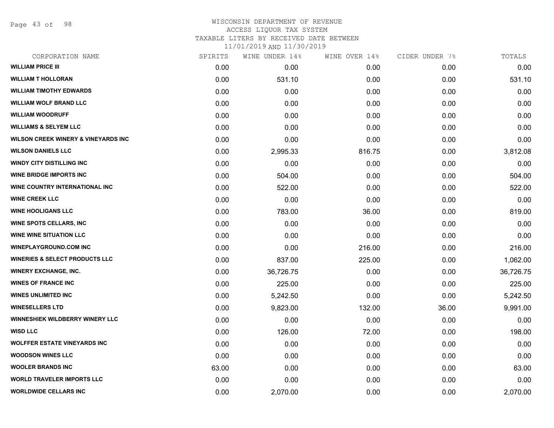Page 43 of 98

#### WISCONSIN DEPARTMENT OF REVENUE ACCESS LIQUOR TAX SYSTEM

TAXABLE LITERS BY RECEIVED DATE BETWEEN

| CORPORATION NAME                               | SPIRITS | WINE UNDER 14% | WINE OVER 14% | CIDER UNDER 7% | TOTALS    |
|------------------------------------------------|---------|----------------|---------------|----------------|-----------|
| <b>WILLIAM PRICE III</b>                       | 0.00    | 0.00           | 0.00          | 0.00           | 0.00      |
| <b>WILLIAM T HOLLORAN</b>                      | 0.00    | 531.10         | 0.00          | 0.00           | 531.10    |
| <b>WILLIAM TIMOTHY EDWARDS</b>                 | 0.00    | 0.00           | 0.00          | 0.00           | 0.00      |
| <b>WILLIAM WOLF BRAND LLC</b>                  | 0.00    | 0.00           | 0.00          | 0.00           | 0.00      |
| <b>WILLIAM WOODRUFF</b>                        | 0.00    | 0.00           | 0.00          | 0.00           | 0.00      |
| <b>WILLIAMS &amp; SELYEM LLC</b>               | 0.00    | 0.00           | 0.00          | 0.00           | 0.00      |
| <b>WILSON CREEK WINERY &amp; VINEYARDS INC</b> | 0.00    | 0.00           | 0.00          | 0.00           | 0.00      |
| <b>WILSON DANIELS LLC</b>                      | 0.00    | 2,995.33       | 816.75        | 0.00           | 3,812.08  |
| <b>WINDY CITY DISTILLING INC</b>               | 0.00    | 0.00           | 0.00          | 0.00           | 0.00      |
| <b>WINE BRIDGE IMPORTS INC</b>                 | 0.00    | 504.00         | 0.00          | 0.00           | 504.00    |
| WINE COUNTRY INTERNATIONAL INC                 | 0.00    | 522.00         | 0.00          | 0.00           | 522.00    |
| <b>WINE CREEK LLC</b>                          | 0.00    | 0.00           | 0.00          | 0.00           | 0.00      |
| <b>WINE HOOLIGANS LLC</b>                      | 0.00    | 783.00         | 36.00         | 0.00           | 819.00    |
| <b>WINE SPOTS CELLARS, INC.</b>                | 0.00    | 0.00           | 0.00          | 0.00           | 0.00      |
| <b>WINE WINE SITUATION LLC</b>                 | 0.00    | 0.00           | 0.00          | 0.00           | 0.00      |
| <b>WINEPLAYGROUND.COM INC</b>                  | 0.00    | 0.00           | 216.00        | 0.00           | 216.00    |
| <b>WINERIES &amp; SELECT PRODUCTS LLC</b>      | 0.00    | 837.00         | 225.00        | 0.00           | 1,062.00  |
| <b>WINERY EXCHANGE, INC.</b>                   | 0.00    | 36,726.75      | 0.00          | 0.00           | 36,726.75 |
| <b>WINES OF FRANCE INC</b>                     | 0.00    | 225.00         | 0.00          | 0.00           | 225.00    |
| <b>WINES UNLIMITED INC</b>                     | 0.00    | 5,242.50       | 0.00          | 0.00           | 5,242.50  |
| <b>WINESELLERS LTD</b>                         | 0.00    | 9,823.00       | 132.00        | 36.00          | 9,991.00  |
| <b>WINNESHIEK WILDBERRY WINERY LLC</b>         | 0.00    | 0.00           | 0.00          | 0.00           | 0.00      |
| <b>WISD LLC</b>                                | 0.00    | 126.00         | 72.00         | 0.00           | 198.00    |
| <b>WOLFFER ESTATE VINEYARDS INC</b>            | 0.00    | 0.00           | 0.00          | 0.00           | 0.00      |
| <b>WOODSON WINES LLC</b>                       | 0.00    | 0.00           | 0.00          | 0.00           | 0.00      |
| <b>WOOLER BRANDS INC</b>                       | 63.00   | 0.00           | 0.00          | 0.00           | 63.00     |
| <b>WORLD TRAVELER IMPORTS LLC</b>              | 0.00    | 0.00           | 0.00          | 0.00           | 0.00      |
| <b>WORLDWIDE CELLARS INC</b>                   | 0.00    | 2,070.00       | 0.00          | 0.00           | 2,070.00  |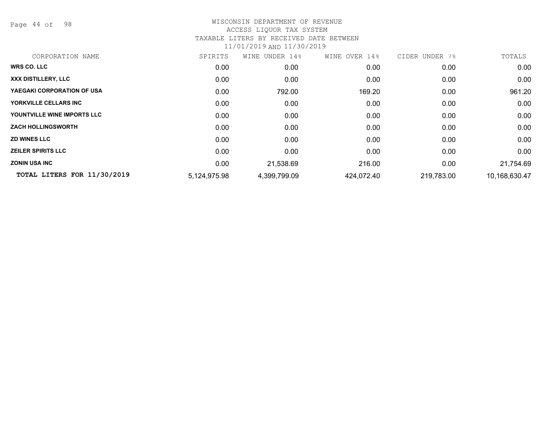Page 44 of 98

| CORPORATION NAME            | SPIRITS      | UNDER 14%<br>WINE | 14%<br>WINE OVER | CIDER<br>7%<br>UNDER | TOTALS        |
|-----------------------------|--------------|-------------------|------------------|----------------------|---------------|
| <b>WRS CO. LLC</b>          | 0.00         | 0.00              | 0.00             | 0.00                 | 0.00          |
| XXX DISTILLERY, LLC         | 0.00         | 0.00              | 0.00             | 0.00                 | 0.00          |
| YAEGAKI CORPORATION OF USA  | 0.00         | 792.00            | 169.20           | 0.00                 | 961.20        |
| YORKVILLE CELLARS INC       | 0.00         | 0.00              | 0.00             | 0.00                 | 0.00          |
| YOUNTVILLE WINE IMPORTS LLC | 0.00         | 0.00              | 0.00             | 0.00                 | 0.00          |
| <b>ZACH HOLLINGSWORTH</b>   | 0.00         | 0.00              | 0.00             | 0.00                 | 0.00          |
| <b>ZD WINES LLC</b>         | 0.00         | 0.00              | 0.00             | 0.00                 | 0.00          |
| <b>ZEILER SPIRITS LLC</b>   | 0.00         | 0.00              | 0.00             | 0.00                 | 0.00          |
| <b>ZONIN USA INC</b>        | 0.00         | 21,538.69         | 216.00           | 0.00                 | 21,754.69     |
| TOTAL LITERS FOR 11/30/2019 | 5,124,975.98 | 4,399,799.09      | 424,072.40       | 219,783.00           | 10,168,630.47 |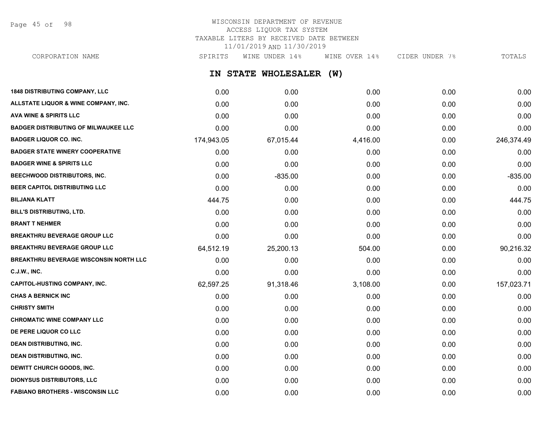Page 45 of 98

## WISCONSIN DEPARTMENT OF REVENUE ACCESS LIQUOR TAX SYSTEM TAXABLE LITERS BY RECEIVED DATE BETWEEN 11/01/2019 AND 11/30/2019

CORPORATION NAME SPIRITS WINE UNDER 14% WINE OVER 14% CIDER UNDER 7% TOTALS

**IN STATE WHOLESALER (W)**

| <b>1848 DISTRIBUTING COMPANY, LLC</b>         | 0.00       | 0.00      | 0.00     | 0.00 | 0.00       |
|-----------------------------------------------|------------|-----------|----------|------|------------|
| ALLSTATE LIQUOR & WINE COMPANY, INC.          | 0.00       | 0.00      | 0.00     | 0.00 | 0.00       |
| <b>AVA WINE &amp; SPIRITS LLC</b>             | 0.00       | 0.00      | 0.00     | 0.00 | 0.00       |
| <b>BADGER DISTRIBUTING OF MILWAUKEE LLC</b>   | 0.00       | 0.00      | 0.00     | 0.00 | 0.00       |
| <b>BADGER LIQUOR CO. INC.</b>                 | 174,943.05 | 67,015.44 | 4,416.00 | 0.00 | 246,374.49 |
| <b>BADGER STATE WINERY COOPERATIVE</b>        | 0.00       | 0.00      | 0.00     | 0.00 | 0.00       |
| <b>BADGER WINE &amp; SPIRITS LLC</b>          | 0.00       | 0.00      | 0.00     | 0.00 | 0.00       |
| BEECHWOOD DISTRIBUTORS, INC.                  | 0.00       | $-835.00$ | 0.00     | 0.00 | $-835.00$  |
| BEER CAPITOL DISTRIBUTING LLC                 | 0.00       | 0.00      | 0.00     | 0.00 | 0.00       |
| <b>BILJANA KLATT</b>                          | 444.75     | 0.00      | 0.00     | 0.00 | 444.75     |
| BILL'S DISTRIBUTING, LTD.                     | 0.00       | 0.00      | 0.00     | 0.00 | 0.00       |
| <b>BRANT T NEHMER</b>                         | 0.00       | 0.00      | 0.00     | 0.00 | 0.00       |
| <b>BREAKTHRU BEVERAGE GROUP LLC</b>           | 0.00       | 0.00      | 0.00     | 0.00 | 0.00       |
| <b>BREAKTHRU BEVERAGE GROUP LLC</b>           | 64,512.19  | 25,200.13 | 504.00   | 0.00 | 90,216.32  |
| <b>BREAKTHRU BEVERAGE WISCONSIN NORTH LLC</b> | 0.00       | 0.00      | 0.00     | 0.00 | 0.00       |
| <b>C.J.W., INC.</b>                           | 0.00       | 0.00      | 0.00     | 0.00 | 0.00       |
| <b>CAPITOL-HUSTING COMPANY, INC.</b>          | 62,597.25  | 91,318.46 | 3,108.00 | 0.00 | 157,023.71 |
| <b>CHAS A BERNICK INC</b>                     | 0.00       | 0.00      | 0.00     | 0.00 | 0.00       |
| <b>CHRISTY SMITH</b>                          | 0.00       | 0.00      | 0.00     | 0.00 | 0.00       |
| <b>CHROMATIC WINE COMPANY LLC</b>             | 0.00       | 0.00      | 0.00     | 0.00 | 0.00       |
| DE PERE LIQUOR CO LLC                         | 0.00       | 0.00      | 0.00     | 0.00 | 0.00       |
| <b>DEAN DISTRIBUTING, INC.</b>                | 0.00       | 0.00      | 0.00     | 0.00 | 0.00       |
| <b>DEAN DISTRIBUTING, INC.</b>                | 0.00       | 0.00      | 0.00     | 0.00 | 0.00       |
| DEWITT CHURCH GOODS, INC.                     | 0.00       | 0.00      | 0.00     | 0.00 | 0.00       |
| <b>DIONYSUS DISTRIBUTORS, LLC</b>             | 0.00       | 0.00      | 0.00     | 0.00 | 0.00       |
| <b>FABIANO BROTHERS - WISCONSIN LLC</b>       | 0.00       | 0.00      | 0.00     | 0.00 | 0.00       |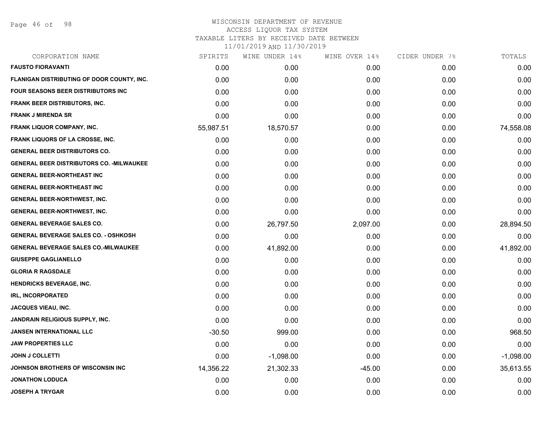Page 46 of 98

## WISCONSIN DEPARTMENT OF REVENUE ACCESS LIQUOR TAX SYSTEM TAXABLE LITERS BY RECEIVED DATE BETWEEN

| CORPORATION NAME                                 | SPIRITS   | WINE UNDER 14% | WINE OVER 14% | CIDER UNDER 7% | TOTALS      |
|--------------------------------------------------|-----------|----------------|---------------|----------------|-------------|
| <b>FAUSTO FIORAVANTI</b>                         | 0.00      | 0.00           | 0.00          | 0.00           | 0.00        |
| FLANIGAN DISTRIBUTING OF DOOR COUNTY, INC.       | 0.00      | 0.00           | 0.00          | 0.00           | 0.00        |
| FOUR SEASONS BEER DISTRIBUTORS INC               | 0.00      | 0.00           | 0.00          | 0.00           | 0.00        |
| <b>FRANK BEER DISTRIBUTORS, INC.</b>             | 0.00      | 0.00           | 0.00          | 0.00           | 0.00        |
| <b>FRANK J MIRENDA SR</b>                        | 0.00      | 0.00           | 0.00          | 0.00           | 0.00        |
| <b>FRANK LIQUOR COMPANY, INC.</b>                | 55,987.51 | 18,570.57      | 0.00          | 0.00           | 74,558.08   |
| <b>FRANK LIQUORS OF LA CROSSE, INC.</b>          | 0.00      | 0.00           | 0.00          | 0.00           | 0.00        |
| <b>GENERAL BEER DISTRIBUTORS CO.</b>             | 0.00      | 0.00           | 0.00          | 0.00           | 0.00        |
| <b>GENERAL BEER DISTRIBUTORS CO. - MILWAUKEE</b> | 0.00      | 0.00           | 0.00          | 0.00           | 0.00        |
| <b>GENERAL BEER-NORTHEAST INC</b>                | 0.00      | 0.00           | 0.00          | 0.00           | 0.00        |
| <b>GENERAL BEER-NORTHEAST INC</b>                | 0.00      | 0.00           | 0.00          | 0.00           | 0.00        |
| <b>GENERAL BEER-NORTHWEST, INC.</b>              | 0.00      | 0.00           | 0.00          | 0.00           | 0.00        |
| <b>GENERAL BEER-NORTHWEST, INC.</b>              | 0.00      | 0.00           | 0.00          | 0.00           | 0.00        |
| <b>GENERAL BEVERAGE SALES CO.</b>                | 0.00      | 26,797.50      | 2,097.00      | 0.00           | 28,894.50   |
| <b>GENERAL BEVERAGE SALES CO. - OSHKOSH</b>      | 0.00      | 0.00           | 0.00          | 0.00           | 0.00        |
| <b>GENERAL BEVERAGE SALES CO.-MILWAUKEE</b>      | 0.00      | 41,892.00      | 0.00          | 0.00           | 41,892.00   |
| <b>GIUSEPPE GAGLIANELLO</b>                      | 0.00      | 0.00           | 0.00          | 0.00           | 0.00        |
| <b>GLORIA R RAGSDALE</b>                         | 0.00      | 0.00           | 0.00          | 0.00           | 0.00        |
| <b>HENDRICKS BEVERAGE, INC.</b>                  | 0.00      | 0.00           | 0.00          | 0.00           | 0.00        |
| <b>IRL, INCORPORATED</b>                         | 0.00      | 0.00           | 0.00          | 0.00           | 0.00        |
| <b>JACQUES VIEAU, INC.</b>                       | 0.00      | 0.00           | 0.00          | 0.00           | 0.00        |
| <b>JANDRAIN RELIGIOUS SUPPLY, INC.</b>           | 0.00      | 0.00           | 0.00          | 0.00           | 0.00        |
| <b>JANSEN INTERNATIONAL LLC</b>                  | $-30.50$  | 999.00         | 0.00          | 0.00           | 968.50      |
| <b>JAW PROPERTIES LLC</b>                        | 0.00      | 0.00           | 0.00          | 0.00           | 0.00        |
| <b>JOHN J COLLETTI</b>                           | 0.00      | $-1,098.00$    | 0.00          | 0.00           | $-1,098.00$ |
| JOHNSON BROTHERS OF WISCONSIN INC                | 14,356.22 | 21,302.33      | $-45.00$      | 0.00           | 35,613.55   |
| <b>JONATHON LODUCA</b>                           | 0.00      | 0.00           | 0.00          | 0.00           | 0.00        |
| <b>JOSEPH A TRYGAR</b>                           | 0.00      | 0.00           | 0.00          | 0.00           | 0.00        |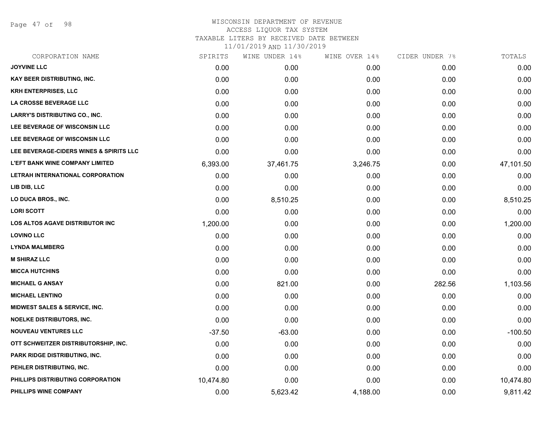Page 47 of 98

| CORPORATION NAME                        | SPIRITS   | WINE UNDER 14% | WINE OVER 14% | CIDER UNDER 7% | TOTALS    |
|-----------------------------------------|-----------|----------------|---------------|----------------|-----------|
| <b>JOYVINE LLC</b>                      | 0.00      | 0.00           | 0.00          | 0.00           | 0.00      |
| KAY BEER DISTRIBUTING, INC.             | 0.00      | 0.00           | 0.00          | 0.00           | 0.00      |
| <b>KRH ENTERPRISES, LLC</b>             | 0.00      | 0.00           | 0.00          | 0.00           | 0.00      |
| <b>LA CROSSE BEVERAGE LLC</b>           | 0.00      | 0.00           | 0.00          | 0.00           | 0.00      |
| <b>LARRY'S DISTRIBUTING CO., INC.</b>   | 0.00      | 0.00           | 0.00          | 0.00           | 0.00      |
| LEE BEVERAGE OF WISCONSIN LLC           | 0.00      | 0.00           | 0.00          | 0.00           | 0.00      |
| LEE BEVERAGE OF WISCONSIN LLC           | 0.00      | 0.00           | 0.00          | 0.00           | 0.00      |
| LEE BEVERAGE-CIDERS WINES & SPIRITS LLC | 0.00      | 0.00           | 0.00          | 0.00           | 0.00      |
| <b>L'EFT BANK WINE COMPANY LIMITED</b>  | 6,393.00  | 37,461.75      | 3,246.75      | 0.00           | 47,101.50 |
| LETRAH INTERNATIONAL CORPORATION        | 0.00      | 0.00           | 0.00          | 0.00           | 0.00      |
| LIB DIB, LLC                            | 0.00      | 0.00           | 0.00          | 0.00           | 0.00      |
| LO DUCA BROS., INC.                     | 0.00      | 8,510.25       | 0.00          | 0.00           | 8,510.25  |
| <b>LORI SCOTT</b>                       | 0.00      | 0.00           | 0.00          | 0.00           | 0.00      |
| LOS ALTOS AGAVE DISTRIBUTOR INC         | 1,200.00  | 0.00           | 0.00          | 0.00           | 1,200.00  |
| <b>LOVINO LLC</b>                       | 0.00      | 0.00           | 0.00          | 0.00           | 0.00      |
| <b>LYNDA MALMBERG</b>                   | 0.00      | 0.00           | 0.00          | 0.00           | 0.00      |
| <b>M SHIRAZ LLC</b>                     | 0.00      | 0.00           | 0.00          | 0.00           | 0.00      |
| <b>MICCA HUTCHINS</b>                   | 0.00      | 0.00           | 0.00          | 0.00           | 0.00      |
| <b>MICHAEL G ANSAY</b>                  | 0.00      | 821.00         | 0.00          | 282.56         | 1,103.56  |
| <b>MICHAEL LENTINO</b>                  | 0.00      | 0.00           | 0.00          | 0.00           | 0.00      |
| MIDWEST SALES & SERVICE, INC.           | 0.00      | 0.00           | 0.00          | 0.00           | 0.00      |
| <b>NOELKE DISTRIBUTORS, INC.</b>        | 0.00      | 0.00           | 0.00          | 0.00           | 0.00      |
| <b>NOUVEAU VENTURES LLC</b>             | $-37.50$  | $-63.00$       | 0.00          | 0.00           | $-100.50$ |
| OTT SCHWEITZER DISTRIBUTORSHIP, INC.    | 0.00      | 0.00           | 0.00          | 0.00           | 0.00      |
| PARK RIDGE DISTRIBUTING, INC.           | 0.00      | 0.00           | 0.00          | 0.00           | 0.00      |
| PEHLER DISTRIBUTING, INC.               | 0.00      | 0.00           | 0.00          | 0.00           | 0.00      |
| PHILLIPS DISTRIBUTING CORPORATION       | 10,474.80 | 0.00           | 0.00          | 0.00           | 10,474.80 |
| PHILLIPS WINE COMPANY                   | 0.00      | 5,623.42       | 4,188.00      | 0.00           | 9,811.42  |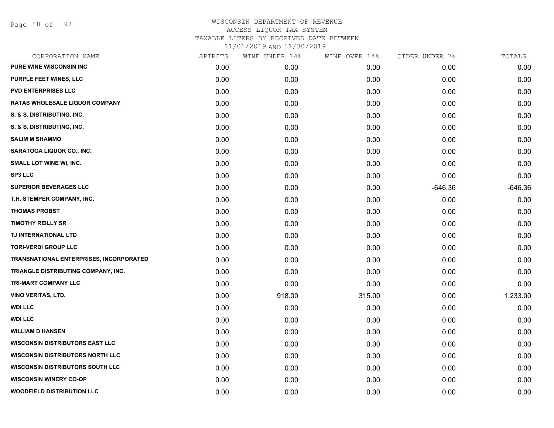Page 48 of 98

| CORPORATION NAME                               | SPIRITS | WINE UNDER 14% | WINE OVER 14% | CIDER UNDER 7% | TOTALS    |
|------------------------------------------------|---------|----------------|---------------|----------------|-----------|
| <b>PURE WINE WISCONSIN INC</b>                 | 0.00    | 0.00           | 0.00          | 0.00           | 0.00      |
| PURPLE FEET WINES, LLC                         | 0.00    | 0.00           | 0.00          | 0.00           | 0.00      |
| <b>PVD ENTERPRISES LLC</b>                     | 0.00    | 0.00           | 0.00          | 0.00           | 0.00      |
| <b>RATAS WHOLESALE LIQUOR COMPANY</b>          | 0.00    | 0.00           | 0.00          | 0.00           | 0.00      |
| S. & S. DISTRIBUTING, INC.                     | 0.00    | 0.00           | 0.00          | 0.00           | 0.00      |
| S. & S. DISTRIBUTING, INC.                     | 0.00    | 0.00           | 0.00          | 0.00           | 0.00      |
| <b>SALIM M SHAMMO</b>                          | 0.00    | 0.00           | 0.00          | 0.00           | 0.00      |
| SARATOGA LIQUOR CO., INC.                      | 0.00    | 0.00           | 0.00          | 0.00           | 0.00      |
| SMALL LOT WINE WI, INC.                        | 0.00    | 0.00           | 0.00          | 0.00           | 0.00      |
| <b>SP3 LLC</b>                                 | 0.00    | 0.00           | 0.00          | 0.00           | 0.00      |
| <b>SUPERIOR BEVERAGES LLC</b>                  | 0.00    | 0.00           | 0.00          | $-646.36$      | $-646.36$ |
| T.H. STEMPER COMPANY, INC.                     | 0.00    | 0.00           | 0.00          | 0.00           | 0.00      |
| <b>THOMAS PROBST</b>                           | 0.00    | 0.00           | 0.00          | 0.00           | 0.00      |
| <b>TIMOTHY REILLY SR</b>                       | 0.00    | 0.00           | 0.00          | 0.00           | 0.00      |
| TJ INTERNATIONAL LTD                           | 0.00    | 0.00           | 0.00          | 0.00           | 0.00      |
| <b>TORI-VERDI GROUP LLC</b>                    | 0.00    | 0.00           | 0.00          | 0.00           | 0.00      |
| <b>TRANSNATIONAL ENTERPRISES, INCORPORATED</b> | 0.00    | 0.00           | 0.00          | 0.00           | 0.00      |
| TRIANGLE DISTRIBUTING COMPANY, INC.            | 0.00    | 0.00           | 0.00          | 0.00           | 0.00      |
| TRI-MART COMPANY LLC                           | 0.00    | 0.00           | 0.00          | 0.00           | 0.00      |
| <b>VINO VERITAS, LTD.</b>                      | 0.00    | 918.00         | 315.00        | 0.00           | 1,233.00  |
| <b>WDI LLC</b>                                 | 0.00    | 0.00           | 0.00          | 0.00           | 0.00      |
| <b>WDI LLC</b>                                 | 0.00    | 0.00           | 0.00          | 0.00           | 0.00      |
| <b>WILLIAM D HANSEN</b>                        | 0.00    | 0.00           | 0.00          | 0.00           | 0.00      |
| <b>WISCONSIN DISTRIBUTORS EAST LLC</b>         | 0.00    | 0.00           | 0.00          | 0.00           | 0.00      |
| <b>WISCONSIN DISTRIBUTORS NORTH LLC</b>        | 0.00    | 0.00           | 0.00          | 0.00           | 0.00      |
| <b>WISCONSIN DISTRIBUTORS SOUTH LLC</b>        | 0.00    | 0.00           | 0.00          | 0.00           | 0.00      |
| <b>WISCONSIN WINERY CO-OP</b>                  | 0.00    | 0.00           | 0.00          | 0.00           | 0.00      |
| <b>WOODFIELD DISTRIBUTION LLC</b>              | 0.00    | 0.00           | 0.00          | 0.00           | 0.00      |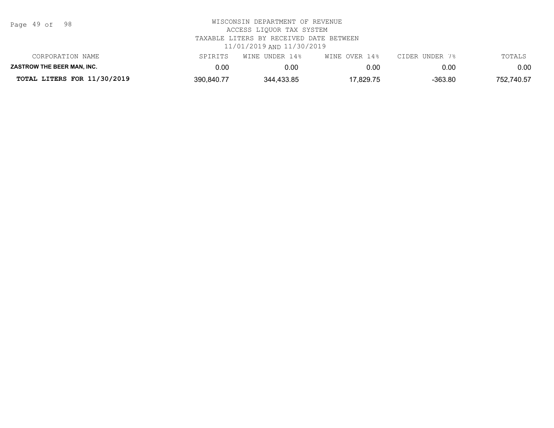| Page | 49 of |  | 98 |
|------|-------|--|----|
|------|-------|--|----|

| CORPORATION NAME            | SPIRITS    | WINE UNDER 14% | WINE OVER 14% | CIDER UNDER 7% | TOTALS     |
|-----------------------------|------------|----------------|---------------|----------------|------------|
| ZASTROW THE BEER MAN. INC.  | ა.00       | 0.00           | 0.00          | 0.00           | $0.00\,$   |
| TOTAL LITERS FOR 11/30/2019 | 390,840.77 | 344,433.85     | '7,829.75     | $-363.80$      | 752,740.57 |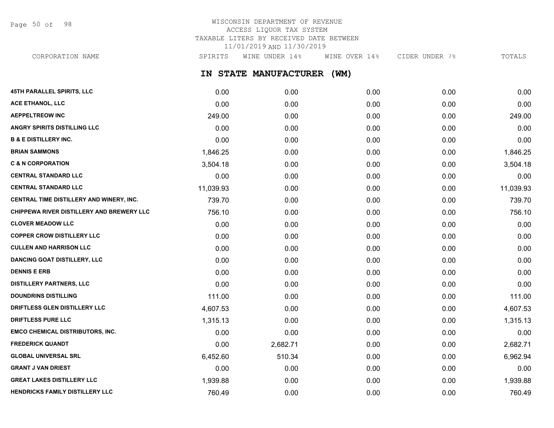Page 50 of 98

## WISCONSIN DEPARTMENT OF REVENUE ACCESS LIQUOR TAX SYSTEM TAXABLE LITERS BY RECEIVED DATE BETWEEN 11/01/2019 AND 11/30/2019

CORPORATION NAME SPIRITS WINE UNDER 14% WINE OVER 14% CIDER UNDER 7% TOTALS

**IN STATE MANUFACTURER (WM)**

| 45TH PARALLEL SPIRITS, LLC                | 0.00      | 0.00     | 0.00 | 0.00 | 0.00      |
|-------------------------------------------|-----------|----------|------|------|-----------|
| ACE ETHANOL, LLC                          | 0.00      | 0.00     | 0.00 | 0.00 | 0.00      |
| <b>AEPPELTREOW INC</b>                    | 249.00    | 0.00     | 0.00 | 0.00 | 249.00    |
| <b>ANGRY SPIRITS DISTILLING LLC</b>       | 0.00      | 0.00     | 0.00 | 0.00 | 0.00      |
| <b>B &amp; E DISTILLERY INC.</b>          | 0.00      | 0.00     | 0.00 | 0.00 | 0.00      |
| <b>BRIAN SAMMONS</b>                      | 1,846.25  | 0.00     | 0.00 | 0.00 | 1,846.25  |
| <b>C &amp; N CORPORATION</b>              | 3,504.18  | 0.00     | 0.00 | 0.00 | 3,504.18  |
| <b>CENTRAL STANDARD LLC</b>               | 0.00      | 0.00     | 0.00 | 0.00 | 0.00      |
| <b>CENTRAL STANDARD LLC</b>               | 11,039.93 | 0.00     | 0.00 | 0.00 | 11,039.93 |
| CENTRAL TIME DISTILLERY AND WINERY, INC.  | 739.70    | 0.00     | 0.00 | 0.00 | 739.70    |
| CHIPPEWA RIVER DISTILLERY AND BREWERY LLC | 756.10    | 0.00     | 0.00 | 0.00 | 756.10    |
| <b>CLOVER MEADOW LLC</b>                  | 0.00      | 0.00     | 0.00 | 0.00 | 0.00      |
| <b>COPPER CROW DISTILLERY LLC</b>         | 0.00      | 0.00     | 0.00 | 0.00 | 0.00      |
| <b>CULLEN AND HARRISON LLC</b>            | 0.00      | 0.00     | 0.00 | 0.00 | 0.00      |
| <b>DANCING GOAT DISTILLERY, LLC</b>       | 0.00      | 0.00     | 0.00 | 0.00 | 0.00      |
| <b>DENNIS E ERB</b>                       | 0.00      | 0.00     | 0.00 | 0.00 | 0.00      |
| <b>DISTILLERY PARTNERS, LLC</b>           | 0.00      | 0.00     | 0.00 | 0.00 | 0.00      |
| <b>DOUNDRINS DISTILLING</b>               | 111.00    | 0.00     | 0.00 | 0.00 | 111.00    |
| DRIFTLESS GLEN DISTILLERY LLC             | 4,607.53  | 0.00     | 0.00 | 0.00 | 4,607.53  |
| <b>DRIFTLESS PURE LLC</b>                 | 1,315.13  | 0.00     | 0.00 | 0.00 | 1,315.13  |
| <b>EMCO CHEMICAL DISTRIBUTORS, INC.</b>   | 0.00      | 0.00     | 0.00 | 0.00 | 0.00      |
| <b>FREDERICK QUANDT</b>                   | 0.00      | 2,682.71 | 0.00 | 0.00 | 2,682.71  |
| <b>GLOBAL UNIVERSAL SRL</b>               | 6,452.60  | 510.34   | 0.00 | 0.00 | 6,962.94  |
| <b>GRANT J VAN DRIEST</b>                 | 0.00      | 0.00     | 0.00 | 0.00 | 0.00      |
| <b>GREAT LAKES DISTILLERY LLC</b>         | 1,939.88  | 0.00     | 0.00 | 0.00 | 1,939.88  |
| HENDRICKS FAMILY DISTILLERY LLC           | 760.49    | 0.00     | 0.00 | 0.00 | 760.49    |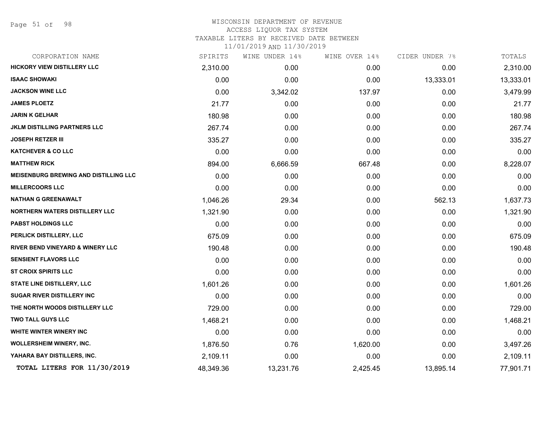Page 51 of 98

#### WISCONSIN DEPARTMENT OF REVENUE ACCESS LIQUOR TAX SYSTEM TAXABLE LITERS BY RECEIVED DATE BETWEEN

| CORPORATION NAME                      | SPIRITS   | WINE UNDER 14% | WINE OVER 14% | CIDER UNDER 7% | TOTALS    |
|---------------------------------------|-----------|----------------|---------------|----------------|-----------|
| <b>HICKORY VIEW DISTILLERY LLC</b>    | 2,310.00  | 0.00           | 0.00          | 0.00           | 2,310.00  |
| <b>ISAAC SHOWAKI</b>                  | 0.00      | 0.00           | 0.00          | 13,333.01      | 13,333.01 |
| <b>JACKSON WINE LLC</b>               | 0.00      | 3,342.02       | 137.97        | 0.00           | 3,479.99  |
| <b>JAMES PLOETZ</b>                   | 21.77     | 0.00           | 0.00          | 0.00           | 21.77     |
| <b>JARIN K GELHAR</b>                 | 180.98    | 0.00           | 0.00          | 0.00           | 180.98    |
| JKLM DISTILLING PARTNERS LLC          | 267.74    | 0.00           | 0.00          | 0.00           | 267.74    |
| <b>JOSEPH RETZER III</b>              | 335.27    | 0.00           | 0.00          | 0.00           | 335.27    |
| <b>KATCHEVER &amp; CO LLC</b>         | 0.00      | 0.00           | 0.00          | 0.00           | 0.00      |
| <b>MATTHEW RICK</b>                   | 894.00    | 6,666.59       | 667.48        | 0.00           | 8,228.07  |
| MEISENBURG BREWING AND DISTILLING LLC | 0.00      | 0.00           | 0.00          | 0.00           | 0.00      |
| <b>MILLERCOORS LLC</b>                | 0.00      | 0.00           | 0.00          | 0.00           | 0.00      |
| NATHAN G GREENAWALT                   | 1,046.26  | 29.34          | 0.00          | 562.13         | 1,637.73  |
| <b>NORTHERN WATERS DISTILLERY LLC</b> | 1,321.90  | 0.00           | 0.00          | 0.00           | 1,321.90  |
| PABST HOLDINGS LLC                    | 0.00      | 0.00           | 0.00          | 0.00           | 0.00      |
| PERLICK DISTILLERY, LLC               | 675.09    | 0.00           | 0.00          | 0.00           | 675.09    |
| RIVER BEND VINEYARD & WINERY LLC      | 190.48    | 0.00           | 0.00          | 0.00           | 190.48    |
| <b>SENSIENT FLAVORS LLC</b>           | 0.00      | 0.00           | 0.00          | 0.00           | 0.00      |
| <b>ST CROIX SPIRITS LLC</b>           | 0.00      | 0.00           | 0.00          | 0.00           | 0.00      |
| <b>STATE LINE DISTILLERY, LLC</b>     | 1,601.26  | 0.00           | 0.00          | 0.00           | 1,601.26  |
| <b>SUGAR RIVER DISTILLERY INC</b>     | 0.00      | 0.00           | 0.00          | 0.00           | 0.00      |
| THE NORTH WOODS DISTILLERY LLC        | 729.00    | 0.00           | 0.00          | 0.00           | 729.00    |
| TWO TALL GUYS LLC                     | 1,468.21  | 0.00           | 0.00          | 0.00           | 1,468.21  |
| WHITE WINTER WINERY INC               | 0.00      | 0.00           | 0.00          | 0.00           | 0.00      |
| <b>WOLLERSHEIM WINERY, INC.</b>       | 1,876.50  | 0.76           | 1,620.00      | 0.00           | 3,497.26  |
| YAHARA BAY DISTILLERS, INC.           | 2,109.11  | 0.00           | 0.00          | 0.00           | 2,109.11  |
| TOTAL LITERS FOR 11/30/2019           | 48,349.36 | 13,231.76      | 2,425.45      | 13,895.14      | 77,901.71 |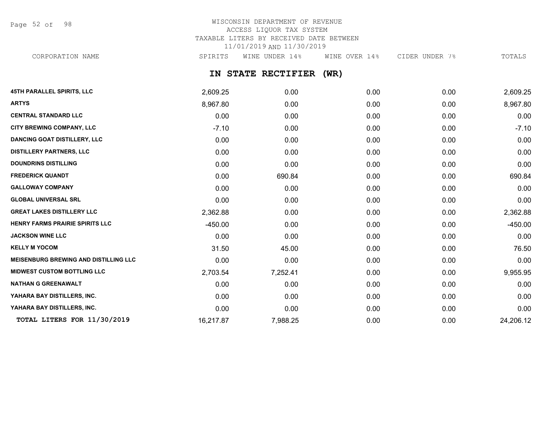Page 52 of 98

## WISCONSIN DEPARTMENT OF REVENUE ACCESS LIQUOR TAX SYSTEM TAXABLE LITERS BY RECEIVED DATE BETWEEN 11/01/2019 AND 11/30/2019 CORPORATION NAME SPIRITS WINE UNDER 14% WINE OVER 14% CIDER UNDER 7% TOTALS

## **IN STATE RECTIFIER (WR)**

| 45TH PARALLEL SPIRITS, LLC                   | 2,609.25  | 0.00     | 0.00 | 0.00 | 2,609.25  |
|----------------------------------------------|-----------|----------|------|------|-----------|
| <b>ARTYS</b>                                 | 8,967.80  | 0.00     | 0.00 | 0.00 | 8,967.80  |
| <b>CENTRAL STANDARD LLC</b>                  | 0.00      | 0.00     | 0.00 | 0.00 | 0.00      |
| <b>CITY BREWING COMPANY, LLC</b>             | $-7.10$   | 0.00     | 0.00 | 0.00 | $-7.10$   |
| <b>DANCING GOAT DISTILLERY, LLC</b>          | 0.00      | 0.00     | 0.00 | 0.00 | 0.00      |
| <b>DISTILLERY PARTNERS, LLC</b>              | 0.00      | 0.00     | 0.00 | 0.00 | 0.00      |
| <b>DOUNDRINS DISTILLING</b>                  | 0.00      | 0.00     | 0.00 | 0.00 | 0.00      |
| <b>FREDERICK QUANDT</b>                      | 0.00      | 690.84   | 0.00 | 0.00 | 690.84    |
| <b>GALLOWAY COMPANY</b>                      | 0.00      | 0.00     | 0.00 | 0.00 | 0.00      |
| <b>GLOBAL UNIVERSAL SRL</b>                  | 0.00      | 0.00     | 0.00 | 0.00 | 0.00      |
| <b>GREAT LAKES DISTILLERY LLC</b>            | 2,362.88  | 0.00     | 0.00 | 0.00 | 2,362.88  |
| <b>HENRY FARMS PRAIRIE SPIRITS LLC</b>       | $-450.00$ | 0.00     | 0.00 | 0.00 | $-450.00$ |
| <b>JACKSON WINE LLC</b>                      | 0.00      | 0.00     | 0.00 | 0.00 | 0.00      |
| <b>KELLY M YOCOM</b>                         | 31.50     | 45.00    | 0.00 | 0.00 | 76.50     |
| <b>MEISENBURG BREWING AND DISTILLING LLC</b> | 0.00      | 0.00     | 0.00 | 0.00 | 0.00      |
| <b>MIDWEST CUSTOM BOTTLING LLC</b>           | 2,703.54  | 7,252.41 | 0.00 | 0.00 | 9,955.95  |
| <b>NATHAN G GREENAWALT</b>                   | 0.00      | 0.00     | 0.00 | 0.00 | 0.00      |
| YAHARA BAY DISTILLERS, INC.                  | 0.00      | 0.00     | 0.00 | 0.00 | 0.00      |
| YAHARA BAY DISTILLERS, INC.                  | 0.00      | 0.00     | 0.00 | 0.00 | 0.00      |
| TOTAL LITERS FOR 11/30/2019                  | 16,217.87 | 7,988.25 | 0.00 | 0.00 | 24,206.12 |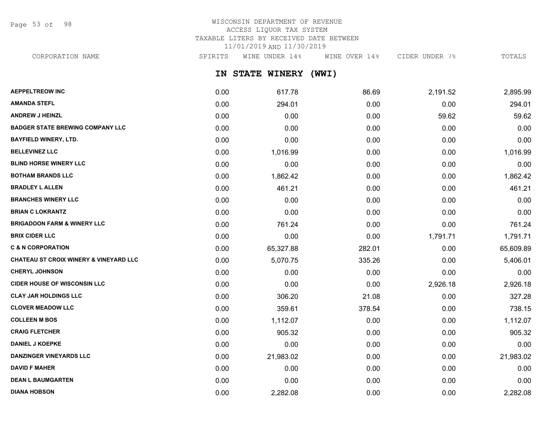Page 53 of 98

## WISCONSIN DEPARTMENT OF REVENUE ACCESS LIQUOR TAX SYSTEM TAXABLE LITERS BY RECEIVED DATE BETWEEN 11/01/2019 AND 11/30/2019

CORPORATION NAME SPIRITS WINE UNDER 14% WINE OVER 14% CIDER UNDER 7% TOTALS

**IN STATE WINERY (WWI)**

| <b>AEPPELTREOW INC</b>                            | 0.00 | 617.78    | 86.69  | 2,191.52 | 2,895.99  |
|---------------------------------------------------|------|-----------|--------|----------|-----------|
| <b>AMANDA STEFL</b>                               | 0.00 | 294.01    | 0.00   | 0.00     | 294.01    |
| <b>ANDREW J HEINZL</b>                            | 0.00 | 0.00      | 0.00   | 59.62    | 59.62     |
| <b>BADGER STATE BREWING COMPANY LLC</b>           | 0.00 | 0.00      | 0.00   | 0.00     | 0.00      |
| <b>BAYFIELD WINERY, LTD.</b>                      | 0.00 | 0.00      | 0.00   | 0.00     | 0.00      |
| <b>BELLEVINEZ LLC</b>                             | 0.00 | 1,016.99  | 0.00   | 0.00     | 1,016.99  |
| <b>BLIND HORSE WINERY LLC</b>                     | 0.00 | 0.00      | 0.00   | 0.00     | 0.00      |
| <b>BOTHAM BRANDS LLC</b>                          | 0.00 | 1,862.42  | 0.00   | 0.00     | 1,862.42  |
| <b>BRADLEY L ALLEN</b>                            | 0.00 | 461.21    | 0.00   | 0.00     | 461.21    |
| <b>BRANCHES WINERY LLC</b>                        | 0.00 | 0.00      | 0.00   | 0.00     | 0.00      |
| <b>BRIAN C LOKRANTZ</b>                           | 0.00 | 0.00      | 0.00   | 0.00     | 0.00      |
| <b>BRIGADOON FARM &amp; WINERY LLC</b>            | 0.00 | 761.24    | 0.00   | 0.00     | 761.24    |
| <b>BRIX CIDER LLC</b>                             | 0.00 | 0.00      | 0.00   | 1,791.71 | 1,791.71  |
| <b>C &amp; N CORPORATION</b>                      | 0.00 | 65,327.88 | 282.01 | 0.00     | 65,609.89 |
| <b>CHATEAU ST CROIX WINERY &amp; VINEYARD LLC</b> | 0.00 | 5,070.75  | 335.26 | 0.00     | 5,406.01  |
| <b>CHERYL JOHNSON</b>                             | 0.00 | 0.00      | 0.00   | 0.00     | 0.00      |
| <b>CIDER HOUSE OF WISCONSIN LLC</b>               | 0.00 | 0.00      | 0.00   | 2,926.18 | 2,926.18  |
| <b>CLAY JAR HOLDINGS LLC</b>                      | 0.00 | 306.20    | 21.08  | 0.00     | 327.28    |
| <b>CLOVER MEADOW LLC</b>                          | 0.00 | 359.61    | 378.54 | 0.00     | 738.15    |
| <b>COLLEEN M BOS</b>                              | 0.00 | 1,112.07  | 0.00   | 0.00     | 1,112.07  |
| <b>CRAIG FLETCHER</b>                             | 0.00 | 905.32    | 0.00   | 0.00     | 905.32    |
| <b>DANIEL J KOEPKE</b>                            | 0.00 | 0.00      | 0.00   | 0.00     | 0.00      |
| <b>DANZINGER VINEYARDS LLC</b>                    | 0.00 | 21,983.02 | 0.00   | 0.00     | 21,983.02 |
| <b>DAVID F MAHER</b>                              | 0.00 | 0.00      | 0.00   | 0.00     | 0.00      |
| <b>DEAN L BAUMGARTEN</b>                          | 0.00 | 0.00      | 0.00   | 0.00     | 0.00      |
| <b>DIANA HOBSON</b>                               | 0.00 | 2,282.08  | 0.00   | 0.00     | 2,282.08  |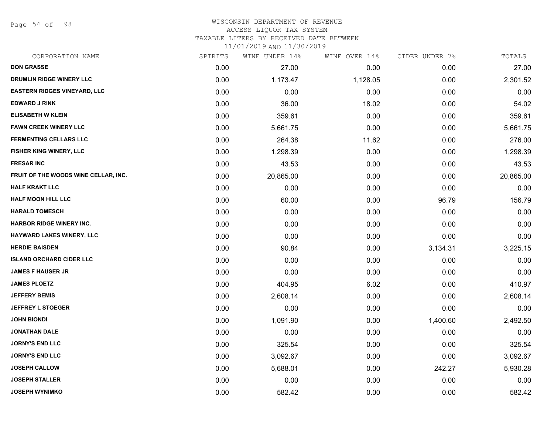Page 54 of 98

#### WISCONSIN DEPARTMENT OF REVENUE ACCESS LIQUOR TAX SYSTEM TAXABLE LITERS BY RECEIVED DATE BETWEEN

| CORPORATION NAME                     | SPIRITS | WINE UNDER 14% | WINE OVER 14% | CIDER UNDER 7% | TOTALS    |
|--------------------------------------|---------|----------------|---------------|----------------|-----------|
| <b>DON GRASSE</b>                    | 0.00    | 27.00          | 0.00          | 0.00           | 27.00     |
| DRUMLIN RIDGE WINERY LLC             | 0.00    | 1,173.47       | 1,128.05      | 0.00           | 2,301.52  |
| <b>EASTERN RIDGES VINEYARD, LLC</b>  | 0.00    | 0.00           | 0.00          | 0.00           | 0.00      |
| <b>EDWARD J RINK</b>                 | 0.00    | 36.00          | 18.02         | 0.00           | 54.02     |
| <b>ELISABETH W KLEIN</b>             | 0.00    | 359.61         | 0.00          | 0.00           | 359.61    |
| <b>FAWN CREEK WINERY LLC</b>         | 0.00    | 5,661.75       | 0.00          | 0.00           | 5,661.75  |
| <b>FERMENTING CELLARS LLC</b>        | 0.00    | 264.38         | 11.62         | 0.00           | 276.00    |
| FISHER KING WINERY, LLC              | 0.00    | 1,298.39       | 0.00          | 0.00           | 1,298.39  |
| <b>FRESAR INC</b>                    | 0.00    | 43.53          | 0.00          | 0.00           | 43.53     |
| FRUIT OF THE WOODS WINE CELLAR, INC. | 0.00    | 20,865.00      | 0.00          | 0.00           | 20,865.00 |
| <b>HALF KRAKT LLC</b>                | 0.00    | 0.00           | 0.00          | 0.00           | 0.00      |
| <b>HALF MOON HILL LLC</b>            | 0.00    | 60.00          | 0.00          | 96.79          | 156.79    |
| <b>HARALD TOMESCH</b>                | 0.00    | 0.00           | 0.00          | 0.00           | 0.00      |
| <b>HARBOR RIDGE WINERY INC.</b>      | 0.00    | 0.00           | 0.00          | 0.00           | 0.00      |
| HAYWARD LAKES WINERY, LLC            | 0.00    | 0.00           | 0.00          | 0.00           | 0.00      |
| <b>HERDIE BAISDEN</b>                | 0.00    | 90.84          | 0.00          | 3,134.31       | 3,225.15  |
| <b>ISLAND ORCHARD CIDER LLC</b>      | 0.00    | 0.00           | 0.00          | 0.00           | 0.00      |
| <b>JAMES F HAUSER JR</b>             | 0.00    | 0.00           | 0.00          | 0.00           | 0.00      |
| <b>JAMES PLOETZ</b>                  | 0.00    | 404.95         | 6.02          | 0.00           | 410.97    |
| <b>JEFFERY BEMIS</b>                 | 0.00    | 2,608.14       | 0.00          | 0.00           | 2,608.14  |
| <b>JEFFREY L STOEGER</b>             | 0.00    | 0.00           | 0.00          | 0.00           | 0.00      |
| <b>JOHN BIONDI</b>                   | 0.00    | 1,091.90       | 0.00          | 1,400.60       | 2,492.50  |
| <b>JONATHAN DALE</b>                 | 0.00    | 0.00           | 0.00          | 0.00           | 0.00      |
| <b>JORNY'S END LLC</b>               | 0.00    | 325.54         | 0.00          | 0.00           | 325.54    |
| <b>JORNY'S END LLC</b>               | 0.00    | 3,092.67       | 0.00          | 0.00           | 3,092.67  |
| <b>JOSEPH CALLOW</b>                 | 0.00    | 5,688.01       | 0.00          | 242.27         | 5,930.28  |
| <b>JOSEPH STALLER</b>                | 0.00    | 0.00           | 0.00          | 0.00           | 0.00      |
| <b>JOSEPH WYNIMKO</b>                | 0.00    | 582.42         | 0.00          | 0.00           | 582.42    |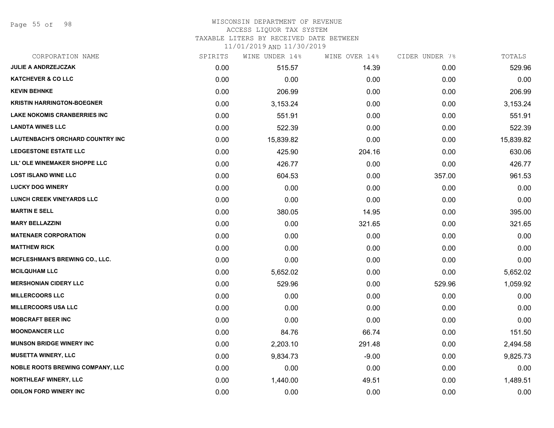Page 55 of 98

#### WISCONSIN DEPARTMENT OF REVENUE ACCESS LIQUOR TAX SYSTEM

TAXABLE LITERS BY RECEIVED DATE BETWEEN

| CORPORATION NAME                        | SPIRITS | WINE UNDER 14% | WINE OVER 14% | CIDER UNDER 7% | TOTALS    |
|-----------------------------------------|---------|----------------|---------------|----------------|-----------|
| <b>JULIE A ANDRZEJCZAK</b>              | 0.00    | 515.57         | 14.39         | 0.00           | 529.96    |
| <b>KATCHEVER &amp; CO LLC</b>           | 0.00    | 0.00           | 0.00          | 0.00           | 0.00      |
| <b>KEVIN BEHNKE</b>                     | 0.00    | 206.99         | 0.00          | 0.00           | 206.99    |
| <b>KRISTIN HARRINGTON-BOEGNER</b>       | 0.00    | 3,153.24       | 0.00          | 0.00           | 3,153.24  |
| <b>LAKE NOKOMIS CRANBERRIES INC</b>     | 0.00    | 551.91         | 0.00          | 0.00           | 551.91    |
| <b>LANDTA WINES LLC</b>                 | 0.00    | 522.39         | 0.00          | 0.00           | 522.39    |
| LAUTENBACH'S ORCHARD COUNTRY INC        | 0.00    | 15,839.82      | 0.00          | 0.00           | 15,839.82 |
| <b>LEDGESTONE ESTATE LLC</b>            | 0.00    | 425.90         | 204.16        | 0.00           | 630.06    |
| LIL' OLE WINEMAKER SHOPPE LLC           | 0.00    | 426.77         | 0.00          | 0.00           | 426.77    |
| <b>LOST ISLAND WINE LLC</b>             | 0.00    | 604.53         | 0.00          | 357.00         | 961.53    |
| <b>LUCKY DOG WINERY</b>                 | 0.00    | 0.00           | 0.00          | 0.00           | 0.00      |
| LUNCH CREEK VINEYARDS LLC               | 0.00    | 0.00           | 0.00          | 0.00           | 0.00      |
| <b>MARTIN E SELL</b>                    | 0.00    | 380.05         | 14.95         | 0.00           | 395.00    |
| <b>MARY BELLAZZINI</b>                  | 0.00    | 0.00           | 321.65        | 0.00           | 321.65    |
| <b>MATENAER CORPORATION</b>             | 0.00    | 0.00           | 0.00          | 0.00           | 0.00      |
| <b>MATTHEW RICK</b>                     | 0.00    | 0.00           | 0.00          | 0.00           | 0.00      |
| <b>MCFLESHMAN'S BREWING CO., LLC.</b>   | 0.00    | 0.00           | 0.00          | 0.00           | 0.00      |
| <b>MCILQUHAM LLC</b>                    | 0.00    | 5,652.02       | 0.00          | 0.00           | 5,652.02  |
| <b>MERSHONIAN CIDERY LLC</b>            | 0.00    | 529.96         | 0.00          | 529.96         | 1,059.92  |
| <b>MILLERCOORS LLC</b>                  | 0.00    | 0.00           | 0.00          | 0.00           | 0.00      |
| <b>MILLERCOORS USA LLC</b>              | 0.00    | 0.00           | 0.00          | 0.00           | 0.00      |
| <b>MOBCRAFT BEER INC</b>                | 0.00    | 0.00           | 0.00          | 0.00           | 0.00      |
| <b>MOONDANCER LLC</b>                   | 0.00    | 84.76          | 66.74         | 0.00           | 151.50    |
| <b>MUNSON BRIDGE WINERY INC</b>         | 0.00    | 2,203.10       | 291.48        | 0.00           | 2,494.58  |
| <b>MUSETTA WINERY, LLC</b>              | 0.00    | 9,834.73       | $-9.00$       | 0.00           | 9,825.73  |
| <b>NOBLE ROOTS BREWING COMPANY, LLC</b> | 0.00    | 0.00           | 0.00          | 0.00           | 0.00      |
| <b>NORTHLEAF WINERY, LLC</b>            | 0.00    | 1,440.00       | 49.51         | 0.00           | 1,489.51  |
| <b>ODILON FORD WINERY INC</b>           | 0.00    | 0.00           | 0.00          | 0.00           | 0.00      |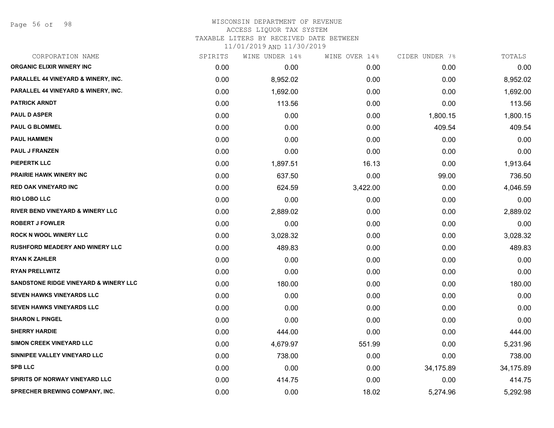Page 56 of 98

### WISCONSIN DEPARTMENT OF REVENUE ACCESS LIQUOR TAX SYSTEM TAXABLE LITERS BY RECEIVED DATE BETWEEN

| CORPORATION NAME                                 | SPIRITS | WINE UNDER 14% | WINE OVER 14% | CIDER UNDER 7% | TOTALS    |
|--------------------------------------------------|---------|----------------|---------------|----------------|-----------|
| <b>ORGANIC ELIXIR WINERY INC</b>                 | 0.00    | 0.00           | 0.00          | 0.00           | 0.00      |
| PARALLEL 44 VINEYARD & WINERY, INC.              | 0.00    | 8,952.02       | 0.00          | 0.00           | 8,952.02  |
| PARALLEL 44 VINEYARD & WINERY, INC.              | 0.00    | 1,692.00       | 0.00          | 0.00           | 1,692.00  |
| <b>PATRICK ARNDT</b>                             | 0.00    | 113.56         | 0.00          | 0.00           | 113.56    |
| <b>PAUL D ASPER</b>                              | 0.00    | 0.00           | 0.00          | 1,800.15       | 1,800.15  |
| <b>PAUL G BLOMMEL</b>                            | 0.00    | 0.00           | 0.00          | 409.54         | 409.54    |
| <b>PAUL HAMMEN</b>                               | 0.00    | 0.00           | 0.00          | 0.00           | 0.00      |
| <b>PAUL J FRANZEN</b>                            | 0.00    | 0.00           | 0.00          | 0.00           | 0.00      |
| <b>PIEPERTK LLC</b>                              | 0.00    | 1,897.51       | 16.13         | 0.00           | 1,913.64  |
| PRAIRIE HAWK WINERY INC                          | 0.00    | 637.50         | 0.00          | 99.00          | 736.50    |
| <b>RED OAK VINEYARD INC</b>                      | 0.00    | 624.59         | 3,422.00      | 0.00           | 4,046.59  |
| <b>RIO LOBO LLC</b>                              | 0.00    | 0.00           | 0.00          | 0.00           | 0.00      |
| <b>RIVER BEND VINEYARD &amp; WINERY LLC</b>      | 0.00    | 2,889.02       | 0.00          | 0.00           | 2,889.02  |
| <b>ROBERT J FOWLER</b>                           | 0.00    | 0.00           | 0.00          | 0.00           | 0.00      |
| <b>ROCK N WOOL WINERY LLC</b>                    | 0.00    | 3,028.32       | 0.00          | 0.00           | 3,028.32  |
| <b>RUSHFORD MEADERY AND WINERY LLC</b>           | 0.00    | 489.83         | 0.00          | 0.00           | 489.83    |
| <b>RYAN K ZAHLER</b>                             | 0.00    | 0.00           | 0.00          | 0.00           | 0.00      |
| <b>RYAN PRELLWITZ</b>                            | 0.00    | 0.00           | 0.00          | 0.00           | 0.00      |
| <b>SANDSTONE RIDGE VINEYARD &amp; WINERY LLC</b> | 0.00    | 180.00         | 0.00          | 0.00           | 180.00    |
| <b>SEVEN HAWKS VINEYARDS LLC</b>                 | 0.00    | 0.00           | 0.00          | 0.00           | 0.00      |
| <b>SEVEN HAWKS VINEYARDS LLC</b>                 | 0.00    | 0.00           | 0.00          | 0.00           | 0.00      |
| <b>SHARON L PINGEL</b>                           | 0.00    | 0.00           | 0.00          | 0.00           | 0.00      |
| <b>SHERRY HARDIE</b>                             | 0.00    | 444.00         | 0.00          | 0.00           | 444.00    |
| <b>SIMON CREEK VINEYARD LLC</b>                  | 0.00    | 4,679.97       | 551.99        | 0.00           | 5,231.96  |
| SINNIPEE VALLEY VINEYARD LLC                     | 0.00    | 738.00         | 0.00          | 0.00           | 738.00    |
| <b>SPB LLC</b>                                   | 0.00    | 0.00           | 0.00          | 34,175.89      | 34,175.89 |
| SPIRITS OF NORWAY VINEYARD LLC                   | 0.00    | 414.75         | 0.00          | 0.00           | 414.75    |
| SPRECHER BREWING COMPANY, INC.                   | 0.00    | 0.00           | 18.02         | 5,274.96       | 5,292.98  |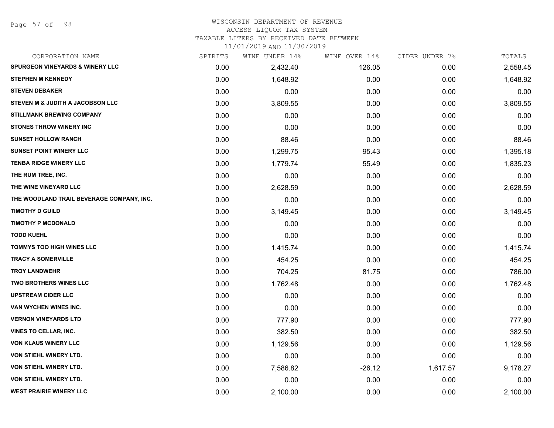## WISCONSIN DEPARTMENT OF REVENUE

## ACCESS LIQUOR TAX SYSTEM

TAXABLE LITERS BY RECEIVED DATE BETWEEN

| CORPORATION NAME                           | SPIRITS | WINE UNDER 14% | WINE OVER 14% | CIDER UNDER 7% | TOTALS   |
|--------------------------------------------|---------|----------------|---------------|----------------|----------|
| <b>SPURGEON VINEYARDS &amp; WINERY LLC</b> | 0.00    | 2,432.40       | 126.05        | 0.00           | 2,558.45 |
| <b>STEPHEN M KENNEDY</b>                   | 0.00    | 1,648.92       | 0.00          | 0.00           | 1,648.92 |
| <b>STEVEN DEBAKER</b>                      | 0.00    | 0.00           | 0.00          | 0.00           | 0.00     |
| STEVEN M & JUDITH A JACOBSON LLC           | 0.00    | 3,809.55       | 0.00          | 0.00           | 3,809.55 |
| <b>STILLMANK BREWING COMPANY</b>           | 0.00    | 0.00           | 0.00          | 0.00           | 0.00     |
| <b>STONES THROW WINERY INC</b>             | 0.00    | 0.00           | 0.00          | 0.00           | 0.00     |
| <b>SUNSET HOLLOW RANCH</b>                 | 0.00    | 88.46          | 0.00          | 0.00           | 88.46    |
| <b>SUNSET POINT WINERY LLC</b>             | 0.00    | 1,299.75       | 95.43         | 0.00           | 1,395.18 |
| <b>TENBA RIDGE WINERY LLC</b>              | 0.00    | 1,779.74       | 55.49         | 0.00           | 1,835.23 |
| THE RUM TREE, INC.                         | 0.00    | 0.00           | 0.00          | 0.00           | 0.00     |
| THE WINE VINEYARD LLC                      | 0.00    | 2,628.59       | 0.00          | 0.00           | 2,628.59 |
| THE WOODLAND TRAIL BEVERAGE COMPANY, INC.  | 0.00    | 0.00           | 0.00          | 0.00           | 0.00     |
| <b>TIMOTHY D GUILD</b>                     | 0.00    | 3,149.45       | 0.00          | 0.00           | 3,149.45 |
| <b>TIMOTHY P MCDONALD</b>                  | 0.00    | 0.00           | 0.00          | 0.00           | 0.00     |
| <b>TODD KUEHL</b>                          | 0.00    | 0.00           | 0.00          | 0.00           | 0.00     |
| <b>TOMMYS TOO HIGH WINES LLC</b>           | 0.00    | 1,415.74       | 0.00          | 0.00           | 1,415.74 |
| <b>TRACY A SOMERVILLE</b>                  | 0.00    | 454.25         | 0.00          | 0.00           | 454.25   |
| <b>TROY LANDWEHR</b>                       | 0.00    | 704.25         | 81.75         | 0.00           | 786.00   |
| <b>TWO BROTHERS WINES LLC</b>              | 0.00    | 1,762.48       | 0.00          | 0.00           | 1,762.48 |
| <b>UPSTREAM CIDER LLC</b>                  | 0.00    | 0.00           | 0.00          | 0.00           | 0.00     |
| VAN WYCHEN WINES INC.                      | 0.00    | 0.00           | 0.00          | 0.00           | 0.00     |
| <b>VERNON VINEYARDS LTD</b>                | 0.00    | 777.90         | 0.00          | 0.00           | 777.90   |
| <b>VINES TO CELLAR, INC.</b>               | 0.00    | 382.50         | 0.00          | 0.00           | 382.50   |
| <b>VON KLAUS WINERY LLC</b>                | 0.00    | 1,129.56       | 0.00          | 0.00           | 1,129.56 |
| VON STIEHL WINERY LTD.                     | 0.00    | 0.00           | 0.00          | 0.00           | 0.00     |
| VON STIEHL WINERY LTD.                     | 0.00    | 7,586.82       | $-26.12$      | 1,617.57       | 9,178.27 |
| <b>VON STIEHL WINERY LTD.</b>              | 0.00    | 0.00           | 0.00          | 0.00           | 0.00     |
| <b>WEST PRAIRIE WINERY LLC</b>             | 0.00    | 2,100.00       | 0.00          | 0.00           | 2,100.00 |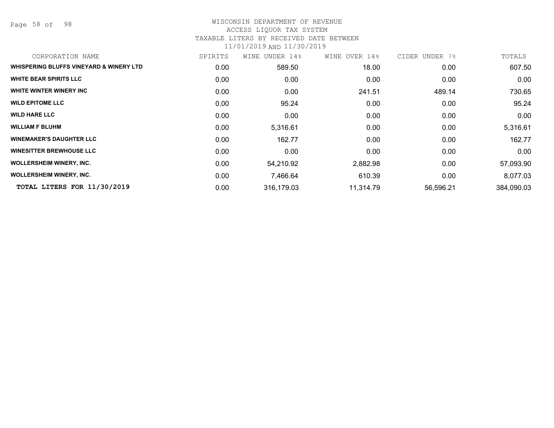Page 58 of 98

### WISCONSIN DEPARTMENT OF REVENUE ACCESS LIQUOR TAX SYSTEM TAXABLE LITERS BY RECEIVED DATE BETWEEN

| CORPORATION NAME                        | SPIRITS           | WINE<br>UNDER 14% | WINE OVER 14% | CIDER UNDER 7% | TOTALS     |
|-----------------------------------------|-------------------|-------------------|---------------|----------------|------------|
| WHISPERING BLUFFS VINEYARD & WINERY LTD | 0.00              | 589.50            | 18.00         | 0.00           | 607.50     |
| <b>WHITE BEAR SPIRITS LLC</b>           | 0.00              | 0.00              | 0.00          | 0.00           | 0.00       |
| WHITE WINTER WINERY INC                 | 0.00              | 0.00              | 241.51        | 489.14         | 730.65     |
| <b>WILD EPITOME LLC</b>                 | 0.00              | 95.24             | 0.00          | 0.00           | 95.24      |
| <b>WILD HARE LLC</b>                    | 0.00              | 0.00              | 0.00          | 0.00           | 0.00       |
| <b>WILLIAM F BLUHM</b>                  | 0.00 <sub>1</sub> | 5,316.61          | 0.00          | 0.00           | 5,316.61   |
| <b>WINEMAKER'S DAUGHTER LLC</b>         | 0.00              | 162.77            | 0.00          | 0.00           | 162.77     |
| <b>WINESITTER BREWHOUSE LLC</b>         | 0.00              | 0.00              | 0.00          | 0.00           | 0.00       |
| <b>WOLLERSHEIM WINERY, INC.</b>         | 0.00              | 54,210.92         | 2,882.98      | 0.00           | 57,093.90  |
| <b>WOLLERSHEIM WINERY, INC.</b>         | 0.00 <sub>1</sub> | 7,466.64          | 610.39        | 0.00           | 8,077.03   |
| TOTAL LITERS FOR 11/30/2019             | 0.00              | 316,179.03        | 11,314.79     | 56,596.21      | 384,090.03 |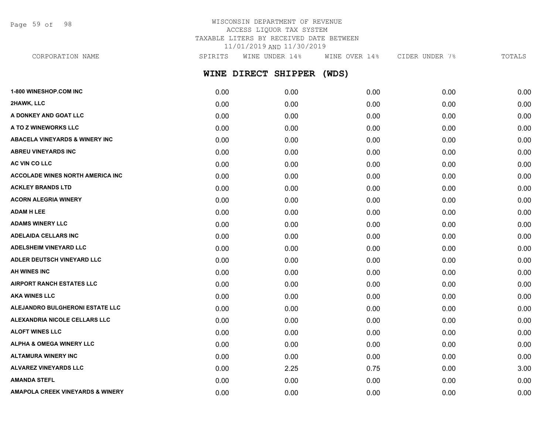Page 59 of 98

## WISCONSIN DEPARTMENT OF REVENUE ACCESS LIQUOR TAX SYSTEM TAXABLE LITERS BY RECEIVED DATE BETWEEN 11/01/2019 AND 11/30/2019

**WINE DIRECT SHIPPER (WDS) 1-800 WINESHOP.COM INC** 0.00 0.00 0.00 0.00 0.00 CORPORATION NAME SPIRITS WINE UNDER 14% WINE OVER 14% CIDER UNDER 7% TOTALS

| 2HAWK, LLC                                  | 0.00 | 0.00 | 0.00 | 0.00 | 0.00 |
|---------------------------------------------|------|------|------|------|------|
| A DONKEY AND GOAT LLC                       | 0.00 | 0.00 | 0.00 | 0.00 | 0.00 |
| A TO Z WINEWORKS LLC                        | 0.00 | 0.00 | 0.00 | 0.00 | 0.00 |
| <b>ABACELA VINEYARDS &amp; WINERY INC</b>   | 0.00 | 0.00 | 0.00 | 0.00 | 0.00 |
| <b>ABREU VINEYARDS INC</b>                  | 0.00 | 0.00 | 0.00 | 0.00 | 0.00 |
| AC VIN CO LLC                               | 0.00 | 0.00 | 0.00 | 0.00 | 0.00 |
| <b>ACCOLADE WINES NORTH AMERICA INC.</b>    | 0.00 | 0.00 | 0.00 | 0.00 | 0.00 |
| <b>ACKLEY BRANDS LTD</b>                    | 0.00 | 0.00 | 0.00 | 0.00 | 0.00 |
| <b>ACORN ALEGRIA WINERY</b>                 | 0.00 | 0.00 | 0.00 | 0.00 | 0.00 |
| <b>ADAM H LEE</b>                           | 0.00 | 0.00 | 0.00 | 0.00 | 0.00 |
| <b>ADAMS WINERY LLC</b>                     | 0.00 | 0.00 | 0.00 | 0.00 | 0.00 |
| <b>ADELAIDA CELLARS INC</b>                 | 0.00 | 0.00 | 0.00 | 0.00 | 0.00 |
| <b>ADELSHEIM VINEYARD LLC</b>               | 0.00 | 0.00 | 0.00 | 0.00 | 0.00 |
| ADLER DEUTSCH VINEYARD LLC                  | 0.00 | 0.00 | 0.00 | 0.00 | 0.00 |
| AH WINES INC                                | 0.00 | 0.00 | 0.00 | 0.00 | 0.00 |
| <b>AIRPORT RANCH ESTATES LLC</b>            | 0.00 | 0.00 | 0.00 | 0.00 | 0.00 |
| <b>AKA WINES LLC</b>                        | 0.00 | 0.00 | 0.00 | 0.00 | 0.00 |
| ALEJANDRO BULGHERONI ESTATE LLC             | 0.00 | 0.00 | 0.00 | 0.00 | 0.00 |
| ALEXANDRIA NICOLE CELLARS LLC               | 0.00 | 0.00 | 0.00 | 0.00 | 0.00 |
| <b>ALOFT WINES LLC</b>                      | 0.00 | 0.00 | 0.00 | 0.00 | 0.00 |
| <b>ALPHA &amp; OMEGA WINERY LLC</b>         | 0.00 | 0.00 | 0.00 | 0.00 | 0.00 |
| <b>ALTAMURA WINERY INC</b>                  | 0.00 | 0.00 | 0.00 | 0.00 | 0.00 |
| <b>ALVAREZ VINEYARDS LLC</b>                | 0.00 | 2.25 | 0.75 | 0.00 | 3.00 |
| <b>AMANDA STEFL</b>                         | 0.00 | 0.00 | 0.00 | 0.00 | 0.00 |
| <b>AMAPOLA CREEK VINEYARDS &amp; WINERY</b> | 0.00 | 0.00 | 0.00 | 0.00 | 0.00 |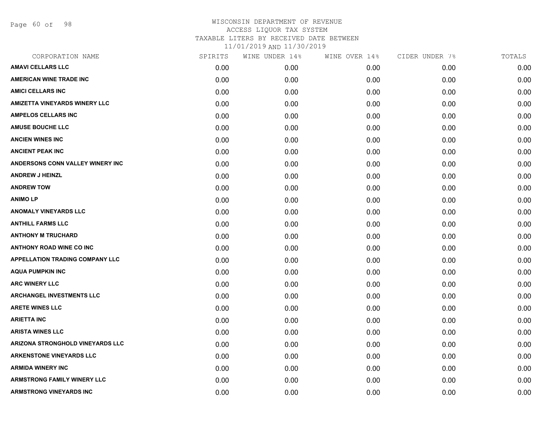Page 60 of 98

| CORPORATION NAME                       | SPIRITS | WINE UNDER 14% | WINE OVER 14% | CIDER UNDER 7% | TOTALS |
|----------------------------------------|---------|----------------|---------------|----------------|--------|
| <b>AMAVI CELLARS LLC</b>               | 0.00    | 0.00           | 0.00          | 0.00           | 0.00   |
| <b>AMERICAN WINE TRADE INC</b>         | 0.00    | 0.00           | 0.00          | 0.00           | 0.00   |
| <b>AMICI CELLARS INC</b>               | 0.00    | 0.00           | 0.00          | 0.00           | 0.00   |
| <b>AMIZETTA VINEYARDS WINERY LLC</b>   | 0.00    | 0.00           | 0.00          | 0.00           | 0.00   |
| <b>AMPELOS CELLARS INC</b>             | 0.00    | 0.00           | 0.00          | 0.00           | 0.00   |
| <b>AMUSE BOUCHE LLC</b>                | 0.00    | 0.00           | 0.00          | 0.00           | 0.00   |
| <b>ANCIEN WINES INC</b>                | 0.00    | 0.00           | 0.00          | 0.00           | 0.00   |
| <b>ANCIENT PEAK INC</b>                | 0.00    | 0.00           | 0.00          | 0.00           | 0.00   |
| ANDERSONS CONN VALLEY WINERY INC       | 0.00    | 0.00           | 0.00          | 0.00           | 0.00   |
| <b>ANDREW J HEINZL</b>                 | 0.00    | 0.00           | 0.00          | 0.00           | 0.00   |
| <b>ANDREW TOW</b>                      | 0.00    | 0.00           | 0.00          | 0.00           | 0.00   |
| <b>ANIMO LP</b>                        | 0.00    | 0.00           | 0.00          | 0.00           | 0.00   |
| <b>ANOMALY VINEYARDS LLC</b>           | 0.00    | 0.00           | 0.00          | 0.00           | 0.00   |
| <b>ANTHILL FARMS LLC</b>               | 0.00    | 0.00           | 0.00          | 0.00           | 0.00   |
| <b>ANTHONY M TRUCHARD</b>              | 0.00    | 0.00           | 0.00          | 0.00           | 0.00   |
| <b>ANTHONY ROAD WINE CO INC</b>        | 0.00    | 0.00           | 0.00          | 0.00           | 0.00   |
| <b>APPELLATION TRADING COMPANY LLC</b> | 0.00    | 0.00           | 0.00          | 0.00           | 0.00   |
| <b>AQUA PUMPKIN INC</b>                | 0.00    | 0.00           | 0.00          | 0.00           | 0.00   |
| <b>ARC WINERY LLC</b>                  | 0.00    | 0.00           | 0.00          | 0.00           | 0.00   |
| <b>ARCHANGEL INVESTMENTS LLC</b>       | 0.00    | 0.00           | 0.00          | 0.00           | 0.00   |
| <b>ARETE WINES LLC</b>                 | 0.00    | 0.00           | 0.00          | 0.00           | 0.00   |
| <b>ARIETTA INC</b>                     | 0.00    | 0.00           | 0.00          | 0.00           | 0.00   |
| <b>ARISTA WINES LLC</b>                | 0.00    | 0.00           | 0.00          | 0.00           | 0.00   |
| ARIZONA STRONGHOLD VINEYARDS LLC       | 0.00    | 0.00           | 0.00          | 0.00           | 0.00   |
| <b>ARKENSTONE VINEYARDS LLC</b>        | 0.00    | 0.00           | 0.00          | 0.00           | 0.00   |
| <b>ARMIDA WINERY INC</b>               | 0.00    | 0.00           | 0.00          | 0.00           | 0.00   |
| <b>ARMSTRONG FAMILY WINERY LLC</b>     | 0.00    | 0.00           | 0.00          | 0.00           | 0.00   |
| <b>ARMSTRONG VINEYARDS INC</b>         | 0.00    | 0.00           | 0.00          | 0.00           | 0.00   |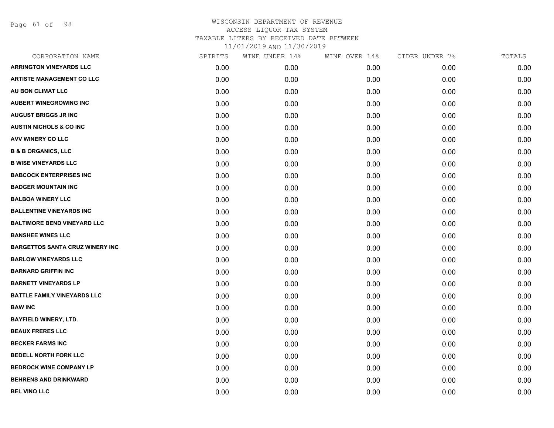Page 61 of 98

| CORPORATION NAME                       | SPIRITS | WINE UNDER 14% | WINE OVER 14% | CIDER UNDER 7% | TOTALS |
|----------------------------------------|---------|----------------|---------------|----------------|--------|
| <b>ARRINGTON VINEYARDS LLC</b>         | 0.00    | 0.00           | 0.00          | 0.00           | 0.00   |
| <b>ARTISTE MANAGEMENT CO LLC</b>       | 0.00    | 0.00           | 0.00          | 0.00           | 0.00   |
| AU BON CLIMAT LLC                      | 0.00    | 0.00           | 0.00          | 0.00           | 0.00   |
| <b>AUBERT WINEGROWING INC</b>          | 0.00    | 0.00           | 0.00          | 0.00           | 0.00   |
| <b>AUGUST BRIGGS JR INC</b>            | 0.00    | 0.00           | 0.00          | 0.00           | 0.00   |
| <b>AUSTIN NICHOLS &amp; CO INC.</b>    | 0.00    | 0.00           | 0.00          | 0.00           | 0.00   |
| AVV WINERY CO LLC                      | 0.00    | 0.00           | 0.00          | 0.00           | 0.00   |
| <b>B &amp; B ORGANICS, LLC</b>         | 0.00    | 0.00           | 0.00          | 0.00           | 0.00   |
| <b>B WISE VINEYARDS LLC</b>            | 0.00    | 0.00           | 0.00          | 0.00           | 0.00   |
| <b>BABCOCK ENTERPRISES INC</b>         | 0.00    | 0.00           | 0.00          | 0.00           | 0.00   |
| <b>BADGER MOUNTAIN INC</b>             | 0.00    | 0.00           | 0.00          | 0.00           | 0.00   |
| <b>BALBOA WINERY LLC</b>               | 0.00    | 0.00           | 0.00          | 0.00           | 0.00   |
| <b>BALLENTINE VINEYARDS INC</b>        | 0.00    | 0.00           | 0.00          | 0.00           | 0.00   |
| <b>BALTIMORE BEND VINEYARD LLC</b>     | 0.00    | 0.00           | 0.00          | 0.00           | 0.00   |
| <b>BANSHEE WINES LLC</b>               | 0.00    | 0.00           | 0.00          | 0.00           | 0.00   |
| <b>BARGETTOS SANTA CRUZ WINERY INC</b> | 0.00    | 0.00           | 0.00          | 0.00           | 0.00   |
| <b>BARLOW VINEYARDS LLC</b>            | 0.00    | 0.00           | 0.00          | 0.00           | 0.00   |
| <b>BARNARD GRIFFIN INC</b>             | 0.00    | 0.00           | 0.00          | 0.00           | 0.00   |
| <b>BARNETT VINEYARDS LP</b>            | 0.00    | 0.00           | 0.00          | 0.00           | 0.00   |
| <b>BATTLE FAMILY VINEYARDS LLC</b>     | 0.00    | 0.00           | 0.00          | 0.00           | 0.00   |
| <b>BAW INC</b>                         | 0.00    | 0.00           | 0.00          | 0.00           | 0.00   |
| <b>BAYFIELD WINERY, LTD.</b>           | 0.00    | 0.00           | 0.00          | 0.00           | 0.00   |
| <b>BEAUX FRERES LLC</b>                | 0.00    | 0.00           | 0.00          | 0.00           | 0.00   |
| <b>BECKER FARMS INC</b>                | 0.00    | 0.00           | 0.00          | 0.00           | 0.00   |
| <b>BEDELL NORTH FORK LLC</b>           | 0.00    | 0.00           | 0.00          | 0.00           | 0.00   |
| <b>BEDROCK WINE COMPANY LP</b>         | 0.00    | 0.00           | 0.00          | 0.00           | 0.00   |
| <b>BEHRENS AND DRINKWARD</b>           | 0.00    | 0.00           | 0.00          | 0.00           | 0.00   |
| <b>BEL VINO LLC</b>                    | 0.00    | 0.00           | 0.00          | 0.00           | 0.00   |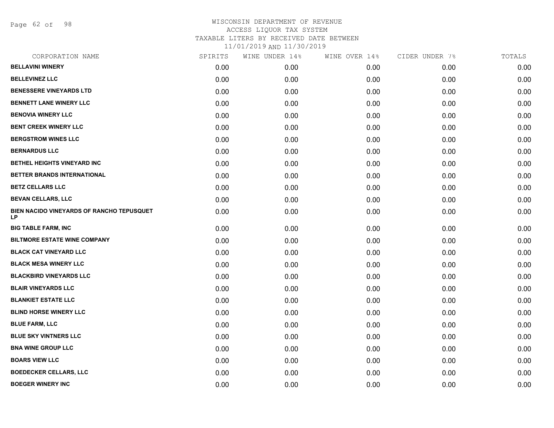Page 62 of 98

| CORPORATION NAME                                | SPIRITS | WINE UNDER 14% | WINE OVER 14% | CIDER UNDER 7% | TOTALS |
|-------------------------------------------------|---------|----------------|---------------|----------------|--------|
| <b>BELLAVINI WINERY</b>                         | 0.00    | 0.00           | 0.00          | 0.00           | 0.00   |
| <b>BELLEVINEZ LLC</b>                           | 0.00    | 0.00           | 0.00          | 0.00           | 0.00   |
| <b>BENESSERE VINEYARDS LTD</b>                  | 0.00    | 0.00           | 0.00          | 0.00           | 0.00   |
| <b>BENNETT LANE WINERY LLC</b>                  | 0.00    | 0.00           | 0.00          | 0.00           | 0.00   |
| <b>BENOVIA WINERY LLC</b>                       | 0.00    | 0.00           | 0.00          | 0.00           | 0.00   |
| <b>BENT CREEK WINERY LLC</b>                    | 0.00    | 0.00           | 0.00          | 0.00           | 0.00   |
| <b>BERGSTROM WINES LLC</b>                      | 0.00    | 0.00           | 0.00          | 0.00           | 0.00   |
| <b>BERNARDUS LLC</b>                            | 0.00    | 0.00           | 0.00          | 0.00           | 0.00   |
| BETHEL HEIGHTS VINEYARD INC                     | 0.00    | 0.00           | 0.00          | 0.00           | 0.00   |
| BETTER BRANDS INTERNATIONAL                     | 0.00    | 0.00           | 0.00          | 0.00           | 0.00   |
| <b>BETZ CELLARS LLC</b>                         | 0.00    | 0.00           | 0.00          | 0.00           | 0.00   |
| <b>BEVAN CELLARS, LLC</b>                       | 0.00    | 0.00           | 0.00          | 0.00           | 0.00   |
| BIEN NACIDO VINEYARDS OF RANCHO TEPUSQUET<br>LP | 0.00    | 0.00           | 0.00          | 0.00           | 0.00   |
| <b>BIG TABLE FARM, INC</b>                      | 0.00    | 0.00           | 0.00          | 0.00           | 0.00   |
| <b>BILTMORE ESTATE WINE COMPANY</b>             | 0.00    | 0.00           | 0.00          | 0.00           | 0.00   |
| <b>BLACK CAT VINEYARD LLC</b>                   | 0.00    | 0.00           | 0.00          | 0.00           | 0.00   |
| <b>BLACK MESA WINERY LLC</b>                    | 0.00    | 0.00           | 0.00          | 0.00           | 0.00   |
| <b>BLACKBIRD VINEYARDS LLC</b>                  | 0.00    | 0.00           | 0.00          | 0.00           | 0.00   |
| <b>BLAIR VINEYARDS LLC</b>                      | 0.00    | 0.00           | 0.00          | 0.00           | 0.00   |
| <b>BLANKIET ESTATE LLC</b>                      | 0.00    | 0.00           | 0.00          | 0.00           | 0.00   |
| <b>BLIND HORSE WINERY LLC</b>                   | 0.00    | 0.00           | 0.00          | 0.00           | 0.00   |
| <b>BLUE FARM, LLC</b>                           | 0.00    | 0.00           | 0.00          | 0.00           | 0.00   |
| <b>BLUE SKY VINTNERS LLC</b>                    | 0.00    | 0.00           | 0.00          | 0.00           | 0.00   |
| <b>BNA WINE GROUP LLC</b>                       | 0.00    | 0.00           | 0.00          | 0.00           | 0.00   |
| <b>BOARS VIEW LLC</b>                           | 0.00    | 0.00           | 0.00          | 0.00           | 0.00   |
| <b>BOEDECKER CELLARS, LLC</b>                   | 0.00    | 0.00           | 0.00          | 0.00           | 0.00   |
| <b>BOEGER WINERY INC</b>                        | 0.00    | 0.00           | 0.00          | 0.00           | 0.00   |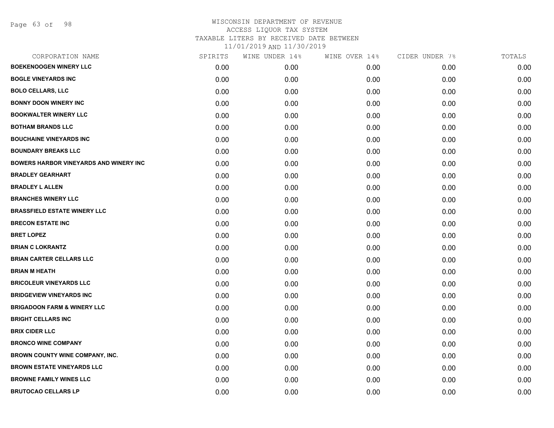Page 63 of 98

| CORPORATION NAME                              | SPIRITS | WINE UNDER 14% | WINE OVER 14% | CIDER UNDER 7% | TOTALS |
|-----------------------------------------------|---------|----------------|---------------|----------------|--------|
| <b>BOEKENOOGEN WINERY LLC</b>                 | 0.00    | 0.00           | 0.00          | 0.00           | 0.00   |
| <b>BOGLE VINEYARDS INC</b>                    | 0.00    | 0.00           | 0.00          | 0.00           | 0.00   |
| <b>BOLO CELLARS, LLC</b>                      | 0.00    | 0.00           | 0.00          | 0.00           | 0.00   |
| <b>BONNY DOON WINERY INC</b>                  | 0.00    | 0.00           | 0.00          | 0.00           | 0.00   |
| <b>BOOKWALTER WINERY LLC</b>                  | 0.00    | 0.00           | 0.00          | 0.00           | 0.00   |
| <b>BOTHAM BRANDS LLC</b>                      | 0.00    | 0.00           | 0.00          | 0.00           | 0.00   |
| <b>BOUCHAINE VINEYARDS INC</b>                | 0.00    | 0.00           | 0.00          | 0.00           | 0.00   |
| <b>BOUNDARY BREAKS LLC</b>                    | 0.00    | 0.00           | 0.00          | 0.00           | 0.00   |
| <b>BOWERS HARBOR VINEYARDS AND WINERY INC</b> | 0.00    | 0.00           | 0.00          | 0.00           | 0.00   |
| <b>BRADLEY GEARHART</b>                       | 0.00    | 0.00           | 0.00          | 0.00           | 0.00   |
| <b>BRADLEY L ALLEN</b>                        | 0.00    | 0.00           | 0.00          | 0.00           | 0.00   |
| <b>BRANCHES WINERY LLC</b>                    | 0.00    | 0.00           | 0.00          | 0.00           | 0.00   |
| <b>BRASSFIELD ESTATE WINERY LLC</b>           | 0.00    | 0.00           | 0.00          | 0.00           | 0.00   |
| <b>BRECON ESTATE INC</b>                      | 0.00    | 0.00           | 0.00          | 0.00           | 0.00   |
| <b>BRET LOPEZ</b>                             | 0.00    | 0.00           | 0.00          | 0.00           | 0.00   |
| <b>BRIAN C LOKRANTZ</b>                       | 0.00    | 0.00           | 0.00          | 0.00           | 0.00   |
| <b>BRIAN CARTER CELLARS LLC</b>               | 0.00    | 0.00           | 0.00          | 0.00           | 0.00   |
| <b>BRIAN M HEATH</b>                          | 0.00    | 0.00           | 0.00          | 0.00           | 0.00   |
| <b>BRICOLEUR VINEYARDS LLC</b>                | 0.00    | 0.00           | 0.00          | 0.00           | 0.00   |
| <b>BRIDGEVIEW VINEYARDS INC</b>               | 0.00    | 0.00           | 0.00          | 0.00           | 0.00   |
| <b>BRIGADOON FARM &amp; WINERY LLC</b>        | 0.00    | 0.00           | 0.00          | 0.00           | 0.00   |
| <b>BRIGHT CELLARS INC</b>                     | 0.00    | 0.00           | 0.00          | 0.00           | 0.00   |
| <b>BRIX CIDER LLC</b>                         | 0.00    | 0.00           | 0.00          | 0.00           | 0.00   |
| <b>BRONCO WINE COMPANY</b>                    | 0.00    | 0.00           | 0.00          | 0.00           | 0.00   |
| BROWN COUNTY WINE COMPANY, INC.               | 0.00    | 0.00           | 0.00          | 0.00           | 0.00   |
| <b>BROWN ESTATE VINEYARDS LLC</b>             | 0.00    | 0.00           | 0.00          | 0.00           | 0.00   |
| <b>BROWNE FAMILY WINES LLC</b>                | 0.00    | 0.00           | 0.00          | 0.00           | 0.00   |
| <b>BRUTOCAO CELLARS LP</b>                    | 0.00    | 0.00           | 0.00          | 0.00           | 0.00   |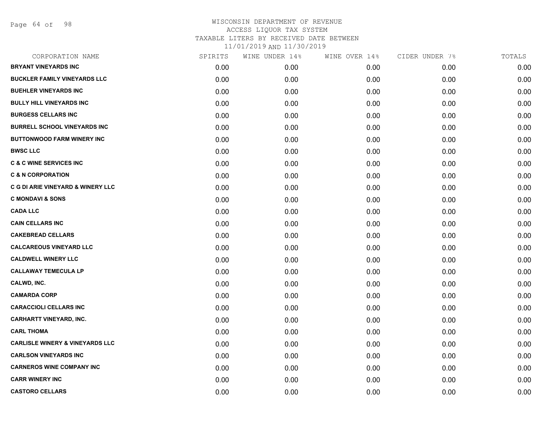Page 64 of 98

| CORPORATION NAME                           | SPIRITS | WINE UNDER 14% | WINE OVER 14% | CIDER UNDER 7% | TOTALS |
|--------------------------------------------|---------|----------------|---------------|----------------|--------|
| <b>BRYANT VINEYARDS INC</b>                | 0.00    | 0.00           | 0.00          | 0.00           | 0.00   |
| <b>BUCKLER FAMILY VINEYARDS LLC</b>        | 0.00    | 0.00           | 0.00          | 0.00           | 0.00   |
| <b>BUEHLER VINEYARDS INC</b>               | 0.00    | 0.00           | 0.00          | 0.00           | 0.00   |
| <b>BULLY HILL VINEYARDS INC</b>            | 0.00    | 0.00           | 0.00          | 0.00           | 0.00   |
| <b>BURGESS CELLARS INC</b>                 | 0.00    | 0.00           | 0.00          | 0.00           | 0.00   |
| <b>BURRELL SCHOOL VINEYARDS INC</b>        | 0.00    | 0.00           | 0.00          | 0.00           | 0.00   |
| <b>BUTTONWOOD FARM WINERY INC</b>          | 0.00    | 0.00           | 0.00          | 0.00           | 0.00   |
| <b>BWSC LLC</b>                            | 0.00    | 0.00           | 0.00          | 0.00           | 0.00   |
| <b>C &amp; C WINE SERVICES INC</b>         | 0.00    | 0.00           | 0.00          | 0.00           | 0.00   |
| <b>C &amp; N CORPORATION</b>               | 0.00    | 0.00           | 0.00          | 0.00           | 0.00   |
| C G DI ARIE VINEYARD & WINERY LLC          | 0.00    | 0.00           | 0.00          | 0.00           | 0.00   |
| <b>C MONDAVI &amp; SONS</b>                | 0.00    | 0.00           | 0.00          | 0.00           | 0.00   |
| <b>CADA LLC</b>                            | 0.00    | 0.00           | 0.00          | 0.00           | 0.00   |
| <b>CAIN CELLARS INC</b>                    | 0.00    | 0.00           | 0.00          | 0.00           | 0.00   |
| <b>CAKEBREAD CELLARS</b>                   | 0.00    | 0.00           | 0.00          | 0.00           | 0.00   |
| <b>CALCAREOUS VINEYARD LLC</b>             | 0.00    | 0.00           | 0.00          | 0.00           | 0.00   |
| <b>CALDWELL WINERY LLC</b>                 | 0.00    | 0.00           | 0.00          | 0.00           | 0.00   |
| <b>CALLAWAY TEMECULA LP</b>                | 0.00    | 0.00           | 0.00          | 0.00           | 0.00   |
| CALWD, INC.                                | 0.00    | 0.00           | 0.00          | 0.00           | 0.00   |
| <b>CAMARDA CORP</b>                        | 0.00    | 0.00           | 0.00          | 0.00           | 0.00   |
| <b>CARACCIOLI CELLARS INC</b>              | 0.00    | 0.00           | 0.00          | 0.00           | 0.00   |
| <b>CARHARTT VINEYARD, INC.</b>             | 0.00    | 0.00           | 0.00          | 0.00           | 0.00   |
| <b>CARL THOMA</b>                          | 0.00    | 0.00           | 0.00          | 0.00           | 0.00   |
| <b>CARLISLE WINERY &amp; VINEYARDS LLC</b> | 0.00    | 0.00           | 0.00          | 0.00           | 0.00   |
| <b>CARLSON VINEYARDS INC</b>               | 0.00    | 0.00           | 0.00          | 0.00           | 0.00   |
| <b>CARNEROS WINE COMPANY INC</b>           | 0.00    | 0.00           | 0.00          | 0.00           | 0.00   |
| <b>CARR WINERY INC</b>                     | 0.00    | 0.00           | 0.00          | 0.00           | 0.00   |
| <b>CASTORO CELLARS</b>                     | 0.00    | 0.00           | 0.00          | 0.00           | 0.00   |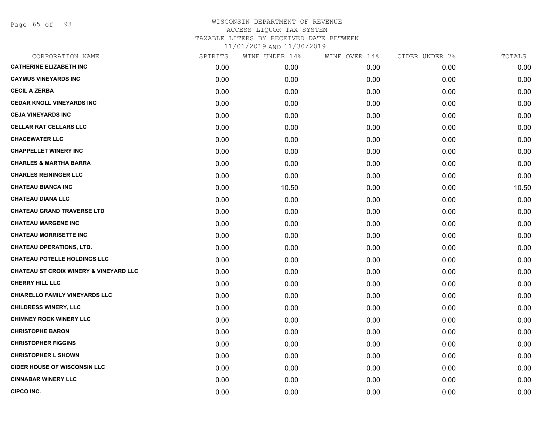Page 65 of 98

| CORPORATION NAME                                  | SPIRITS | WINE UNDER 14% | WINE OVER 14% | CIDER UNDER 7% | TOTALS |
|---------------------------------------------------|---------|----------------|---------------|----------------|--------|
| <b>CATHERINE ELIZABETH INC</b>                    | 0.00    | 0.00           | 0.00          | 0.00           | 0.00   |
| <b>CAYMUS VINEYARDS INC</b>                       | 0.00    | 0.00           | 0.00          | 0.00           | 0.00   |
| <b>CECIL A ZERBA</b>                              | 0.00    | 0.00           | 0.00          | 0.00           | 0.00   |
| <b>CEDAR KNOLL VINEYARDS INC</b>                  | 0.00    | 0.00           | 0.00          | 0.00           | 0.00   |
| <b>CEJA VINEYARDS INC</b>                         | 0.00    | 0.00           | 0.00          | 0.00           | 0.00   |
| <b>CELLAR RAT CELLARS LLC</b>                     | 0.00    | 0.00           | 0.00          | 0.00           | 0.00   |
| <b>CHACEWATER LLC</b>                             | 0.00    | 0.00           | 0.00          | 0.00           | 0.00   |
| <b>CHAPPELLET WINERY INC</b>                      | 0.00    | 0.00           | 0.00          | 0.00           | 0.00   |
| <b>CHARLES &amp; MARTHA BARRA</b>                 | 0.00    | 0.00           | 0.00          | 0.00           | 0.00   |
| <b>CHARLES REININGER LLC</b>                      | 0.00    | 0.00           | 0.00          | 0.00           | 0.00   |
| <b>CHATEAU BIANCA INC</b>                         | 0.00    | 10.50          | 0.00          | 0.00           | 10.50  |
| <b>CHATEAU DIANA LLC</b>                          | 0.00    | 0.00           | 0.00          | 0.00           | 0.00   |
| <b>CHATEAU GRAND TRAVERSE LTD</b>                 | 0.00    | 0.00           | 0.00          | 0.00           | 0.00   |
| <b>CHATEAU MARGENE INC</b>                        | 0.00    | 0.00           | 0.00          | 0.00           | 0.00   |
| <b>CHATEAU MORRISETTE INC</b>                     | 0.00    | 0.00           | 0.00          | 0.00           | 0.00   |
| <b>CHATEAU OPERATIONS, LTD.</b>                   | 0.00    | 0.00           | 0.00          | 0.00           | 0.00   |
| <b>CHATEAU POTELLE HOLDINGS LLC</b>               | 0.00    | 0.00           | 0.00          | 0.00           | 0.00   |
| <b>CHATEAU ST CROIX WINERY &amp; VINEYARD LLC</b> | 0.00    | 0.00           | 0.00          | 0.00           | 0.00   |
| <b>CHERRY HILL LLC</b>                            | 0.00    | 0.00           | 0.00          | 0.00           | 0.00   |
| <b>CHIARELLO FAMILY VINEYARDS LLC</b>             | 0.00    | 0.00           | 0.00          | 0.00           | 0.00   |
| <b>CHILDRESS WINERY, LLC</b>                      | 0.00    | 0.00           | 0.00          | 0.00           | 0.00   |
| <b>CHIMNEY ROCK WINERY LLC</b>                    | 0.00    | 0.00           | 0.00          | 0.00           | 0.00   |
| <b>CHRISTOPHE BARON</b>                           | 0.00    | 0.00           | 0.00          | 0.00           | 0.00   |
| <b>CHRISTOPHER FIGGINS</b>                        | 0.00    | 0.00           | 0.00          | 0.00           | 0.00   |
| <b>CHRISTOPHER L SHOWN</b>                        | 0.00    | 0.00           | 0.00          | 0.00           | 0.00   |
| <b>CIDER HOUSE OF WISCONSIN LLC</b>               | 0.00    | 0.00           | 0.00          | 0.00           | 0.00   |
| <b>CINNABAR WINERY LLC</b>                        | 0.00    | 0.00           | 0.00          | 0.00           | 0.00   |
| <b>CIPCO INC.</b>                                 | 0.00    | 0.00           | 0.00          | 0.00           | 0.00   |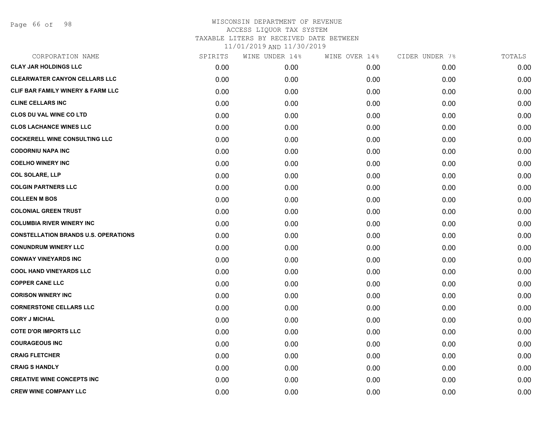Page 66 of 98

| CORPORATION NAME                             | SPIRITS | WINE UNDER 14% | WINE OVER 14% | CIDER UNDER 7% | TOTALS |
|----------------------------------------------|---------|----------------|---------------|----------------|--------|
| <b>CLAY JAR HOLDINGS LLC</b>                 | 0.00    | 0.00           | 0.00          | 0.00           | 0.00   |
| <b>CLEARWATER CANYON CELLARS LLC</b>         | 0.00    | 0.00           | 0.00          | 0.00           | 0.00   |
| <b>CLIF BAR FAMILY WINERY &amp; FARM LLC</b> | 0.00    | 0.00           | 0.00          | 0.00           | 0.00   |
| <b>CLINE CELLARS INC</b>                     | 0.00    | 0.00           | 0.00          | 0.00           | 0.00   |
| <b>CLOS DU VAL WINE CO LTD</b>               | 0.00    | 0.00           | 0.00          | 0.00           | 0.00   |
| <b>CLOS LACHANCE WINES LLC</b>               | 0.00    | 0.00           | 0.00          | 0.00           | 0.00   |
| <b>COCKERELL WINE CONSULTING LLC</b>         | 0.00    | 0.00           | 0.00          | 0.00           | 0.00   |
| <b>CODORNIU NAPA INC</b>                     | 0.00    | 0.00           | 0.00          | 0.00           | 0.00   |
| <b>COELHO WINERY INC</b>                     | 0.00    | 0.00           | 0.00          | 0.00           | 0.00   |
| <b>COL SOLARE, LLP</b>                       | 0.00    | 0.00           | 0.00          | 0.00           | 0.00   |
| <b>COLGIN PARTNERS LLC</b>                   | 0.00    | 0.00           | 0.00          | 0.00           | 0.00   |
| <b>COLLEEN M BOS</b>                         | 0.00    | 0.00           | 0.00          | 0.00           | 0.00   |
| <b>COLONIAL GREEN TRUST</b>                  | 0.00    | 0.00           | 0.00          | 0.00           | 0.00   |
| <b>COLUMBIA RIVER WINERY INC</b>             | 0.00    | 0.00           | 0.00          | 0.00           | 0.00   |
| <b>CONSTELLATION BRANDS U.S. OPERATIONS</b>  | 0.00    | 0.00           | 0.00          | 0.00           | 0.00   |
| <b>CONUNDRUM WINERY LLC</b>                  | 0.00    | 0.00           | 0.00          | 0.00           | 0.00   |
| <b>CONWAY VINEYARDS INC</b>                  | 0.00    | 0.00           | 0.00          | 0.00           | 0.00   |
| <b>COOL HAND VINEYARDS LLC</b>               | 0.00    | 0.00           | 0.00          | 0.00           | 0.00   |
| <b>COPPER CANE LLC</b>                       | 0.00    | 0.00           | 0.00          | 0.00           | 0.00   |
| <b>CORISON WINERY INC</b>                    | 0.00    | 0.00           | 0.00          | 0.00           | 0.00   |
| <b>CORNERSTONE CELLARS LLC</b>               | 0.00    | 0.00           | 0.00          | 0.00           | 0.00   |
| <b>CORY J MICHAL</b>                         | 0.00    | 0.00           | 0.00          | 0.00           | 0.00   |
| <b>COTE D'OR IMPORTS LLC</b>                 | 0.00    | 0.00           | 0.00          | 0.00           | 0.00   |
| <b>COURAGEOUS INC</b>                        | 0.00    | 0.00           | 0.00          | 0.00           | 0.00   |
| <b>CRAIG FLETCHER</b>                        | 0.00    | 0.00           | 0.00          | 0.00           | 0.00   |
| <b>CRAIG S HANDLY</b>                        | 0.00    | 0.00           | 0.00          | 0.00           | 0.00   |
| <b>CREATIVE WINE CONCEPTS INC</b>            | 0.00    | 0.00           | 0.00          | 0.00           | 0.00   |
| <b>CREW WINE COMPANY LLC</b>                 | 0.00    | 0.00           | 0.00          | 0.00           | 0.00   |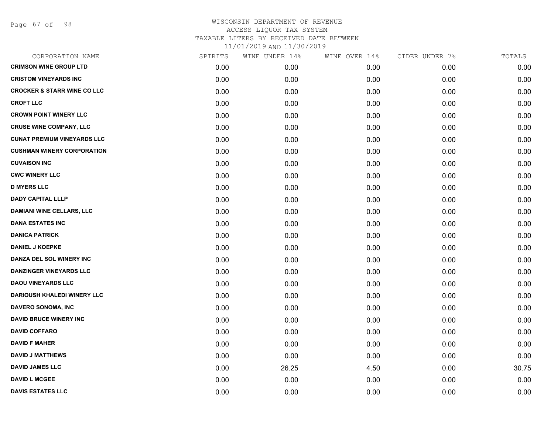Page 67 of 98

| CORPORATION NAME                       | SPIRITS | WINE UNDER 14% | WINE OVER 14% | CIDER UNDER 7% | TOTALS |
|----------------------------------------|---------|----------------|---------------|----------------|--------|
| <b>CRIMSON WINE GROUP LTD</b>          | 0.00    | 0.00           | 0.00          | 0.00           | 0.00   |
| <b>CRISTOM VINEYARDS INC</b>           | 0.00    | 0.00           | 0.00          | 0.00           | 0.00   |
| <b>CROCKER &amp; STARR WINE CO LLC</b> | 0.00    | 0.00           | 0.00          | 0.00           | 0.00   |
| <b>CROFT LLC</b>                       | 0.00    | 0.00           | 0.00          | 0.00           | 0.00   |
| <b>CROWN POINT WINERY LLC</b>          | 0.00    | 0.00           | 0.00          | 0.00           | 0.00   |
| <b>CRUSE WINE COMPANY, LLC</b>         | 0.00    | 0.00           | 0.00          | 0.00           | 0.00   |
| <b>CUNAT PREMIUM VINEYARDS LLC</b>     | 0.00    | 0.00           | 0.00          | 0.00           | 0.00   |
| <b>CUSHMAN WINERY CORPORATION</b>      | 0.00    | 0.00           | 0.00          | 0.00           | 0.00   |
| <b>CUVAISON INC</b>                    | 0.00    | 0.00           | 0.00          | 0.00           | 0.00   |
| <b>CWC WINERY LLC</b>                  | 0.00    | 0.00           | 0.00          | 0.00           | 0.00   |
| <b>D MYERS LLC</b>                     | 0.00    | 0.00           | 0.00          | 0.00           | 0.00   |
| <b>DADY CAPITAL LLLP</b>               | 0.00    | 0.00           | 0.00          | 0.00           | 0.00   |
| <b>DAMIANI WINE CELLARS, LLC</b>       | 0.00    | 0.00           | 0.00          | 0.00           | 0.00   |
| <b>DANA ESTATES INC</b>                | 0.00    | 0.00           | 0.00          | 0.00           | 0.00   |
| <b>DANICA PATRICK</b>                  | 0.00    | 0.00           | 0.00          | 0.00           | 0.00   |
| <b>DANIEL J KOEPKE</b>                 | 0.00    | 0.00           | 0.00          | 0.00           | 0.00   |
| DANZA DEL SOL WINERY INC               | 0.00    | 0.00           | 0.00          | 0.00           | 0.00   |
| <b>DANZINGER VINEYARDS LLC</b>         | 0.00    | 0.00           | 0.00          | 0.00           | 0.00   |
| <b>DAOU VINEYARDS LLC</b>              | 0.00    | 0.00           | 0.00          | 0.00           | 0.00   |
| <b>DARIOUSH KHALEDI WINERY LLC</b>     | 0.00    | 0.00           | 0.00          | 0.00           | 0.00   |
| <b>DAVERO SONOMA, INC</b>              | 0.00    | 0.00           | 0.00          | 0.00           | 0.00   |
| <b>DAVID BRUCE WINERY INC</b>          | 0.00    | 0.00           | 0.00          | 0.00           | 0.00   |
| <b>DAVID COFFARO</b>                   | 0.00    | 0.00           | 0.00          | 0.00           | 0.00   |
| <b>DAVID F MAHER</b>                   | 0.00    | 0.00           | 0.00          | 0.00           | 0.00   |
| <b>DAVID J MATTHEWS</b>                | 0.00    | 0.00           | 0.00          | 0.00           | 0.00   |
| <b>DAVID JAMES LLC</b>                 | 0.00    | 26.25          | 4.50          | 0.00           | 30.75  |
| <b>DAVID L MCGEE</b>                   | 0.00    | 0.00           | 0.00          | 0.00           | 0.00   |
| <b>DAVIS ESTATES LLC</b>               | 0.00    | 0.00           | 0.00          | 0.00           | 0.00   |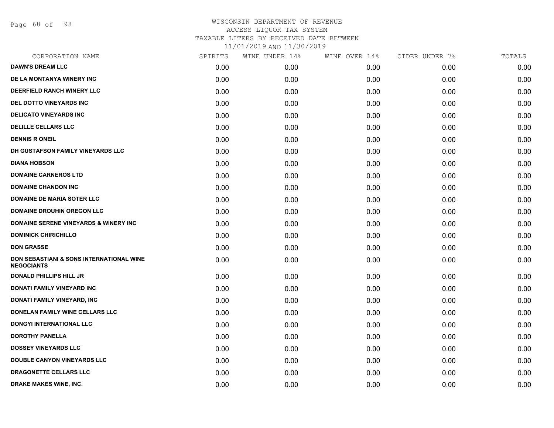Page 68 of 98

| CORPORATION NAME                                                         | SPIRITS | WINE UNDER 14% | WINE OVER 14% | CIDER UNDER 7% | TOTALS |
|--------------------------------------------------------------------------|---------|----------------|---------------|----------------|--------|
| <b>DAWN'S DREAM LLC</b>                                                  | 0.00    | 0.00           | 0.00          | 0.00           | 0.00   |
| DE LA MONTANYA WINERY INC                                                | 0.00    | 0.00           | 0.00          | 0.00           | 0.00   |
| DEERFIELD RANCH WINERY LLC                                               | 0.00    | 0.00           | 0.00          | 0.00           | 0.00   |
| <b>DEL DOTTO VINEYARDS INC.</b>                                          | 0.00    | 0.00           | 0.00          | 0.00           | 0.00   |
| <b>DELICATO VINEYARDS INC</b>                                            | 0.00    | 0.00           | 0.00          | 0.00           | 0.00   |
| <b>DELILLE CELLARS LLC</b>                                               | 0.00    | 0.00           | 0.00          | 0.00           | 0.00   |
| <b>DENNIS R ONEIL</b>                                                    | 0.00    | 0.00           | 0.00          | 0.00           | 0.00   |
| DH GUSTAFSON FAMILY VINEYARDS LLC                                        | 0.00    | 0.00           | 0.00          | 0.00           | 0.00   |
| <b>DIANA HOBSON</b>                                                      | 0.00    | 0.00           | 0.00          | 0.00           | 0.00   |
| <b>DOMAINE CARNEROS LTD</b>                                              | 0.00    | 0.00           | 0.00          | 0.00           | 0.00   |
| <b>DOMAINE CHANDON INC</b>                                               | 0.00    | 0.00           | 0.00          | 0.00           | 0.00   |
| <b>DOMAINE DE MARIA SOTER LLC</b>                                        | 0.00    | 0.00           | 0.00          | 0.00           | 0.00   |
| <b>DOMAINE DROUHIN OREGON LLC</b>                                        | 0.00    | 0.00           | 0.00          | 0.00           | 0.00   |
| <b>DOMAINE SERENE VINEYARDS &amp; WINERY INC</b>                         | 0.00    | 0.00           | 0.00          | 0.00           | 0.00   |
| <b>DOMINICK CHIRICHILLO</b>                                              | 0.00    | 0.00           | 0.00          | 0.00           | 0.00   |
| <b>DON GRASSE</b>                                                        | 0.00    | 0.00           | 0.00          | 0.00           | 0.00   |
| <b>DON SEBASTIANI &amp; SONS INTERNATIONAL WINE</b><br><b>NEGOCIANTS</b> | 0.00    | 0.00           | 0.00          | 0.00           | 0.00   |
| <b>DONALD PHILLIPS HILL JR</b>                                           | 0.00    | 0.00           | 0.00          | 0.00           | 0.00   |
| DONATI FAMILY VINEYARD INC                                               | 0.00    | 0.00           | 0.00          | 0.00           | 0.00   |
| DONATI FAMILY VINEYARD, INC                                              | 0.00    | 0.00           | 0.00          | 0.00           | 0.00   |
| DONELAN FAMILY WINE CELLARS LLC                                          | 0.00    | 0.00           | 0.00          | 0.00           | 0.00   |
| DONGYI INTERNATIONAL LLC                                                 | 0.00    | 0.00           | 0.00          | 0.00           | 0.00   |
| <b>DOROTHY PANELLA</b>                                                   | 0.00    | 0.00           | 0.00          | 0.00           | 0.00   |
| <b>DOSSEY VINEYARDS LLC</b>                                              | 0.00    | 0.00           | 0.00          | 0.00           | 0.00   |
| <b>DOUBLE CANYON VINEYARDS LLC</b>                                       | 0.00    | 0.00           | 0.00          | 0.00           | 0.00   |
| <b>DRAGONETTE CELLARS LLC</b>                                            | 0.00    | 0.00           | 0.00          | 0.00           | 0.00   |
| DRAKE MAKES WINE, INC.                                                   | 0.00    | 0.00           | 0.00          | 0.00           | 0.00   |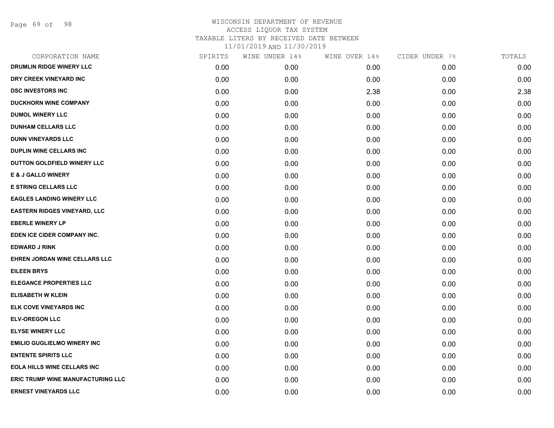Page 69 of 98

| CORPORATION NAME                         | SPIRITS | WINE UNDER 14% | WINE OVER 14% | CIDER UNDER 7% | TOTALS |
|------------------------------------------|---------|----------------|---------------|----------------|--------|
| DRUMLIN RIDGE WINERY LLC                 | 0.00    | 0.00           | 0.00          | 0.00           | 0.00   |
| DRY CREEK VINEYARD INC                   | 0.00    | 0.00           | 0.00          | 0.00           | 0.00   |
| <b>DSC INVESTORS INC</b>                 | 0.00    | 0.00           | 2.38          | 0.00           | 2.38   |
| <b>DUCKHORN WINE COMPANY</b>             | 0.00    | 0.00           | 0.00          | 0.00           | 0.00   |
| <b>DUMOL WINERY LLC</b>                  | 0.00    | 0.00           | 0.00          | 0.00           | 0.00   |
| <b>DUNHAM CELLARS LLC</b>                | 0.00    | 0.00           | 0.00          | 0.00           | 0.00   |
| <b>DUNN VINEYARDS LLC</b>                | 0.00    | 0.00           | 0.00          | 0.00           | 0.00   |
| <b>DUPLIN WINE CELLARS INC</b>           | 0.00    | 0.00           | 0.00          | 0.00           | 0.00   |
| DUTTON GOLDFIELD WINERY LLC              | 0.00    | 0.00           | 0.00          | 0.00           | 0.00   |
| <b>E &amp; J GALLO WINERY</b>            | 0.00    | 0.00           | 0.00          | 0.00           | 0.00   |
| <b>E STRING CELLARS LLC</b>              | 0.00    | 0.00           | 0.00          | 0.00           | 0.00   |
| <b>EAGLES LANDING WINERY LLC</b>         | 0.00    | 0.00           | 0.00          | 0.00           | 0.00   |
| <b>EASTERN RIDGES VINEYARD, LLC</b>      | 0.00    | 0.00           | 0.00          | 0.00           | 0.00   |
| <b>EBERLE WINERY LP</b>                  | 0.00    | 0.00           | 0.00          | 0.00           | 0.00   |
| EDEN ICE CIDER COMPANY INC.              | 0.00    | 0.00           | 0.00          | 0.00           | 0.00   |
| <b>EDWARD J RINK</b>                     | 0.00    | 0.00           | 0.00          | 0.00           | 0.00   |
| EHREN JORDAN WINE CELLARS LLC            | 0.00    | 0.00           | 0.00          | 0.00           | 0.00   |
| <b>EILEEN BRYS</b>                       | 0.00    | 0.00           | 0.00          | 0.00           | 0.00   |
| <b>ELEGANCE PROPERTIES LLC</b>           | 0.00    | 0.00           | 0.00          | 0.00           | 0.00   |
| <b>ELISABETH W KLEIN</b>                 | 0.00    | 0.00           | 0.00          | 0.00           | 0.00   |
| ELK COVE VINEYARDS INC                   | 0.00    | 0.00           | 0.00          | 0.00           | 0.00   |
| <b>ELV-OREGON LLC</b>                    | 0.00    | 0.00           | 0.00          | 0.00           | 0.00   |
| <b>ELYSE WINERY LLC</b>                  | 0.00    | 0.00           | 0.00          | 0.00           | 0.00   |
| <b>EMILIO GUGLIELMO WINERY INC</b>       | 0.00    | 0.00           | 0.00          | 0.00           | 0.00   |
| <b>ENTENTE SPIRITS LLC</b>               | 0.00    | 0.00           | 0.00          | 0.00           | 0.00   |
| <b>EOLA HILLS WINE CELLARS INC</b>       | 0.00    | 0.00           | 0.00          | 0.00           | 0.00   |
| <b>ERIC TRUMP WINE MANUFACTURING LLC</b> | 0.00    | 0.00           | 0.00          | 0.00           | 0.00   |
| <b>ERNEST VINEYARDS LLC</b>              | 0.00    | 0.00           | 0.00          | 0.00           | 0.00   |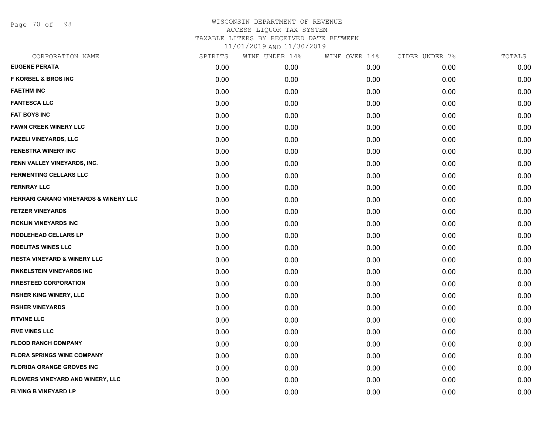Page 70 of 98

| CORPORATION NAME                        | SPIRITS | WINE UNDER 14% | WINE OVER 14% | CIDER UNDER 7% | TOTALS |
|-----------------------------------------|---------|----------------|---------------|----------------|--------|
| <b>EUGENE PERATA</b>                    | 0.00    | 0.00           | 0.00          | 0.00           | 0.00   |
| <b>F KORBEL &amp; BROS INC</b>          | 0.00    | 0.00           | 0.00          | 0.00           | 0.00   |
| <b>FAETHM INC</b>                       | 0.00    | 0.00           | 0.00          | 0.00           | 0.00   |
| <b>FANTESCA LLC</b>                     | 0.00    | 0.00           | 0.00          | 0.00           | 0.00   |
| <b>FAT BOYS INC</b>                     | 0.00    | 0.00           | 0.00          | 0.00           | 0.00   |
| <b>FAWN CREEK WINERY LLC</b>            | 0.00    | 0.00           | 0.00          | 0.00           | 0.00   |
| <b>FAZELI VINEYARDS, LLC</b>            | 0.00    | 0.00           | 0.00          | 0.00           | 0.00   |
| <b>FENESTRA WINERY INC</b>              | 0.00    | 0.00           | 0.00          | 0.00           | 0.00   |
| FENN VALLEY VINEYARDS, INC.             | 0.00    | 0.00           | 0.00          | 0.00           | 0.00   |
| <b>FERMENTING CELLARS LLC</b>           | 0.00    | 0.00           | 0.00          | 0.00           | 0.00   |
| <b>FERNRAY LLC</b>                      | 0.00    | 0.00           | 0.00          | 0.00           | 0.00   |
| FERRARI CARANO VINEYARDS & WINERY LLC   | 0.00    | 0.00           | 0.00          | 0.00           | 0.00   |
| <b>FETZER VINEYARDS</b>                 | 0.00    | 0.00           | 0.00          | 0.00           | 0.00   |
| <b>FICKLIN VINEYARDS INC</b>            | 0.00    | 0.00           | 0.00          | 0.00           | 0.00   |
| <b>FIDDLEHEAD CELLARS LP</b>            | 0.00    | 0.00           | 0.00          | 0.00           | 0.00   |
| <b>FIDELITAS WINES LLC</b>              | 0.00    | 0.00           | 0.00          | 0.00           | 0.00   |
| FIESTA VINEYARD & WINERY LLC            | 0.00    | 0.00           | 0.00          | 0.00           | 0.00   |
| <b>FINKELSTEIN VINEYARDS INC</b>        | 0.00    | 0.00           | 0.00          | 0.00           | 0.00   |
| <b>FIRESTEED CORPORATION</b>            | 0.00    | 0.00           | 0.00          | 0.00           | 0.00   |
| FISHER KING WINERY, LLC                 | 0.00    | 0.00           | 0.00          | 0.00           | 0.00   |
| <b>FISHER VINEYARDS</b>                 | 0.00    | 0.00           | 0.00          | 0.00           | 0.00   |
| <b>FITVINE LLC</b>                      | 0.00    | 0.00           | 0.00          | 0.00           | 0.00   |
| <b>FIVE VINES LLC</b>                   | 0.00    | 0.00           | 0.00          | 0.00           | 0.00   |
| <b>FLOOD RANCH COMPANY</b>              | 0.00    | 0.00           | 0.00          | 0.00           | 0.00   |
| <b>FLORA SPRINGS WINE COMPANY</b>       | 0.00    | 0.00           | 0.00          | 0.00           | 0.00   |
| <b>FLORIDA ORANGE GROVES INC</b>        | 0.00    | 0.00           | 0.00          | 0.00           | 0.00   |
| <b>FLOWERS VINEYARD AND WINERY, LLC</b> | 0.00    | 0.00           | 0.00          | 0.00           | 0.00   |
| <b>FLYING B VINEYARD LP</b>             | 0.00    | 0.00           | 0.00          | 0.00           | 0.00   |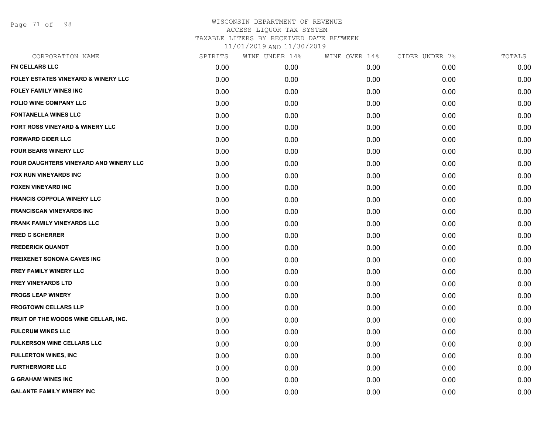Page 71 of 98

| CORPORATION NAME                               | SPIRITS | WINE UNDER 14% | WINE OVER 14% | CIDER UNDER 7% | TOTALS |
|------------------------------------------------|---------|----------------|---------------|----------------|--------|
| FN CELLARS LLC                                 | 0.00    | 0.00           | 0.00          | 0.00           | 0.00   |
| <b>FOLEY ESTATES VINEYARD &amp; WINERY LLC</b> | 0.00    | 0.00           | 0.00          | 0.00           | 0.00   |
| <b>FOLEY FAMILY WINES INC</b>                  | 0.00    | 0.00           | 0.00          | 0.00           | 0.00   |
| <b>FOLIO WINE COMPANY LLC</b>                  | 0.00    | 0.00           | 0.00          | 0.00           | 0.00   |
| <b>FONTANELLA WINES LLC</b>                    | 0.00    | 0.00           | 0.00          | 0.00           | 0.00   |
| <b>FORT ROSS VINEYARD &amp; WINERY LLC</b>     | 0.00    | 0.00           | 0.00          | 0.00           | 0.00   |
| <b>FORWARD CIDER LLC</b>                       | 0.00    | 0.00           | 0.00          | 0.00           | 0.00   |
| <b>FOUR BEARS WINERY LLC</b>                   | 0.00    | 0.00           | 0.00          | 0.00           | 0.00   |
| FOUR DAUGHTERS VINEYARD AND WINERY LLC         | 0.00    | 0.00           | 0.00          | 0.00           | 0.00   |
| <b>FOX RUN VINEYARDS INC</b>                   | 0.00    | 0.00           | 0.00          | 0.00           | 0.00   |
| <b>FOXEN VINEYARD INC</b>                      | 0.00    | 0.00           | 0.00          | 0.00           | 0.00   |
| <b>FRANCIS COPPOLA WINERY LLC</b>              | 0.00    | 0.00           | 0.00          | 0.00           | 0.00   |
| <b>FRANCISCAN VINEYARDS INC</b>                | 0.00    | 0.00           | 0.00          | 0.00           | 0.00   |
| <b>FRANK FAMILY VINEYARDS LLC</b>              | 0.00    | 0.00           | 0.00          | 0.00           | 0.00   |
| <b>FRED C SCHERRER</b>                         | 0.00    | 0.00           | 0.00          | 0.00           | 0.00   |
| <b>FREDERICK QUANDT</b>                        | 0.00    | 0.00           | 0.00          | 0.00           | 0.00   |
| <b>FREIXENET SONOMA CAVES INC</b>              | 0.00    | 0.00           | 0.00          | 0.00           | 0.00   |
| FREY FAMILY WINERY LLC                         | 0.00    | 0.00           | 0.00          | 0.00           | 0.00   |
| <b>FREY VINEYARDS LTD</b>                      | 0.00    | 0.00           | 0.00          | 0.00           | 0.00   |
| <b>FROGS LEAP WINERY</b>                       | 0.00    | 0.00           | 0.00          | 0.00           | 0.00   |
| <b>FROGTOWN CELLARS LLP</b>                    | 0.00    | 0.00           | 0.00          | 0.00           | 0.00   |
| FRUIT OF THE WOODS WINE CELLAR, INC.           | 0.00    | 0.00           | 0.00          | 0.00           | 0.00   |
| <b>FULCRUM WINES LLC</b>                       | 0.00    | 0.00           | 0.00          | 0.00           | 0.00   |
| <b>FULKERSON WINE CELLARS LLC</b>              | 0.00    | 0.00           | 0.00          | 0.00           | 0.00   |
| <b>FULLERTON WINES, INC</b>                    | 0.00    | 0.00           | 0.00          | 0.00           | 0.00   |
| <b>FURTHERMORE LLC</b>                         | 0.00    | 0.00           | 0.00          | 0.00           | 0.00   |
| <b>G GRAHAM WINES INC</b>                      | 0.00    | 0.00           | 0.00          | 0.00           | 0.00   |
| <b>GALANTE FAMILY WINERY INC</b>               | 0.00    | 0.00           | 0.00          | 0.00           | 0.00   |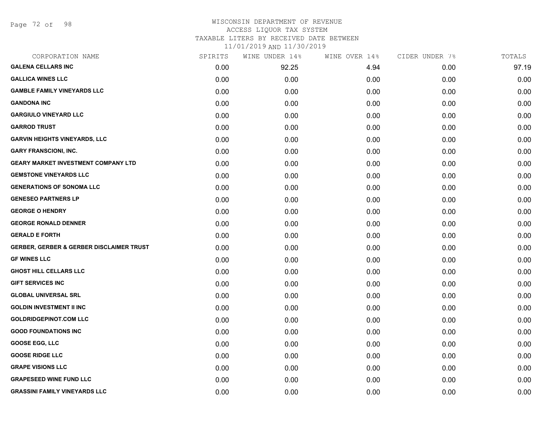Page 72 of 98

#### WISCONSIN DEPARTMENT OF REVENUE ACCESS LIQUOR TAX SYSTEM TAXABLE LITERS BY RECEIVED DATE BETWEEN

| CORPORATION NAME                           | SPIRITS | WINE UNDER 14% | WINE OVER 14% | CIDER UNDER 7% | TOTALS |
|--------------------------------------------|---------|----------------|---------------|----------------|--------|
| <b>GALENA CELLARS INC</b>                  | 0.00    | 92.25          | 4.94          | 0.00           | 97.19  |
| <b>GALLICA WINES LLC</b>                   | 0.00    | 0.00           | 0.00          | 0.00           | 0.00   |
| <b>GAMBLE FAMILY VINEYARDS LLC</b>         | 0.00    | 0.00           | 0.00          | 0.00           | 0.00   |
| <b>GANDONA INC</b>                         | 0.00    | 0.00           | 0.00          | 0.00           | 0.00   |
| <b>GARGIULO VINEYARD LLC</b>               | 0.00    | 0.00           | 0.00          | 0.00           | 0.00   |
| <b>GARROD TRUST</b>                        | 0.00    | 0.00           | 0.00          | 0.00           | 0.00   |
| <b>GARVIN HEIGHTS VINEYARDS, LLC</b>       | 0.00    | 0.00           | 0.00          | 0.00           | 0.00   |
| <b>GARY FRANSCIONI, INC.</b>               | 0.00    | 0.00           | 0.00          | 0.00           | 0.00   |
| <b>GEARY MARKET INVESTMENT COMPANY LTD</b> | 0.00    | 0.00           | 0.00          | 0.00           | 0.00   |
| <b>GEMSTONE VINEYARDS LLC</b>              | 0.00    | 0.00           | 0.00          | 0.00           | 0.00   |
| <b>GENERATIONS OF SONOMA LLC</b>           | 0.00    | 0.00           | 0.00          | 0.00           | 0.00   |
| <b>GENESEO PARTNERS LP</b>                 | 0.00    | 0.00           | 0.00          | 0.00           | 0.00   |
| <b>GEORGE O HENDRY</b>                     | 0.00    | 0.00           | 0.00          | 0.00           | 0.00   |
| <b>GEORGE RONALD DENNER</b>                | 0.00    | 0.00           | 0.00          | 0.00           | 0.00   |
| <b>GERALD E FORTH</b>                      | 0.00    | 0.00           | 0.00          | 0.00           | 0.00   |
| GERBER, GERBER & GERBER DISCLAIMER TRUST   | 0.00    | 0.00           | 0.00          | 0.00           | 0.00   |
| <b>GF WINES LLC</b>                        | 0.00    | 0.00           | 0.00          | 0.00           | 0.00   |
| <b>GHOST HILL CELLARS LLC</b>              | 0.00    | 0.00           | 0.00          | 0.00           | 0.00   |
| <b>GIFT SERVICES INC</b>                   | 0.00    | 0.00           | 0.00          | 0.00           | 0.00   |
| <b>GLOBAL UNIVERSAL SRL</b>                | 0.00    | 0.00           | 0.00          | 0.00           | 0.00   |
| <b>GOLDIN INVESTMENT II INC</b>            | 0.00    | 0.00           | 0.00          | 0.00           | 0.00   |
| <b>GOLDRIDGEPINOT.COM LLC</b>              | 0.00    | 0.00           | 0.00          | 0.00           | 0.00   |
| <b>GOOD FOUNDATIONS INC</b>                | 0.00    | 0.00           | 0.00          | 0.00           | 0.00   |
| <b>GOOSE EGG, LLC</b>                      | 0.00    | 0.00           | 0.00          | 0.00           | 0.00   |
| <b>GOOSE RIDGE LLC</b>                     | 0.00    | 0.00           | 0.00          | 0.00           | 0.00   |
| <b>GRAPE VISIONS LLC</b>                   | 0.00    | 0.00           | 0.00          | 0.00           | 0.00   |
| <b>GRAPESEED WINE FUND LLC</b>             | 0.00    | 0.00           | 0.00          | 0.00           | 0.00   |
| <b>GRASSINI FAMILY VINEYARDS LLC</b>       | 0.00    | 0.00           | 0.00          | 0.00           | 0.00   |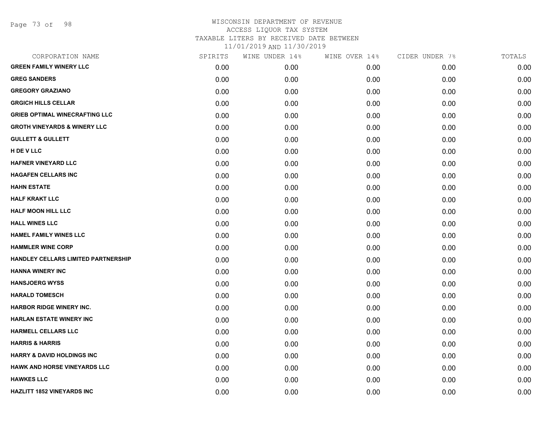Page 73 of 98

| CORPORATION NAME                        | SPIRITS | WINE UNDER 14% | WINE OVER 14% | CIDER UNDER 7% | TOTALS |
|-----------------------------------------|---------|----------------|---------------|----------------|--------|
| <b>GREEN FAMILY WINERY LLC</b>          | 0.00    | 0.00           | 0.00          | 0.00           | 0.00   |
| <b>GREG SANDERS</b>                     | 0.00    | 0.00           | 0.00          | 0.00           | 0.00   |
| <b>GREGORY GRAZIANO</b>                 | 0.00    | 0.00           | 0.00          | 0.00           | 0.00   |
| <b>GRGICH HILLS CELLAR</b>              | 0.00    | 0.00           | 0.00          | 0.00           | 0.00   |
| <b>GRIEB OPTIMAL WINECRAFTING LLC</b>   | 0.00    | 0.00           | 0.00          | 0.00           | 0.00   |
| <b>GROTH VINEYARDS &amp; WINERY LLC</b> | 0.00    | 0.00           | 0.00          | 0.00           | 0.00   |
| <b>GULLETT &amp; GULLETT</b>            | 0.00    | 0.00           | 0.00          | 0.00           | 0.00   |
| H DE V LLC                              | 0.00    | 0.00           | 0.00          | 0.00           | 0.00   |
| <b>HAFNER VINEYARD LLC</b>              | 0.00    | 0.00           | 0.00          | 0.00           | 0.00   |
| <b>HAGAFEN CELLARS INC</b>              | 0.00    | 0.00           | 0.00          | 0.00           | 0.00   |
| <b>HAHN ESTATE</b>                      | 0.00    | 0.00           | 0.00          | 0.00           | 0.00   |
| <b>HALF KRAKT LLC</b>                   | 0.00    | 0.00           | 0.00          | 0.00           | 0.00   |
| <b>HALF MOON HILL LLC</b>               | 0.00    | 0.00           | 0.00          | 0.00           | 0.00   |
| <b>HALL WINES LLC</b>                   | 0.00    | 0.00           | 0.00          | 0.00           | 0.00   |
| <b>HAMEL FAMILY WINES LLC</b>           | 0.00    | 0.00           | 0.00          | 0.00           | 0.00   |
| <b>HAMMLER WINE CORP</b>                | 0.00    | 0.00           | 0.00          | 0.00           | 0.00   |
| HANDLEY CELLARS LIMITED PARTNERSHIP     | 0.00    | 0.00           | 0.00          | 0.00           | 0.00   |
| <b>HANNA WINERY INC</b>                 | 0.00    | 0.00           | 0.00          | 0.00           | 0.00   |
| <b>HANSJOERG WYSS</b>                   | 0.00    | 0.00           | 0.00          | 0.00           | 0.00   |
| <b>HARALD TOMESCH</b>                   | 0.00    | 0.00           | 0.00          | 0.00           | 0.00   |
| <b>HARBOR RIDGE WINERY INC.</b>         | 0.00    | 0.00           | 0.00          | 0.00           | 0.00   |
| <b>HARLAN ESTATE WINERY INC</b>         | 0.00    | 0.00           | 0.00          | 0.00           | 0.00   |
| <b>HARMELL CELLARS LLC</b>              | 0.00    | 0.00           | 0.00          | 0.00           | 0.00   |
| <b>HARRIS &amp; HARRIS</b>              | 0.00    | 0.00           | 0.00          | 0.00           | 0.00   |
| <b>HARRY &amp; DAVID HOLDINGS INC</b>   | 0.00    | 0.00           | 0.00          | 0.00           | 0.00   |
| HAWK AND HORSE VINEYARDS LLC            | 0.00    | 0.00           | 0.00          | 0.00           | 0.00   |
| <b>HAWKES LLC</b>                       | 0.00    | 0.00           | 0.00          | 0.00           | 0.00   |
| <b>HAZLITT 1852 VINEYARDS INC</b>       | 0.00    | 0.00           | 0.00          | 0.00           | 0.00   |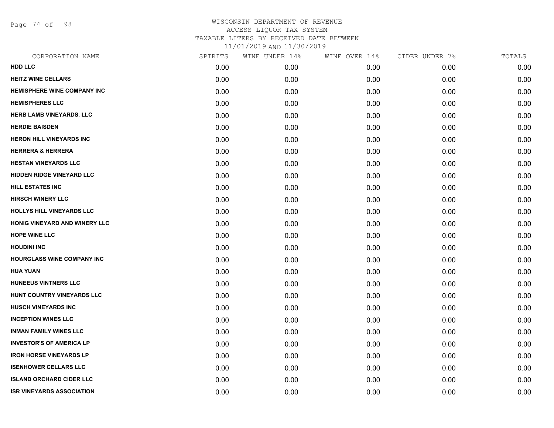Page 74 of 98

| CORPORATION NAME                   | SPIRITS | WINE UNDER 14% | WINE OVER 14% | CIDER UNDER 7% | TOTALS |
|------------------------------------|---------|----------------|---------------|----------------|--------|
| <b>HDD LLC</b>                     | 0.00    | 0.00           | 0.00          | 0.00           | 0.00   |
| <b>HEITZ WINE CELLARS</b>          | 0.00    | 0.00           | 0.00          | 0.00           | 0.00   |
| <b>HEMISPHERE WINE COMPANY INC</b> | 0.00    | 0.00           | 0.00          | 0.00           | 0.00   |
| <b>HEMISPHERES LLC</b>             | 0.00    | 0.00           | 0.00          | 0.00           | 0.00   |
| <b>HERB LAMB VINEYARDS, LLC</b>    | 0.00    | 0.00           | 0.00          | 0.00           | 0.00   |
| <b>HERDIE BAISDEN</b>              | 0.00    | 0.00           | 0.00          | 0.00           | 0.00   |
| <b>HERON HILL VINEYARDS INC</b>    | 0.00    | 0.00           | 0.00          | 0.00           | 0.00   |
| <b>HERRERA &amp; HERRERA</b>       | 0.00    | 0.00           | 0.00          | 0.00           | 0.00   |
| <b>HESTAN VINEYARDS LLC</b>        | 0.00    | 0.00           | 0.00          | 0.00           | 0.00   |
| <b>HIDDEN RIDGE VINEYARD LLC</b>   | 0.00    | 0.00           | 0.00          | 0.00           | 0.00   |
| <b>HILL ESTATES INC</b>            | 0.00    | 0.00           | 0.00          | 0.00           | 0.00   |
| <b>HIRSCH WINERY LLC</b>           | 0.00    | 0.00           | 0.00          | 0.00           | 0.00   |
| <b>HOLLYS HILL VINEYARDS LLC</b>   | 0.00    | 0.00           | 0.00          | 0.00           | 0.00   |
| HONIG VINEYARD AND WINERY LLC      | 0.00    | 0.00           | 0.00          | 0.00           | 0.00   |
| <b>HOPE WINE LLC</b>               | 0.00    | 0.00           | 0.00          | 0.00           | 0.00   |
| <b>HOUDINI INC</b>                 | 0.00    | 0.00           | 0.00          | 0.00           | 0.00   |
| <b>HOURGLASS WINE COMPANY INC</b>  | 0.00    | 0.00           | 0.00          | 0.00           | 0.00   |
| <b>HUA YUAN</b>                    | 0.00    | 0.00           | 0.00          | 0.00           | 0.00   |
| <b>HUNEEUS VINTNERS LLC</b>        | 0.00    | 0.00           | 0.00          | 0.00           | 0.00   |
| HUNT COUNTRY VINEYARDS LLC         | 0.00    | 0.00           | 0.00          | 0.00           | 0.00   |
| <b>HUSCH VINEYARDS INC</b>         | 0.00    | 0.00           | 0.00          | 0.00           | 0.00   |
| <b>INCEPTION WINES LLC</b>         | 0.00    | 0.00           | 0.00          | 0.00           | 0.00   |
| <b>INMAN FAMILY WINES LLC</b>      | 0.00    | 0.00           | 0.00          | 0.00           | 0.00   |
| <b>INVESTOR'S OF AMERICA LP</b>    | 0.00    | 0.00           | 0.00          | 0.00           | 0.00   |
| <b>IRON HORSE VINEYARDS LP</b>     | 0.00    | 0.00           | 0.00          | 0.00           | 0.00   |
| <b>ISENHOWER CELLARS LLC</b>       | 0.00    | 0.00           | 0.00          | 0.00           | 0.00   |
| <b>ISLAND ORCHARD CIDER LLC</b>    | 0.00    | 0.00           | 0.00          | 0.00           | 0.00   |
| <b>ISR VINEYARDS ASSOCIATION</b>   | 0.00    | 0.00           | 0.00          | 0.00           | 0.00   |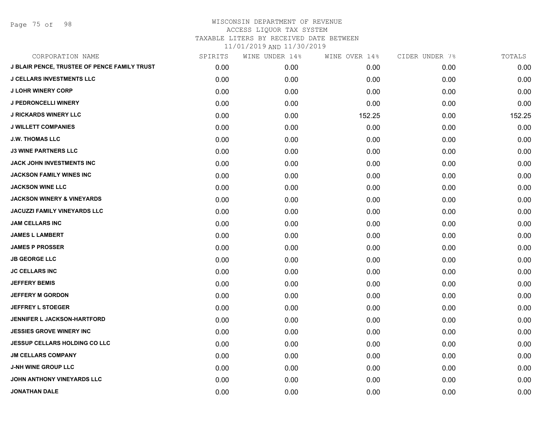Page 75 of 98

| CORPORATION NAME                                    | SPIRITS | WINE UNDER 14% | WINE OVER 14% | CIDER UNDER 7% | TOTALS |
|-----------------------------------------------------|---------|----------------|---------------|----------------|--------|
| <b>J BLAIR PENCE, TRUSTEE OF PENCE FAMILY TRUST</b> | 0.00    | 0.00           | 0.00          | 0.00           | 0.00   |
| <b>J CELLARS INVESTMENTS LLC</b>                    | 0.00    | 0.00           | 0.00          | 0.00           | 0.00   |
| <b>J LOHR WINERY CORP</b>                           | 0.00    | 0.00           | 0.00          | 0.00           | 0.00   |
| <b>J PEDRONCELLI WINERY</b>                         | 0.00    | 0.00           | 0.00          | 0.00           | 0.00   |
| <b>J RICKARDS WINERY LLC</b>                        | 0.00    | 0.00           | 152.25        | 0.00           | 152.25 |
| <b>J WILLETT COMPANIES</b>                          | 0.00    | 0.00           | 0.00          | 0.00           | 0.00   |
| <b>J.W. THOMAS LLC</b>                              | 0.00    | 0.00           | 0.00          | 0.00           | 0.00   |
| <b>J3 WINE PARTNERS LLC</b>                         | 0.00    | 0.00           | 0.00          | 0.00           | 0.00   |
| JACK JOHN INVESTMENTS INC                           | 0.00    | 0.00           | 0.00          | 0.00           | 0.00   |
| <b>JACKSON FAMILY WINES INC</b>                     | 0.00    | 0.00           | 0.00          | 0.00           | 0.00   |
| <b>JACKSON WINE LLC</b>                             | 0.00    | 0.00           | 0.00          | 0.00           | 0.00   |
| <b>JACKSON WINERY &amp; VINEYARDS</b>               | 0.00    | 0.00           | 0.00          | 0.00           | 0.00   |
| <b>JACUZZI FAMILY VINEYARDS LLC</b>                 | 0.00    | 0.00           | 0.00          | 0.00           | 0.00   |
| <b>JAM CELLARS INC</b>                              | 0.00    | 0.00           | 0.00          | 0.00           | 0.00   |
| <b>JAMES L LAMBERT</b>                              | 0.00    | 0.00           | 0.00          | 0.00           | 0.00   |
| <b>JAMES P PROSSER</b>                              | 0.00    | 0.00           | 0.00          | 0.00           | 0.00   |
| <b>JB GEORGE LLC</b>                                | 0.00    | 0.00           | 0.00          | 0.00           | 0.00   |
| <b>JC CELLARS INC</b>                               | 0.00    | 0.00           | 0.00          | 0.00           | 0.00   |
| <b>JEFFERY BEMIS</b>                                | 0.00    | 0.00           | 0.00          | 0.00           | 0.00   |
| <b>JEFFERY M GORDON</b>                             | 0.00    | 0.00           | 0.00          | 0.00           | 0.00   |
| <b>JEFFREY L STOEGER</b>                            | 0.00    | 0.00           | 0.00          | 0.00           | 0.00   |
| JENNIFER L JACKSON-HARTFORD                         | 0.00    | 0.00           | 0.00          | 0.00           | 0.00   |
| <b>JESSIES GROVE WINERY INC</b>                     | 0.00    | 0.00           | 0.00          | 0.00           | 0.00   |
| <b>JESSUP CELLARS HOLDING CO LLC</b>                | 0.00    | 0.00           | 0.00          | 0.00           | 0.00   |
| <b>JM CELLARS COMPANY</b>                           | 0.00    | 0.00           | 0.00          | 0.00           | 0.00   |
| <b>J-NH WINE GROUP LLC</b>                          | 0.00    | 0.00           | 0.00          | 0.00           | 0.00   |
| JOHN ANTHONY VINEYARDS LLC                          | 0.00    | 0.00           | 0.00          | 0.00           | 0.00   |
| <b>JONATHAN DALE</b>                                | 0.00    | 0.00           | 0.00          | 0.00           | 0.00   |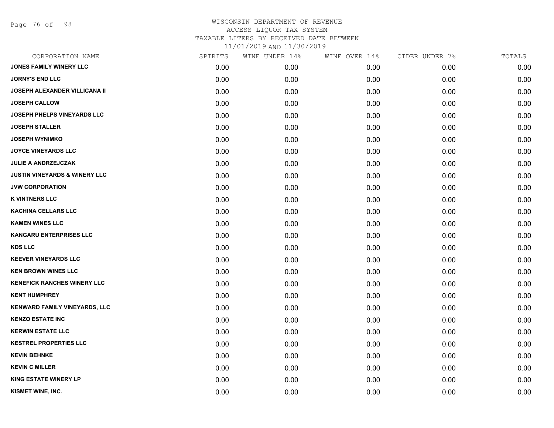Page 76 of 98

| CORPORATION NAME                         | SPIRITS | WINE UNDER 14% | WINE OVER 14% | CIDER UNDER 7% | TOTALS |
|------------------------------------------|---------|----------------|---------------|----------------|--------|
| JONES FAMILY WINERY LLC                  | 0.00    | 0.00           | 0.00          | 0.00           | 0.00   |
| <b>JORNY'S END LLC</b>                   | 0.00    | 0.00           | 0.00          | 0.00           | 0.00   |
| <b>JOSEPH ALEXANDER VILLICANA II</b>     | 0.00    | 0.00           | 0.00          | 0.00           | 0.00   |
| <b>JOSEPH CALLOW</b>                     | 0.00    | 0.00           | 0.00          | 0.00           | 0.00   |
| <b>JOSEPH PHELPS VINEYARDS LLC</b>       | 0.00    | 0.00           | 0.00          | 0.00           | 0.00   |
| <b>JOSEPH STALLER</b>                    | 0.00    | 0.00           | 0.00          | 0.00           | 0.00   |
| <b>JOSEPH WYNIMKO</b>                    | 0.00    | 0.00           | 0.00          | 0.00           | 0.00   |
| <b>JOYCE VINEYARDS LLC</b>               | 0.00    | 0.00           | 0.00          | 0.00           | 0.00   |
| JULIE A ANDRZEJCZAK                      | 0.00    | 0.00           | 0.00          | 0.00           | 0.00   |
| <b>JUSTIN VINEYARDS &amp; WINERY LLC</b> | 0.00    | 0.00           | 0.00          | 0.00           | 0.00   |
| <b>JVW CORPORATION</b>                   | 0.00    | 0.00           | 0.00          | 0.00           | 0.00   |
| <b>K VINTNERS LLC</b>                    | 0.00    | 0.00           | 0.00          | 0.00           | 0.00   |
| <b>KACHINA CELLARS LLC</b>               | 0.00    | 0.00           | 0.00          | 0.00           | 0.00   |
| <b>KAMEN WINES LLC</b>                   | 0.00    | 0.00           | 0.00          | 0.00           | 0.00   |
| <b>KANGARU ENTERPRISES LLC</b>           | 0.00    | 0.00           | 0.00          | 0.00           | 0.00   |
| <b>KDS LLC</b>                           | 0.00    | 0.00           | 0.00          | 0.00           | 0.00   |
| <b>KEEVER VINEYARDS LLC</b>              | 0.00    | 0.00           | 0.00          | 0.00           | 0.00   |
| <b>KEN BROWN WINES LLC</b>               | 0.00    | 0.00           | 0.00          | 0.00           | 0.00   |
| <b>KENEFICK RANCHES WINERY LLC</b>       | 0.00    | 0.00           | 0.00          | 0.00           | 0.00   |
| <b>KENT HUMPHREY</b>                     | 0.00    | 0.00           | 0.00          | 0.00           | 0.00   |
| <b>KENWARD FAMILY VINEYARDS, LLC</b>     | 0.00    | 0.00           | 0.00          | 0.00           | 0.00   |
| <b>KENZO ESTATE INC</b>                  | 0.00    | 0.00           | 0.00          | 0.00           | 0.00   |
| <b>KERWIN ESTATE LLC</b>                 | 0.00    | 0.00           | 0.00          | 0.00           | 0.00   |
| <b>KESTREL PROPERTIES LLC</b>            | 0.00    | 0.00           | 0.00          | 0.00           | 0.00   |
| <b>KEVIN BEHNKE</b>                      | 0.00    | 0.00           | 0.00          | 0.00           | 0.00   |
| <b>KEVIN C MILLER</b>                    | 0.00    | 0.00           | 0.00          | 0.00           | 0.00   |
| <b>KING ESTATE WINERY LP</b>             | 0.00    | 0.00           | 0.00          | 0.00           | 0.00   |
| KISMET WINE, INC.                        | 0.00    | 0.00           | 0.00          | 0.00           | 0.00   |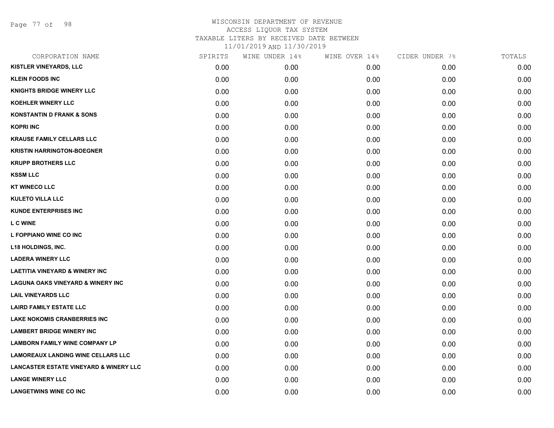Page 77 of 98

| CORPORATION NAME                                  | SPIRITS | WINE UNDER 14% | WINE OVER 14% | CIDER UNDER 7% | TOTALS |
|---------------------------------------------------|---------|----------------|---------------|----------------|--------|
| <b>KISTLER VINEYARDS, LLC</b>                     | 0.00    | 0.00           | 0.00          | 0.00           | 0.00   |
| <b>KLEIN FOODS INC</b>                            | 0.00    | 0.00           | 0.00          | 0.00           | 0.00   |
| <b>KNIGHTS BRIDGE WINERY LLC</b>                  | 0.00    | 0.00           | 0.00          | 0.00           | 0.00   |
| <b>KOEHLER WINERY LLC</b>                         | 0.00    | 0.00           | 0.00          | 0.00           | 0.00   |
| <b>KONSTANTIN D FRANK &amp; SONS</b>              | 0.00    | 0.00           | 0.00          | 0.00           | 0.00   |
| <b>KOPRI INC</b>                                  | 0.00    | 0.00           | 0.00          | 0.00           | 0.00   |
| <b>KRAUSE FAMILY CELLARS LLC</b>                  | 0.00    | 0.00           | 0.00          | 0.00           | 0.00   |
| <b>KRISTIN HARRINGTON-BOEGNER</b>                 | 0.00    | 0.00           | 0.00          | 0.00           | 0.00   |
| <b>KRUPP BROTHERS LLC</b>                         | 0.00    | 0.00           | 0.00          | 0.00           | 0.00   |
| <b>KSSM LLC</b>                                   | 0.00    | 0.00           | 0.00          | 0.00           | 0.00   |
| <b>KT WINECO LLC</b>                              | 0.00    | 0.00           | 0.00          | 0.00           | 0.00   |
| <b>KULETO VILLA LLC</b>                           | 0.00    | 0.00           | 0.00          | 0.00           | 0.00   |
| <b>KUNDE ENTERPRISES INC</b>                      | 0.00    | 0.00           | 0.00          | 0.00           | 0.00   |
| <b>LC WINE</b>                                    | 0.00    | 0.00           | 0.00          | 0.00           | 0.00   |
| L FOPPIANO WINE CO INC                            | 0.00    | 0.00           | 0.00          | 0.00           | 0.00   |
| L18 HOLDINGS, INC.                                | 0.00    | 0.00           | 0.00          | 0.00           | 0.00   |
| <b>LADERA WINERY LLC</b>                          | 0.00    | 0.00           | 0.00          | 0.00           | 0.00   |
| <b>LAETITIA VINEYARD &amp; WINERY INC</b>         | 0.00    | 0.00           | 0.00          | 0.00           | 0.00   |
| <b>LAGUNA OAKS VINEYARD &amp; WINERY INC</b>      | 0.00    | 0.00           | 0.00          | 0.00           | 0.00   |
| <b>LAIL VINEYARDS LLC</b>                         | 0.00    | 0.00           | 0.00          | 0.00           | 0.00   |
| <b>LAIRD FAMILY ESTATE LLC</b>                    | 0.00    | 0.00           | 0.00          | 0.00           | 0.00   |
| <b>LAKE NOKOMIS CRANBERRIES INC</b>               | 0.00    | 0.00           | 0.00          | 0.00           | 0.00   |
| <b>LAMBERT BRIDGE WINERY INC</b>                  | 0.00    | 0.00           | 0.00          | 0.00           | 0.00   |
| <b>LAMBORN FAMILY WINE COMPANY LP</b>             | 0.00    | 0.00           | 0.00          | 0.00           | 0.00   |
| <b>LAMOREAUX LANDING WINE CELLARS LLC</b>         | 0.00    | 0.00           | 0.00          | 0.00           | 0.00   |
| <b>LANCASTER ESTATE VINEYARD &amp; WINERY LLC</b> | 0.00    | 0.00           | 0.00          | 0.00           | 0.00   |
| <b>LANGE WINERY LLC</b>                           | 0.00    | 0.00           | 0.00          | 0.00           | 0.00   |
| <b>LANGETWINS WINE CO INC</b>                     | 0.00    | 0.00           | 0.00          | 0.00           | 0.00   |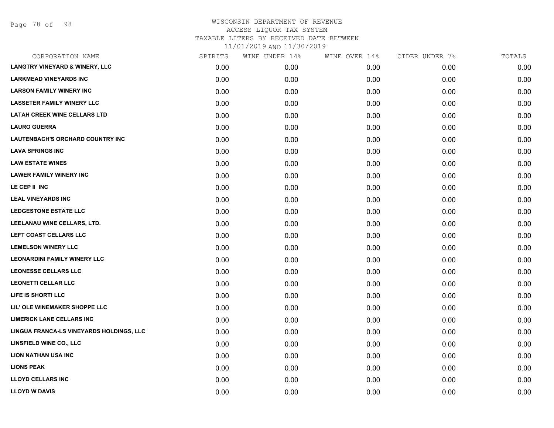Page 78 of 98

| CORPORATION NAME                          | SPIRITS | WINE UNDER 14% | WINE OVER 14% | CIDER UNDER 7% | TOTALS |
|-------------------------------------------|---------|----------------|---------------|----------------|--------|
| <b>LANGTRY VINEYARD &amp; WINERY, LLC</b> | 0.00    | 0.00           | 0.00          | 0.00           | 0.00   |
| <b>LARKMEAD VINEYARDS INC</b>             | 0.00    | 0.00           | 0.00          | 0.00           | 0.00   |
| <b>LARSON FAMILY WINERY INC</b>           | 0.00    | 0.00           | 0.00          | 0.00           | 0.00   |
| <b>LASSETER FAMILY WINERY LLC</b>         | 0.00    | 0.00           | 0.00          | 0.00           | 0.00   |
| <b>LATAH CREEK WINE CELLARS LTD</b>       | 0.00    | 0.00           | 0.00          | 0.00           | 0.00   |
| <b>LAURO GUERRA</b>                       | 0.00    | 0.00           | 0.00          | 0.00           | 0.00   |
| LAUTENBACH'S ORCHARD COUNTRY INC          | 0.00    | 0.00           | 0.00          | 0.00           | 0.00   |
| <b>LAVA SPRINGS INC</b>                   | 0.00    | 0.00           | 0.00          | 0.00           | 0.00   |
| <b>LAW ESTATE WINES</b>                   | 0.00    | 0.00           | 0.00          | 0.00           | 0.00   |
| <b>LAWER FAMILY WINERY INC</b>            | 0.00    | 0.00           | 0.00          | 0.00           | 0.00   |
| LE CEP II INC                             | 0.00    | 0.00           | 0.00          | 0.00           | 0.00   |
| <b>LEAL VINEYARDS INC</b>                 | 0.00    | 0.00           | 0.00          | 0.00           | 0.00   |
| <b>LEDGESTONE ESTATE LLC</b>              | 0.00    | 0.00           | 0.00          | 0.00           | 0.00   |
| LEELANAU WINE CELLARS, LTD.               | 0.00    | 0.00           | 0.00          | 0.00           | 0.00   |
| LEFT COAST CELLARS LLC                    | 0.00    | 0.00           | 0.00          | 0.00           | 0.00   |
| <b>LEMELSON WINERY LLC</b>                | 0.00    | 0.00           | 0.00          | 0.00           | 0.00   |
| <b>LEONARDINI FAMILY WINERY LLC</b>       | 0.00    | 0.00           | 0.00          | 0.00           | 0.00   |
| <b>LEONESSE CELLARS LLC</b>               | 0.00    | 0.00           | 0.00          | 0.00           | 0.00   |
| <b>LEONETTI CELLAR LLC</b>                | 0.00    | 0.00           | 0.00          | 0.00           | 0.00   |
| LIFE IS SHORT! LLC                        | 0.00    | 0.00           | 0.00          | 0.00           | 0.00   |
| LIL' OLE WINEMAKER SHOPPE LLC             | 0.00    | 0.00           | 0.00          | 0.00           | 0.00   |
| <b>LIMERICK LANE CELLARS INC</b>          | 0.00    | 0.00           | 0.00          | 0.00           | 0.00   |
| LINGUA FRANCA-LS VINEYARDS HOLDINGS, LLC  | 0.00    | 0.00           | 0.00          | 0.00           | 0.00   |
| <b>LINSFIELD WINE CO., LLC</b>            | 0.00    | 0.00           | 0.00          | 0.00           | 0.00   |
| <b>LION NATHAN USA INC</b>                | 0.00    | 0.00           | 0.00          | 0.00           | 0.00   |
| <b>LIONS PEAK</b>                         | 0.00    | 0.00           | 0.00          | 0.00           | 0.00   |
| <b>LLOYD CELLARS INC</b>                  | 0.00    | 0.00           | 0.00          | 0.00           | 0.00   |
| <b>LLOYD W DAVIS</b>                      | 0.00    | 0.00           | 0.00          | 0.00           | 0.00   |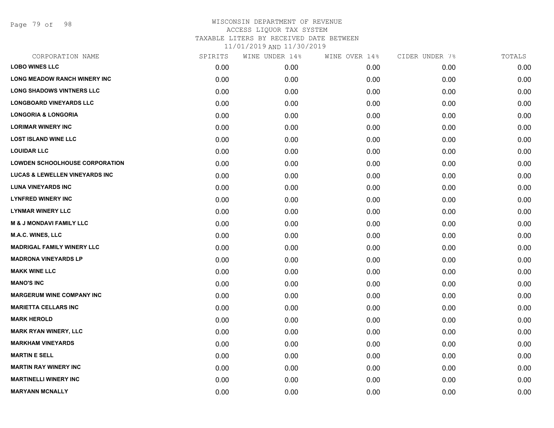Page 79 of 98

| CORPORATION NAME                          | SPIRITS | WINE UNDER 14% | WINE OVER 14% | CIDER UNDER 7% | TOTALS |
|-------------------------------------------|---------|----------------|---------------|----------------|--------|
| <b>LOBO WINES LLC</b>                     | 0.00    | 0.00           | 0.00          | 0.00           | 0.00   |
| LONG MEADOW RANCH WINERY INC              | 0.00    | 0.00           | 0.00          | 0.00           | 0.00   |
| <b>LONG SHADOWS VINTNERS LLC</b>          | 0.00    | 0.00           | 0.00          | 0.00           | 0.00   |
| <b>LONGBOARD VINEYARDS LLC</b>            | 0.00    | 0.00           | 0.00          | 0.00           | 0.00   |
| <b>LONGORIA &amp; LONGORIA</b>            | 0.00    | 0.00           | 0.00          | 0.00           | 0.00   |
| <b>LORIMAR WINERY INC</b>                 | 0.00    | 0.00           | 0.00          | 0.00           | 0.00   |
| <b>LOST ISLAND WINE LLC</b>               | 0.00    | 0.00           | 0.00          | 0.00           | 0.00   |
| <b>LOUIDAR LLC</b>                        | 0.00    | 0.00           | 0.00          | 0.00           | 0.00   |
| <b>LOWDEN SCHOOLHOUSE CORPORATION</b>     | 0.00    | 0.00           | 0.00          | 0.00           | 0.00   |
| <b>LUCAS &amp; LEWELLEN VINEYARDS INC</b> | 0.00    | 0.00           | 0.00          | 0.00           | 0.00   |
| <b>LUNA VINEYARDS INC</b>                 | 0.00    | 0.00           | 0.00          | 0.00           | 0.00   |
| <b>LYNFRED WINERY INC</b>                 | 0.00    | 0.00           | 0.00          | 0.00           | 0.00   |
| <b>LYNMAR WINERY LLC</b>                  | 0.00    | 0.00           | 0.00          | 0.00           | 0.00   |
| <b>M &amp; J MONDAVI FAMILY LLC</b>       | 0.00    | 0.00           | 0.00          | 0.00           | 0.00   |
| <b>M.A.C. WINES, LLC</b>                  | 0.00    | 0.00           | 0.00          | 0.00           | 0.00   |
| <b>MADRIGAL FAMILY WINERY LLC</b>         | 0.00    | 0.00           | 0.00          | 0.00           | 0.00   |
| <b>MADRONA VINEYARDS LP</b>               | 0.00    | 0.00           | 0.00          | 0.00           | 0.00   |
| <b>MAKK WINE LLC</b>                      | 0.00    | 0.00           | 0.00          | 0.00           | 0.00   |
| <b>MANO'S INC</b>                         | 0.00    | 0.00           | 0.00          | 0.00           | 0.00   |
| <b>MARGERUM WINE COMPANY INC</b>          | 0.00    | 0.00           | 0.00          | 0.00           | 0.00   |
| <b>MARIETTA CELLARS INC</b>               | 0.00    | 0.00           | 0.00          | 0.00           | 0.00   |
| <b>MARK HEROLD</b>                        | 0.00    | 0.00           | 0.00          | 0.00           | 0.00   |
| <b>MARK RYAN WINERY, LLC</b>              | 0.00    | 0.00           | 0.00          | 0.00           | 0.00   |
| <b>MARKHAM VINEYARDS</b>                  | 0.00    | 0.00           | 0.00          | 0.00           | 0.00   |
| <b>MARTIN E SELL</b>                      | 0.00    | 0.00           | 0.00          | 0.00           | 0.00   |
| <b>MARTIN RAY WINERY INC</b>              | 0.00    | 0.00           | 0.00          | 0.00           | 0.00   |
| <b>MARTINELLI WINERY INC</b>              | 0.00    | 0.00           | 0.00          | 0.00           | 0.00   |
| <b>MARYANN MCNALLY</b>                    | 0.00    | 0.00           | 0.00          | 0.00           | 0.00   |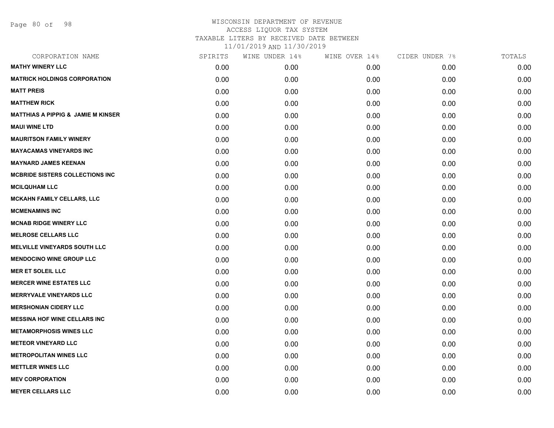Page 80 of 98

| SPIRITS | WINE UNDER 14% | WINE OVER 14% | CIDER UNDER 7% | TOTALS |
|---------|----------------|---------------|----------------|--------|
| 0.00    | 0.00           | 0.00          | 0.00           | 0.00   |
| 0.00    | 0.00           | 0.00          | 0.00           | 0.00   |
| 0.00    | 0.00           | 0.00          | 0.00           | 0.00   |
| 0.00    | 0.00           | 0.00          | 0.00           | 0.00   |
| 0.00    | 0.00           | 0.00          | 0.00           | 0.00   |
| 0.00    | 0.00           | 0.00          | 0.00           | 0.00   |
| 0.00    | 0.00           | 0.00          | 0.00           | 0.00   |
| 0.00    | 0.00           | 0.00          | 0.00           | 0.00   |
| 0.00    | 0.00           | 0.00          | 0.00           | 0.00   |
| 0.00    | 0.00           | 0.00          | 0.00           | 0.00   |
| 0.00    | 0.00           | 0.00          | 0.00           | 0.00   |
| 0.00    | 0.00           | 0.00          | 0.00           | 0.00   |
| 0.00    | 0.00           | 0.00          | 0.00           | 0.00   |
| 0.00    | 0.00           | 0.00          | 0.00           | 0.00   |
| 0.00    | 0.00           | 0.00          | 0.00           | 0.00   |
| 0.00    | 0.00           | 0.00          | 0.00           | 0.00   |
| 0.00    | 0.00           | 0.00          | 0.00           | 0.00   |
| 0.00    | 0.00           | 0.00          | 0.00           | 0.00   |
| 0.00    | 0.00           | 0.00          | 0.00           | 0.00   |
| 0.00    | 0.00           | 0.00          | 0.00           | 0.00   |
| 0.00    | 0.00           | 0.00          | 0.00           | 0.00   |
| 0.00    | 0.00           | 0.00          | 0.00           | 0.00   |
| 0.00    | 0.00           | 0.00          | 0.00           | 0.00   |
| 0.00    | 0.00           | 0.00          | 0.00           | 0.00   |
| 0.00    | 0.00           | 0.00          | 0.00           | 0.00   |
| 0.00    | 0.00           | 0.00          | 0.00           | 0.00   |
| 0.00    | 0.00           | 0.00          | 0.00           | 0.00   |
| 0.00    | 0.00           | 0.00          | 0.00           | 0.00   |
|         |                |               |                |        |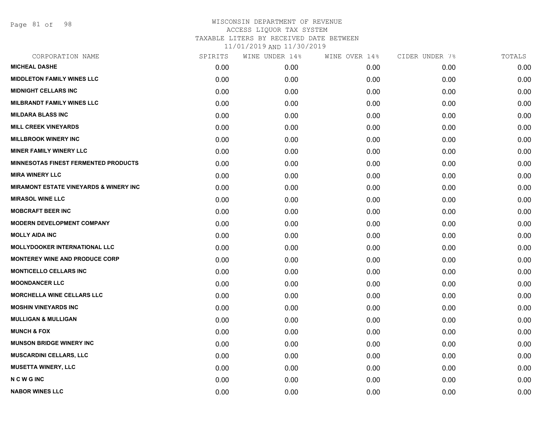Page 81 of 98

| CORPORATION NAME                                  | SPIRITS | WINE UNDER 14% | WINE OVER 14% | CIDER UNDER 7% | TOTALS |
|---------------------------------------------------|---------|----------------|---------------|----------------|--------|
| <b>MICHEAL DASHE</b>                              | 0.00    | 0.00           | 0.00          | 0.00           | 0.00   |
| <b>MIDDLETON FAMILY WINES LLC</b>                 | 0.00    | 0.00           | 0.00          | 0.00           | 0.00   |
| <b>MIDNIGHT CELLARS INC</b>                       | 0.00    | 0.00           | 0.00          | 0.00           | 0.00   |
| MILBRANDT FAMILY WINES LLC                        | 0.00    | 0.00           | 0.00          | 0.00           | 0.00   |
| <b>MILDARA BLASS INC</b>                          | 0.00    | 0.00           | 0.00          | 0.00           | 0.00   |
| <b>MILL CREEK VINEYARDS</b>                       | 0.00    | 0.00           | 0.00          | 0.00           | 0.00   |
| <b>MILLBROOK WINERY INC</b>                       | 0.00    | 0.00           | 0.00          | 0.00           | 0.00   |
| <b>MINER FAMILY WINERY LLC</b>                    | 0.00    | 0.00           | 0.00          | 0.00           | 0.00   |
| <b>MINNESOTAS FINEST FERMENTED PRODUCTS</b>       | 0.00    | 0.00           | 0.00          | 0.00           | 0.00   |
| <b>MIRA WINERY LLC</b>                            | 0.00    | 0.00           | 0.00          | 0.00           | 0.00   |
| <b>MIRAMONT ESTATE VINEYARDS &amp; WINERY INC</b> | 0.00    | 0.00           | 0.00          | 0.00           | 0.00   |
| <b>MIRASOL WINE LLC</b>                           | 0.00    | 0.00           | 0.00          | 0.00           | 0.00   |
| <b>MOBCRAFT BEER INC</b>                          | 0.00    | 0.00           | 0.00          | 0.00           | 0.00   |
| <b>MODERN DEVELOPMENT COMPANY</b>                 | 0.00    | 0.00           | 0.00          | 0.00           | 0.00   |
| <b>MOLLY AIDA INC</b>                             | 0.00    | 0.00           | 0.00          | 0.00           | 0.00   |
| <b>MOLLYDOOKER INTERNATIONAL LLC</b>              | 0.00    | 0.00           | 0.00          | 0.00           | 0.00   |
| <b>MONTEREY WINE AND PRODUCE CORP</b>             | 0.00    | 0.00           | 0.00          | 0.00           | 0.00   |
| <b>MONTICELLO CELLARS INC</b>                     | 0.00    | 0.00           | 0.00          | 0.00           | 0.00   |
| <b>MOONDANCER LLC</b>                             | 0.00    | 0.00           | 0.00          | 0.00           | 0.00   |
| <b>MORCHELLA WINE CELLARS LLC</b>                 | 0.00    | 0.00           | 0.00          | 0.00           | 0.00   |
| <b>MOSHIN VINEYARDS INC</b>                       | 0.00    | 0.00           | 0.00          | 0.00           | 0.00   |
| <b>MULLIGAN &amp; MULLIGAN</b>                    | 0.00    | 0.00           | 0.00          | 0.00           | 0.00   |
| <b>MUNCH &amp; FOX</b>                            | 0.00    | 0.00           | 0.00          | 0.00           | 0.00   |
| <b>MUNSON BRIDGE WINERY INC</b>                   | 0.00    | 0.00           | 0.00          | 0.00           | 0.00   |
| <b>MUSCARDINI CELLARS, LLC</b>                    | 0.00    | 0.00           | 0.00          | 0.00           | 0.00   |
| <b>MUSETTA WINERY, LLC</b>                        | 0.00    | 0.00           | 0.00          | 0.00           | 0.00   |
| <b>NCWGINC</b>                                    | 0.00    | 0.00           | 0.00          | 0.00           | 0.00   |
| <b>NABOR WINES LLC</b>                            | 0.00    | 0.00           | 0.00          | 0.00           | 0.00   |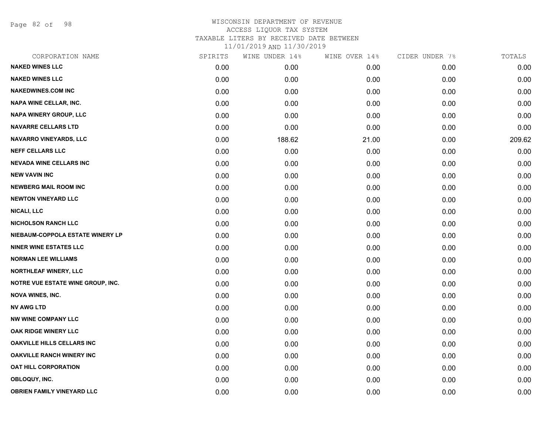Page 82 of 98

| CORPORATION NAME                  | SPIRITS | WINE UNDER 14% | WINE OVER 14% | CIDER UNDER 7% | TOTALS |
|-----------------------------------|---------|----------------|---------------|----------------|--------|
| <b>NAKED WINES LLC</b>            | 0.00    | 0.00           | 0.00          | 0.00           | 0.00   |
| <b>NAKED WINES LLC</b>            | 0.00    | 0.00           | 0.00          | 0.00           | 0.00   |
| <b>NAKEDWINES.COM INC</b>         | 0.00    | 0.00           | 0.00          | 0.00           | 0.00   |
| <b>NAPA WINE CELLAR, INC.</b>     | 0.00    | 0.00           | 0.00          | 0.00           | 0.00   |
| <b>NAPA WINERY GROUP, LLC</b>     | 0.00    | 0.00           | 0.00          | 0.00           | 0.00   |
| <b>NAVARRE CELLARS LTD</b>        | 0.00    | 0.00           | 0.00          | 0.00           | 0.00   |
| <b>NAVARRO VINEYARDS, LLC</b>     | 0.00    | 188.62         | 21.00         | 0.00           | 209.62 |
| <b>NEFF CELLARS LLC</b>           | 0.00    | 0.00           | 0.00          | 0.00           | 0.00   |
| <b>NEVADA WINE CELLARS INC</b>    | 0.00    | 0.00           | 0.00          | 0.00           | 0.00   |
| <b>NEW VAVIN INC</b>              | 0.00    | 0.00           | 0.00          | 0.00           | 0.00   |
| <b>NEWBERG MAIL ROOM INC</b>      | 0.00    | 0.00           | 0.00          | 0.00           | 0.00   |
| <b>NEWTON VINEYARD LLC</b>        | 0.00    | 0.00           | 0.00          | 0.00           | 0.00   |
| NICALI, LLC                       | 0.00    | 0.00           | 0.00          | 0.00           | 0.00   |
| <b>NICHOLSON RANCH LLC</b>        | 0.00    | 0.00           | 0.00          | 0.00           | 0.00   |
| NIEBAUM-COPPOLA ESTATE WINERY LP  | 0.00    | 0.00           | 0.00          | 0.00           | 0.00   |
| <b>NINER WINE ESTATES LLC</b>     | 0.00    | 0.00           | 0.00          | 0.00           | 0.00   |
| <b>NORMAN LEE WILLIAMS</b>        | 0.00    | 0.00           | 0.00          | 0.00           | 0.00   |
| <b>NORTHLEAF WINERY, LLC</b>      | 0.00    | 0.00           | 0.00          | 0.00           | 0.00   |
| NOTRE VUE ESTATE WINE GROUP, INC. | 0.00    | 0.00           | 0.00          | 0.00           | 0.00   |
| <b>NOVA WINES, INC.</b>           | 0.00    | 0.00           | 0.00          | 0.00           | 0.00   |
| <b>NV AWG LTD</b>                 | 0.00    | 0.00           | 0.00          | 0.00           | 0.00   |
| <b>NW WINE COMPANY LLC</b>        | 0.00    | 0.00           | 0.00          | 0.00           | 0.00   |
| OAK RIDGE WINERY LLC              | 0.00    | 0.00           | 0.00          | 0.00           | 0.00   |
| <b>OAKVILLE HILLS CELLARS INC</b> | 0.00    | 0.00           | 0.00          | 0.00           | 0.00   |
| <b>OAKVILLE RANCH WINERY INC</b>  | 0.00    | 0.00           | 0.00          | 0.00           | 0.00   |
| OAT HILL CORPORATION              | 0.00    | 0.00           | 0.00          | 0.00           | 0.00   |
| OBLOQUY, INC.                     | 0.00    | 0.00           | 0.00          | 0.00           | 0.00   |
| <b>OBRIEN FAMILY VINEYARD LLC</b> | 0.00    | 0.00           | 0.00          | 0.00           | 0.00   |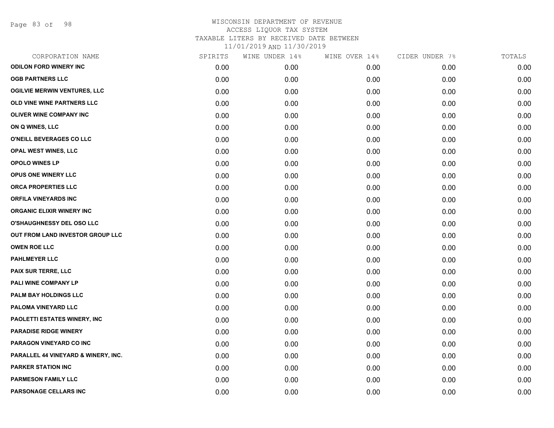Page 83 of 98

| CORPORATION NAME                    | SPIRITS | WINE UNDER 14% | WINE OVER 14% | CIDER UNDER 7% | TOTALS |
|-------------------------------------|---------|----------------|---------------|----------------|--------|
| <b>ODILON FORD WINERY INC</b>       | 0.00    | 0.00           | 0.00          | 0.00           | 0.00   |
| <b>OGB PARTNERS LLC</b>             | 0.00    | 0.00           | 0.00          | 0.00           | 0.00   |
| <b>OGILVIE MERWIN VENTURES, LLC</b> | 0.00    | 0.00           | 0.00          | 0.00           | 0.00   |
| OLD VINE WINE PARTNERS LLC          | 0.00    | 0.00           | 0.00          | 0.00           | 0.00   |
| <b>OLIVER WINE COMPANY INC</b>      | 0.00    | 0.00           | 0.00          | 0.00           | 0.00   |
| ON Q WINES, LLC                     | 0.00    | 0.00           | 0.00          | 0.00           | 0.00   |
| O'NEILL BEVERAGES CO LLC            | 0.00    | 0.00           | 0.00          | 0.00           | 0.00   |
| OPAL WEST WINES, LLC                | 0.00    | 0.00           | 0.00          | 0.00           | 0.00   |
| <b>OPOLO WINES LP</b>               | 0.00    | 0.00           | 0.00          | 0.00           | 0.00   |
| <b>OPUS ONE WINERY LLC</b>          | 0.00    | 0.00           | 0.00          | 0.00           | 0.00   |
| ORCA PROPERTIES LLC                 | 0.00    | 0.00           | 0.00          | 0.00           | 0.00   |
| <b>ORFILA VINEYARDS INC</b>         | 0.00    | 0.00           | 0.00          | 0.00           | 0.00   |
| <b>ORGANIC ELIXIR WINERY INC</b>    | 0.00    | 0.00           | 0.00          | 0.00           | 0.00   |
| <b>O'SHAUGHNESSY DEL OSO LLC</b>    | 0.00    | 0.00           | 0.00          | 0.00           | 0.00   |
| OUT FROM LAND INVESTOR GROUP LLC    | 0.00    | 0.00           | 0.00          | 0.00           | 0.00   |
| <b>OWEN ROE LLC</b>                 | 0.00    | 0.00           | 0.00          | 0.00           | 0.00   |
| <b>PAHLMEYER LLC</b>                | 0.00    | 0.00           | 0.00          | 0.00           | 0.00   |
| PAIX SUR TERRE, LLC                 | 0.00    | 0.00           | 0.00          | 0.00           | 0.00   |
| PALI WINE COMPANY LP                | 0.00    | 0.00           | 0.00          | 0.00           | 0.00   |
| PALM BAY HOLDINGS LLC               | 0.00    | 0.00           | 0.00          | 0.00           | 0.00   |
| PALOMA VINEYARD LLC                 | 0.00    | 0.00           | 0.00          | 0.00           | 0.00   |
| PAOLETTI ESTATES WINERY, INC        | 0.00    | 0.00           | 0.00          | 0.00           | 0.00   |
| <b>PARADISE RIDGE WINERY</b>        | 0.00    | 0.00           | 0.00          | 0.00           | 0.00   |
| PARAGON VINEYARD CO INC             | 0.00    | 0.00           | 0.00          | 0.00           | 0.00   |
| PARALLEL 44 VINEYARD & WINERY, INC. | 0.00    | 0.00           | 0.00          | 0.00           | 0.00   |
| <b>PARKER STATION INC</b>           | 0.00    | 0.00           | 0.00          | 0.00           | 0.00   |
| <b>PARMESON FAMILY LLC</b>          | 0.00    | 0.00           | 0.00          | 0.00           | 0.00   |
| PARSONAGE CELLARS INC               | 0.00    | 0.00           | 0.00          | 0.00           | 0.00   |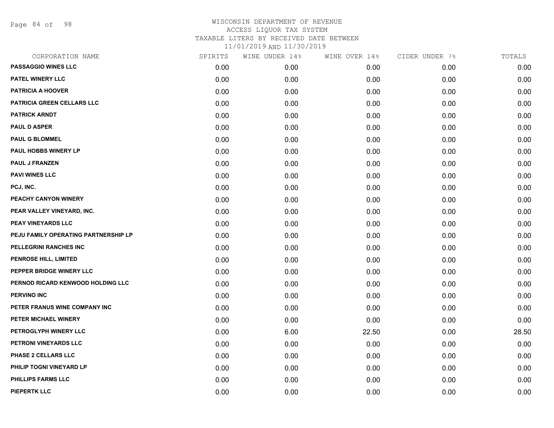Page 84 of 98

| CORPORATION NAME                     | SPIRITS | WINE UNDER 14% | WINE OVER 14% | CIDER UNDER 7% | TOTALS |
|--------------------------------------|---------|----------------|---------------|----------------|--------|
| <b>PASSAGGIO WINES LLC</b>           | 0.00    | 0.00           | 0.00          | 0.00           | 0.00   |
| <b>PATEL WINERY LLC</b>              | 0.00    | 0.00           | 0.00          | 0.00           | 0.00   |
| <b>PATRICIA A HOOVER</b>             | 0.00    | 0.00           | 0.00          | 0.00           | 0.00   |
| <b>PATRICIA GREEN CELLARS LLC</b>    | 0.00    | 0.00           | 0.00          | 0.00           | 0.00   |
| <b>PATRICK ARNDT</b>                 | 0.00    | 0.00           | 0.00          | 0.00           | 0.00   |
| <b>PAUL D ASPER</b>                  | 0.00    | 0.00           | 0.00          | 0.00           | 0.00   |
| <b>PAUL G BLOMMEL</b>                | 0.00    | 0.00           | 0.00          | 0.00           | 0.00   |
| PAUL HOBBS WINERY LP                 | 0.00    | 0.00           | 0.00          | 0.00           | 0.00   |
| <b>PAUL J FRANZEN</b>                | 0.00    | 0.00           | 0.00          | 0.00           | 0.00   |
| <b>PAVI WINES LLC</b>                | 0.00    | 0.00           | 0.00          | 0.00           | 0.00   |
| PCJ, INC.                            | 0.00    | 0.00           | 0.00          | 0.00           | 0.00   |
| PEACHY CANYON WINERY                 | 0.00    | 0.00           | 0.00          | 0.00           | 0.00   |
| PEAR VALLEY VINEYARD, INC.           | 0.00    | 0.00           | 0.00          | 0.00           | 0.00   |
| PEAY VINEYARDS LLC                   | 0.00    | 0.00           | 0.00          | 0.00           | 0.00   |
| PEJU FAMILY OPERATING PARTNERSHIP LP | 0.00    | 0.00           | 0.00          | 0.00           | 0.00   |
| PELLEGRINI RANCHES INC               | 0.00    | 0.00           | 0.00          | 0.00           | 0.00   |
| <b>PENROSE HILL, LIMITED</b>         | 0.00    | 0.00           | 0.00          | 0.00           | 0.00   |
| PEPPER BRIDGE WINERY LLC             | 0.00    | 0.00           | 0.00          | 0.00           | 0.00   |
| PERNOD RICARD KENWOOD HOLDING LLC    | 0.00    | 0.00           | 0.00          | 0.00           | 0.00   |
| <b>PERVINO INC</b>                   | 0.00    | 0.00           | 0.00          | 0.00           | 0.00   |
| PETER FRANUS WINE COMPANY INC        | 0.00    | 0.00           | 0.00          | 0.00           | 0.00   |
| PETER MICHAEL WINERY                 | 0.00    | 0.00           | 0.00          | 0.00           | 0.00   |
| PETROGLYPH WINERY LLC                | 0.00    | 6.00           | 22.50         | 0.00           | 28.50  |
| PETRONI VINEYARDS LLC                | 0.00    | 0.00           | 0.00          | 0.00           | 0.00   |
| PHASE 2 CELLARS LLC                  | 0.00    | 0.00           | 0.00          | 0.00           | 0.00   |
| PHILIP TOGNI VINEYARD LP             | 0.00    | 0.00           | 0.00          | 0.00           | 0.00   |
| <b>PHILLIPS FARMS LLC</b>            | 0.00    | 0.00           | 0.00          | 0.00           | 0.00   |
| <b>PIEPERTK LLC</b>                  | 0.00    | 0.00           | 0.00          | 0.00           | 0.00   |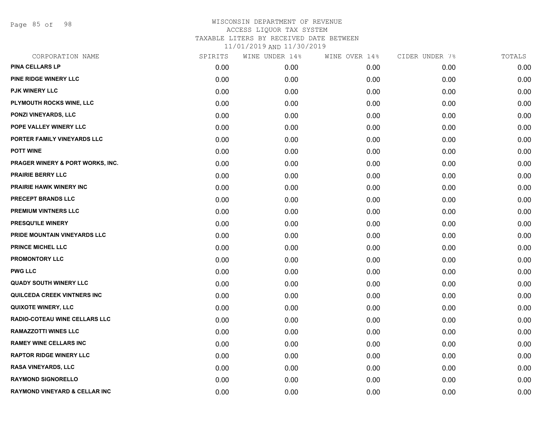Page 85 of 98

| CORPORATION NAME                         | SPIRITS | WINE UNDER 14% | WINE OVER 14% | CIDER UNDER 7% | TOTALS |
|------------------------------------------|---------|----------------|---------------|----------------|--------|
| <b>PINA CELLARS LP</b>                   | 0.00    | 0.00           | 0.00          | 0.00           | 0.00   |
| PINE RIDGE WINERY LLC                    | 0.00    | 0.00           | 0.00          | 0.00           | 0.00   |
| <b>PJK WINERY LLC</b>                    | 0.00    | 0.00           | 0.00          | 0.00           | 0.00   |
| PLYMOUTH ROCKS WINE, LLC                 | 0.00    | 0.00           | 0.00          | 0.00           | 0.00   |
| <b>PONZI VINEYARDS, LLC</b>              | 0.00    | 0.00           | 0.00          | 0.00           | 0.00   |
| POPE VALLEY WINERY LLC                   | 0.00    | 0.00           | 0.00          | 0.00           | 0.00   |
| PORTER FAMILY VINEYARDS LLC              | 0.00    | 0.00           | 0.00          | 0.00           | 0.00   |
| <b>POTT WINE</b>                         | 0.00    | 0.00           | 0.00          | 0.00           | 0.00   |
| PRAGER WINERY & PORT WORKS, INC.         | 0.00    | 0.00           | 0.00          | 0.00           | 0.00   |
| <b>PRAIRIE BERRY LLC</b>                 | 0.00    | 0.00           | 0.00          | 0.00           | 0.00   |
| PRAIRIE HAWK WINERY INC                  | 0.00    | 0.00           | 0.00          | 0.00           | 0.00   |
| PRECEPT BRANDS LLC                       | 0.00    | 0.00           | 0.00          | 0.00           | 0.00   |
| PREMIUM VINTNERS LLC                     | 0.00    | 0.00           | 0.00          | 0.00           | 0.00   |
| PRESQU'ILE WINERY                        | 0.00    | 0.00           | 0.00          | 0.00           | 0.00   |
| PRIDE MOUNTAIN VINEYARDS LLC             | 0.00    | 0.00           | 0.00          | 0.00           | 0.00   |
| PRINCE MICHEL LLC                        | 0.00    | 0.00           | 0.00          | 0.00           | 0.00   |
| PROMONTORY LLC                           | 0.00    | 0.00           | 0.00          | 0.00           | 0.00   |
| <b>PWG LLC</b>                           | 0.00    | 0.00           | 0.00          | 0.00           | 0.00   |
| <b>QUADY SOUTH WINERY LLC</b>            | 0.00    | 0.00           | 0.00          | 0.00           | 0.00   |
| QUILCEDA CREEK VINTNERS INC              | 0.00    | 0.00           | 0.00          | 0.00           | 0.00   |
| <b>QUIXOTE WINERY, LLC</b>               | 0.00    | 0.00           | 0.00          | 0.00           | 0.00   |
| RADIO-COTEAU WINE CELLARS LLC            | 0.00    | 0.00           | 0.00          | 0.00           | 0.00   |
| <b>RAMAZZOTTI WINES LLC</b>              | 0.00    | 0.00           | 0.00          | 0.00           | 0.00   |
| <b>RAMEY WINE CELLARS INC</b>            | 0.00    | 0.00           | 0.00          | 0.00           | 0.00   |
| <b>RAPTOR RIDGE WINERY LLC</b>           | 0.00    | 0.00           | 0.00          | 0.00           | 0.00   |
| <b>RASA VINEYARDS, LLC</b>               | 0.00    | 0.00           | 0.00          | 0.00           | 0.00   |
| <b>RAYMOND SIGNORELLO</b>                | 0.00    | 0.00           | 0.00          | 0.00           | 0.00   |
| <b>RAYMOND VINEYARD &amp; CELLAR INC</b> | 0.00    | 0.00           | 0.00          | 0.00           | 0.00   |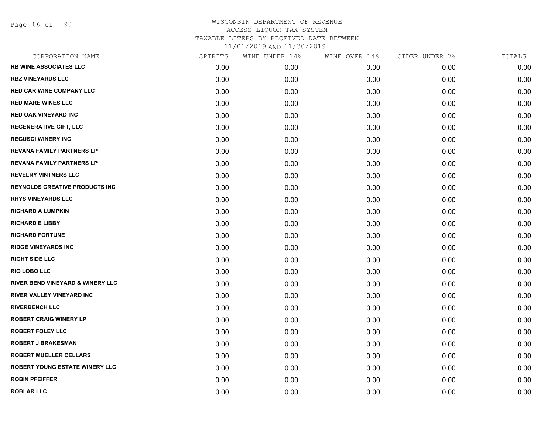Page 86 of 98

| CORPORATION NAME                            | SPIRITS | WINE UNDER 14% | WINE OVER 14% | CIDER UNDER 7% | TOTALS |
|---------------------------------------------|---------|----------------|---------------|----------------|--------|
| <b>RB WINE ASSOCIATES LLC</b>               | 0.00    | 0.00           | 0.00          | 0.00           | 0.00   |
| <b>RBZ VINEYARDS LLC</b>                    | 0.00    | 0.00           | 0.00          | 0.00           | 0.00   |
| <b>RED CAR WINE COMPANY LLC</b>             | 0.00    | 0.00           | 0.00          | 0.00           | 0.00   |
| <b>RED MARE WINES LLC</b>                   | 0.00    | 0.00           | 0.00          | 0.00           | 0.00   |
| <b>RED OAK VINEYARD INC</b>                 | 0.00    | 0.00           | 0.00          | 0.00           | 0.00   |
| <b>REGENERATIVE GIFT, LLC</b>               | 0.00    | 0.00           | 0.00          | 0.00           | 0.00   |
| <b>REGUSCI WINERY INC</b>                   | 0.00    | 0.00           | 0.00          | 0.00           | 0.00   |
| <b>REVANA FAMILY PARTNERS LP</b>            | 0.00    | 0.00           | 0.00          | 0.00           | 0.00   |
| <b>REVANA FAMILY PARTNERS LP</b>            | 0.00    | 0.00           | 0.00          | 0.00           | 0.00   |
| <b>REVELRY VINTNERS LLC</b>                 | 0.00    | 0.00           | 0.00          | 0.00           | 0.00   |
| <b>REYNOLDS CREATIVE PRODUCTS INC</b>       | 0.00    | 0.00           | 0.00          | 0.00           | 0.00   |
| <b>RHYS VINEYARDS LLC</b>                   | 0.00    | 0.00           | 0.00          | 0.00           | 0.00   |
| <b>RICHARD A LUMPKIN</b>                    | 0.00    | 0.00           | 0.00          | 0.00           | 0.00   |
| <b>RICHARD E LIBBY</b>                      | 0.00    | 0.00           | 0.00          | 0.00           | 0.00   |
| <b>RICHARD FORTUNE</b>                      | 0.00    | 0.00           | 0.00          | 0.00           | 0.00   |
| <b>RIDGE VINEYARDS INC</b>                  | 0.00    | 0.00           | 0.00          | 0.00           | 0.00   |
| <b>RIGHT SIDE LLC</b>                       | 0.00    | 0.00           | 0.00          | 0.00           | 0.00   |
| <b>RIO LOBO LLC</b>                         | 0.00    | 0.00           | 0.00          | 0.00           | 0.00   |
| <b>RIVER BEND VINEYARD &amp; WINERY LLC</b> | 0.00    | 0.00           | 0.00          | 0.00           | 0.00   |
| <b>RIVER VALLEY VINEYARD INC</b>            | 0.00    | 0.00           | 0.00          | 0.00           | 0.00   |
| <b>RIVERBENCH LLC</b>                       | 0.00    | 0.00           | 0.00          | 0.00           | 0.00   |
| <b>ROBERT CRAIG WINERY LP</b>               | 0.00    | 0.00           | 0.00          | 0.00           | 0.00   |
| <b>ROBERT FOLEY LLC</b>                     | 0.00    | 0.00           | 0.00          | 0.00           | 0.00   |
| <b>ROBERT J BRAKESMAN</b>                   | 0.00    | 0.00           | 0.00          | 0.00           | 0.00   |
| <b>ROBERT MUELLER CELLARS</b>               | 0.00    | 0.00           | 0.00          | 0.00           | 0.00   |
| ROBERT YOUNG ESTATE WINERY LLC              | 0.00    | 0.00           | 0.00          | 0.00           | 0.00   |
| <b>ROBIN PFEIFFER</b>                       | 0.00    | 0.00           | 0.00          | 0.00           | 0.00   |
| <b>ROBLAR LLC</b>                           | 0.00    | 0.00           | 0.00          | 0.00           | 0.00   |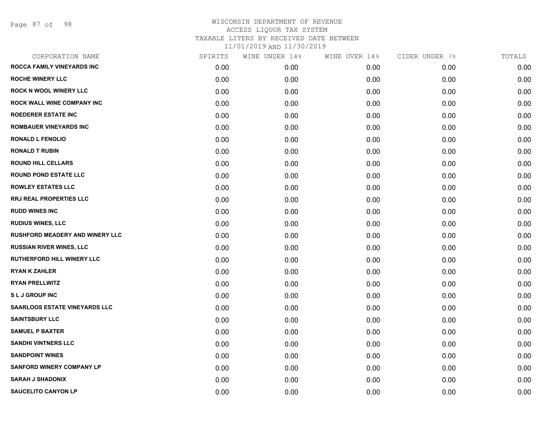| CORPORATION NAME                       | SPIRITS | WINE UNDER 14% | WINE OVER 14% | CIDER UNDER 7% | TOTALS |
|----------------------------------------|---------|----------------|---------------|----------------|--------|
| <b>ROCCA FAMILY VINEYARDS INC</b>      | 0.00    | 0.00           | 0.00          | 0.00           | 0.00   |
| <b>ROCHE WINERY LLC</b>                | 0.00    | 0.00           | 0.00          | 0.00           | 0.00   |
| <b>ROCK N WOOL WINERY LLC</b>          | 0.00    | 0.00           | 0.00          | 0.00           | 0.00   |
| <b>ROCK WALL WINE COMPANY INC</b>      | 0.00    | 0.00           | 0.00          | 0.00           | 0.00   |
| ROEDERER ESTATE INC                    | 0.00    | 0.00           | 0.00          | 0.00           | 0.00   |
| <b>ROMBAUER VINEYARDS INC</b>          | 0.00    | 0.00           | 0.00          | 0.00           | 0.00   |
| <b>RONALD L FENOLIO</b>                | 0.00    | 0.00           | 0.00          | 0.00           | 0.00   |
| <b>RONALD T RUBIN</b>                  | 0.00    | 0.00           | 0.00          | 0.00           | 0.00   |
| <b>ROUND HILL CELLARS</b>              | 0.00    | 0.00           | 0.00          | 0.00           | 0.00   |
| <b>ROUND POND ESTATE LLC</b>           | 0.00    | 0.00           | 0.00          | 0.00           | 0.00   |
| <b>ROWLEY ESTATES LLC</b>              | 0.00    | 0.00           | 0.00          | 0.00           | 0.00   |
| RRJ REAL PROPERTIES LLC                | 0.00    | 0.00           | 0.00          | 0.00           | 0.00   |
| <b>RUDD WINES INC</b>                  | 0.00    | 0.00           | 0.00          | 0.00           | 0.00   |
| <b>RUDIUS WINES, LLC</b>               | 0.00    | 0.00           | 0.00          | 0.00           | 0.00   |
| <b>RUSHFORD MEADERY AND WINERY LLC</b> | 0.00    | 0.00           | 0.00          | 0.00           | 0.00   |
| <b>RUSSIAN RIVER WINES, LLC</b>        | 0.00    | 0.00           | 0.00          | 0.00           | 0.00   |
| <b>RUTHERFORD HILL WINERY LLC</b>      | 0.00    | 0.00           | 0.00          | 0.00           | 0.00   |
| <b>RYAN K ZAHLER</b>                   | 0.00    | 0.00           | 0.00          | 0.00           | 0.00   |
| <b>RYAN PRELLWITZ</b>                  | 0.00    | 0.00           | 0.00          | 0.00           | 0.00   |
| <b>SLJ GROUP INC</b>                   | 0.00    | 0.00           | 0.00          | 0.00           | 0.00   |
| <b>SAARLOOS ESTATE VINEYARDS LLC</b>   | 0.00    | 0.00           | 0.00          | 0.00           | 0.00   |
| <b>SAINTSBURY LLC</b>                  | 0.00    | 0.00           | 0.00          | 0.00           | 0.00   |
| <b>SAMUEL P BAXTER</b>                 | 0.00    | 0.00           | 0.00          | 0.00           | 0.00   |
| <b>SANDHI VINTNERS LLC</b>             | 0.00    | 0.00           | 0.00          | 0.00           | 0.00   |
| <b>SANDPOINT WINES</b>                 | 0.00    | 0.00           | 0.00          | 0.00           | 0.00   |
| <b>SANFORD WINERY COMPANY LP</b>       | 0.00    | 0.00           | 0.00          | 0.00           | 0.00   |
| <b>SARAH J SHADONIX</b>                | 0.00    | 0.00           | 0.00          | 0.00           | 0.00   |
| <b>SAUCELITO CANYON LP</b>             | 0.00    | 0.00           | 0.00          | 0.00           | 0.00   |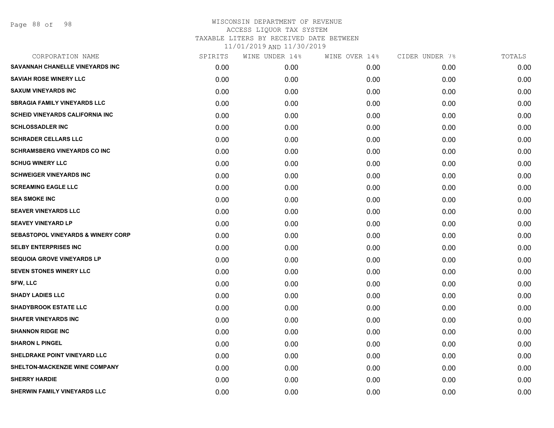| CORPORATION NAME                              | SPIRITS | WINE UNDER 14% | WINE OVER 14% | CIDER UNDER 7% | TOTALS |
|-----------------------------------------------|---------|----------------|---------------|----------------|--------|
| SAVANNAH CHANELLE VINEYARDS INC               | 0.00    | 0.00           | 0.00          | 0.00           | 0.00   |
| <b>SAVIAH ROSE WINERY LLC</b>                 | 0.00    | 0.00           | 0.00          | 0.00           | 0.00   |
| <b>SAXUM VINEYARDS INC</b>                    | 0.00    | 0.00           | 0.00          | 0.00           | 0.00   |
| <b>SBRAGIA FAMILY VINEYARDS LLC</b>           | 0.00    | 0.00           | 0.00          | 0.00           | 0.00   |
| SCHEID VINEYARDS CALIFORNIA INC               | 0.00    | 0.00           | 0.00          | 0.00           | 0.00   |
| <b>SCHLOSSADLER INC</b>                       | 0.00    | 0.00           | 0.00          | 0.00           | 0.00   |
| <b>SCHRADER CELLARS LLC</b>                   | 0.00    | 0.00           | 0.00          | 0.00           | 0.00   |
| <b>SCHRAMSBERG VINEYARDS CO INC</b>           | 0.00    | 0.00           | 0.00          | 0.00           | 0.00   |
| <b>SCHUG WINERY LLC</b>                       | 0.00    | 0.00           | 0.00          | 0.00           | 0.00   |
| <b>SCHWEIGER VINEYARDS INC</b>                | 0.00    | 0.00           | 0.00          | 0.00           | 0.00   |
| <b>SCREAMING EAGLE LLC</b>                    | 0.00    | 0.00           | 0.00          | 0.00           | 0.00   |
| <b>SEA SMOKE INC</b>                          | 0.00    | 0.00           | 0.00          | 0.00           | 0.00   |
| <b>SEAVER VINEYARDS LLC</b>                   | 0.00    | 0.00           | 0.00          | 0.00           | 0.00   |
| <b>SEAVEY VINEYARD LP</b>                     | 0.00    | 0.00           | 0.00          | 0.00           | 0.00   |
| <b>SEBASTOPOL VINEYARDS &amp; WINERY CORP</b> | 0.00    | 0.00           | 0.00          | 0.00           | 0.00   |
| <b>SELBY ENTERPRISES INC</b>                  | 0.00    | 0.00           | 0.00          | 0.00           | 0.00   |
| <b>SEQUOIA GROVE VINEYARDS LP</b>             | 0.00    | 0.00           | 0.00          | 0.00           | 0.00   |
| <b>SEVEN STONES WINERY LLC</b>                | 0.00    | 0.00           | 0.00          | 0.00           | 0.00   |
| <b>SFW, LLC</b>                               | 0.00    | 0.00           | 0.00          | 0.00           | 0.00   |
| <b>SHADY LADIES LLC</b>                       | 0.00    | 0.00           | 0.00          | 0.00           | 0.00   |
| <b>SHADYBROOK ESTATE LLC</b>                  | 0.00    | 0.00           | 0.00          | 0.00           | 0.00   |
| <b>SHAFER VINEYARDS INC</b>                   | 0.00    | 0.00           | 0.00          | 0.00           | 0.00   |
| <b>SHANNON RIDGE INC</b>                      | 0.00    | 0.00           | 0.00          | 0.00           | 0.00   |
| <b>SHARON L PINGEL</b>                        | 0.00    | 0.00           | 0.00          | 0.00           | 0.00   |
| SHELDRAKE POINT VINEYARD LLC                  | 0.00    | 0.00           | 0.00          | 0.00           | 0.00   |
| SHELTON-MACKENZIE WINE COMPANY                | 0.00    | 0.00           | 0.00          | 0.00           | 0.00   |
| <b>SHERRY HARDIE</b>                          | 0.00    | 0.00           | 0.00          | 0.00           | 0.00   |
| <b>SHERWIN FAMILY VINEYARDS LLC</b>           | 0.00    | 0.00           | 0.00          | 0.00           | 0.00   |
|                                               |         |                |               |                |        |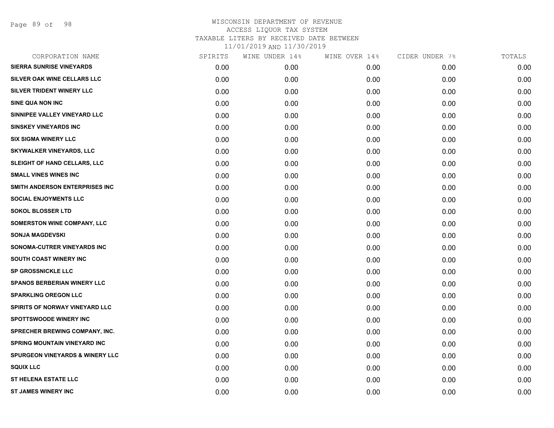Page 89 of 98

| CORPORATION NAME                           | SPIRITS | WINE UNDER 14% | WINE OVER 14% | CIDER UNDER 7% | TOTALS |
|--------------------------------------------|---------|----------------|---------------|----------------|--------|
| <b>SIERRA SUNRISE VINEYARDS</b>            | 0.00    | 0.00           | 0.00          | 0.00           | 0.00   |
| SILVER OAK WINE CELLARS LLC                | 0.00    | 0.00           | 0.00          | 0.00           | 0.00   |
| SILVER TRIDENT WINERY LLC                  | 0.00    | 0.00           | 0.00          | 0.00           | 0.00   |
| SINE QUA NON INC                           | 0.00    | 0.00           | 0.00          | 0.00           | 0.00   |
| SINNIPEE VALLEY VINEYARD LLC               | 0.00    | 0.00           | 0.00          | 0.00           | 0.00   |
| <b>SINSKEY VINEYARDS INC</b>               | 0.00    | 0.00           | 0.00          | 0.00           | 0.00   |
| <b>SIX SIGMA WINERY LLC</b>                | 0.00    | 0.00           | 0.00          | 0.00           | 0.00   |
| <b>SKYWALKER VINEYARDS, LLC</b>            | 0.00    | 0.00           | 0.00          | 0.00           | 0.00   |
| SLEIGHT OF HAND CELLARS, LLC               | 0.00    | 0.00           | 0.00          | 0.00           | 0.00   |
| <b>SMALL VINES WINES INC</b>               | 0.00    | 0.00           | 0.00          | 0.00           | 0.00   |
| SMITH ANDERSON ENTERPRISES INC             | 0.00    | 0.00           | 0.00          | 0.00           | 0.00   |
| <b>SOCIAL ENJOYMENTS LLC</b>               | 0.00    | 0.00           | 0.00          | 0.00           | 0.00   |
| <b>SOKOL BLOSSER LTD</b>                   | 0.00    | 0.00           | 0.00          | 0.00           | 0.00   |
| <b>SOMERSTON WINE COMPANY, LLC</b>         | 0.00    | 0.00           | 0.00          | 0.00           | 0.00   |
| <b>SONJA MAGDEVSKI</b>                     | 0.00    | 0.00           | 0.00          | 0.00           | 0.00   |
| SONOMA-CUTRER VINEYARDS INC                | 0.00    | 0.00           | 0.00          | 0.00           | 0.00   |
| SOUTH COAST WINERY INC                     | 0.00    | 0.00           | 0.00          | 0.00           | 0.00   |
| <b>SP GROSSNICKLE LLC</b>                  | 0.00    | 0.00           | 0.00          | 0.00           | 0.00   |
| <b>SPANOS BERBERIAN WINERY LLC</b>         | 0.00    | 0.00           | 0.00          | 0.00           | 0.00   |
| <b>SPARKLING OREGON LLC</b>                | 0.00    | 0.00           | 0.00          | 0.00           | 0.00   |
| SPIRITS OF NORWAY VINEYARD LLC             | 0.00    | 0.00           | 0.00          | 0.00           | 0.00   |
| <b>SPOTTSWOODE WINERY INC</b>              | 0.00    | 0.00           | 0.00          | 0.00           | 0.00   |
| <b>SPRECHER BREWING COMPANY, INC.</b>      | 0.00    | 0.00           | 0.00          | 0.00           | 0.00   |
| <b>SPRING MOUNTAIN VINEYARD INC</b>        | 0.00    | 0.00           | 0.00          | 0.00           | 0.00   |
| <b>SPURGEON VINEYARDS &amp; WINERY LLC</b> | 0.00    | 0.00           | 0.00          | 0.00           | 0.00   |
| <b>SQUIX LLC</b>                           | 0.00    | 0.00           | 0.00          | 0.00           | 0.00   |
| <b>ST HELENA ESTATE LLC</b>                | 0.00    | 0.00           | 0.00          | 0.00           | 0.00   |
| <b>ST JAMES WINERY INC</b>                 | 0.00    | 0.00           | 0.00          | 0.00           | 0.00   |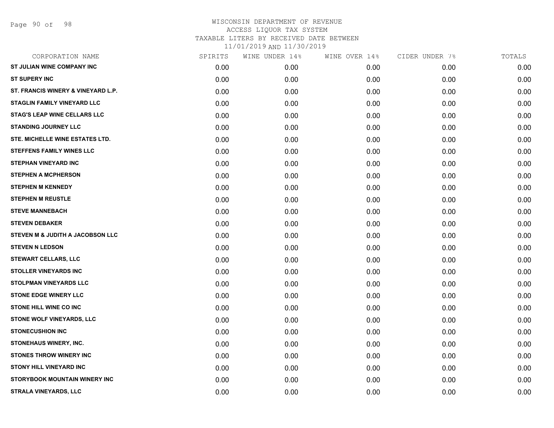| CORPORATION NAME                    | SPIRITS | WINE UNDER 14% | WINE OVER 14% | CIDER UNDER 7% | TOTALS |
|-------------------------------------|---------|----------------|---------------|----------------|--------|
| ST JULIAN WINE COMPANY INC          | 0.00    | 0.00           | 0.00          | 0.00           | 0.00   |
| <b>ST SUPERY INC</b>                | 0.00    | 0.00           | 0.00          | 0.00           | 0.00   |
| ST. FRANCIS WINERY & VINEYARD L.P.  | 0.00    | 0.00           | 0.00          | 0.00           | 0.00   |
| STAGLIN FAMILY VINEYARD LLC         | 0.00    | 0.00           | 0.00          | 0.00           | 0.00   |
| <b>STAG'S LEAP WINE CELLARS LLC</b> | 0.00    | 0.00           | 0.00          | 0.00           | 0.00   |
| <b>STANDING JOURNEY LLC</b>         | 0.00    | 0.00           | 0.00          | 0.00           | 0.00   |
| STE. MICHELLE WINE ESTATES LTD.     | 0.00    | 0.00           | 0.00          | 0.00           | 0.00   |
| <b>STEFFENS FAMILY WINES LLC</b>    | 0.00    | 0.00           | 0.00          | 0.00           | 0.00   |
| <b>STEPHAN VINEYARD INC</b>         | 0.00    | 0.00           | 0.00          | 0.00           | 0.00   |
| <b>STEPHEN A MCPHERSON</b>          | 0.00    | 0.00           | 0.00          | 0.00           | 0.00   |
| <b>STEPHEN M KENNEDY</b>            | 0.00    | 0.00           | 0.00          | 0.00           | 0.00   |
| <b>STEPHEN M REUSTLE</b>            | 0.00    | 0.00           | 0.00          | 0.00           | 0.00   |
| <b>STEVE MANNEBACH</b>              | 0.00    | 0.00           | 0.00          | 0.00           | 0.00   |
| <b>STEVEN DEBAKER</b>               | 0.00    | 0.00           | 0.00          | 0.00           | 0.00   |
| STEVEN M & JUDITH A JACOBSON LLC    | 0.00    | 0.00           | 0.00          | 0.00           | 0.00   |
| <b>STEVEN N LEDSON</b>              | 0.00    | 0.00           | 0.00          | 0.00           | 0.00   |
| <b>STEWART CELLARS, LLC</b>         | 0.00    | 0.00           | 0.00          | 0.00           | 0.00   |
| <b>STOLLER VINEYARDS INC</b>        | 0.00    | 0.00           | 0.00          | 0.00           | 0.00   |
| <b>STOLPMAN VINEYARDS LLC</b>       | 0.00    | 0.00           | 0.00          | 0.00           | 0.00   |
| <b>STONE EDGE WINERY LLC</b>        | 0.00    | 0.00           | 0.00          | 0.00           | 0.00   |
| <b>STONE HILL WINE CO INC</b>       | 0.00    | 0.00           | 0.00          | 0.00           | 0.00   |
| STONE WOLF VINEYARDS, LLC           | 0.00    | 0.00           | 0.00          | 0.00           | 0.00   |
| <b>STONECUSHION INC</b>             | 0.00    | 0.00           | 0.00          | 0.00           | 0.00   |
| STONEHAUS WINERY, INC.              | 0.00    | 0.00           | 0.00          | 0.00           | 0.00   |
| STONES THROW WINERY INC             | 0.00    | 0.00           | 0.00          | 0.00           | 0.00   |
| <b>STONY HILL VINEYARD INC</b>      | 0.00    | 0.00           | 0.00          | 0.00           | 0.00   |
| STORYBOOK MOUNTAIN WINERY INC       | 0.00    | 0.00           | 0.00          | 0.00           | 0.00   |
| STRALA VINEYARDS, LLC               | 0.00    | 0.00           | 0.00          | 0.00           | 0.00   |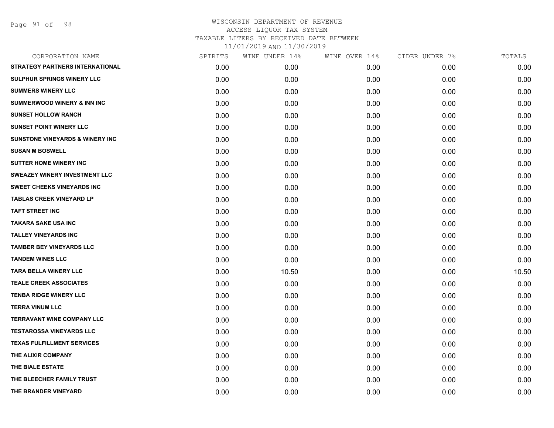Page 91 of 98

| CORPORATION NAME                           | SPIRITS | WINE UNDER 14% | WINE OVER 14% | CIDER UNDER 7% | TOTALS |
|--------------------------------------------|---------|----------------|---------------|----------------|--------|
| <b>STRATEGY PARTNERS INTERNATIONAL</b>     | 0.00    | 0.00           | 0.00          | 0.00           | 0.00   |
| <b>SULPHUR SPRINGS WINERY LLC</b>          | 0.00    | 0.00           | 0.00          | 0.00           | 0.00   |
| <b>SUMMERS WINERY LLC</b>                  | 0.00    | 0.00           | 0.00          | 0.00           | 0.00   |
| <b>SUMMERWOOD WINERY &amp; INN INC</b>     | 0.00    | 0.00           | 0.00          | 0.00           | 0.00   |
| <b>SUNSET HOLLOW RANCH</b>                 | 0.00    | 0.00           | 0.00          | 0.00           | 0.00   |
| <b>SUNSET POINT WINERY LLC</b>             | 0.00    | 0.00           | 0.00          | 0.00           | 0.00   |
| <b>SUNSTONE VINEYARDS &amp; WINERY INC</b> | 0.00    | 0.00           | 0.00          | 0.00           | 0.00   |
| <b>SUSAN M BOSWELL</b>                     | 0.00    | 0.00           | 0.00          | 0.00           | 0.00   |
| <b>SUTTER HOME WINERY INC</b>              | 0.00    | 0.00           | 0.00          | 0.00           | 0.00   |
| <b>SWEAZEY WINERY INVESTMENT LLC</b>       | 0.00    | 0.00           | 0.00          | 0.00           | 0.00   |
| <b>SWEET CHEEKS VINEYARDS INC</b>          | 0.00    | 0.00           | 0.00          | 0.00           | 0.00   |
| <b>TABLAS CREEK VINEYARD LP</b>            | 0.00    | 0.00           | 0.00          | 0.00           | 0.00   |
| <b>TAFT STREET INC</b>                     | 0.00    | 0.00           | 0.00          | 0.00           | 0.00   |
| TAKARA SAKE USA INC                        | 0.00    | 0.00           | 0.00          | 0.00           | 0.00   |
| <b>TALLEY VINEYARDS INC</b>                | 0.00    | 0.00           | 0.00          | 0.00           | 0.00   |
| <b>TAMBER BEY VINEYARDS LLC</b>            | 0.00    | 0.00           | 0.00          | 0.00           | 0.00   |
| <b>TANDEM WINES LLC</b>                    | 0.00    | 0.00           | 0.00          | 0.00           | 0.00   |
| <b>TARA BELLA WINERY LLC</b>               | 0.00    | 10.50          | 0.00          | 0.00           | 10.50  |
| <b>TEALE CREEK ASSOCIATES</b>              | 0.00    | 0.00           | 0.00          | 0.00           | 0.00   |
| <b>TENBA RIDGE WINERY LLC</b>              | 0.00    | 0.00           | 0.00          | 0.00           | 0.00   |
| <b>TERRA VINUM LLC</b>                     | 0.00    | 0.00           | 0.00          | 0.00           | 0.00   |
| <b>TERRAVANT WINE COMPANY LLC</b>          | 0.00    | 0.00           | 0.00          | 0.00           | 0.00   |
| <b>TESTAROSSA VINEYARDS LLC</b>            | 0.00    | 0.00           | 0.00          | 0.00           | 0.00   |
| <b>TEXAS FULFILLMENT SERVICES</b>          | 0.00    | 0.00           | 0.00          | 0.00           | 0.00   |
| THE ALIXIR COMPANY                         | 0.00    | 0.00           | 0.00          | 0.00           | 0.00   |
| THE BIALE ESTATE                           | 0.00    | 0.00           | 0.00          | 0.00           | 0.00   |
| THE BLEECHER FAMILY TRUST                  | 0.00    | 0.00           | 0.00          | 0.00           | 0.00   |
| THE BRANDER VINEYARD                       | 0.00    | 0.00           | 0.00          | 0.00           | 0.00   |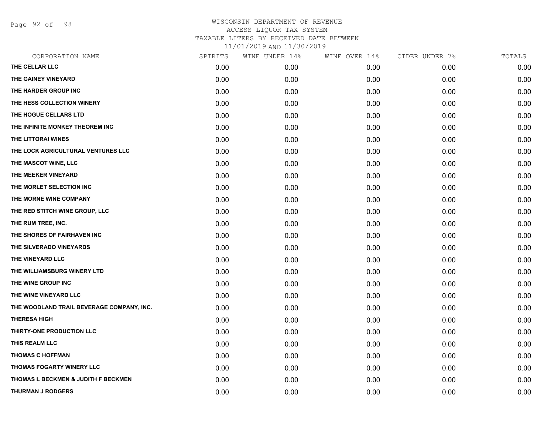Page 92 of 98

| THE CELLAR LLC<br>0.00<br>0.00<br>0.00<br>0.00<br>THE GAINEY VINEYARD<br>0.00<br>0.00<br>0.00<br>0.00<br>THE HARDER GROUP INC<br>0.00<br>0.00<br>0.00<br>0.00<br>THE HESS COLLECTION WINERY<br>0.00<br>0.00<br>0.00<br>0.00<br>THE HOGUE CELLARS LTD<br>0.00<br>0.00<br>0.00<br>0.00<br>THE INFINITE MONKEY THEOREM INC<br>0.00<br>0.00<br>0.00<br>0.00<br>THE LITTORAI WINES<br>0.00<br>0.00<br>0.00<br>0.00<br>THE LOCK AGRICULTURAL VENTURES LLC<br>0.00<br>0.00<br>0.00<br>0.00<br>THE MASCOT WINE, LLC<br>0.00<br>0.00<br>0.00<br>0.00<br>THE MEEKER VINEYARD<br>0.00<br>0.00<br>0.00<br>0.00<br>THE MORLET SELECTION INC<br>0.00<br>0.00<br>0.00<br>0.00<br>THE MORNE WINE COMPANY<br>0.00<br>0.00<br>0.00<br>0.00<br>THE RED STITCH WINE GROUP, LLC<br>0.00<br>0.00<br>0.00<br>0.00<br>THE RUM TREE, INC.<br>0.00<br>0.00<br>0.00<br>0.00<br>THE SHORES OF FAIRHAVEN INC<br>0.00<br>0.00<br>0.00<br>0.00<br>THE SILVERADO VINEYARDS<br>0.00<br>0.00<br>0.00<br>0.00<br>THE VINEYARD LLC<br>0.00<br>0.00<br>0.00<br>0.00<br>THE WILLIAMSBURG WINERY LTD<br>0.00<br>0.00<br>0.00<br>0.00<br>THE WINE GROUP INC<br>0.00<br>0.00<br>0.00<br>0.00<br>THE WINE VINEYARD LLC<br>0.00<br>0.00<br>0.00<br>0.00<br>THE WOODLAND TRAIL BEVERAGE COMPANY, INC.<br>0.00<br>0.00<br>0.00<br>0.00 | 0.00<br>0.00<br>0.00<br>0.00<br>0.00<br>0.00<br>0.00<br>0.00 |
|-------------------------------------------------------------------------------------------------------------------------------------------------------------------------------------------------------------------------------------------------------------------------------------------------------------------------------------------------------------------------------------------------------------------------------------------------------------------------------------------------------------------------------------------------------------------------------------------------------------------------------------------------------------------------------------------------------------------------------------------------------------------------------------------------------------------------------------------------------------------------------------------------------------------------------------------------------------------------------------------------------------------------------------------------------------------------------------------------------------------------------------------------------------------------------------------------------------------------------------------------------------------------------------------|--------------------------------------------------------------|
|                                                                                                                                                                                                                                                                                                                                                                                                                                                                                                                                                                                                                                                                                                                                                                                                                                                                                                                                                                                                                                                                                                                                                                                                                                                                                           |                                                              |
|                                                                                                                                                                                                                                                                                                                                                                                                                                                                                                                                                                                                                                                                                                                                                                                                                                                                                                                                                                                                                                                                                                                                                                                                                                                                                           |                                                              |
|                                                                                                                                                                                                                                                                                                                                                                                                                                                                                                                                                                                                                                                                                                                                                                                                                                                                                                                                                                                                                                                                                                                                                                                                                                                                                           |                                                              |
|                                                                                                                                                                                                                                                                                                                                                                                                                                                                                                                                                                                                                                                                                                                                                                                                                                                                                                                                                                                                                                                                                                                                                                                                                                                                                           |                                                              |
|                                                                                                                                                                                                                                                                                                                                                                                                                                                                                                                                                                                                                                                                                                                                                                                                                                                                                                                                                                                                                                                                                                                                                                                                                                                                                           |                                                              |
|                                                                                                                                                                                                                                                                                                                                                                                                                                                                                                                                                                                                                                                                                                                                                                                                                                                                                                                                                                                                                                                                                                                                                                                                                                                                                           |                                                              |
|                                                                                                                                                                                                                                                                                                                                                                                                                                                                                                                                                                                                                                                                                                                                                                                                                                                                                                                                                                                                                                                                                                                                                                                                                                                                                           |                                                              |
|                                                                                                                                                                                                                                                                                                                                                                                                                                                                                                                                                                                                                                                                                                                                                                                                                                                                                                                                                                                                                                                                                                                                                                                                                                                                                           |                                                              |
|                                                                                                                                                                                                                                                                                                                                                                                                                                                                                                                                                                                                                                                                                                                                                                                                                                                                                                                                                                                                                                                                                                                                                                                                                                                                                           | 0.00                                                         |
|                                                                                                                                                                                                                                                                                                                                                                                                                                                                                                                                                                                                                                                                                                                                                                                                                                                                                                                                                                                                                                                                                                                                                                                                                                                                                           | 0.00                                                         |
|                                                                                                                                                                                                                                                                                                                                                                                                                                                                                                                                                                                                                                                                                                                                                                                                                                                                                                                                                                                                                                                                                                                                                                                                                                                                                           | 0.00                                                         |
|                                                                                                                                                                                                                                                                                                                                                                                                                                                                                                                                                                                                                                                                                                                                                                                                                                                                                                                                                                                                                                                                                                                                                                                                                                                                                           | 0.00                                                         |
|                                                                                                                                                                                                                                                                                                                                                                                                                                                                                                                                                                                                                                                                                                                                                                                                                                                                                                                                                                                                                                                                                                                                                                                                                                                                                           | 0.00                                                         |
|                                                                                                                                                                                                                                                                                                                                                                                                                                                                                                                                                                                                                                                                                                                                                                                                                                                                                                                                                                                                                                                                                                                                                                                                                                                                                           | 0.00                                                         |
|                                                                                                                                                                                                                                                                                                                                                                                                                                                                                                                                                                                                                                                                                                                                                                                                                                                                                                                                                                                                                                                                                                                                                                                                                                                                                           | 0.00                                                         |
|                                                                                                                                                                                                                                                                                                                                                                                                                                                                                                                                                                                                                                                                                                                                                                                                                                                                                                                                                                                                                                                                                                                                                                                                                                                                                           | 0.00                                                         |
|                                                                                                                                                                                                                                                                                                                                                                                                                                                                                                                                                                                                                                                                                                                                                                                                                                                                                                                                                                                                                                                                                                                                                                                                                                                                                           | 0.00                                                         |
|                                                                                                                                                                                                                                                                                                                                                                                                                                                                                                                                                                                                                                                                                                                                                                                                                                                                                                                                                                                                                                                                                                                                                                                                                                                                                           | 0.00                                                         |
|                                                                                                                                                                                                                                                                                                                                                                                                                                                                                                                                                                                                                                                                                                                                                                                                                                                                                                                                                                                                                                                                                                                                                                                                                                                                                           | 0.00                                                         |
|                                                                                                                                                                                                                                                                                                                                                                                                                                                                                                                                                                                                                                                                                                                                                                                                                                                                                                                                                                                                                                                                                                                                                                                                                                                                                           | 0.00                                                         |
|                                                                                                                                                                                                                                                                                                                                                                                                                                                                                                                                                                                                                                                                                                                                                                                                                                                                                                                                                                                                                                                                                                                                                                                                                                                                                           | 0.00                                                         |
| <b>THERESA HIGH</b><br>0.00<br>0.00<br>0.00<br>0.00                                                                                                                                                                                                                                                                                                                                                                                                                                                                                                                                                                                                                                                                                                                                                                                                                                                                                                                                                                                                                                                                                                                                                                                                                                       | 0.00                                                         |
| THIRTY-ONE PRODUCTION LLC<br>0.00<br>0.00<br>0.00<br>0.00                                                                                                                                                                                                                                                                                                                                                                                                                                                                                                                                                                                                                                                                                                                                                                                                                                                                                                                                                                                                                                                                                                                                                                                                                                 | 0.00                                                         |
| THIS REALM LLC<br>0.00<br>0.00<br>0.00<br>0.00                                                                                                                                                                                                                                                                                                                                                                                                                                                                                                                                                                                                                                                                                                                                                                                                                                                                                                                                                                                                                                                                                                                                                                                                                                            | 0.00                                                         |
| <b>THOMAS C HOFFMAN</b><br>0.00<br>0.00<br>0.00<br>0.00                                                                                                                                                                                                                                                                                                                                                                                                                                                                                                                                                                                                                                                                                                                                                                                                                                                                                                                                                                                                                                                                                                                                                                                                                                   | 0.00                                                         |
| THOMAS FOGARTY WINERY LLC<br>0.00<br>0.00<br>0.00<br>0.00                                                                                                                                                                                                                                                                                                                                                                                                                                                                                                                                                                                                                                                                                                                                                                                                                                                                                                                                                                                                                                                                                                                                                                                                                                 | 0.00                                                         |
| THOMAS L BECKMEN & JUDITH F BECKMEN<br>0.00<br>0.00<br>0.00<br>0.00                                                                                                                                                                                                                                                                                                                                                                                                                                                                                                                                                                                                                                                                                                                                                                                                                                                                                                                                                                                                                                                                                                                                                                                                                       | 0.00                                                         |
| <b>THURMAN J RODGERS</b><br>0.00<br>0.00<br>0.00<br>0.00                                                                                                                                                                                                                                                                                                                                                                                                                                                                                                                                                                                                                                                                                                                                                                                                                                                                                                                                                                                                                                                                                                                                                                                                                                  |                                                              |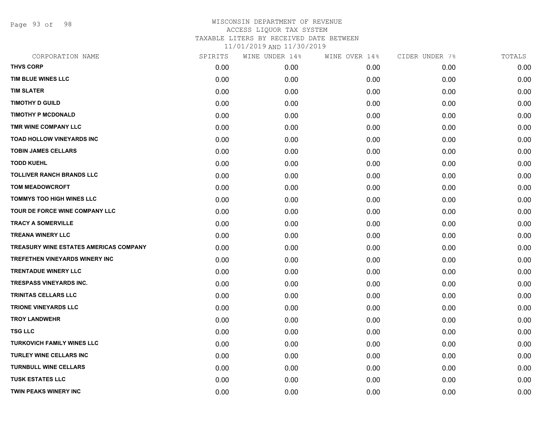Page 93 of 98

| CORPORATION NAME                       | SPIRITS | WINE UNDER 14% | WINE OVER 14% | CIDER UNDER 7% | TOTALS |
|----------------------------------------|---------|----------------|---------------|----------------|--------|
| <b>THVS CORP</b>                       | 0.00    | 0.00           | 0.00          | 0.00           | 0.00   |
| TIM BLUE WINES LLC                     | 0.00    | 0.00           | 0.00          | 0.00           | 0.00   |
| <b>TIM SLATER</b>                      | 0.00    | 0.00           | 0.00          | 0.00           | 0.00   |
| <b>TIMOTHY D GUILD</b>                 | 0.00    | 0.00           | 0.00          | 0.00           | 0.00   |
| <b>TIMOTHY P MCDONALD</b>              | 0.00    | 0.00           | 0.00          | 0.00           | 0.00   |
| TMR WINE COMPANY LLC                   | 0.00    | 0.00           | 0.00          | 0.00           | 0.00   |
| <b>TOAD HOLLOW VINEYARDS INC</b>       | 0.00    | 0.00           | 0.00          | 0.00           | 0.00   |
| <b>TOBIN JAMES CELLARS</b>             | 0.00    | 0.00           | 0.00          | 0.00           | 0.00   |
| <b>TODD KUEHL</b>                      | 0.00    | 0.00           | 0.00          | 0.00           | 0.00   |
| <b>TOLLIVER RANCH BRANDS LLC</b>       | 0.00    | 0.00           | 0.00          | 0.00           | 0.00   |
| <b>TOM MEADOWCROFT</b>                 | 0.00    | 0.00           | 0.00          | 0.00           | 0.00   |
| TOMMYS TOO HIGH WINES LLC              | 0.00    | 0.00           | 0.00          | 0.00           | 0.00   |
| TOUR DE FORCE WINE COMPANY LLC         | 0.00    | 0.00           | 0.00          | 0.00           | 0.00   |
| <b>TRACY A SOMERVILLE</b>              | 0.00    | 0.00           | 0.00          | 0.00           | 0.00   |
| <b>TREANA WINERY LLC</b>               | 0.00    | 0.00           | 0.00          | 0.00           | 0.00   |
| TREASURY WINE ESTATES AMERICAS COMPANY | 0.00    | 0.00           | 0.00          | 0.00           | 0.00   |
| TREFETHEN VINEYARDS WINERY INC         | 0.00    | 0.00           | 0.00          | 0.00           | 0.00   |
| <b>TRENTADUE WINERY LLC</b>            | 0.00    | 0.00           | 0.00          | 0.00           | 0.00   |
| <b>TRESPASS VINEYARDS INC.</b>         | 0.00    | 0.00           | 0.00          | 0.00           | 0.00   |
| TRINITAS CELLARS LLC                   | 0.00    | 0.00           | 0.00          | 0.00           | 0.00   |
| <b>TRIONE VINEYARDS LLC</b>            | 0.00    | 0.00           | 0.00          | 0.00           | 0.00   |
| <b>TROY LANDWEHR</b>                   | 0.00    | 0.00           | 0.00          | 0.00           | 0.00   |
| <b>TSG LLC</b>                         | 0.00    | 0.00           | 0.00          | 0.00           | 0.00   |
| TURKOVICH FAMILY WINES LLC             | 0.00    | 0.00           | 0.00          | 0.00           | 0.00   |
| TURLEY WINE CELLARS INC                | 0.00    | 0.00           | 0.00          | 0.00           | 0.00   |
| <b>TURNBULL WINE CELLARS</b>           | 0.00    | 0.00           | 0.00          | 0.00           | 0.00   |
| <b>TUSK ESTATES LLC</b>                | 0.00    | 0.00           | 0.00          | 0.00           | 0.00   |
| <b>TWIN PEAKS WINERY INC</b>           | 0.00    | 0.00           | 0.00          | 0.00           | 0.00   |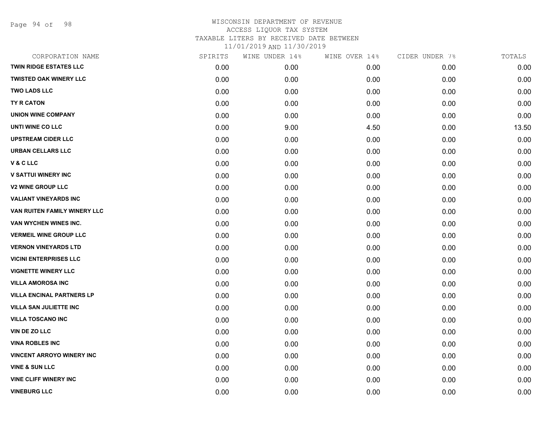Page 94 of 98

| CORPORATION NAME                 | SPIRITS | WINE UNDER 14% | WINE OVER 14% | CIDER UNDER 7% | TOTALS |
|----------------------------------|---------|----------------|---------------|----------------|--------|
| <b>TWIN RIDGE ESTATES LLC</b>    | 0.00    | 0.00           | 0.00          | 0.00           | 0.00   |
| <b>TWISTED OAK WINERY LLC</b>    | 0.00    | 0.00           | 0.00          | 0.00           | 0.00   |
| <b>TWO LADS LLC</b>              | 0.00    | 0.00           | 0.00          | 0.00           | 0.00   |
| <b>TY R CATON</b>                | 0.00    | 0.00           | 0.00          | 0.00           | 0.00   |
| <b>UNION WINE COMPANY</b>        | 0.00    | 0.00           | 0.00          | 0.00           | 0.00   |
| UNTI WINE CO LLC                 | 0.00    | 9.00           | 4.50          | 0.00           | 13.50  |
| <b>UPSTREAM CIDER LLC</b>        | 0.00    | 0.00           | 0.00          | 0.00           | 0.00   |
| <b>URBAN CELLARS LLC</b>         | 0.00    | 0.00           | 0.00          | 0.00           | 0.00   |
| <b>V&amp;CLLC</b>                | 0.00    | 0.00           | 0.00          | 0.00           | 0.00   |
| <b>V SATTUI WINERY INC</b>       | 0.00    | 0.00           | 0.00          | 0.00           | 0.00   |
| <b>V2 WINE GROUP LLC</b>         | 0.00    | 0.00           | 0.00          | 0.00           | 0.00   |
| <b>VALIANT VINEYARDS INC</b>     | 0.00    | 0.00           | 0.00          | 0.00           | 0.00   |
| VAN RUITEN FAMILY WINERY LLC     | 0.00    | 0.00           | 0.00          | 0.00           | 0.00   |
| VAN WYCHEN WINES INC.            | 0.00    | 0.00           | 0.00          | 0.00           | 0.00   |
| <b>VERMEIL WINE GROUP LLC</b>    | 0.00    | 0.00           | 0.00          | 0.00           | 0.00   |
| <b>VERNON VINEYARDS LTD</b>      | 0.00    | 0.00           | 0.00          | 0.00           | 0.00   |
| <b>VICINI ENTERPRISES LLC</b>    | 0.00    | 0.00           | 0.00          | 0.00           | 0.00   |
| <b>VIGNETTE WINERY LLC</b>       | 0.00    | 0.00           | 0.00          | 0.00           | 0.00   |
| <b>VILLA AMOROSA INC</b>         | 0.00    | 0.00           | 0.00          | 0.00           | 0.00   |
| <b>VILLA ENCINAL PARTNERS LP</b> | 0.00    | 0.00           | 0.00          | 0.00           | 0.00   |
| <b>VILLA SAN JULIETTE INC</b>    | 0.00    | 0.00           | 0.00          | 0.00           | 0.00   |
| <b>VILLA TOSCANO INC</b>         | 0.00    | 0.00           | 0.00          | 0.00           | 0.00   |
| <b>VIN DE ZO LLC</b>             | 0.00    | 0.00           | 0.00          | 0.00           | 0.00   |
| <b>VINA ROBLES INC</b>           | 0.00    | 0.00           | 0.00          | 0.00           | 0.00   |
| <b>VINCENT ARROYO WINERY INC</b> | 0.00    | 0.00           | 0.00          | 0.00           | 0.00   |
| <b>VINE &amp; SUN LLC</b>        | 0.00    | 0.00           | 0.00          | 0.00           | 0.00   |
| <b>VINE CLIFF WINERY INC</b>     | 0.00    | 0.00           | 0.00          | 0.00           | 0.00   |
| <b>VINEBURG LLC</b>              | 0.00    | 0.00           | 0.00          | 0.00           | 0.00   |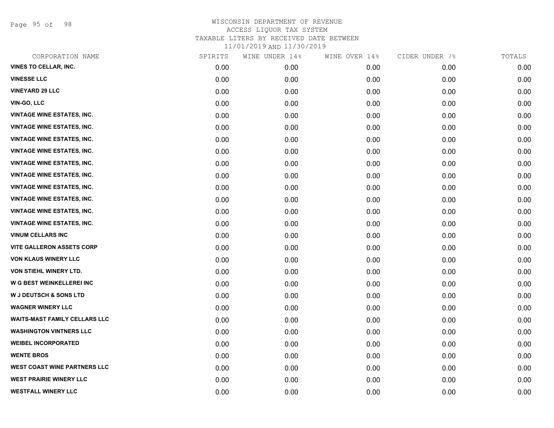Page 95 of 98

| CORPORATION NAME                     | SPIRITS | WINE UNDER 14% | WINE OVER 14% | CIDER UNDER 7% | TOTALS |
|--------------------------------------|---------|----------------|---------------|----------------|--------|
| <b>VINES TO CELLAR, INC.</b>         | 0.00    | 0.00           | 0.00          | 0.00           | 0.00   |
| <b>VINESSE LLC</b>                   | 0.00    | 0.00           | 0.00          | 0.00           | 0.00   |
| <b>VINEYARD 29 LLC</b>               | 0.00    | 0.00           | 0.00          | 0.00           | 0.00   |
| VIN-GO, LLC                          | 0.00    | 0.00           | 0.00          | 0.00           | 0.00   |
| <b>VINTAGE WINE ESTATES, INC.</b>    | 0.00    | 0.00           | 0.00          | 0.00           | 0.00   |
| <b>VINTAGE WINE ESTATES, INC.</b>    | 0.00    | 0.00           | 0.00          | 0.00           | 0.00   |
| <b>VINTAGE WINE ESTATES, INC.</b>    | 0.00    | 0.00           | 0.00          | 0.00           | 0.00   |
| <b>VINTAGE WINE ESTATES, INC.</b>    | 0.00    | 0.00           | 0.00          | 0.00           | 0.00   |
| <b>VINTAGE WINE ESTATES, INC.</b>    | 0.00    | 0.00           | 0.00          | 0.00           | 0.00   |
| <b>VINTAGE WINE ESTATES, INC.</b>    | 0.00    | 0.00           | 0.00          | 0.00           | 0.00   |
| <b>VINTAGE WINE ESTATES, INC.</b>    | 0.00    | 0.00           | 0.00          | 0.00           | 0.00   |
| <b>VINTAGE WINE ESTATES, INC.</b>    | 0.00    | 0.00           | 0.00          | 0.00           | 0.00   |
| <b>VINTAGE WINE ESTATES, INC.</b>    | 0.00    | 0.00           | 0.00          | 0.00           | 0.00   |
| <b>VINTAGE WINE ESTATES, INC.</b>    | 0.00    | 0.00           | 0.00          | 0.00           | 0.00   |
| <b>VINUM CELLARS INC</b>             | 0.00    | 0.00           | 0.00          | 0.00           | 0.00   |
| <b>VITE GALLERON ASSETS CORP</b>     | 0.00    | 0.00           | 0.00          | 0.00           | 0.00   |
| <b>VON KLAUS WINERY LLC</b>          | 0.00    | 0.00           | 0.00          | 0.00           | 0.00   |
| VON STIEHL WINERY LTD.               | 0.00    | 0.00           | 0.00          | 0.00           | 0.00   |
| W G BEST WEINKELLEREI INC            | 0.00    | 0.00           | 0.00          | 0.00           | 0.00   |
| <b>W J DEUTSCH &amp; SONS LTD</b>    | 0.00    | 0.00           | 0.00          | 0.00           | 0.00   |
| <b>WAGNER WINERY LLC</b>             | 0.00    | 0.00           | 0.00          | 0.00           | 0.00   |
| <b>WAITS-MAST FAMILY CELLARS LLC</b> | 0.00    | 0.00           | 0.00          | 0.00           | 0.00   |
| <b>WASHINGTON VINTNERS LLC</b>       | 0.00    | 0.00           | 0.00          | 0.00           | 0.00   |
| <b>WEIBEL INCORPORATED</b>           | 0.00    | 0.00           | 0.00          | 0.00           | 0.00   |
| <b>WENTE BROS</b>                    | 0.00    | 0.00           | 0.00          | 0.00           | 0.00   |
| WEST COAST WINE PARTNERS LLC         | 0.00    | 0.00           | 0.00          | 0.00           | 0.00   |
| <b>WEST PRAIRIE WINERY LLC</b>       | 0.00    | 0.00           | 0.00          | 0.00           | 0.00   |
| <b>WESTFALL WINERY LLC</b>           | 0.00    | 0.00           | 0.00          | 0.00           | 0.00   |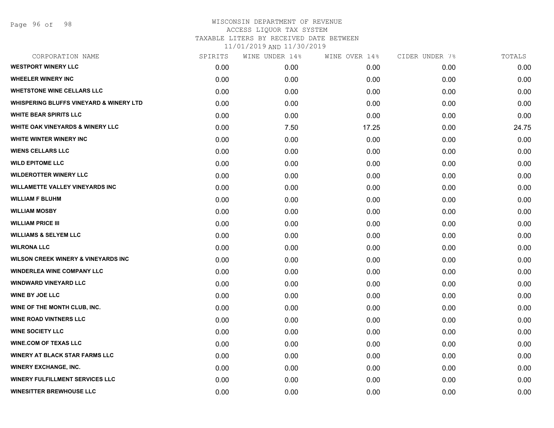| CORPORATION NAME                               | SPIRITS | WINE UNDER 14% | WINE OVER 14% | CIDER UNDER 7% | TOTALS |
|------------------------------------------------|---------|----------------|---------------|----------------|--------|
| <b>WESTPORT WINERY LLC</b>                     | 0.00    | 0.00           | 0.00          | 0.00           | 0.00   |
| <b>WHEELER WINERY INC</b>                      | 0.00    | 0.00           | 0.00          | 0.00           | 0.00   |
| <b>WHETSTONE WINE CELLARS LLC</b>              | 0.00    | 0.00           | 0.00          | 0.00           | 0.00   |
| WHISPERING BLUFFS VINEYARD & WINERY LTD        | 0.00    | 0.00           | 0.00          | 0.00           | 0.00   |
| <b>WHITE BEAR SPIRITS LLC</b>                  | 0.00    | 0.00           | 0.00          | 0.00           | 0.00   |
| <b>WHITE OAK VINEYARDS &amp; WINERY LLC</b>    | 0.00    | 7.50           | 17.25         | 0.00           | 24.75  |
| WHITE WINTER WINERY INC                        | 0.00    | 0.00           | 0.00          | 0.00           | 0.00   |
| <b>WIENS CELLARS LLC</b>                       | 0.00    | 0.00           | 0.00          | 0.00           | 0.00   |
| <b>WILD EPITOME LLC</b>                        | 0.00    | 0.00           | 0.00          | 0.00           | 0.00   |
| <b>WILDEROTTER WINERY LLC</b>                  | 0.00    | 0.00           | 0.00          | 0.00           | 0.00   |
| <b>WILLAMETTE VALLEY VINEYARDS INC</b>         | 0.00    | 0.00           | 0.00          | 0.00           | 0.00   |
| <b>WILLIAM F BLUHM</b>                         | 0.00    | 0.00           | 0.00          | 0.00           | 0.00   |
| <b>WILLIAM MOSBY</b>                           | 0.00    | 0.00           | 0.00          | 0.00           | 0.00   |
| <b>WILLIAM PRICE III</b>                       | 0.00    | 0.00           | 0.00          | 0.00           | 0.00   |
| <b>WILLIAMS &amp; SELYEM LLC</b>               | 0.00    | 0.00           | 0.00          | 0.00           | 0.00   |
| <b>WILRONA LLC</b>                             | 0.00    | 0.00           | 0.00          | 0.00           | 0.00   |
| <b>WILSON CREEK WINERY &amp; VINEYARDS INC</b> | 0.00    | 0.00           | 0.00          | 0.00           | 0.00   |
| <b>WINDERLEA WINE COMPANY LLC</b>              | 0.00    | 0.00           | 0.00          | 0.00           | 0.00   |
| <b>WINDWARD VINEYARD LLC</b>                   | 0.00    | 0.00           | 0.00          | 0.00           | 0.00   |
| <b>WINE BY JOE LLC</b>                         | 0.00    | 0.00           | 0.00          | 0.00           | 0.00   |
| WINE OF THE MONTH CLUB, INC.                   | 0.00    | 0.00           | 0.00          | 0.00           | 0.00   |
| <b>WINE ROAD VINTNERS LLC</b>                  | 0.00    | 0.00           | 0.00          | 0.00           | 0.00   |
| <b>WINE SOCIETY LLC</b>                        | 0.00    | 0.00           | 0.00          | 0.00           | 0.00   |
| <b>WINE.COM OF TEXAS LLC</b>                   | 0.00    | 0.00           | 0.00          | 0.00           | 0.00   |
| <b>WINERY AT BLACK STAR FARMS LLC</b>          | 0.00    | 0.00           | 0.00          | 0.00           | 0.00   |
| <b>WINERY EXCHANGE, INC.</b>                   | 0.00    | 0.00           | 0.00          | 0.00           | 0.00   |
| <b>WINERY FULFILLMENT SERVICES LLC</b>         | 0.00    | 0.00           | 0.00          | 0.00           | 0.00   |
| <b>WINESITTER BREWHOUSE LLC</b>                | 0.00    | 0.00           | 0.00          | 0.00           | 0.00   |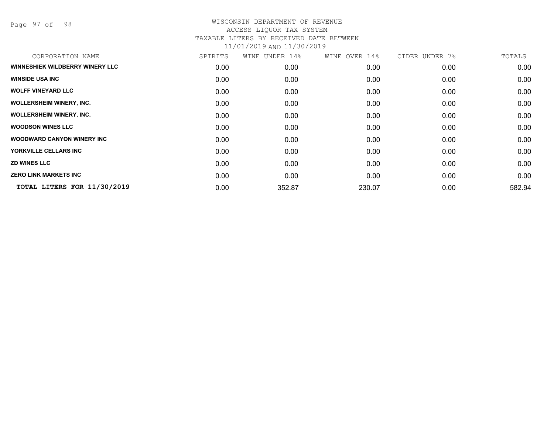Page 97 of 98

| CORPORATION NAME                   | SPIRITS | WINE UNDER 14% | WINE OVER 14% | CIDER UNDER 7% | TOTALS |
|------------------------------------|---------|----------------|---------------|----------------|--------|
| WINNESHIEK WILDBERRY WINERY LLC    | 0.00    | 0.00           | 0.00          | 0.00           | 0.00   |
| <b>WINSIDE USA INC</b>             | 0.00    | 0.00           | 0.00          | 0.00           | 0.00   |
| <b>WOLFF VINEYARD LLC</b>          | 0.00    | 0.00           | 0.00          | 0.00           | 0.00   |
| <b>WOLLERSHEIM WINERY, INC.</b>    | 0.00    | 0.00           | 0.00          | 0.00           | 0.00   |
| <b>WOLLERSHEIM WINERY, INC.</b>    | 0.00    | 0.00           | 0.00          | 0.00           | 0.00   |
| <b>WOODSON WINES LLC</b>           | 0.00    | 0.00           | 0.00          | 0.00           | 0.00   |
| <b>WOODWARD CANYON WINERY INC.</b> | 0.00    | 0.00           | 0.00          | 0.00           | 0.00   |
| YORKVILLE CELLARS INC              | 0.00    | 0.00           | 0.00          | 0.00           | 0.00   |
| <b>ZD WINES LLC</b>                | 0.00    | 0.00           | 0.00          | 0.00           | 0.00   |
| <b>ZERO LINK MARKETS INC</b>       | 0.00    | 0.00           | 0.00          | 0.00           | 0.00   |
| TOTAL LITERS FOR 11/30/2019        | 0.00    | 352.87         | 230.07        | 0.00           | 582.94 |